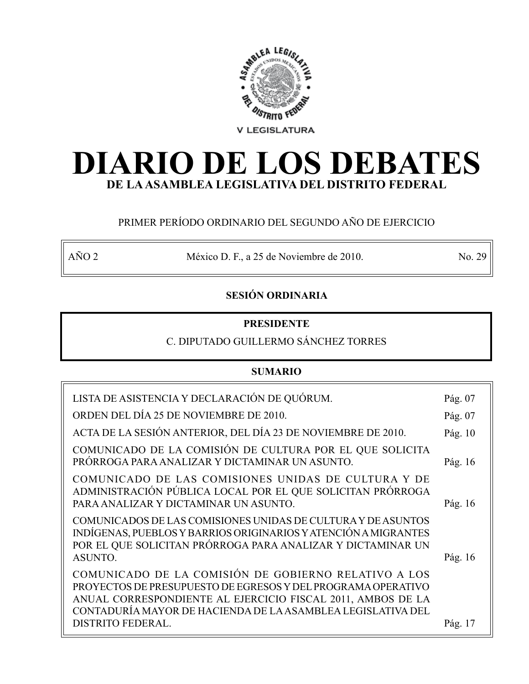

# **DIARIO DE LOS DEBATES DE LA ASAMBLEA LEGISLATIVA DEL DISTRITO FEDERAL**

# PRIMER PERÍODO ORDINARIO DEL SEGUNDO AÑO DE EJERCICIO

AÑO 2 México D. F., a 25 de Noviembre de 2010. No. 29

# **SESIÓN ORDINARIA**

# **PRESIDENTE**

# C. DIPUTADO GUILLERMO SÁNCHEZ TORRES

# **SUMARIO**

| LISTA DE ASISTENCIA Y DECLARACIÓN DE QUÓRUM.                                                                                                                                                                                                       | Pág. 07 |
|----------------------------------------------------------------------------------------------------------------------------------------------------------------------------------------------------------------------------------------------------|---------|
| ORDEN DEL DÍA 25 DE NOVIEMBRE DE 2010.                                                                                                                                                                                                             | Pág. 07 |
| ACTA DE LA SESIÓN ANTERIOR, DEL DÍA 23 DE NOVIEMBRE DE 2010.                                                                                                                                                                                       | Pág. 10 |
| COMUNICADO DE LA COMISIÓN DE CULTURA POR EL QUE SOLICITA<br>PRÓRROGA PARA ANALIZAR Y DICTAMINAR UN ASUNTO.                                                                                                                                         | Pág. 16 |
| COMUNICADO DE LAS COMISIONES UNIDAS DE CULTURA Y DE<br>ADMINISTRACIÓN PÚBLICA LOCAL POR EL QUE SOLICITAN PRÓRROGA<br>PARA ANALIZAR Y DICTAMINAR UN ASUNTO.                                                                                         | Pág. 16 |
| COMUNICADOS DE LAS COMISIONES UNIDAS DE CULTURA Y DE ASUNTOS<br>INDÍGENAS, PUEBLOS Y BARRIOS ORIGINARIOS Y ATENCIÓN A MIGRANTES<br>POR EL QUE SOLICITAN PRÓRROGA PARA ANALIZAR Y DICTAMINAR UN<br>ASUNTO.                                          | Pág. 16 |
| COMUNICADO DE LA COMISIÓN DE GOBIERNO RELATIVO A LOS<br>PROYECTOS DE PRESUPUESTO DE EGRESOS Y DEL PROGRAMA OPERATIVO<br>ANUAL CORRESPONDIENTE AL EJERCICIO FISCAL 2011, AMBOS DE LA<br>CONTADURÍA MAYOR DE HACIENDA DE LA ASAMBLEA LEGISLATIVA DEL |         |
| DISTRITO FEDERAL.                                                                                                                                                                                                                                  | Pág. 17 |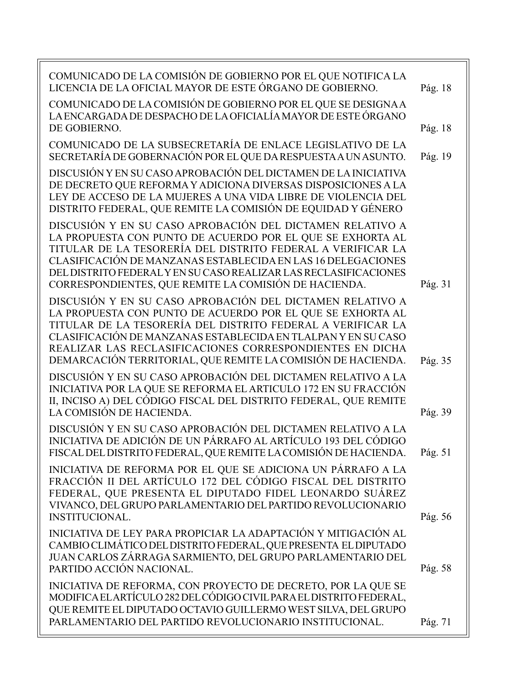| COMUNICADO DE LA COMISIÓN DE GOBIERNO POR EL QUE NOTIFICA LA<br>LICENCIA DE LA OFICIAL MAYOR DE ESTE ÓRGANO DE GOBIERNO.                                                                                                                                                                                                                                                            | Pág. 18 |
|-------------------------------------------------------------------------------------------------------------------------------------------------------------------------------------------------------------------------------------------------------------------------------------------------------------------------------------------------------------------------------------|---------|
| COMUNICADO DE LA COMISIÓN DE GOBIERNO POR EL QUE SE DESIGNA A<br>LA ENCARGADA DE DESPACHO DE LA OFICIALÍA MAYOR DE ESTE ÓRGANO                                                                                                                                                                                                                                                      |         |
| DE GOBIERNO.                                                                                                                                                                                                                                                                                                                                                                        | Pág. 18 |
| COMUNICADO DE LA SUBSECRETARÍA DE ENLACE LEGISLATIVO DE LA<br>SECRETARÍA DE GOBERNACIÓN POR EL QUE DA RESPUESTA A UN ASUNTO.                                                                                                                                                                                                                                                        | Pág. 19 |
| DISCUSIÓN Y EN SU CASO APROBACIÓN DEL DICTAMEN DE LA INICIATIVA<br>DE DECRETO QUE REFORMA Y ADICIONA DIVERSAS DISPOSICIONES A LA<br>LEY DE ACCESO DE LA MUJERES A UNA VIDA LIBRE DE VIOLENCIA DEL<br>DISTRITO FEDERAL, QUE REMITE LA COMISIÓN DE EQUIDAD Y GÉNERO                                                                                                                   |         |
| DISCUSIÓN Y EN SU CASO APROBACIÓN DEL DICTAMEN RELATIVO A<br>LA PROPUESTA CON PUNTO DE ACUERDO POR EL QUE SE EXHORTA AL<br>TITULAR DE LA TESORERÍA DEL DISTRITO FEDERAL A VERIFICAR LA<br>CLASIFICACIÓN DE MANZANAS ESTABLECIDA EN LAS 16 DELEGACIONES<br>DEL DISTRITO FEDERAL Y EN SU CASO REALIZAR LAS RECLASIFICACIONES<br>CORRESPONDIENTES, QUE REMITE LA COMISIÓN DE HACIENDA. | Pág. 31 |
| DISCUSIÓN Y EN SU CASO APROBACIÓN DEL DICTAMEN RELATIVO A<br>LA PROPUESTA CON PUNTO DE ACUERDO POR EL QUE SE EXHORTA AL<br>TITULAR DE LA TESORERÍA DEL DISTRITO FEDERAL A VERIFICAR LA<br>CLASIFICACIÓN DE MANZANAS ESTABLECIDA EN TLALPAN Y EN SU CASO<br>REALIZAR LAS RECLASIFICACIONES CORRESPONDIENTES EN DICHA<br>DEMARCACIÓN TERRITORIAL, QUE REMITE LA COMISIÓN DE HACIENDA. | Pág. 35 |
| DISCUSIÓN Y EN SU CASO APROBACIÓN DEL DICTAMEN RELATIVO A LA<br>INICIATIVA POR LA QUE SE REFORMA EL ARTICULO 172 EN SU FRACCIÓN<br>II, INCISO A) DEL CÓDIGO FISCAL DEL DISTRITO FEDERAL, QUE REMITE<br>LA COMISIÓN DE HACIENDA.                                                                                                                                                     | Pág. 39 |
| DISCUSIÓN Y EN SU CASO APROBACIÓN DEL DICTAMEN RELATIVO A LA<br>INICIATIVA DE ADICIÓN DE UN PÁRRAFO AL ARTÍCULO 193 DEL CÓDIGO<br>FISCAL DEL DISTRITO FEDERAL, QUE REMITE LA COMISIÓN DE HACIENDA.                                                                                                                                                                                  | Pág. 51 |
| INICIATIVA DE REFORMA POR EL QUE SE ADICIONA UN PÁRRAFO A LA<br>FRACCIÓN II DEL ARTÍCULO 172 DEL CÓDIGO FISCAL DEL DISTRITO<br>FEDERAL, QUE PRESENTA EL DIPUTADO FIDEL LEONARDO SUÁREZ<br>VIVANCO, DEL GRUPO PARLAMENTARIO DEL PARTIDO REVOLUCIONARIO<br><b>INSTITUCIONAL.</b>                                                                                                      | Pág. 56 |
| INICIATIVA DE LEY PARA PROPICIAR LA ADAPTACIÓN Y MITIGACIÓN AL<br>CAMBIO CLIMÁTICO DEL DISTRITO FEDERAL, QUE PRESENTA EL DIPUTADO<br>JUAN CARLOS ZÁRRAGA SARMIENTO, DEL GRUPO PARLAMENTARIO DEL<br>PARTIDO ACCIÓN NACIONAL.                                                                                                                                                         | Pág. 58 |
| INICIATIVA DE REFORMA, CON PROYECTO DE DECRETO, POR LA QUE SE<br>MODIFICA ELARTÍCULO 282 DEL CÓDIGO CIVIL PARA EL DISTRITO FEDERAL,<br>QUE REMITE EL DIPUTADO OCTAVIO GUILLERMO WEST SILVA, DEL GRUPO<br>PARLAMENTARIO DEL PARTIDO REVOLUCIONARIO INSTITUCIONAL.                                                                                                                    | Pág. 71 |
|                                                                                                                                                                                                                                                                                                                                                                                     |         |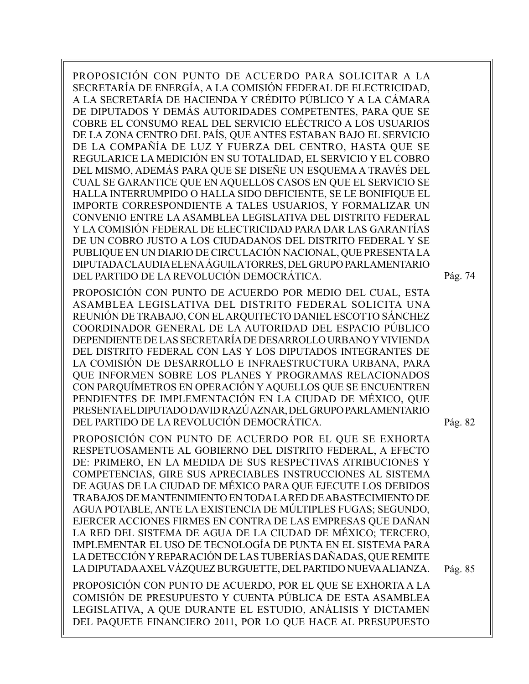PROPOSICIÓN CON PUNTO DE ACUERDO PARA SOLICITAR A LA SECRETARÍA DE ENERGÍA, A LA COMISIÓN FEDERAL DE ELECTRICIDAD, A LA SECRETARÍA DE HACIENDA Y CRÉDITO PÚBLICO Y A LA CÁMARA DE DIPUTADOS Y DEMÁS AUTORIDADES COMPETENTES, PARA QUE SE COBRE EL CONSUMO REAL DEL SERVICIO ELÉCTRICO A LOS USUARIOS DE LA ZONA CENTRO DEL PAÍS, QUE ANTES ESTABAN BAJO EL SERVICIO DE LA COMPAÑÍA DE LUZ Y FUERZA DEL CENTRO, HASTA QUE SE REGULARICE LA MEDICIÓN EN SU TOTALIDAD, EL SERVICIO Y EL COBRO DEL MISMO, ADEMÁS PARA QUE SE DISEÑE UN ESQUEMA A TRAVÉS DEL CUAL SE GARANTICE QUE EN AQUELLOS CASOS EN QUE EL SERVICIO SE HALLA INTERRUMPIDO O HALLA SIDO DEFICIENTE, SE LE BONIFIQUE EL IMPORTE CORRESPONDIENTE A TALES USUARIOS, Y FORMALIZAR UN CONVENIO ENTRE LA ASAMBLEA LEGISLATIVA DEL DISTRITO FEDERAL Y LA COMISIÓN FEDERAL DE ELECTRICIDAD PARA DAR LAS GARANTÍAS DE UN COBRO JUSTO A LOS CIUDADANOS DEL DISTRITO FEDERAL Y SE PUBLIQUE EN UN DIARIO DE CIRCULACIÓN NACIONAL, QUE PRESENTA LA DIPUTADA CLAUDIA ELENA ÁGUILA TORRES, DEL GRUPO PARLAMENTARIO DEL PARTIDO DE LA REVOLUCIÓN DEMOCRÁTICA.

PROPOSICIÓN CON PUNTO DE ACUERDO POR MEDIO DEL CUAL, ESTA ASAMBLEA LEGISLATIVA DEL DISTRITO FEDERAL SOLICITA UNA REUNIÓN DE TRABAJO, CON EL ARQUITECTO DANIEL ESCOTTO SÁNCHEZ COORDINADOR GENERAL DE LA AUTORIDAD DEL ESPACIO PÚBLICO DEPENDIENTE DE LAS SECRETARÍA DE DESARROLLO URBANO Y VIVIENDA DEL DISTRITO FEDERAL CON LAS Y LOS DIPUTADOS INTEGRANTES DE LA COMISIÓN DE DESARROLLO E INFRAESTRUCTURA URBANA, PARA QUE INFORMEN SOBRE LOS PLANES Y PROGRAMAS RELACIONADOS CON PARQUÍMETROS EN OPERACIÓN Y AQUELLOS QUE SE ENCUENTREN PENDIENTES DE IMPLEMENTACIÓN EN LA CIUDAD DE MÉXICO, QUE PRESENTA EL DIPUTADO DAVID RAZÚ AZNAR, DEL GRUPO PARLAMENTARIO DEL PARTIDO DE LA REVOLUCIÓN DEMOCRÁTICA.

PROPOSICIÓN CON PUNTO DE ACUERDO POR EL QUE SE EXHORTA RESPETUOSAMENTE AL GOBIERNO DEL DISTRITO FEDERAL, A EFECTO DE: PRIMERO, EN LA MEDIDA DE SUS RESPECTIVAS ATRIBUCIONES Y COMPETENCIAS, GIRE SUS APRECIABLES INSTRUCCIONES AL SISTEMA DE AGUAS DE LA CIUDAD DE MÉXICO PARA QUE EJECUTE LOS DEBIDOS TRABAJOS DE MANTENIMIENTO EN TODA LA RED DE ABASTECIMIENTO DE AGUA POTABLE, ANTE LA EXISTENCIA DE MÚLTIPLES FUGAS; SEGUNDO, EJERCER ACCIONES FIRMES EN CONTRA DE LAS EMPRESAS QUE DAÑAN LA RED DEL SISTEMA DE AGUA DE LA CIUDAD DE MÉXICO; TERCERO, IMPLEMENTAR EL USO DE TECNOLOGÍA DE PUNTA EN EL SISTEMA PARA LA DETECCIÓN Y REPARACIÓN DE LAS TUBERÍAS DAÑADAS, QUE REMITE LA DIPUTADA AXEL VÁZQUEZ BURGUETTE, DEL PARTIDO NUEVA ALIANZA.

PROPOSICIÓN CON PUNTO DE ACUERDO, POR EL QUE SE EXHORTA A LA COMISIÓN DE PRESUPUESTO Y CUENTA PÚBLICA DE ESTA ASAMBLEA LEGISLATIVA, A QUE DURANTE EL ESTUDIO, ANÁLISIS Y DICTAMEN DEL PAQUETE FINANCIERO 2011, POR LO QUE HACE AL PRESUPUESTO

Pág. 82

Pág. 74

Pág. 85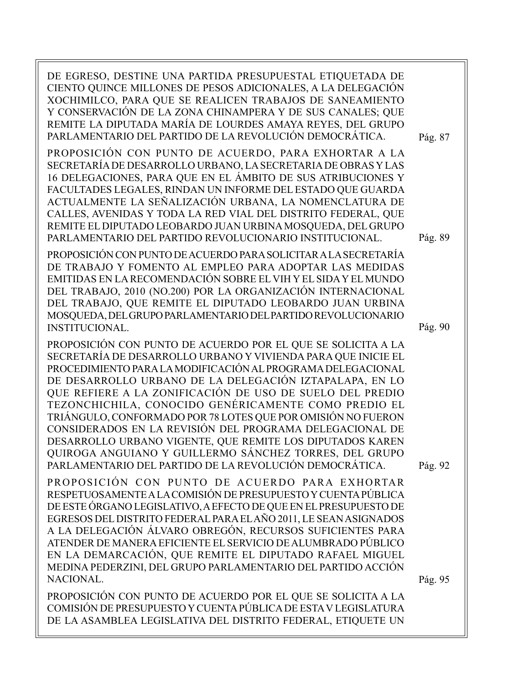| DE EGRESO, DESTINE UNA PARTIDA PRESUPUESTAL ETIQUETADA DE<br>CIENTO QUINCE MILLONES DE PESOS ADICIONALES, A LA DELEGACIÓN<br>XOCHIMILCO, PARA QUE SE REALICEN TRABAJOS DE SANEAMIENTO<br>Y CONSERVACIÓN DE LA ZONA CHINAMPERA Y DE SUS CANALES; QUE<br>REMITE LA DIPUTADA MARÍA DE LOURDES AMAYA REYES, DEL GRUPO<br>PARLAMENTARIO DEL PARTIDO DE LA REVOLUCIÓN DEMOCRÁTICA.<br>PROPOSICIÓN CON PUNTO DE ACUERDO, PARA EXHORTAR A LA<br>SECRETARÍA DE DESARROLLO URBANO, LA SECRETARIA DE OBRAS Y LAS<br>16 DELEGACIONES, PARA QUE EN EL ÁMBITO DE SUS ATRIBUCIONES Y<br>FACULTADES LEGALES, RINDAN UN INFORME DEL ESTADO QUE GUARDA<br>ACTUALMENTE LA SEÑALIZACIÓN URBANA, LA NOMENCLATURA DE<br>CALLES, AVENIDAS Y TODA LA RED VIAL DEL DISTRITO FEDERAL, QUE<br>REMITE EL DIPUTADO LEOBARDO JUAN URBINA MOSQUEDA, DEL GRUPO | Pág. 87            |
|--------------------------------------------------------------------------------------------------------------------------------------------------------------------------------------------------------------------------------------------------------------------------------------------------------------------------------------------------------------------------------------------------------------------------------------------------------------------------------------------------------------------------------------------------------------------------------------------------------------------------------------------------------------------------------------------------------------------------------------------------------------------------------------------------------------------------------|--------------------|
| PARLAMENTARIO DEL PARTIDO REVOLUCIONARIO INSTITUCIONAL.<br>PROPOSICIÓN CON PUNTO DE ACUERDO PARA SOLICITAR A LA SECRETARÍA<br>DE TRABAJO Y FOMENTO AL EMPLEO PARA ADOPTAR LAS MEDIDAS<br>EMITIDAS EN LA RECOMENDACIÓN SOBRE EL VIH Y EL SIDA Y EL MUNDO<br>DEL TRABAJO, 2010 (NO.200) POR LA ORGANIZACIÓN INTERNACIONAL<br>DEL TRABAJO, QUE REMITE EL DIPUTADO LEOBARDO JUAN URBINA<br>MOSQUEDA, DEL GRUPO PARLAMENTARIO DEL PARTIDO REVOLUCIONARIO<br><b>INSTITUCIONAL.</b>                                                                                                                                                                                                                                                                                                                                                   | Pág. 89<br>Pág. 90 |
| PROPOSICIÓN CON PUNTO DE ACUERDO POR EL QUE SE SOLICITA A LA<br>SECRETARÍA DE DESARROLLO URBANO Y VIVIENDA PARA QUE INICIE EL<br>PROCEDIMIENTO PARA LA MODIFICACIÓN AL PROGRAMA DELEGACIONAL<br>DE DESARROLLO URBANO DE LA DELEGACIÓN IZTAPALAPA, EN LO<br>QUE REFIERE A LA ZONIFICACIÓN DE USO DE SUELO DEL PREDIO<br>TEZONCHICHILA, CONOCIDO GENÉRICAMENTE COMO PREDIO EL<br>TRIÁNGULO, CONFORMADO POR 78 LOTES QUE POR OMISIÓN NO FUERON<br>CONSIDERADOS EN LA REVISIÓN DEL PROGRAMA DELEGACIONAL DE<br>DESARROLLO URBANO VIGENTE, QUE REMITE LOS DIPUTADOS KAREN<br>QUIROGA ANGUIANO Y GUILLERMO SÁNCHEZ TORRES, DEL GRUPO<br>PARLAMENTARIO DEL PARTIDO DE LA REVOLUCIÓN DEMOCRÁTICA.                                                                                                                                      | Pág. 92            |
| PROPOSICIÓN CON PUNTO DE ACUERDO PARA EXHORTAR<br>RESPETUOSAMENTE A LA COMISIÓN DE PRESUPUESTO Y CUENTA PÚBLICA<br>DE ESTE ÓRGANO LEGISLATIVO, A EFECTO DE QUE EN EL PRESUPUESTO DE<br>EGRESOS DEL DISTRITO FEDERAL PARA EL AÑO 2011, LE SEAN ASIGNADOS<br>A LA DELEGACIÓN ÁLVARO OBREGÓN, RECURSOS SUFICIENTES PARA<br>ATENDER DE MANERA EFICIENTE EL SERVICIO DE ALUMBRADO PÚBLICO<br>EN LA DEMARCACIÓN, QUE REMITE EL DIPUTADO RAFAEL MIGUEL<br>MEDINA PEDERZINI, DEL GRUPO PARLAMENTARIO DEL PARTIDO ACCIÓN<br>NACIONAL.                                                                                                                                                                                                                                                                                                   |                    |
| PROPOSICIÓN CON PUNTO DE ACUERDO POR EL QUE SE SOLICITA A LA<br>COMISIÓN DE PRESUPUESTO Y CUENTA PÚBLICA DE ESTA V LEGISLATURA<br>DE LA ASAMBLEA LEGISLATIVA DEL DISTRITO FEDERAL, ETIQUETE UN                                                                                                                                                                                                                                                                                                                                                                                                                                                                                                                                                                                                                                 | Pág. 95            |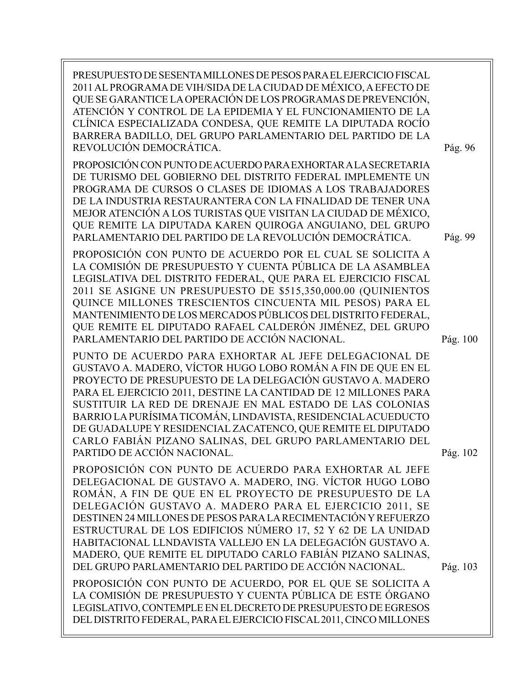| PRESUPUESTO DE SESENTA MILLONES DE PESOS PARA EL EJERCICIO FISCAL<br>2011 AL PROGRAMA DE VIH/SIDA DE LA CIUDAD DE MÉXICO, A EFECTO DE<br>QUE SE GARANTICE LA OPERACIÓN DE LOS PROGRAMAS DE PREVENCIÓN,<br>ATENCIÓN Y CONTROL DE LA EPIDEMIA Y EL FUNCIONAMIENTO DE LA<br>CLÍNICA ESPECIALIZADA CONDESA, QUE REMITE LA DIPUTADA ROCÍO<br>BARRERA BADILLO, DEL GRUPO PARLAMENTARIO DEL PARTIDO DE LA<br>REVOLUCIÓN DEMOCRÁTICA.                                                                                                                                       | Pág. 96  |
|---------------------------------------------------------------------------------------------------------------------------------------------------------------------------------------------------------------------------------------------------------------------------------------------------------------------------------------------------------------------------------------------------------------------------------------------------------------------------------------------------------------------------------------------------------------------|----------|
| PROPOSICIÓN CON PUNTO DE ACUERDO PARA EXHORTAR A LA SECRETARIA<br>DE TURISMO DEL GOBIERNO DEL DISTRITO FEDERAL IMPLEMENTE UN<br>PROGRAMA DE CURSOS O CLASES DE IDIOMAS A LOS TRABAJADORES<br>DE LA INDUSTRIA RESTAURANTERA CON LA FINALIDAD DE TENER UNA<br>MEJOR ATENCIÓN A LOS TURISTAS QUE VISITAN LA CIUDAD DE MÉXICO,<br>QUE REMITE LA DIPUTADA KAREN QUIROGA ANGUIANO, DEL GRUPO<br>PARLAMENTARIO DEL PARTIDO DE LA REVOLUCIÓN DEMOCRÁTICA.                                                                                                                   | Pág. 99  |
| PROPOSICIÓN CON PUNTO DE ACUERDO POR EL CUAL SE SOLICITA A<br>LA COMISIÓN DE PRESUPUESTO Y CUENTA PÚBLICA DE LA ASAMBLEA<br>LEGISLATIVA DEL DISTRITO FEDERAL, QUE PARA EL EJERCICIO FISCAL<br>2011 SE ASIGNE UN PRESUPUESTO DE \$515,350,000.00 (QUINIENTOS<br>QUINCE MILLONES TRESCIENTOS CINCUENTA MIL PESOS) PARA EL<br>MANTENIMIENTO DE LOS MERCADOS PÚBLICOS DEL DISTRITO FEDERAL,<br>QUE REMITE EL DIPUTADO RAFAEL CALDERÓN JIMÉNEZ, DEL GRUPO<br>PARLAMENTARIO DEL PARTIDO DE ACCIÓN NACIONAL.                                                               | Pág. 100 |
| PUNTO DE ACUERDO PARA EXHORTAR AL JEFE DELEGACIONAL DE<br>GUSTAVO A. MADERO, VÍCTOR HUGO LOBO ROMÁN A FIN DE QUE EN EL<br>PROYECTO DE PRESUPUESTO DE LA DELEGACIÓN GUSTAVO A. MADERO<br>PARA EL EJERCICIO 2011, DESTINE LA CANTIDAD DE 12 MILLONES PARA<br>SUSTITUIR LA RED DE DRENAJE EN MAL ESTADO DE LAS COLONIAS<br>BARRIO LA PURÍSIMA TICOMÁN, LINDAVISTA, RESIDENCIAL ACUEDUCTO<br>DE GUADALUPE Y RESIDENCIAL ZACATENCO, QUE REMITE EL DIPUTADO<br>CARLO FABIÁN PIZANO SALINAS, DEL GRUPO PARLAMENTARIO DEL<br>PARTIDO DE ACCIÓN NACIONAL.                    | Pág. 102 |
| PROPOSICIÓN CON PUNTO DE ACUERDO PARA EXHORTAR AL JEFE<br>DELEGACIONAL DE GUSTAVO A. MADERO, ING. VÍCTOR HUGO LOBO<br>ROMÁN, A FIN DE QUE EN EL PROYECTO DE PRESUPUESTO DE LA<br>DELEGACIÓN GUSTAVO A. MADERO PARA EL EJERCICIO 2011, SE<br>DESTINEN 24 MILLONES DE PESOS PARA LA RECIMENTACIÓN Y REFUERZO<br>ESTRUCTURAL DE LOS EDIFICIOS NÚMERO 17, 52 Y 62 DE LA UNIDAD<br>HABITACIONAL LLNDAVISTA VALLEJO EN LA DELEGACIÓN GUSTAVO A.<br>MADERO, QUE REMITE EL DIPUTADO CARLO FABIÁN PIZANO SALINAS,<br>DEL GRUPO PARLAMENTARIO DEL PARTIDO DE ACCIÓN NACIONAL. | Pág. 103 |
| PROPOSICIÓN CON PUNTO DE ACUERDO, POR EL QUE SE SOLICITA A<br>LA COMISIÓN DE PRESUPUESTO Y CUENTA PÚBLICA DE ESTE ÓRGANO<br>LEGISLATIVO, CONTEMPLE EN EL DECRETO DE PRESUPUESTO DE EGRESOS<br>DEL DISTRITO FEDERAL, PARA EL EJERCICIO FISCAL 2011, CINCO MILLONES                                                                                                                                                                                                                                                                                                   |          |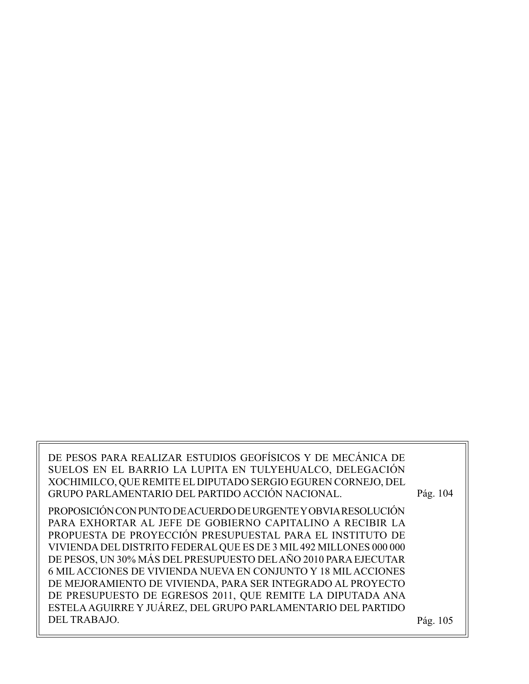| DE PESOS PARA REALIZAR ESTUDIOS GEOFÍSICOS Y DE MECÁNICA DE        |          |
|--------------------------------------------------------------------|----------|
| SUELOS EN EL BARRIO LA LUPITA EN TULYEHUALCO, DELEGACIÓN           |          |
| XOCHIMILCO, QUE REMITE EL DIPUTADO SERGIO EGUREN CORNEJO, DEL      |          |
| GRUPO PARLAMENTARIO DEL PARTIDO ACCIÓN NACIONAL.                   | Pág. 104 |
| PROPOSICIÓN CON PUNTO DE ACUERDO DE URGENTE Y OBVIA RESOLUCIÓN     |          |
| PARA EXHORTAR AL JEFE DE GOBIERNO CAPITALINO A RECIBIR LA          |          |
| PROPUESTA DE PROYECCIÓN PRESUPUESTAL PARA EL INSTITUTO DE          |          |
| VIVIENDA DEL DISTRITO FEDERAL QUE ES DE 3 MIL 492 MILLONES 000 000 |          |
| DE PESOS, UN 30% MÁS DEL PRESUPUESTO DEL AÑO 2010 PARA EJECUTAR    |          |
| 6 MIL ACCIONES DE VIVIENDA NUEVA EN CONJUNTO Y 18 MIL ACCIONES     |          |
| DE MEJORAMIENTO DE VIVIENDA, PARA SER INTEGRADO AL PROYECTO        |          |
| DE PRESUPUESTO DE EGRESOS 2011, QUE REMITE LA DIPUTADA ANA         |          |
| ESTELA AGUIRRE Y JUÁREZ, DEL GRUPO PARLAMENTARIO DEL PARTIDO       |          |
| DEL TRABAJO.                                                       | Pág. 105 |
|                                                                    |          |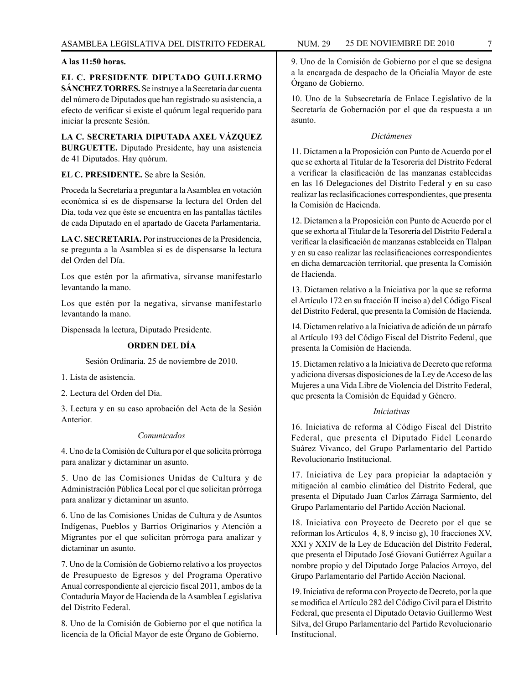# **A las 11:50 horas.**

**EL C. PRESIDENTE DIPUTADO GUILLERMO SÁNCHEZ TORRES.** Se instruye a la Secretaría dar cuenta del número de Diputados que han registrado su asistencia, a efecto de verificar si existe el quórum legal requerido para iniciar la presente Sesión.

**LA C. SECRETARIA DIPUTADA AXEL VÁZQUEZ BURGUETTE.** Diputado Presidente, hay una asistencia de 41 Diputados. Hay quórum.

**EL C. PRESIDENTE.** Se abre la Sesión.

Proceda la Secretaría a preguntar a la Asamblea en votación económica si es de dispensarse la lectura del Orden del Día, toda vez que éste se encuentra en las pantallas táctiles de cada Diputado en el apartado de Gaceta Parlamentaria.

**LA C. SECRETARIA.** Por instrucciones de la Presidencia, se pregunta a la Asamblea si es de dispensarse la lectura del Orden del Día.

Los que estén por la afirmativa, sírvanse manifestarlo levantando la mano.

Los que estén por la negativa, sírvanse manifestarlo levantando la mano.

Dispensada la lectura, Diputado Presidente.

# **ORDEN DEL DÍA**

Sesión Ordinaria. 25 de noviembre de 2010.

1. Lista de asistencia.

2. Lectura del Orden del Día.

3. Lectura y en su caso aprobación del Acta de la Sesión Anterior.

#### *Comunicados*

4. Uno de la Comisión de Cultura por el que solicita prórroga para analizar y dictaminar un asunto.

5. Uno de las Comisiones Unidas de Cultura y de Administración Pública Local por el que solicitan prórroga para analizar y dictaminar un asunto.

6. Uno de las Comisiones Unidas de Cultura y de Asuntos Indígenas, Pueblos y Barrios Originarios y Atención a Migrantes por el que solicitan prórroga para analizar y dictaminar un asunto.

7. Uno de la Comisión de Gobierno relativo a los proyectos de Presupuesto de Egresos y del Programa Operativo Anual correspondiente al ejercicio fiscal 2011, ambos de la Contaduría Mayor de Hacienda de la Asamblea Legislativa del Distrito Federal.

8. Uno de la Comisión de Gobierno por el que notifica la licencia de la Oficial Mayor de este Órgano de Gobierno.

9. Uno de la Comisión de Gobierno por el que se designa a la encargada de despacho de la Oficialía Mayor de este Órgano de Gobierno.

10. Uno de la Subsecretaría de Enlace Legislativo de la Secretaría de Gobernación por el que da respuesta a un asunto.

# *Dictámenes*

11. Dictamen a la Proposición con Punto de Acuerdo por el que se exhorta al Titular de la Tesorería del Distrito Federal a verificar la clasificación de las manzanas establecidas en las 16 Delegaciones del Distrito Federal y en su caso realizar las reclasificaciones correspondientes, que presenta la Comisión de Hacienda.

12. Dictamen a la Proposición con Punto de Acuerdo por el que se exhorta al Titular de la Tesorería del Distrito Federal a verificar la clasificación de manzanas establecida en Tlalpan y en su caso realizar las reclasificaciones correspondientes en dicha demarcación territorial, que presenta la Comisión de Hacienda.

13. Dictamen relativo a la Iniciativa por la que se reforma el Artículo 172 en su fracción II inciso a) del Código Fiscal del Distrito Federal, que presenta la Comisión de Hacienda.

14. Dictamen relativo a la Iniciativa de adición de un párrafo al Artículo 193 del Código Fiscal del Distrito Federal, que presenta la Comisión de Hacienda.

15. Dictamen relativo a la Iniciativa de Decreto que reforma y adiciona diversas disposiciones de la Ley de Acceso de las Mujeres a una Vida Libre de Violencia del Distrito Federal, que presenta la Comisión de Equidad y Género.

#### *Iniciativas*

16. Iniciativa de reforma al Código Fiscal del Distrito Federal, que presenta el Diputado Fidel Leonardo Suárez Vivanco, del Grupo Parlamentario del Partido Revolucionario Institucional.

17. Iniciativa de Ley para propiciar la adaptación y mitigación al cambio climático del Distrito Federal, que presenta el Diputado Juan Carlos Zárraga Sarmiento, del Grupo Parlamentario del Partido Acción Nacional.

18. Iniciativa con Proyecto de Decreto por el que se reforman los Artículos 4, 8, 9 inciso g), 10 fracciones XV, XXI y XXIV de la Ley de Educación del Distrito Federal, que presenta el Diputado José Giovani Gutiérrez Aguilar a nombre propio y del Diputado Jorge Palacios Arroyo, del Grupo Parlamentario del Partido Acción Nacional.

19. Iniciativa de reforma con Proyecto de Decreto, por la que se modifica el Artículo 282 del Código Civil para el Distrito Federal, que presenta el Diputado Octavio Guillermo West Silva, del Grupo Parlamentario del Partido Revolucionario **Institucional**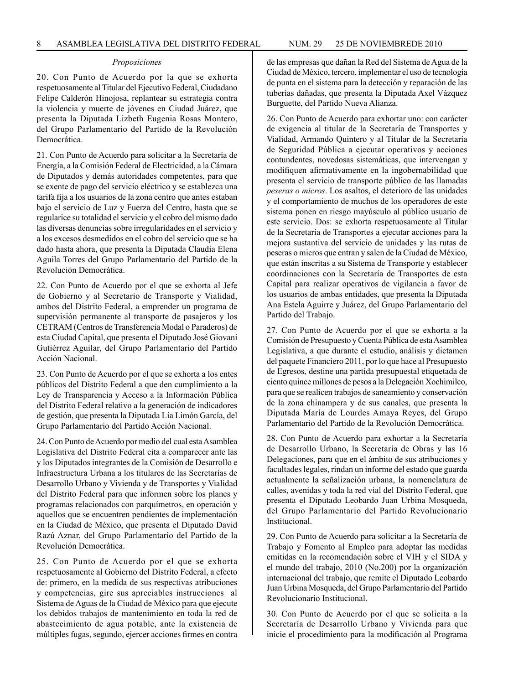#### *Proposiciones*

20. Con Punto de Acuerdo por la que se exhorta respetuosamente al Titular del Ejecutivo Federal, Ciudadano Felipe Calderón Hinojosa, replantear su estrategia contra la violencia y muerte de jóvenes en Ciudad Juárez, que presenta la Diputada Lizbeth Eugenia Rosas Montero, del Grupo Parlamentario del Partido de la Revolución Democrática.

21. Con Punto de Acuerdo para solicitar a la Secretaría de Energía, a la Comisión Federal de Electricidad, a la Cámara de Diputados y demás autoridades competentes, para que se exente de pago del servicio eléctrico y se establezca una tarifa fija a los usuarios de la zona centro que antes estaban bajo el servicio de Luz y Fuerza del Centro, hasta que se regularice su totalidad el servicio y el cobro del mismo dado las diversas denuncias sobre irregularidades en el servicio y a los excesos desmedidos en el cobro del servicio que se ha dado hasta ahora, que presenta la Diputada Claudia Elena Aguila Torres del Grupo Parlamentario del Partido de la Revolución Democrática.

22. Con Punto de Acuerdo por el que se exhorta al Jefe de Gobierno y al Secretario de Transporte y Vialidad, ambos del Distrito Federal, a emprender un programa de supervisión permanente al transporte de pasajeros y los CETRAM (Centros de Transferencia Modal o Paraderos) de esta Ciudad Capital, que presenta el Diputado José Giovani Gutiérrez Aguilar, del Grupo Parlamentario del Partido Acción Nacional.

23. Con Punto de Acuerdo por el que se exhorta a los entes públicos del Distrito Federal a que den cumplimiento a la Ley de Transparencia y Acceso a la Información Pública del Distrito Federal relativo a la generación de indicadores de gestión, que presenta la Diputada Lía Limón García, del Grupo Parlamentario del Partido Acción Nacional.

24. Con Punto de Acuerdo por medio del cual esta Asamblea Legislativa del Distrito Federal cita a comparecer ante las y los Diputados integrantes de la Comisión de Desarrollo e Infraestructura Urbana a los titulares de las Secretarías de Desarrollo Urbano y Vivienda y de Transportes y Vialidad del Distrito Federal para que informen sobre los planes y programas relacionados con parquímetros, en operación y aquellos que se encuentren pendientes de implementación en la Ciudad de México, que presenta el Diputado David Razú Aznar, del Grupo Parlamentario del Partido de la Revolución Democrática.

25. Con Punto de Acuerdo por el que se exhorta respetuosamente al Gobierno del Distrito Federal, a efecto de: primero, en la medida de sus respectivas atribuciones y competencias, gire sus apreciables instrucciones al Sistema de Aguas de la Ciudad de México para que ejecute los debidos trabajos de mantenimiento en toda la red de abastecimiento de agua potable, ante la existencia de múltiples fugas, segundo, ejercer acciones firmes en contra de las empresas que dañan la Red del Sistema de Agua de la Ciudad de México, tercero, implementar el uso de tecnología de punta en el sistema para la detección y reparación de las tuberías dañadas, que presenta la Diputada Axel Vázquez Burguette, del Partido Nueva Alianza.

26. Con Punto de Acuerdo para exhortar uno: con carácter de exigencia al titular de la Secretaría de Transportes y Vialidad, Armando Quintero y al Titular de la Secretaría de Seguridad Pública a ejecutar operativos y acciones contundentes, novedosas sistemáticas, que intervengan y modifiquen afirmativamente en la ingobernabilidad que presenta el servicio de transporte público de las llamadas *peseras o micros*. Los asaltos, el deterioro de las unidades y el comportamiento de muchos de los operadores de este sistema ponen en riesgo mayúsculo al público usuario de este servicio. Dos: se exhorta respetuosamente al Titular de la Secretaría de Transportes a ejecutar acciones para la mejora sustantiva del servicio de unidades y las rutas de peseras o micros que entran y salen de la Ciudad de México, que están inscritas a su Sistema de Transporte y establecer coordinaciones con la Secretaría de Transportes de esta Capital para realizar operativos de vigilancia a favor de los usuarios de ambas entidades, que presenta la Diputada Ana Estela Aguirre y Juárez, del Grupo Parlamentario del Partido del Trabajo.

27. Con Punto de Acuerdo por el que se exhorta a la Comisión de Presupuesto y Cuenta Pública de esta Asamblea Legislativa, a que durante el estudio, análisis y dictamen del paquete Financiero 2011, por lo que hace al Presupuesto de Egresos, destine una partida presupuestal etiquetada de ciento quince millones de pesos a la Delegación Xochimilco, para que se realicen trabajos de saneamiento y conservación de la zona chinampera y de sus canales, que presenta la Diputada María de Lourdes Amaya Reyes, del Grupo Parlamentario del Partido de la Revolución Democrática.

28. Con Punto de Acuerdo para exhortar a la Secretaría de Desarrollo Urbano, la Secretaría de Obras y las 16 Delegaciones, para que en el ámbito de sus atribuciones y facultades legales, rindan un informe del estado que guarda actualmente la señalización urbana, la nomenclatura de calles, avenidas y toda la red vial del Distrito Federal, que presenta el Diputado Leobardo Juan Urbina Mosqueda, del Grupo Parlamentario del Partido Revolucionario Institucional.

29. Con Punto de Acuerdo para solicitar a la Secretaría de Trabajo y Fomento al Empleo para adoptar las medidas emitidas en la recomendación sobre el VIH y el SIDA y el mundo del trabajo, 2010 (No.200) por la organización internacional del trabajo, que remite el Diputado Leobardo Juan Urbina Mosqueda, del Grupo Parlamentario del Partido Revolucionario Institucional.

30. Con Punto de Acuerdo por el que se solicita a la Secretaría de Desarrollo Urbano y Vivienda para que inicie el procedimiento para la modificación al Programa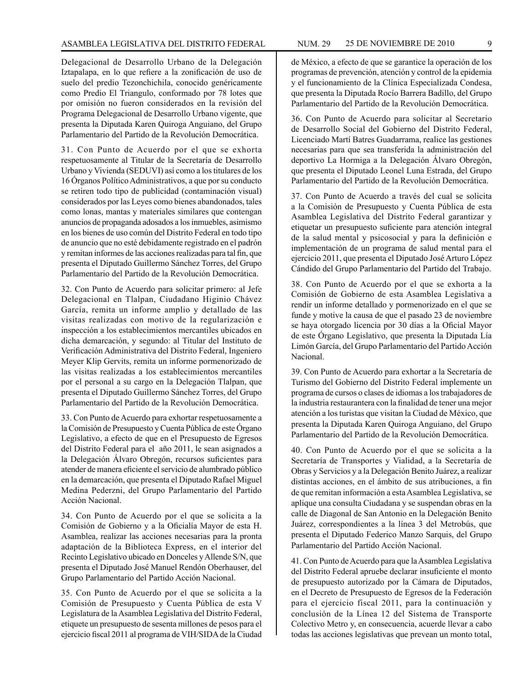Delegacional de Desarrollo Urbano de la Delegación Iztapalapa, en lo que refiere a la zonificación de uso de suelo del predio Tezonchichila, conocido genéricamente como Predio El Triangulo, conformado por 78 lotes que por omisión no fueron considerados en la revisión del Programa Delegacional de Desarrollo Urbano vigente, que presenta la Diputada Karen Quiroga Anguiano, del Grupo Parlamentario del Partido de la Revolución Democrática.

31. Con Punto de Acuerdo por el que se exhorta respetuosamente al Titular de la Secretaría de Desarrollo Urbano y Vivienda (SEDUVI) así como a los titulares de los 16 Órganos Político Administrativos, a que por su conducto se retiren todo tipo de publicidad (contaminación visual) considerados por las Leyes como bienes abandonados, tales como lonas, mantas y materiales similares que contengan anuncios de propaganda adosados a los inmuebles, asimismo en los bienes de uso común del Distrito Federal en todo tipo de anuncio que no esté debidamente registrado en el padrón y remitan informes de las acciones realizadas para tal fin, que presenta el Diputado Guillermo Sánchez Torres, del Grupo Parlamentario del Partido de la Revolución Democrática.

32. Con Punto de Acuerdo para solicitar primero: al Jefe Delegacional en Tlalpan, Ciudadano Higinio Chávez García, remita un informe amplio y detallado de las visitas realizadas con motivo de la regularización e inspección a los establecimientos mercantiles ubicados en dicha demarcación, y segundo: al Titular del Instituto de Verificación Administrativa del Distrito Federal, Ingeniero Meyer Klip Gervits, remita un informe pormenorizado de las visitas realizadas a los establecimientos mercantiles por el personal a su cargo en la Delegación Tlalpan, que presenta el Diputado Guillermo Sánchez Torres, del Grupo Parlamentario del Partido de la Revolución Democrática.

33. Con Punto de Acuerdo para exhortar respetuosamente a la Comisión de Presupuesto y Cuenta Pública de este Órgano Legislativo, a efecto de que en el Presupuesto de Egresos del Distrito Federal para el año 2011, le sean asignados a la Delegación Álvaro Obregón, recursos suficientes para atender de manera eficiente el servicio de alumbrado público en la demarcación, que presenta el Diputado Rafael Miguel Medina Pederzni, del Grupo Parlamentario del Partido Acción Nacional.

34. Con Punto de Acuerdo por el que se solicita a la Comisión de Gobierno y a la Oficialía Mayor de esta H. Asamblea, realizar las acciones necesarias para la pronta adaptación de la Biblioteca Express, en el interior del Recinto Legislativo ubicado en Donceles y Allende S/N, que presenta el Diputado José Manuel Rendón Oberhauser, del Grupo Parlamentario del Partido Acción Nacional.

35. Con Punto de Acuerdo por el que se solicita a la Comisión de Presupuesto y Cuenta Pública de esta V Legislatura de la Asamblea Legislativa del Distrito Federal, etiquete un presupuesto de sesenta millones de pesos para el ejercicio fiscal 2011 al programa de VIH/SIDA de la Ciudad de México, a efecto de que se garantice la operación de los programas de prevención, atención y control de la epidemia y el funcionamiento de la Clínica Especializada Condesa, que presenta la Diputada Rocío Barrera Badillo, del Grupo Parlamentario del Partido de la Revolución Democrática.

36. Con Punto de Acuerdo para solicitar al Secretario de Desarrollo Social del Gobierno del Distrito Federal, Licenciado Martí Batres Guadarrama, realice las gestiones necesarias para que sea transferida la administración del deportivo La Hormiga a la Delegación Álvaro Obregón, que presenta el Diputado Leonel Luna Estrada, del Grupo Parlamentario del Partido de la Revolución Democrática.

37. Con Punto de Acuerdo a través del cual se solicita a la Comisión de Presupuesto y Cuenta Pública de esta Asamblea Legislativa del Distrito Federal garantizar y etiquetar un presupuesto suficiente para atención integral de la salud mental y psicosocial y para la definición e implementación de un programa de salud mental para el ejercicio 2011, que presenta el Diputado José Arturo López Cándido del Grupo Parlamentario del Partido del Trabajo.

38. Con Punto de Acuerdo por el que se exhorta a la Comisión de Gobierno de esta Asamblea Legislativa a rendir un informe detallado y pormenorizado en el que se funde y motive la causa de que el pasado 23 de noviembre se haya otorgado licencia por 30 días a la Oficial Mayor de este Órgano Legislativo, que presenta la Diputada Lía Limón García, del Grupo Parlamentario del Partido Acción Nacional.

39. Con Punto de Acuerdo para exhortar a la Secretaría de Turismo del Gobierno del Distrito Federal implemente un programa de cursos o clases de idiomas a los trabajadores de la industria restaurantera con la finalidad de tener una mejor atención a los turistas que visitan la Ciudad de México, que presenta la Diputada Karen Quiroga Anguiano, del Grupo Parlamentario del Partido de la Revolución Democrática.

40. Con Punto de Acuerdo por el que se solicita a la Secretaría de Transportes y Vialidad, a la Secretaría de Obras y Servicios y a la Delegación Benito Juárez, a realizar distintas acciones, en el ámbito de sus atribuciones, a fin de que remitan información a esta Asamblea Legislativa, se aplique una consulta Ciudadana y se suspendan obras en la calle de Diagonal de San Antonio en la Delegación Benito Juárez, correspondientes a la línea 3 del Metrobús, que presenta el Diputado Federico Manzo Sarquis, del Grupo Parlamentario del Partido Acción Nacional.

41. Con Punto de Acuerdo para que la Asamblea Legislativa del Distrito Federal apruebe declarar insuficiente el monto de presupuesto autorizado por la Cámara de Diputados, en el Decreto de Presupuesto de Egresos de la Federación para el ejercicio fiscal 2011, para la continuación y conclusión de la Línea 12 del Sistema de Transporte Colectivo Metro y, en consecuencia, acuerde llevar a cabo todas las acciones legislativas que prevean un monto total,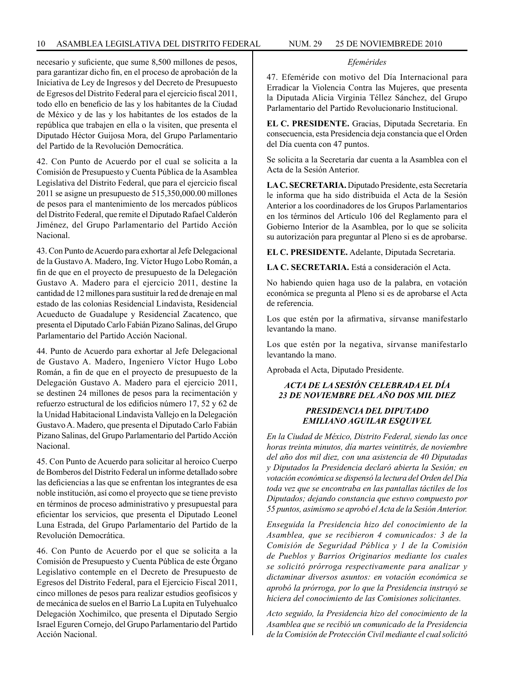necesario y suficiente, que sume 8,500 millones de pesos, para garantizar dicho fin, en el proceso de aprobación de la Iniciativa de Ley de Ingresos y del Decreto de Presupuesto de Egresos del Distrito Federal para el ejercicio fiscal 2011, todo ello en beneficio de las y los habitantes de la Ciudad de México y de las y los habitantes de los estados de la república que trabajen en ella o la visiten, que presenta el Diputado Héctor Guijosa Mora, del Grupo Parlamentario del Partido de la Revolución Democrática.

42. Con Punto de Acuerdo por el cual se solicita a la Comisión de Presupuesto y Cuenta Pública de la Asamblea Legislativa del Distrito Federal, que para el ejercicio fiscal 2011 se asigne un presupuesto de 515,350,000.00 millones de pesos para el mantenimiento de los mercados públicos del Distrito Federal, que remite el Diputado Rafael Calderón Jiménez, del Grupo Parlamentario del Partido Acción Nacional.

43. Con Punto de Acuerdo para exhortar al Jefe Delegacional de la Gustavo A. Madero, Ing. Víctor Hugo Lobo Román, a fin de que en el proyecto de presupuesto de la Delegación Gustavo A. Madero para el ejercicio 2011, destine la cantidad de 12 millones para sustituir la red de drenaje en mal estado de las colonias Residencial Lindavista, Residencial Acueducto de Guadalupe y Residencial Zacatenco, que presenta el Diputado Carlo Fabián Pizano Salinas, del Grupo Parlamentario del Partido Acción Nacional.

44. Punto de Acuerdo para exhortar al Jefe Delegacional de Gustavo A. Madero, Ingeniero Víctor Hugo Lobo Román, a fin de que en el proyecto de presupuesto de la Delegación Gustavo A. Madero para el ejercicio 2011, se destinen 24 millones de pesos para la recimentación y refuerzo estructural de los edificios número 17, 52 y 62 de la Unidad Habitacional Lindavista Vallejo en la Delegación Gustavo A. Madero, que presenta el Diputado Carlo Fabián Pizano Salinas, del Grupo Parlamentario del Partido Acción Nacional.

45. Con Punto de Acuerdo para solicitar al heroico Cuerpo de Bomberos del Distrito Federal un informe detallado sobre las deficiencias a las que se enfrentan los integrantes de esa noble institución, así como el proyecto que se tiene previsto en términos de proceso administrativo y presupuestal para eficientar los servicios, que presenta el Diputado Leonel Luna Estrada, del Grupo Parlamentario del Partido de la Revolución Democrática.

46. Con Punto de Acuerdo por el que se solicita a la Comisión de Presupuesto y Cuenta Pública de este Órgano Legislativo contemple en el Decreto de Presupuesto de Egresos del Distrito Federal, para el Ejercicio Fiscal 2011, cinco millones de pesos para realizar estudios geofísicos y de mecánica de suelos en el Barrio La Lupita en Tulyehualco Delegación Xochimilco, que presenta el Diputado Sergio Israel Eguren Cornejo, del Grupo Parlamentario del Partido Acción Nacional.

## *Efemérides*

47. Efeméride con motivo del Día Internacional para Erradicar la Violencia Contra las Mujeres, que presenta la Diputada Alicia Virginia Téllez Sánchez, del Grupo Parlamentario del Partido Revolucionario Institucional.

**EL C. PRESIDENTE.** Gracias, Diputada Secretaria. En consecuencia, esta Presidencia deja constancia que el Orden del Día cuenta con 47 puntos.

Se solicita a la Secretaría dar cuenta a la Asamblea con el Acta de la Sesión Anterior.

**LA C. SECRETARIA.** Diputado Presidente, esta Secretaría le informa que ha sido distribuida el Acta de la Sesión Anterior a los coordinadores de los Grupos Parlamentarios en los términos del Artículo 106 del Reglamento para el Gobierno Interior de la Asamblea, por lo que se solicita su autorización para preguntar al Pleno si es de aprobarse.

**EL C. PRESIDENTE.** Adelante, Diputada Secretaria.

**LA C. SECRETARIA.** Está a consideración el Acta.

No habiendo quien haga uso de la palabra, en votación económica se pregunta al Pleno si es de aprobarse el Acta de referencia.

Los que estén por la afirmativa, sírvanse manifestarlo levantando la mano.

Los que estén por la negativa, sírvanse manifestarlo levantando la mano.

Aprobada el Acta, Diputado Presidente.

# *ACTA DE LA SESIÓN CELEBRADA EL DÍA 23 DE NOVIEMBRE DEL AÑO DOS MIL DIEZ*

# *PRESIDENCIA DEL DIPUTADO EMILIANO AGUILAR ESQUIVEL*

*En la Ciudad de México, Distrito Federal, siendo las once horas treinta minutos, día martes veintitrés, de noviembre del año dos mil diez, con una asistencia de 40 Diputadas y Diputados la Presidencia declaró abierta la Sesión; en votación económica se dispensó la lectura del Orden del Día toda vez que se encontraba en las pantallas táctiles de los Diputados; dejando constancia que estuvo compuesto por 55 puntos, asimismo se aprobó el Acta de la Sesión Anterior.*

*Enseguida la Presidencia hizo del conocimiento de la Asamblea, que se recibieron 4 comunicados: 3 de la Comisión de Seguridad Pública y 1 de la Comisión de Pueblos y Barrios Originarios mediante los cuales se solicitó prórroga respectivamente para analizar y dictaminar diversos asuntos: en votación económica se aprobó la prórroga, por lo que la Presidencia instruyó se hiciera del conocimiento de las Comisiones solicitantes.*

*Acto seguido, la Presidencia hizo del conocimiento de la Asamblea que se recibió un comunicado de la Presidencia de la Comisión de Protección Civil mediante el cual solicitó*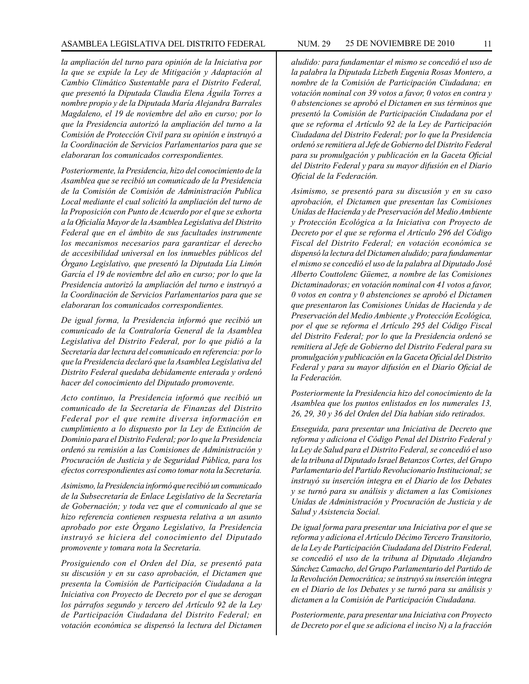*la ampliación del turno para opinión de la Iniciativa por la que se expide la Ley de Mitigación y Adaptación al Cambio Climático Sustentable para el Distrito Federal, que presentó la Diputada Claudia Elena Águila Torres a nombre propio y de la Diputada María Alejandra Barrales Magdaleno, el 19 de noviembre del año en curso; por lo que la Presidencia autorizó la ampliación del turno a la Comisión de Protección Civil para su opinión e instruyó a la Coordinación de Servicios Parlamentarios para que se elaboraran los comunicados correspondientes.*

*Posteriormente, la Presidencia, hizo del conocimiento de la Asamblea que se recibió un comunicado de la Presidencia de la Comisión de Comisión de Administración Publica Local mediante el cual solicitó la ampliación del turno de la Proposición con Punto de Acuerdo por el que se exhorta a la Oficialía Mayor de la Asamblea Legislativa del Distrito Federal que en el ámbito de sus facultades instrumente los mecanismos necesarios para garantizar el derecho de accesibilidad universal en los inmuebles públicos del Órgano Legislativo, que presentó la Diputada Lía Limón García el 19 de noviembre del año en curso; por lo que la Presidencia autorizó la ampliación del turno e instruyó a la Coordinación de Servicios Parlamentarios para que se elaboraran los comunicados correspondientes.*

*De igual forma, la Presidencia informó que recibió un comunicado de la Contraloría General de la Asamblea Legislativa del Distrito Federal, por lo que pidió a la Secretaría dar lectura del comunicado en referencia: por lo que la Presidencia declaró que la Asamblea Legislativa del Distrito Federal quedaba debidamente enterada y ordenó hacer del conocimiento del Diputado promovente.*

*Acto continuo, la Presidencia informó que recibió un comunicado de la Secretaría de Finanzas del Distrito Federal por el que remite diversa información en cumplimiento a lo dispuesto por la Ley de Extinción de Dominio para el Distrito Federal; por lo que la Presidencia ordenó su remisión a las Comisiones de Administración y Procuración de Justicia y de Seguridad Pública, para los efectos correspondientes así como tomar nota la Secretaría.*

*Asimismo, la Presidencia informó que recibió un comunicado de la Subsecretaría de Enlace Legislativo de la Secretaría de Gobernación; y toda vez que el comunicado al que se hizo referencia contienen respuesta relativa a un asunto aprobado por este Órgano Legislativo, la Presidencia instruyó se hiciera del conocimiento del Diputado promovente y tomara nota la Secretaría.*

*Prosiguiendo con el Orden del Día, se presentó pata su discusión y en su caso aprobación, el Dictamen que presenta la Comisión de Participación Ciudadana a la Iniciativa con Proyecto de Decreto por el que se derogan los párrafos segundo y tercero del Artículo 92 de la Ley de Participación Ciudadana del Distrito Federal; en votación económica se dispensó la lectura del Dictamen* 

*aludido: para fundamentar el mismo se concedió el uso de la palabra la Diputada Lizbeth Eugenia Rosas Montero, a nombre de la Comisión de Participación Ciudadana; en votación nominal con 39 votos a favor, 0 votos en contra y 0 abstenciones se aprobó el Dictamen en sus términos que presentó la Comisión de Participación Ciudadana por el que se reforma el Artículo 92 de la Ley de Participación Ciudadana del Distrito Federal; por lo que la Presidencia ordenó se remitiera al Jefe de Gobierno del Distrito Federal para su promulgación y publicación en la Gaceta Oficial del Distrito Federal y para su mayor difusión en el Diario Oficial de la Federación.*

*Asimismo, se presentó para su discusión y en su caso aprobación, el Dictamen que presentan las Comisiones Unidas de Hacienda y de Preservación del Medio Ambiente y Protección Ecológica a la Iniciativa con Proyecto de Decreto por el que se reforma el Artículo 296 del Código Fiscal del Distrito Federal; en votación económica se dispensó la lectura del Dictamen aludido; para fundamentar el mismo se concedió el uso de la palabra al Diputado José Alberto Couttolenc Güemez, a nombre de las Comisiones Dictaminadoras; en votación nominal con 41 votos a favor, 0 votos en contra y 0 abstenciones se aprobó el Dictamen que presentaron las Comisiones Unidas de Hacienda y de Preservación del Medio Ambiente ,y Protección Ecológica, por el que se reforma el Artículo 295 del Código Fiscal del Distrito Federal; por lo que la Presidencia ordenó se remitiera al Jefe de Gobierno del Distrito Federal para su promulgación y publicación en la Gaceta Oficial del Distrito Federal y para su mayor difusión en el Diario Oficial de la Federación.*

*Posteriormente la Presidencia hizo del conocimiento de la Asamblea que los puntos enlistados en los numerales 13, 26, 29, 30 y 36 del Orden del Día habían sido retirados.*

*Enseguida, para presentar una Iniciativa de Decreto que reforma y adiciona el Código Penal del Distrito Federal y la Ley de Salud para el Distrito Federal, se concedió el uso de la tribuna al Diputado Israel Betanzos Cortes, del Grupo Parlamentario del Partido Revolucionario Institucional; se instruyó su inserción integra en el Diario de los Debates y se turnó para su análisis y dictamen a las Comisiones Unidas de Administración y Procuración de Justicia y de Salud y Asistencia Social.*

*De igual forma para presentar una Iniciativa por el que se reforma y adiciona el Artículo Décimo Tercero Transitorio, de la Ley de Participación Ciudadana del Distrito Federal, se concedió el uso de la tribuna al Diputado Alejandro Sánchez Camacho, del Grupo Parlamentario del Partido de la Revolución Democrática; se instruyó su inserción integra en el Diario de los Debates y se turnó para su análisis y dictamen a la Comisión de Participación Ciudadana.*

*Posteriormente, para presentar una Iniciativa con Proyecto de Decreto por el que se adiciona el inciso N) a la fracción*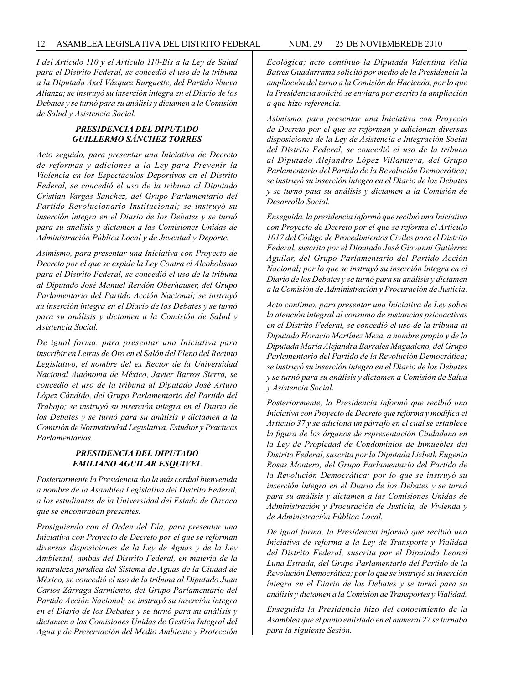*I del Artículo 110 y el Artículo 110-Bis a la Ley de Salud para el Distrito Federal, se concedió el uso de la tribuna a la Diputada Axel Vázquez Burguette, del Partido Nueva Alianza; se instruyó su inserción íntegra en el Diario de los Debates y se turnó para su análisis y dictamen a la Comisión de Salud y Asistencia Social.*

# *PRESIDENCIA DEL DIPUTADO GUILLERMO SÁNCHEZ TORRES*

*Acto seguido, para presentar una Iniciativa de Decreto de reformas y adiciones a la Ley para Prevenir la Violencia en los Espectáculos Deportivos en el Distrito Federal, se concedió el uso de la tribuna al Diputado Cristian Vargas Sánchez, del Grupo Parlamentario del Partido Revolucionario Institucional; se instruyó su inserción íntegra en el Diario de los Debates y se turnó para su análisis y dictamen a las Comisiones Unidas de Administración Pública Local y de Juventud y Deporte.*

*Asimismo, para presentar una Iniciativa con Proyecto de Decreto por el que se expide la Ley Contra el Alcoholismo para el Distrito Federal, se concedió el uso de la tribuna al Diputado José Manuel Rendón Oberhauser, del Grupo Parlamentario del Partido Acción Nacional; se instruyó su inserción íntegra en el Diario de los Debates y se turnó para su análisis y dictamen a la Comisión de Salud y Asistencia Social.*

*De igual forma, para presentar una Iniciativa para inscribir en Letras de Oro en el Salón del Pleno del Recinto Legislativo, el nombre del ex Rector de la Universidad Nacional Autónoma de México, Javier Barros Sierra, se concedió el uso de la tribuna al Diputado José Arturo López Cándido, del Grupo Parlamentario del Partido del Trabajo; se instruyó su inserción integra en el Diario de los Debates y se turnó para su análisis y dictamen a la Comisión de Normatividad Legislativa, Estudios y Practicas Parlamentarías.*

# *PRESIDENCIA DEL DIPUTADO EMILIANO AGUILAR ESQUIVEL*

*Posteriormente la Presidencia dio la más cordial bienvenida a nombre de la Asamblea Legislativa del Distrito Federal, a los estudiantes de la Universidad del Estado de Oaxaca que se encontraban presentes.*

*Prosiguiendo con el Orden del Día, para presentar una Iniciativa con Proyecto de Decreto por el que se reforman diversas disposiciones de la Ley de Aguas y de la Ley Ambiental, ambas del Distrito Federal, en materia de la naturaleza jurídica del Sistema de Aguas de la Ciudad de México, se concedió el uso de la tribuna al Diputado Juan Carlos Zárraga Sarmiento, del Grupo Parlamentario del Partido Acción Nacional; se instruyó su inserción íntegra en el Diario de los Debates y se turnó para su análisis y dictamen a las Comisiones Unidas de Gestión Integral del Agua y de Preservación del Medio Ambiente y Protección* 

*Ecológica; acto continuo la Diputada Valentina Valia Batres Guadarrama solicitó por medio de la Presidencia la ampliación del turno a la Comisión de Hacienda, por lo que la Presidencia solicitó se enviara por escrito la ampliación a que hizo referencia.*

*Asimismo, para presentar una Iniciativa con Proyecto de Decreto por el que se reforman y adicionan diversas disposiciones de la Ley de Asistencia e Integración Social del Distrito Federal, se concedió el uso de la tribuna al Diputado Alejandro López Villanueva, del Grupo Parlamentario del Partido de la Revolución Democrática; se instruyó su inserción íntegra en el Diario de los Debates y se turnó pata su análisis y dictamen a la Comisión de Desarrollo Social.*

*Enseguida, la presidencia informó que recibió una Iniciativa con Proyecto de Decreto por el que se reforma el Artículo 1017 del Código de Procedimientos Civiles para el Distrito Federal, suscrita por el Diputado José Giovanni Gutiérrez Aguilar, del Grupo Parlamentario del Partido Acción Nacional; por lo que se instruyó su inserción íntegra en el Diario de los Debates y se turnó para su análisis y dictamen a la Comisión de Administración y Procuración de Justicia.*

*Acto continuo, para presentar una Iniciativa de Ley sobre la atención integral al consumo de sustancias psicoactivas en el Distrito Federal, se concedió el uso de la tribuna al Diputado Horacio Martínez Meza, a nombre propio y de la Diputada María Alejandra Barrales Magdaleno, del Grupo Parlamentario del Partido de la Revolución Democrática; se instruyó su inserción integra en el Diario de los Debates y se turnó para su análisis y dictamen a Comisión de Salud y Asistencia Social.*

*Posteriormente, la Presidencia informó que recibió una Iniciativa con Proyecto de Decreto que reforma y modifica el Artículo 37 y se adiciona un párrafo en el cual se establece la figura de los órganos de representación Ciudadana en la Ley de Propiedad de Condominios de Inmuebles del Distrito Federal, suscrita por la Diputada Lizbeth Eugenia Rosas Montero, del Grupo Parlamentario del Partido de la Revolución Democrática: por lo que se instruyó su inserción íntegra en el Diario de los Debates y se turnó para su análisis y dictamen a las Comisiones Unidas de Administración y Procuración de Justicia, de Vivienda y de Administración Pública Local.*

*De igual forma, la Presidencia informó que recibió una Iniciativa de reforma a la Ley de Transporte y Vialidad del Distrito Federal, suscrita por el Diputado Leonel Luna Estrada, del Grupo Parlamentarlo del Partido de la Revolución Democrática; por lo que se instruyó su inserción íntegra en el Diario de los Debates y se turnó para su análisis y dictamen a la Comisión de Transportes y Vialidad.*

*Enseguida la Presidencia hizo del conocimiento de la Asamblea que el punto enlistado en el numeral 27 se turnaba para la siguiente Sesión.*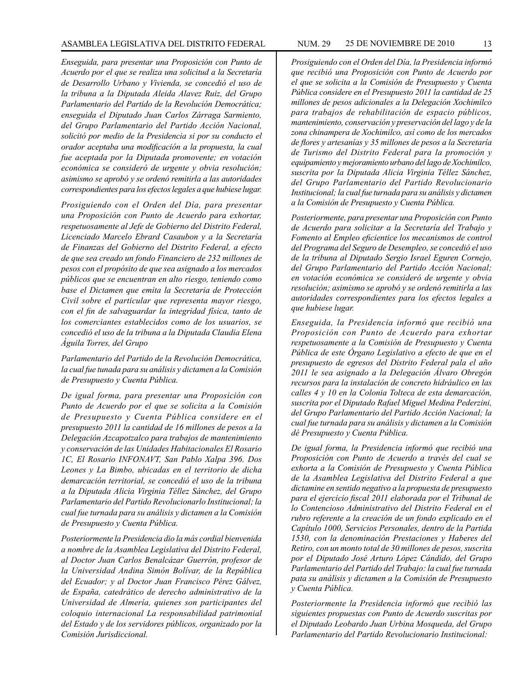#### ASAMBLEA LEGISLATIVA DEL DISTRITO FEDERAL NUM. 29 25 DE NOVIEMBRE DE 2010 13

*Enseguida, para presentar una Proposición con Punto de Acuerdo por el que se realiza una solicitud a la Secretaría de Desarrollo Urbano y Vivienda, se concedió el uso de la tribuna a la Diputada Aleida Alavez Ruiz, del Grupo Parlamentario del Partido de la Revolución Democrática; enseguida el Diputado Juan Carlos Zárraga Sarmiento, del Grupo Parlamentario del Partido Acción Nacional, solicitó por medio de la Presidencia si por su conducto el orador aceptaba una modificación a la propuesta, la cual fue aceptada por la Diputada promovente; en votación económica se consideró de urgente y obvia resolución; asimismo se aprobó y se ordenó remitirla a las autoridades correspondientes para los efectos legales a que hubiese lugar.* 

*Prosiguiendo con el Orden del Día, para presentar una Proposición con Punto de Acuerdo para exhortar, respetuosamente al Jefe de Gobierno del Distrito Federal, Licenciado Marcelo Ebrard Casaubon y a la Secretaría de Finanzas del Gobierno del Distrito Federal, a efecto de que sea creado un fondo Financiero de 232 millones de pesos con el propósito de que sea asignado a los mercados públicos que se encuentran en alto riesgo, teniendo como base el Dictamen que emita la Secretaria de Protección Civil sobre el particular que representa mayor riesgo, con el fin de salvaguardar la integridad física, tanto de los comerciantes establecidos como de los usuarios, se concedió el uso de la tribuna a la Diputada Claudia Elena Águila Torres, del Grupo*

*Parlamentario del Partido de la Revolución Democrática, la cual fue tunada para su análisis y dictamen a la Comisión de Presupuesto y Cuenta Pública.*

*De igual forma, para presentar una Proposición con Punto de Acuerdo por el que se solicita a la Comisión de Presupuesto y Cuenta Pública considere en el presupuesto 2011 la cantidad de 16 millones de pesos a la Delegación Azcapotzalco para trabajos de mantenimiento y conservación de las Unidades Habitacionales El Rosario 1C, El Rosario INFONAVT, San Pablo Xalpa 396. Dos Leones y La Bimbo, ubicadas en el territorio de dicha demarcación territorial, se concedió el uso de la tribuna a la Diputada Alicia Virginia Téllez Sánchez, del Grupo Parlamentario del Partido Revolucionarlo Institucional; la cual fue turnada para su análisis y dictamen a la Comisión de Presupuesto y Cuenta Pública.*

*Posteriormente la Presidencia dio la más cordial bienvenida a nombre de la Asamblea Legislativa del Distrito Federal, al Doctor Juan Carlos Benalcázar Guerrón, profesor de la Universidad Andina Simón Bolívar, de la República del Ecuador; y al Doctor Juan Francisco Pérez Gálvez, de España, catedrático de derecho administrativo de la Universidad de Almería, quienes son participantes del coloquio internacional La responsabilidad patrimonial del Estado y de los servidores públicos, organizado por la Comisión Jurisdiccional.*

*Prosiguiendo con el Orden del Día, la Presidencia informó que recibió una Proposición con Punto de Acuerdo por el que se solicita a la Comisión de Presupuesto y Cuenta Pública considere en el Presupuesto 2011 la cantidad de 25 millones de pesos adicionales a la Delegación Xochimilco para trabajos de rehabilitación de espacio públicos, mantenimiento, conservación y preservación del lago y de la zona chinampera de Xochimilco, así como de los mercados de flores y artesanías y 35 millones de pesos a la Secretaría de Turismo del Distrito Federal para la promoción y equipamiento y mejoramiento urbano del lago de Xochimilco, suscrita por la Diputada Alicia Virginia Téllez Sánchez, del Grupo Parlamentario del Partido Revolucionario Institucional; la cual fue turnada para su análisis y dictamen a la Comisión de Presupuesto y Cuenta Pública.*

*Posteriormente, para presentar una Proposición con Punto de Acuerdo para solicitar a la Secretaría del Trabajo y Fomento al Empleo eficientice los mecanismos de control del Programa del Seguro de Desempleo, se concedió el uso de la tribuna al Diputado Sergio Israel Eguren Cornejo, del Grupo Parlamentario del Partido Acción Nacional; en votación económica se consideró de urgente y obvia resolución; asimismo se aprobó y se ordenó remitirla a las autoridades correspondientes para los efectos legales a que hubiese lugar.*

*Enseguida, la Presidencia informó que recibió una Proposición con Punto de Acuerdo para exhortar respetuosamente a la Comisión de Presupuesto y Cuenta Pública de este Órgano Legislativo a efecto de que en el presupuesto de egresos del Distrito Federal pala el año 2011 le sea asignado a la Delegación Álvaro Obregón recursos para la instalación de concreto hidráulico en las calles 4 y 10 en la Colonia Tolteca de esta demarcación, suscrita por el Diputado Rafael Miguel Medina Pederzini, del Grupo Parlamentario del Partido Acción Nacional; la cual fue turnada para su análisis y dictamen a la Comisión dé Presupuesto y Cuenta Pública.*

*De igual forma, la Presidencia informó que recibió una Proposición con Punto de Acuerdo a través del cual se exhorta a la Comisión de Presupuesto y Cuenta Pública de la Asamblea Legislativa del Distrito Federal a que dictamine en sentido negativo a la propuesta de presupuesto para el ejercicio fiscal 2011 elaborada por el Tribunal de lo Contencioso Administrativo del Distrito Federal en el rubro referente a la creación de un fondo explicado en el Capítulo 1000, Servicios Personales, dentro de la Partida 1530, con la denominación Prestaciones y Haberes del Retiro, con un monto total de 30 millones de pesos, suscrita por el Diputado José Arturo López Cándido, del Grupo Parlamentario del Partido del Trabajo: la cual fue turnada pata su análisis y dictamen a la Comisión de Presupuesto y Cuenta Pública.*

*Posteriormente la Presidencia informó que recibió las siguientes propuestas con Punto de Acuerdo suscritas por el Diputado Leobardo Juan Urbina Mosqueda, del Grupo Parlamentario del Partido Revolucionario Institucional:*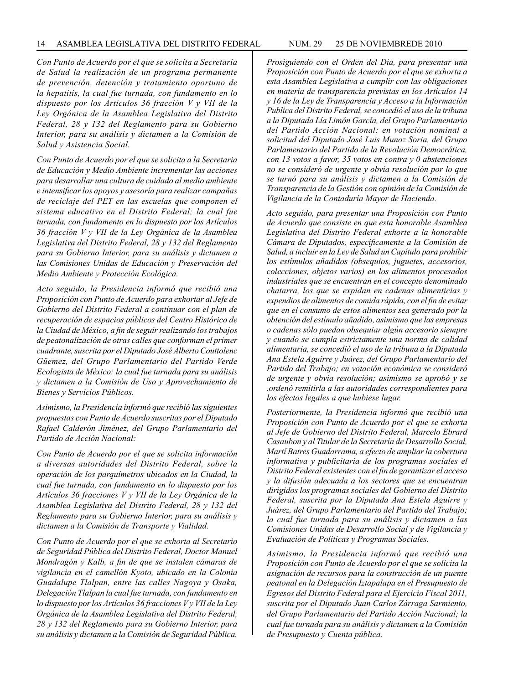*Con Punto de Acuerdo por el que se solicita a Secretaria de Salud la realización de un programa permanente de prevención, detención y tratamiento oportuno de la hepatitis, la cual fue turnada, con fundamento en lo dispuesto por los Artículos 36 fracción V y VII de la Ley Orgánica de la Asamblea Legislativa del Distrito Federal, 28 y 132 del Reglamento para su Gobierno Interior, para su análisis y dictamen a la Comisión de Salud y Asistencia Social.*

*Con Punto de Acuerdo por el que se solicita a la Secretaria de Educación y Medio Ambiente incrementar las acciones para desarrollar una cultura de cuidado al medio ambiente e intensificar los apoyos y asesoría para realizar campañas de reciclaje del PET en las escuelas que componen el sistema educativo en el Distrito Federal; la cual fue turnada, con fundamento en lo dispuesto por los Artículos 36 fracción V y VII de la Ley Orgánica de la Asamblea Legislativa del Distrito Federal, 28 y 132 del Reglamento para su Gobierno Interior, para su análisis y dictamen a las Comisiones Unidas de Educación y Preservación del Medio Ambiente y Protección Ecológica.*

*Acto seguido, la Presidencia informó que recibió una Proposición con Punto de Acuerdo para exhortar al Jefe de Gobierno del Distrito Federal a continuar con el plan de recuperación de espacios públicos del Centro Histórico de la Ciudad de México, a fin de seguir realizando los trabajos de peatonalización de otras calles que conforman el primer cuadrante, suscrita por el Diputado José Alberto Couttolenc Güemez, del Grupo Parlamentario del Partido Verde Ecologista de México: la cual fue turnada para su análisis y dictamen a la Comisión de Uso y Aprovechamiento de Bienes y Servicios Públicos.*

*Asimismo, la Presidencia informó que recibió las siguientes propuestas con Punto de Acuerdo suscritas por el Diputado Rafael Calderón Jiménez, del Grupo Parlamentario del Partido de Acción Nacional:*

*Con Punto de Acuerdo por el que se solicita información a diversas autoridades del Distrito Federal, sobre la operación de los parquímetros ubicados en la Ciudad, la cual fue turnada, con fundamento en lo dispuesto por los Artículos 36 fracciones V y VII de la Ley Orgánica de la Asamblea Legislativa del Distrito Federal, 28 y 132 del Reglamento para su Gobierno Interior, para su análisis y dictamen a la Comisión de Transporte y Vialidad.*

*Con Punto de Acuerdo por el que se exhorta al Secretario de Seguridad Pública del Distrito Federal, Doctor Manuel Mondragón y Kalb, a fin de que se instalen cámaras de vigilancia en el camellón Kyoto, ubicado en la Colonia Guadalupe Tlalpan, entre las calles Nagoya y Osaka, Delegación Tlalpan la cual fue turnada, con fundamento en lo dispuesto por los Artículos 36 fracciones V y VII de la Ley Orgánica de la Asamblea Legislativa del Distrito Federal, 28 y 132 del Reglamento para su Gobierno Interior, para su análisis y dictamen a la Comisión de Seguridad Pública.*

*Prosiguiendo con el Orden del Día, para presentar una Proposición con Punto de Acuerdo por el que se exhorta a esta Asamblea Legislativa a cumplir con las obligaciones en materia de transparencia previstas en los Artículos 14 y 16 de la Ley de Transparencia y Acceso a la Información Publica del Distrito Federal, se concedió el uso de la tribuna a la Diputada Lía Limón García, del Grupo Parlamentario del Partido Acción Nacional: en votación nominal a solicitud del Diputado José Luis Munoz Soria, del Grupo Parlamentario del Partido de la Revolución Democrática, con 13 votos a favor, 35 votos en contra y 0 abstenciones no se consideró de urgente y obvia resolución por lo que se turnó para su análisis y dictamen a la Comisión de Transparencia de la Gestión con opinión de la Comisión de Vigilancia de la Contaduría Mayor de Hacienda.*

*Acto seguido, para presentar una Proposición con Punto de Acuerdo que consiste en que esta honorable Asamblea Legislativa del Distrito Federal exhorte a la honorable Cámara de Diputados, específicamente a la Comisión de Salud, a incluir en la Ley de Salud un Capítulo para prohibir los estímulos añadidos (obsequios, juguetes, accesorios, colecciones, objetos varios) en los alimentos procesados industriales que se encuentran en el concepto denominado chatarra, los que se expidan en cadenas alimenticias y expendios de alimentos de comida rápida, con el fin de evitar que en el consumo de estos alimentos sea generado por la obtención del estímulo añadido, asimismo que las empresas o cadenas sólo puedan obsequiar algún accesorio siempre y cuando se cumpla estrictamente una norma de calidad alimentaria, se concedió el uso de la tribuna a la Diputada Ana Estela Aguirre y Juárez, del Grupo Parlamentario del Partido del Trabajo; en votación económica se consideró de urgente y obvia resolución; asimismo se aprobó y se .ordenó remitirla a las autoridades correspondientes para los efectos legales a que hubiese lugar.*

*Posteriormente, la Presidencia informó que recibió una Proposición con Punto de Acuerdo por el que se exhorta al Jefe de Gobierno del Distrito Federal, Marcelo Ebrard Casaubon y al Titular de la Secretaría de Desarrollo Social, Martí Batres Guadarrama, a efecto de ampliar la cobertura informativa y publicitaria de los programas sociales el Distrito Federal existentes con el fin de garantizar el acceso y la difusión adecuada a los sectores que se encuentran dirigidos los programas sociales del Gobierno del Distrito Federal, suscrita por la Diputada Ana Estela Aguirre y Juárez, del Grupo Parlamentario del Partido del Trabajo; la cual fue turnada para su análisis y dictamen a las Comisiones Unidas de Desarrollo Social y de Vigilancia y Evaluación de Políticas y Programas Sociales.*

*Asimismo, la Presidencia informó que recibió una Proposición con Punto de Acuerdo por el que se solicita la asignación de recursos para la construcción de un puente peatonal en la Delegación Iztapalapa en el Presupuesto de Egresos del Distrito Federal para el Ejercicio Fiscal 2011, suscrita por el Diputado Juan Carlos Zárraga Sarmiento, del Grupo Parlamentario del Partido Acción Nacional; la cual fue turnada para su análisis y dictamen a la Comisión de Presupuesto y Cuenta pública.*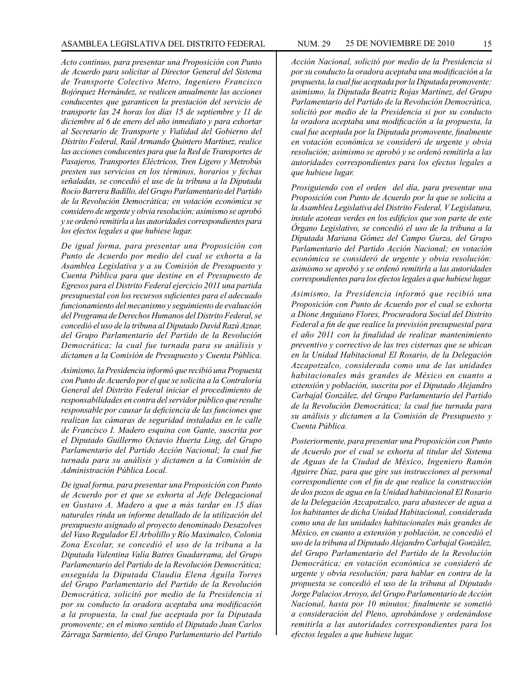*Acto continuo, para presentar una Proposición con Punto de Acuerdo para solicitar al Director General del Sistema de Transporte Colectivo Metro, Ingeniero Francisco Bojórquez Hernández, se realicen anualmente las acciones conducentes que garanticen la prestación del servicio de transporte las 24 horas los días 15 de septiembre y 11 de diciembre al 6 de enero del año inmediato y para exhortar al Secretario de Transporte y Vialidad del Gobierno del Distrito Federal, Raúl Armando Quintero Martínez, realice las acciones conducentes para que la Red de Transportes de Pasajeros, Transportes Eléctricos, Tren Ligero y Metrobús presten sus servicios en los términos, horarios y fechas señaladas, se concedió el use de la tribuna a la Diputada Rocío Barrera Badillo, del Grupo Parlamentario del Partido de la Revolución Democrática; en votación económica se considero de urgente y obvia resolución; asimismo se aprobó y se ordenó remitirla a las autoridades correspondientes para los efectos legales a que hubiese lugar.*

*De igual forma, para presentar una Proposición con Punto de Acuerdo por medio del cual se exhorta a la Asamblea Legislativa y a su Comisión de Presupuesto y Cuenta Pública para que destine en el Presupuesto de Egresos para el Distrito Federal ejercicio 2011 una partida presupuestal con los recursos suficientes para el adecuado funcionamiento del mecanismo y seguimiento de evaluación del Programa de Derechos Humanos del Distrito Federal, se concedió el uso de la tribuna al Diputado David Razú Aznar, del Grupo Parlamentario del Partido de la Revolución Democrática; la cual fue turnada para su análisis y dictamen a la Comisión de Presupuesto y Cuenta Pública.*

*Asimismo, la Presidencia informó que recibió una Propuesta con Punto de Acuerdo por el que se solicita a la Contraloría General del Distrito Federal iniciar el procedimiento de responsabilidades en contra del servidor público que resulte responsable por causar la deficiencia de las funciones que realizan las cámaras de seguridad instaladas en le calle de Francisco I. Madero esquina con Gante, suscrita por el Diputado Guillermo Octavio Huerta Ling, del Grupo Parlamentario del Partido Acción Nacional; la cual fue turnada para su análisis y dictamen a la Comisión de Administración Pública Local.*

*De igual forma, para presentar una Proposición con Punto de Acuerdo por et que se exhorta al Jefe Delegacional en Gustavo A. Madero a que a más tardar en 15 días naturales rinda un informe detallado de la utilización del presupuesto asignado al proyecto denominado Desazolves del Vaso Regulador El Arbolillo y Río Maximalco, Colonia Zona Escolar, se concedió el uso de la tribuna a la Diputada Valentina Valía Batres Guadarrama, del Grupo Parlamentario del Partido de la Revolución Democrática; enseguida la Diputada Claudia Elena Águila Torres del Grupo Parlamentario del Partido de la Revolución Democrática, solicitó por medio de la Presidencia si por su conducto la oradora aceptaba una modificación a la propuesta, la cual fue aceptada por la Diputada promovente; en el mismo sentido el Diputado Juan Carlos Zárraga Sarmiento, del Grupo Parlamentario del Partido* 

*Acción Nacional, solicitó por medio de la Presidencia si por su conducto la oradora aceptaba una modificación a la propuesta, la cual fue aceptada por la Diputada promovente: asimismo, la Diputada Beatriz Rojas Martínez, del Grupo Parlamentario del Partido de la Revolución Democrática, solicitó por medio de la Presidencia si por su conducto la oradora aceptaba una modificación a la propuesta, la cual fue aceptada por la Diputada promovente, finalmente en votación económica se consideró de urgente y obvia resolución; asimismo se aprobó y se ordenó remitirla a las autoridades correspondientes para los efectos legales a que hubiese lugar.*

*Prosiguiendo con el orden del día, para presentar una Proposición con Punto de Acuerdo por la que se solicita a la Asamblea Legislativa del Distrito Federal, V Legislatura, instale azoteas verdes en los edificios que son parte de este Órgano Legislativo, se concedió el uso de la tribuna a la Diputada Mariana Gómez del Campo Gurza, del Grupo Parlamentario del Partido Acción Nacional; en votación económica se consideró de urgente y obvia resolución: asimismo se aprobó y se ordenó remitirla a las autoridades correspondientes para los efectos legales a que hubiese lugar.*

*Asimismo, la Presidencia informó que recibió una Proposición con Punto de Acuerdo por el cual se exhorta a Dione Anguiano Flores, Procuradora Social del Distrito Federal a fin de que realice la previsión presupuestal para el año 2011 con la finalidad de realizar mantenimiento preventivo y correctivo de las tres cisternas que se ubican en la Unidad Habitacional El Rosario, de la Delegación Azcapotzalco, considerada como una de las unidades habitacionales más grandes de México en cuanto a extensión y población, suscrita por el Diputado Alejandro Carbajal González, del Grupo Parlamentario del Partido de la Revolución Democrática; la cual fue turnada para su análisis y dictamen a la Comisión de Presupuesto y Cuenta Pública.*

*Posteriormente, para presentar una Proposición con Punto de Acuerdo por el cual se exhorta al titular del Sistema de Aguas de la Ciudad de México, Ingeniero Ramón Aguirre Díaz, para que gire sus instrucciones al personal correspondiente con el fin de que realice la construcción de dos pozos de agua en la Unidad habitacional El Rosario de la Delegación Azcapotzalco, para abastecer de agua a los habitantes de dicha Unidad Habitacional, considerada como una de las unidades habitacionales más grandes de México, en cuanto a extensión y población, se concedió el uso de la tribuna al Diputado Alejandro Carbajal González, del Grupo Parlamentario del Partido de la Revolución Democrática; en votación económica se consideró de urgente y obvia resolución; para hablar en contra de la propuesta se concedió el uso de la tribuna al Diputado Jorge Palacios Arroyo, del Grupo Parlamentario de Acción Nacional, hasta por 10 minutos; finalmente se sometió a consideración del Pleno, aprobándose y ordenándose remitirla a las autoridades correspondientes para los efectos legales a que hubiese lugar.*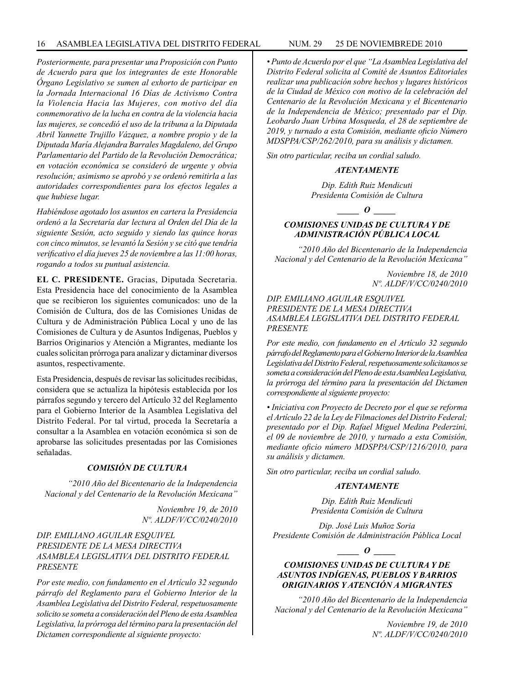*Posteriormente, para presentar una Proposición con Punto de Acuerdo para que los integrantes de este Honorable Órgano Legislativo se sumen al exhorto de participar en la Jornada Internacional 16 Días de Activismo Contra la Violencia Hacia las Mujeres, con motivo del día conmemorativo de la lucha en contra de la violencia hacia las mujeres, se concedió el uso de la tribuna a la Diputada Abril Yannette Trujillo Vázquez, a nombre propio y de la Diputada María Alejandra Barrales Magdaleno, del Grupo Parlamentario del Partido de la Revolución Democrática; en votación económica se consideró de urgente y obvia resolución; asimismo se aprobó y se ordenó remitirla a las autoridades correspondientes para los efectos legales a que hubiese lugar.*

*Habiéndose agotado los asuntos en cartera la Presidencia ordenó a la Secretaría dar lectura al Orden del Día de la siguiente Sesión, acto seguido y siendo las quince horas con cinco minutos, se levantó la Sesión y se citó que tendría verificativo el día jueves 25 de noviembre a las 11:00 horas, rogando a todos su puntual asistencia.*

**EL C. PRESIDENTE.** Gracias, Diputada Secretaria. Esta Presidencia hace del conocimiento de la Asamblea que se recibieron los siguientes comunicados: uno de la Comisión de Cultura, dos de las Comisiones Unidas de Cultura y de Administración Pública Local y uno de las Comisiones de Cultura y de Asuntos Indígenas, Pueblos y Barrios Originarios y Atención a Migrantes, mediante los cuales solicitan prórroga para analizar y dictaminar diversos asuntos, respectivamente.

Esta Presidencia, después de revisar las solicitudes recibidas, considera que se actualiza la hipótesis establecida por los párrafos segundo y tercero del Artículo 32 del Reglamento para el Gobierno Interior de la Asamblea Legislativa del Distrito Federal. Por tal virtud, proceda la Secretaría a consultar a la Asamblea en votación económica si son de aprobarse las solicitudes presentadas por las Comisiones señaladas.

# *COMISIÓN DE CULTURA*

*"2010 Año del Bicentenario de la Independencia Nacional y del Centenario de la Revolución Mexicana"*

> *Noviembre 19, de 2010 Nº. ALDF/V/CC/0240/2010*

*DIP. EMILIANO AGUILAR ESQUIVEL PRESIDENTE DE LA MESA DIRECTIVA ASAMBLEA LEGISLATIVA DEL DISTRITO FEDERAL PRESENTE*

*Por este medio, con fundamento en el Artículo 32 segundo párrafo del Reglamento para el Gobierno Interior de la Asamblea Legislativa del Distrito Federal, respetuosamente solicito se someta a consideración del Pleno de esta Asamblea Legislativa, la prórroga del término para la presentación del Dictamen correspondiente al siguiente proyecto:*

*• Punto de Acuerdo por el que "La Asamblea Legislativa del Distrito Federal solicita al Comité de Asuntos Editoriales realizar una publicación sobre hechos y lugares históricos de la Ciudad de México con motivo de la celebración del Centenario de la Revolución Mexicana y el Bicentenario de la Independencia de México; presentado par el Dip. Leobardo Juan Urbina Mosqueda, el 28 de septiembre de 2019, y turnado a esta Comisión, mediante oficio Número MDSPPA/CSP/262/2010, para su análisis y dictamen.*

*Sin otro particular, reciba un cordial saludo.*

#### *ATENTAMENTE*

*Dip. Edith Ruiz Mendicuti Presidenta Comisión de Cultura*

*\_\_\_\_\_ O \_\_\_\_\_*

# *COMISIONES UNIDAS DE CULTURA Y DE ADMINISTRACIÓN PÚBLICA LOCAL*

*"2010 Año del Bicentenario de la Independencia Nacional y del Centenario de la Revolución Mexicana"*

> *Noviembre 18, de 2010 Nº. ALDF/V/CC/0240/2010*

# *DIP. EMILIANO AGUILAR ESQUIVEL PRESIDENTE DE LA MESA DIRECTIVA ASAMBLEA LEGISLATIVA DEL DISTRITO FEDERAL PRESENTE*

*Por este medio, con fundamento en el Artículo 32 segundo párrafo del Reglamento para el Gobierno Interior de la Asamblea Legislativa del Distrito Federal, respetuosamente solicitamos se someta a consideración del Pleno de esta Asamblea Legislativa, la prórroga del término para la presentación del Dictamen correspondiente al siguiente proyecto:*

*• Iniciativa con Proyecto de Decreto por el que se reforma el Artículo 22 de la Ley de Filmaciones del Distrito Federal; presentado por el Dip. Rafael Miguel Medina Pederzini, el 09 de noviembre de 2010, y turnado a esta Comisión, mediante oficio número MDSPPA/CSP/1216/2010, para su análisis y dictamen.*

*Sin otro particular, reciba un cordial saludo.*

#### *ATENTAMENTE*

*Dip. Edith Ruiz Mendicuti Presidenta Comisión de Cultura*

*Dip. José Luis Muñoz Soria Presidente Comisión de Administración Pública Local*

*\_\_\_\_\_ O \_\_\_\_\_*

# *COMISIONES UNIDAS DE CULTURA Y DE ASUNTOS INDÍGENAS, PUEBLOS Y BARRIOS ORIGINARIOS Y ATENCIÓN A MIGRANTES*

*"2010 Año del Bicentenario de la Independencia Nacional y del Centenario de la Revolución Mexicana"*

> *Noviembre 19, de 2010 Nº. ALDF/V/CC/0240/2010*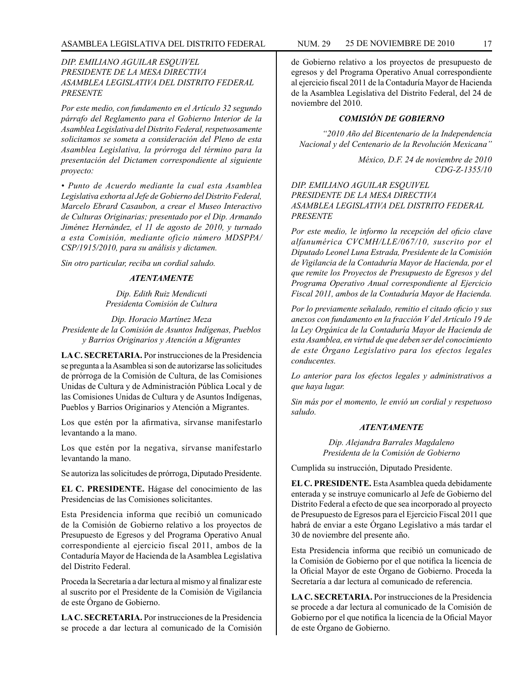# *DIP. EMILIANO AGUILAR ESQUIVEL PRESIDENTE DE LA MESA DIRECTIVA ASAMBLEA LEGISLATIVA DEL DISTRITO FEDERAL PRESENTE*

*Por este medio, con fundamento en el Artículo 32 segundo párrafo del Reglamento para el Gobierno Interior de la Asamblea Legislativa del Distrito Federal, respetuosamente solicitamos se someta a consideración del Pleno de esta Asamblea Legislativa, la prórroga del término para la presentación del Dictamen correspondiente al siguiente proyecto:*

*• Punto de Acuerdo mediante la cual esta Asamblea Legislativa exhorta al Jefe de Gobierno del Distrito Federal, Marcelo Ebrard Casaubon, a crear el Museo Interactivo de Culturas Originarias; presentado por el Dip. Armando Jiménez Hernández, el 11 de agosto de 2010, y turnado a esta Comisión, mediante oficio número MDSPPA/ CSP/1915/2010, para su análisis y dictamen.*

*Sin otro particular, reciba un cordial saludo.*

#### *ATENTAMENTE*

*Dip. Edith Ruiz Mendicuti Presidenta Comisión de Cultura*

*Dip. Horacio Martínez Meza Presidente de la Comisión de Asuntos Indígenas, Pueblos y Barrios Originarios y Atención a Migrantes*

**LA C. SECRETARIA.** Por instrucciones de la Presidencia se pregunta a la Asamblea si son de autorizarse las solicitudes de prórroga de la Comisión de Cultura, de las Comisiones Unidas de Cultura y de Administración Pública Local y de las Comisiones Unidas de Cultura y de Asuntos Indígenas, Pueblos y Barrios Originarios y Atención a Migrantes.

Los que estén por la afirmativa, sírvanse manifestarlo levantando a la mano.

Los que estén por la negativa, sírvanse manifestarlo levantando la mano.

Se autoriza las solicitudes de prórroga, Diputado Presidente.

**EL C. PRESIDENTE.** Hágase del conocimiento de las Presidencias de las Comisiones solicitantes.

Esta Presidencia informa que recibió un comunicado de la Comisión de Gobierno relativo a los proyectos de Presupuesto de Egresos y del Programa Operativo Anual correspondiente al ejercicio fiscal 2011, ambos de la Contaduría Mayor de Hacienda de la Asamblea Legislativa del Distrito Federal.

Proceda la Secretaría a dar lectura al mismo y al finalizar este al suscrito por el Presidente de la Comisión de Vigilancia de este Órgano de Gobierno.

**LA C. SECRETARIA.** Por instrucciones de la Presidencia se procede a dar lectura al comunicado de la Comisión

de Gobierno relativo a los proyectos de presupuesto de egresos y del Programa Operativo Anual correspondiente al ejercicio fiscal 2011 de la Contaduría Mayor de Hacienda de la Asamblea Legislativa del Distrito Federal, del 24 de noviembre del 2010.

# *COMISIÓN DE GOBIERNO*

*"2010 Año del Bicentenario de la Independencia Nacional y del Centenario de la Revolución Mexicana"*

> *México, D.F. 24 de noviembre de 2010 CDG-Z-1355/10*

*DIP. EMILIANO AGUILAR ESQUIVEL PRESIDENTE DE LA MESA DIRECTIVA ASAMBLEA LEGISLATIVA DEL DISTRITO FEDERAL PRESENTE*

*Por este medio, le informo la recepción del oficio clave alfanumérica CVCMH/LLE/067/10, suscrito por el Diputado Leonel Luna Estrada, Presidente de la Comisión de Vigilancia de la Contaduría Mayor de Hacienda, por el que remite los Proyectos de Presupuesto de Egresos y del Programa Operativo Anual correspondiente al Ejercicio Fiscal 2011, ambos de la Contaduría Mayor de Hacienda.*

*Por lo previamente señalado, remitio el citado oficio y sus anexos con fundamento en la fracción V del Artículo 19 de la Ley Orgánica de la Contaduría Mayor de Hacienda de esta Asamblea, en virtud de que deben ser del conocimiento de este Órgano Legislativo para los efectos legales conducentes.*

*Lo anterior para los efectos legales y administrativos a que haya lugar.*

*Sin más por el momento, le envió un cordial y respetuoso saludo.*

#### *ATENTAMENTE*

*Dip. Alejandra Barrales Magdaleno Presidenta de la Comisión de Gobierno* 

Cumplida su instrucción, Diputado Presidente.

**EL C. PRESIDENTE.** Esta Asamblea queda debidamente enterada y se instruye comunicarlo al Jefe de Gobierno del Distrito Federal a efecto de que sea incorporado al proyecto de Presupuesto de Egresos para el Ejercicio Fiscal 2011 que habrá de enviar a este Órgano Legislativo a más tardar el 30 de noviembre del presente año.

Esta Presidencia informa que recibió un comunicado de la Comisión de Gobierno por el que notifica la licencia de la Oficial Mayor de este Órgano de Gobierno. Proceda la Secretaría a dar lectura al comunicado de referencia.

**LA C. SECRETARIA.** Por instrucciones de la Presidencia se procede a dar lectura al comunicado de la Comisión de Gobierno por el que notifica la licencia de la Oficial Mayor de este Órgano de Gobierno.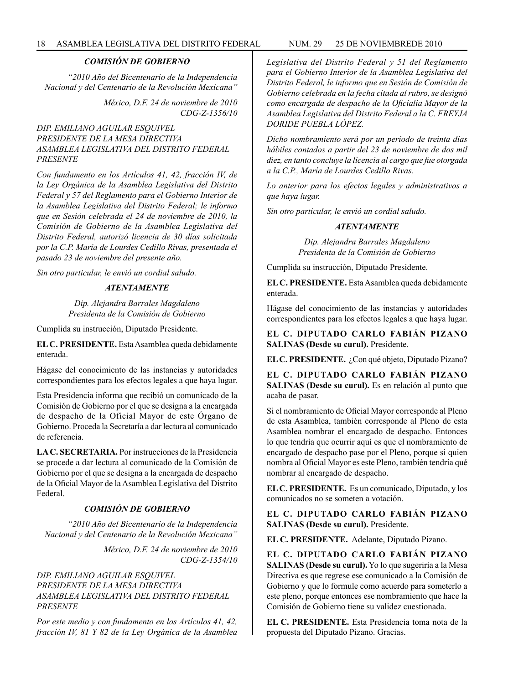# *COMISIÓN DE GOBIERNO*

*"2010 Año del Bicentenario de la Independencia Nacional y del Centenario de la Revolución Mexicana"*

> *México, D.F. 24 de noviembre de 2010 CDG-Z-1356/10*

# *DIP. EMILIANO AGUILAR ESQUIVEL PRESIDENTE DE LA MESA DIRECTIVA ASAMBLEA LEGISLATIVA DEL DISTRITO FEDERAL PRESENTE*

*Con fundamento en los Artículos 41, 42, fracción IV, de la Ley Orgánica de la Asamblea Legislativa del Distrito Federal y 57 del Reglamento para el Gobierno Interior de la Asamblea Legislativa del Distrito Federal; le informo que en Sesión celebrada el 24 de noviembre de 2010, la Comisión de Gobierno de la Asamblea Legislativa del Distrito Federal, autorizó licencia de 30 días solicitada por la C.P. María de Lourdes Cedillo Rivas, presentada el pasado 23 de noviembre del presente año.*

*Sin otro particular, le envió un cordial saludo.*

# *ATENTAMENTE*

*Dip. Alejandra Barrales Magdaleno Presidenta de la Comisión de Gobierno* 

Cumplida su instrucción, Diputado Presidente.

**EL C. PRESIDENTE.** Esta Asamblea queda debidamente enterada.

Hágase del conocimiento de las instancias y autoridades correspondientes para los efectos legales a que haya lugar.

Esta Presidencia informa que recibió un comunicado de la Comisión de Gobierno por el que se designa a la encargada de despacho de la Oficial Mayor de este Órgano de Gobierno. Proceda la Secretaría a dar lectura al comunicado de referencia.

**LA C. SECRETARIA.** Por instrucciones de la Presidencia se procede a dar lectura al comunicado de la Comisión de Gobierno por el que se designa a la encargada de despacho de la Oficial Mayor de la Asamblea Legislativa del Distrito Federal.

# *COMISIÓN DE GOBIERNO*

*"2010 Año del Bicentenario de la Independencia Nacional y del Centenario de la Revolución Mexicana"*

> *México, D.F. 24 de noviembre de 2010 CDG-Z-1354/10*

# *DIP. EMILIANO AGUILAR ESQUIVEL PRESIDENTE DE LA MESA DIRECTIVA ASAMBLEA LEGISLATIVA DEL DISTRITO FEDERAL PRESENTE*

*Por este medio y con fundamento en los Artículos 41, 42, fracción IV, 81 Y 82 de la Ley Orgánica de la Asamblea*  *Legislativa del Distrito Federal y 51 del Reglamento para el Gobierno Interior de la Asamblea Legislativa del Distrito Federal, le informo que en Sesión de Comisión de Gobierno celebrada en la fecha citada al rubro, se designó como encargada de despacho de la Oficialía Mayor de la Asamblea Legislativa del Distrito Federal a la C. FREYJA DORIDE PUEBLA LÓPEZ.*

*Dicho nombramiento será por un período de treinta días hábiles contados a partir del 23 de noviembre de dos mil diez, en tanto concluye la licencia al cargo que fue otorgada a la C.P., María de Lourdes Cedillo Rivas.*

*Lo anterior para los efectos legales y administrativos a que haya lugar.*

*Sin otro particular, le envió un cordial saludo.*

#### *ATENTAMENTE*

*Dip. Alejandra Barrales Magdaleno Presidenta de la Comisión de Gobierno* 

Cumplida su instrucción, Diputado Presidente.

**EL C. PRESIDENTE.** Esta Asamblea queda debidamente enterada.

Hágase del conocimiento de las instancias y autoridades correspondientes para los efectos legales a que haya lugar.

**EL C. DIPUTADO CARLO FABIÁN PIZANO SALINAS (Desde su curul).** Presidente.

**EL C. PRESIDENTE.** ¿Con qué objeto, Diputado Pizano?

**EL C. DIPUTADO CARLO FABIÁN PIZANO SALINAS (Desde su curul).** Es en relación al punto que acaba de pasar.

Si el nombramiento de Oficial Mayor corresponde al Pleno de esta Asamblea, también corresponde al Pleno de esta Asamblea nombrar el encargado de despacho. Entonces lo que tendría que ocurrir aquí es que el nombramiento de encargado de despacho pase por el Pleno, porque si quien nombra al Oficial Mayor es este Pleno, también tendría qué nombrar al encargado de despacho.

**EL C. PRESIDENTE.** Es un comunicado, Diputado, y los comunicados no se someten a votación.

**EL C. DIPUTADO CARLO FABIÁN PIZANO SALINAS (Desde su curul).** Presidente.

**EL C. PRESIDENTE.** Adelante, Diputado Pizano.

**EL C. DIPUTADO CARLO FABIÁN PIZANO SALINAS (Desde su curul).** Yo lo que sugeriría a la Mesa Directiva es que regrese ese comunicado a la Comisión de Gobierno y que lo formule como acuerdo para someterlo a este pleno, porque entonces ese nombramiento que hace la Comisión de Gobierno tiene su validez cuestionada.

**EL C. PRESIDENTE.** Esta Presidencia toma nota de la propuesta del Diputado Pizano. Gracias.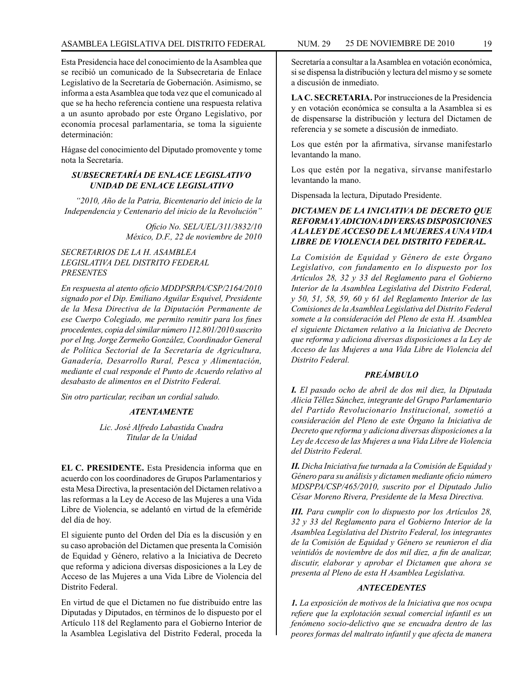Esta Presidencia hace del conocimiento de la Asamblea que se recibió un comunicado de la Subsecretaria de Enlace Legislativo de la Secretaría de Gobernación. Asimismo, se informa a esta Asamblea que toda vez que el comunicado al que se ha hecho referencia contiene una respuesta relativa a un asunto aprobado por este Órgano Legislativo, por economía procesal parlamentaria, se toma la siguiente determinación:

Hágase del conocimiento del Diputado promovente y tome nota la Secretaría.

# *SUBSECRETARÍA DE ENLACE LEGISLATIVO UNIDAD DE ENLACE LEGISLATIVO*

*"2010, Año de la Patria, Bicentenario del inicio de la Independencia y Centenario del inicio de la Revolución"*

> *Oficio No. SEL/UEL/311/3832/10 México, D.F., 22 de noviembre de 2010*

# *SECRETARIOS DE LA H. ASAMBLEA LEGISLATIVA DEL DISTRITO FEDERAL PRESENTES*

*En respuesta al atento oficio MDDPSRPA/CSP/2164/2010 signado por el Dip. Emiliano Aguilar Esquivel, Presidente de la Mesa Directiva de la Diputación Permanente de ese Cuerpo Colegiado, me permito remitir para los fines procedentes, copia del similar número 112.801/2010 suscrito por el Ing. Jorge Zermeño González, Coordinador General de Política Sectorial de Ia Secretaría de Agricultura, Ganadería, Desarrollo Rural, Pesca y Alimentación, mediante el cual responde el Punto de Acuerdo relativo al desabasto de alimentos en el Distrito Federal.*

*Sin otro particular, reciban un cordial saludo.*

#### *ATENTAMENTE*

*Lic. José Alfredo Labastida Cuadra Titular de la Unidad*

**EL C. PRESIDENTE.** Esta Presidencia informa que en acuerdo con los coordinadores de Grupos Parlamentarios y esta Mesa Directiva, la presentación del Dictamen relativo a las reformas a la Ley de Acceso de las Mujeres a una Vida Libre de Violencia, se adelantó en virtud de la efeméride del día de hoy.

El siguiente punto del Orden del Día es la discusión y en su caso aprobación del Dictamen que presenta la Comisión de Equidad y Género, relativo a la Iniciativa de Decreto que reforma y adiciona diversas disposiciones a la Ley de Acceso de las Mujeres a una Vida Libre de Violencia del Distrito Federal.

En virtud de que el Dictamen no fue distribuido entre las Diputadas y Diputados, en términos de lo dispuesto por el Artículo 118 del Reglamento para el Gobierno Interior de la Asamblea Legislativa del Distrito Federal, proceda la

Secretaría a consultar a la Asamblea en votación económica, si se dispensa la distribución y lectura del mismo y se somete a discusión de inmediato.

**LA C. SECRETARIA.** Por instrucciones de la Presidencia y en votación económica se consulta a la Asamblea si es de dispensarse la distribución y lectura del Dictamen de referencia y se somete a discusión de inmediato.

Los que estén por la afirmativa, sírvanse manifestarlo levantando la mano.

Los que estén por la negativa, sírvanse manifestarlo levantando la mano.

Dispensada la lectura, Diputado Presidente.

# *DICTAMEN DE LA INICIATIVA DE DECRETO QUE REFORMA Y ADICIONA DIVERSAS DISPOSICIONES A LA LEY DE ACCESO DE LA MUJERES A UNA VIDA LIBRE DE VIOLENCIA DEL DISTRITO FEDERAL.*

*La Comisión de Equidad y Género de este Órgano Legislativo, con fundamento en lo dispuesto por los Artículos 28, 32 y 33 del Reglamento para el Gobierno Interior de la Asamblea Legislativa del Distrito Federal, y 50, 51, 58, 59, 60 y 61 del Reglamento Interior de las Comisiones de la Asamblea Legislativa del Distrito Federal somete a la consideración del Pleno de esta H. Asamblea el siguiente Dictamen relativo a la Iniciativa de Decreto que reforma y adiciona diversas disposiciones a la Ley de Acceso de las Mujeres a una Vida Libre de Violencia del Distrito Federal.*

#### *PREÁMBULO*

*I. El pasado ocho de abril de dos mil diez, la Diputada Alicia Téllez Sánchez, integrante del Grupo Parlamentario del Partido Revolucionario Institucional, sometió a consideración del Pleno de este Órgano la Iniciativa de Decreto que reforma y adiciona diversas disposiciones a la Ley de Acceso de las Mujeres a una Vida Libre de Violencia del Distrito Federal.*

*II. Dicha Iniciativa fue turnada a la Comisión de Equidad y Género para su análisis y dictamen mediante oficio número MDSPPA/CSP/465/2010, suscrito por el Diputado Julio César Moreno Rivera, Presidente de la Mesa Directiva.*

*III. Para cumplir con lo dispuesto por los Artículos 28, 32 y 33 del Reglamento para el Gobierno Interior de la Asamblea Legislativa del Distrito Federal, los integrantes de la Comisión de Equidad y Género se reunieron el día veintidós de noviembre de dos mil diez, a fin de analizar, discutir, elaborar y aprobar el Dictamen que ahora se presenta al Pleno de esta H Asamblea Legislativa.*

#### *ANTECEDENTES*

*1. La exposición de motivos de la Iniciativa que nos ocupa refiere que la explotación sexual comercial infantil es un fenómeno socio-delictivo que se encuadra dentro de las peores formas del maltrato infantil y que afecta de manera*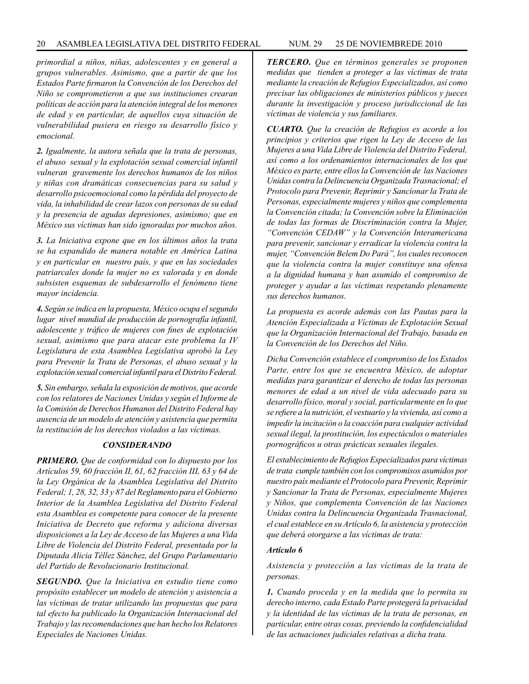*primordial a niños, niñas, adolescentes y en general a grupos vulnerables. Asimismo, que a partir de que los Estados Parte firmaron la Convención de los Derechos del Niño se comprometieron a que sus instituciones crearan políticas de acción para la atención integral de los menores de edad y en particular, de aquellos cuya situación de vulnerabilidad pusiera en riesgo su desarrollo físico y emocional.* 

*2. Igualmente, la autora señala que la trata de personas, el abuso sexual y la explotación sexual comercial infantil vulneran gravemente los derechos humanos de los niños y niñas con dramáticas consecuencias para su salud y desarrollo psicoemocional como la pérdida del proyecto de vida, la inhabilidad de crear lazos con personas de su edad y la presencia de agudas depresiones, asimismo; que en México sus víctimas han sido ignoradas por muchos años.*

*3. La Iniciativa expone que en los últimos años la trata se ha expandido de manera notable en América Latina y en particular en nuestro país, y que en las sociedades patriarcales donde la mujer no es valorada y en donde subsisten esquemas de subdesarrollo el fenómeno tiene mayor incidencia.*

*4. Según se indica en la propuesta, México ocupa el segundo lugar nivel mundial de producción de pornografía infantil, adolescente y tráfico de mujeres con fines de explotación sexual, asimismo que para atacar este problema la IV Legislatura de esta Asamblea Legislativa aprobó la Ley para Prevenir la Trata de Personas, el abuso sexual y la explotación sexual comercial infantil para el Distrito Federal.*

*5. Sin embargo, señala la exposición de motivos, que acorde con los relatores de Naciones Unidas y según el Informe de la Comisión de Derechos Humanos del Distrito Federal hay ausencia de un modelo de atención y asistencia que permita la restitución de los derechos violados a las víctimas.*

#### *CONSIDERANDO*

*PRIMERO. Que de conformidad con lo dispuesto por los Artículos 59, 60 fracción II, 61, 62 fracción III, 63 y 64 de la Ley Orgánica de la Asamblea Legislativa del Distrito Federal; 1, 28, 32, 33 y 87 del Reglamento para el Gobierno Interior de la Asamblea Legislativa del Distrito Federal esta Asamblea es competente para conocer de la presente Iniciativa de Decreto que reforma y adiciona diversas disposiciones a la Ley de Acceso de las Mujeres a una Vida Libre de Violencia del Distrito Federal, presentada por la Diputada Alicia Téllez Sánchez, del Grupo Parlamentario del Partido de Revolucionario Institucional.*

*SEGUNDO. Que la Iniciativa en estudio tiene como propósito establecer un modelo de atención y asistencia a las víctimas de tratar utilizando las propuestas que para tal efecto ha publicado la Organización Internacional del Trabajo y las recomendaciones que han hecho los Relatores Especiales de Naciones Unidas.*

*TERCERO. Que en términos generales se proponen medidas que tienden a proteger a las víctimas de trata mediante la creación de Refugios Especializados, así como precisar las obligaciones de ministerios públicos y jueces durante la investigación y proceso jurisdiccional de las víctimas de violencia y sus familiares.*

*CUARTO. Que la creación de Refugios es acorde a los principios y criterios que rigen la Ley de Acceso de las Mujeres a una Vida Libre de Violencia del Distrito Federal, así como a los ordenamientos internacionales de los que México es parte, entre ellos la Convención de las Naciones Unidas contra la Delincuencia Organizada Trasnacional; el Protocolo para Prevenir, Reprimir y Sancionar la Trata de Personas, especialmente mujeres y niños que complementa la Convención citada; la Convención sobre la Eliminación de todas las formas de Discriminación contra la Mujer, "Convención CEDAW" y la Convención Interamericana para prevenir, sancionar y erradicar la violencia contra la mujer, "Convención Belem Do Pará", los cuales reconocen que la violencia contra la mujer constituye una ofensa a la dignidad humana y han asumido el compromiso de proteger y ayudar a las víctimas respetando plenamente sus derechos humanos.*

*La propuesta es acorde además con las Pautas para la Atención Especializada a Víctimas de Explotación Sexual que la Organización Internacional del Trabajo, basada en la Convención de los Derechos del Niño.*

*Dicha Convención establece el compromiso de los Estados Parte, entre los que se encuentra México, de adoptar medidas para garantizar el derecho de todas las personas menores de edad a un nivel de vida adecuado para su desarrollo físico, moral y social, particularmente en lo que se refiere a la nutrición, el vestuario y la vivienda, así como a impedir la incitación o la coacción para cualquier actividad sexual ilegal, la prostitución, los espectáculos o materiales pornográficos u otras prácticas sexuales ilegales.*

*El establecimiento de Refugios Especializados para víctimas de trata cumple también con los compromisos asumidos por nuestro país mediante el Protocolo para Prevenir, Reprimir y Sancionar la Trata de Personas, especialmente Mujeres y Niños, que complementa Convención de las Naciones Unidas contra la Delincuencia Organizada Trasnacional, el cual establece en su Artículo 6, la asistencia y protección que deberá otorgarse a las víctimas de trata:*

# *Artículo 6*

*Asistencia y protección a las víctimas de la trata de personas.*

*1. Cuando proceda y en la medida que lo permita su derecho interno, cada Estado Parte protegerá la privacidad y la identidad de las víctimas de la trata de personas, en particular, entre otras cosas, previendo la confidencialidad de las actuaciones judiciales relativas a dicha trata.*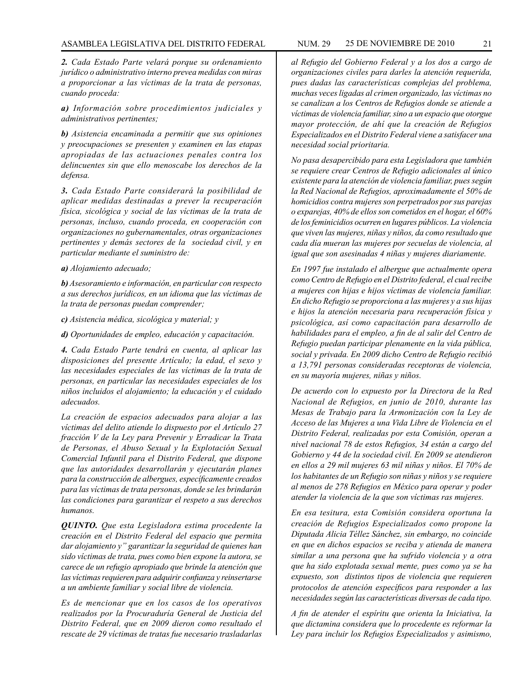*2. Cada Estado Parte velará porque su ordenamiento jurídico o administrativo interno prevea medidas con miras a proporcionar a las víctimas de la trata de personas, cuando proceda:*

*a) Información sobre procedimientos judiciales y administrativos pertinentes;*

*b) Asistencia encaminada a permitir que sus opiniones y preocupaciones se presenten y examinen en las etapas apropiadas de las actuaciones penales contra los delincuentes sin que ello menoscabe los derechos de la defensa.*

*3. Cada Estado Parte considerará la posibilidad de aplicar medidas destinadas a prever la recuperación física, sicológica y social de las víctimas de la trata de personas, incluso, cuando proceda, en cooperación con organizaciones no gubernamentales, otras organizaciones pertinentes y demás sectores de la sociedad civil, y en particular mediante el suministro de:* 

*a) Alojamiento adecuado;*

*b) Asesoramiento e información, en particular con respecto a sus derechos jurídicos, en un idioma que las víctimas de la trata de personas puedan comprender;*

*c) Asistencia médica, sicológica y material; y*

*d) Oportunidades de empleo, educación y capacitación.*

*4. Cada Estado Parte tendrá en cuenta, al aplicar las disposiciones del presente Artículo; la edad, el sexo y las necesidades especiales de las víctimas de la trata de personas, en particular las necesidades especiales de los niños incluidos el alojamiento; la educación y el cuidado adecuados.*

*La creación de espacios adecuados para alojar a las víctimas del delito atiende lo dispuesto por el Artículo 27 fracción V de la Ley para Prevenir y Erradicar la Trata de Personas, el Abuso Sexual y la Explotación Sexual Comercial Infantil para el Distrito Federal, que dispone que las autoridades desarrollarán y ejecutarán planes para la construcción de albergues, específicamente creados para las víctimas de trata personas, donde se les brindarán las condiciones para garantizar el respeto a sus derechos humanos.*

*QUINTO. Que esta Legisladora estima procedente la creación en el Distrito Federal del espacio que permita dar alojamiento y" garantizar la seguridad de quienes han sido víctimas de trata, pues como bien expone la autora, se carece de un refugio apropiado que brinde la atención que las víctimas requieren para adquirir confianza y reinsertarse a un ambiente familiar y social libre de violencia.*

*Es de mencionar que en los casos de los operativos realizados por la Procuraduría General de Justicia del Distrito Federal, que en 2009 dieron como resultado el rescate de 29 víctimas de tratas fue necesario trasladarlas* 

*al Refugio del Gobierno Federal y a los dos a cargo de organizaciones civiles para darles la atención requerida, pues dadas las características complejas del problema, muchas veces ligadas al crimen organizado, las víctimas no se canalizan a los Centros de Refugios donde se atiende a víctimas de violencia familiar, sino a un espacio que otorgue mayor protección, de ahí que la creación de Refugios Especializados en el Distrito Federal viene a satisfacer una necesidad social prioritaria.*

*No pasa desapercibido para esta Legisladora que también se requiere crear Centros de Refugio adicionales al único existente para la atención de violencia familiar, pues según la Red Nacional de Refugios, aproximadamente el 50% de homicidios contra mujeres son perpetrados por sus parejas o exparejas, 40% de ellos son cometidos en el hogar, el 60% de los feminicidios ocurren en lugares públicos. La violencia que viven las mujeres, niñas y niños, da como resultado que cada día mueran las mujeres por secuelas de violencia, al igual que son asesinadas 4 niñas y mujeres diariamente.*

*En 1997 fue instalado el albergue que actualmente opera como Centro de Refugio en el Distrito federal, el cual recibe a mujeres con hijas e hijos víctimas de violencia familiar. En dicho Refugio se proporciona a las mujeres y a sus hijas e hijos la atención necesaria para recuperación física y psicológica, así como capacitación para desarrollo de habilidades para el empleo, a fin de al salir del Centro de Refugio puedan participar plenamente en la vida pública, social y privada. En 2009 dicho Centro de Refugio recibió a 13,791 personas consideradas receptoras de violencia, en su mayoría mujeres, niñas y niños.*

*De acuerdo con lo expuesto por la Directora de la Red Nacional de Refugios, en junio de 2010, durante las Mesas de Trabajo para la Armonización con la Ley de Acceso de las Mujeres a una Vida Libre de Violencia en el Distrito Federal, realizadas por esta Comisión, operan a nivel nacional 78 de estos Refugios, 34 están a cargo del Gobierno y 44 de la sociedad civil. En 2009 se atendieron en ellos a 29 mil mujeres 63 mil niñas y niños. El 70% de los habitantes de un Refugio son niñas y niños y se requiere al menos de 278 Refugios en México para operar y poder atender la violencia de la que son víctimas ras mujeres.*

*En esa tesitura, esta Comisión considera oportuna la creación de Refugios Especializados como propone la Diputada Alicia Téllez Sánchez, sin embargo, no coincide en que en dichos espacios se reciba y atienda de manera similar a una persona que ha sufrido violencia y a otra que ha sido explotada sexual mente, pues como ya se ha expuesto, son distintos tipos de violencia que requieren protocolos de atención específicos para responder a las necesidades según las características diversas de cada tipo.*

*A fin de atender el espíritu que orienta la Iniciativa, la que dictamina considera que lo procedente es reformar la Ley para incluir los Refugios Especializados y asimismo,*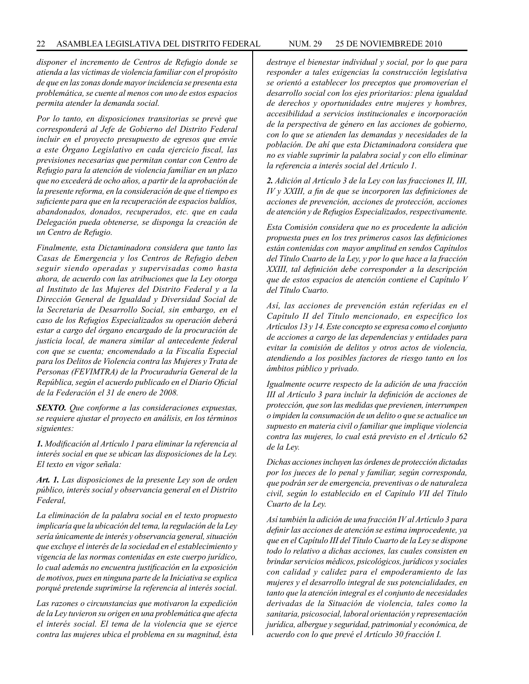*disponer el incremento de Centros de Refugio donde se atienda a las víctimas de violencia familiar con el propósito de que en las zonas donde mayor incidencia se presenta esta problemática, se cuente al menos con uno de estos espacios permita atender la demanda social.*

*Por lo tanto, en disposiciones transitorias se prevé que corresponderá al Jefe de Gobierno del Distrito Federal incluir en el proyecto presupuesto de egresos que envíe a este Órgano Legislativo en cada ejercicio fiscal, las previsiones necesarias que permitan contar con Centro de Refugio para la atención de violencia familiar en un plazo que no excederá de ocho años, a partir de la aprobación de la presente reforma, en la consideración de que el tiempo es suficiente para que en la recuperación de espacios baldíos, abandonados, donados, recuperados, etc. que en cada Delegación pueda obtenerse, se disponga la creación de un Centro de Refugio.*

*Finalmente, esta Dictaminadora considera que tanto las Casas de Emergencia y los Centros de Refugio deben seguir siendo operadas y supervisadas como hasta ahora, de acuerdo con las atribuciones que la Ley otorga al Instituto de las Mujeres del Distrito Federal y a la Dirección General de Igualdad y Diversidad Social de la Secretaria de Desarrollo Social, sin embargo, en el caso de los Refugios Especializados su operación deberá estar a cargo del órgano encargado de la procuración de justicia local, de manera similar al antecedente federal con que se cuenta; encomendado a la Fiscalía Especial para los Delitos de Violencia contra las Mujeres y Trata de Personas (FEVIMTRA) de la Procuraduría General de la República, según el acuerdo publicado en el Diario Oficial de la Federación el 31 de enero de 2008.*

*SEXTO. Que conforme a las consideraciones expuestas, se requiere ajustar el proyecto en análisis, en los términos siguientes:* 

*1. Modificación al Artículo 1 para eliminar la referencia al interés social en que se ubican las disposiciones de la Ley. El texto en vigor señala:*

*Art. 1. Las disposiciones de la presente Ley son de orden público, interés social y observancia general en el Distrito Federal,*

*La eliminación de la palabra social en el texto propuesto implicaría que la ubicación del tema, la regulación de la Ley sería únicamente de interés y observancia general, situación que excluye el interés de la sociedad en el establecimiento y vigencia de las normas contenidas en este cuerpo jurídico, lo cual además no encuentra justificación en la exposición de motivos, pues en ninguna parte de la Iniciativa se explica porqué pretende suprimirse la referencia al interés social.*

*Las razones o circunstancias que motivaron la expedición de la Ley tuvieron su origen en una problemática que afecta el interés social. El tema de la violencia que se ejerce contra las mujeres ubica el problema en su magnitud, ésta* 

*destruye el bienestar individual y social, por lo que para responder a tales exigencias la construcción legislativa se orientó a establecer los preceptos que promoverían el desarrollo social con los ejes prioritarios: plena igualdad de derechos y oportunidades entre mujeres y hombres, accesibilidad a servicios institucionales e incorporación de la perspectiva de género en las acciones de gobierno, con lo que se atienden las demandas y necesidades de la población. De ahí que esta Dictaminadora considera que no es viable suprimir la palabra social y con ello eliminar la referencia a interés social del Artículo 1.*

*2. Adición al Artículo 3 de la Ley con las fracciones II, III, IV y XXIII, a fin de que se incorporen las definiciones de acciones de prevención, acciones de protección, acciones de atención y de Refugios Especializados, respectivamente.*

*Esta Comisión considera que no es procedente la adición propuesta pues en los tres primeros casos las definiciones están contenidas con mayor amplitud en sendos Capítulos del Título Cuarto de la Ley, y por lo que hace a la fracción XXIII, tal definición debe corresponder a la descripción que de estos espacios de atención contiene el Capítulo V del Título Cuarto.*

*Así, las acciones de prevención están referidas en el Capítulo II del Título mencionado, en específico los Artículos 13 y 14. Este concepto se expresa como el conjunto de acciones a cargo de las dependencias y entidades para evitar la comisión de delitos y otros actos de violencia, atendiendo a los posibles factores de riesgo tanto en los ámbitos público y privado.*

*Igualmente ocurre respecto de la adición de una fracción III al Artículo 3 para incluir la definición de acciones de protección, que son las medidas que previenen, interrumpen o impiden la consumación de un delito o que se actualice un supuesto en materia civil o familiar que implique violencia contra las mujeres, lo cual está previsto en el Artículo 62 de la Ley.* 

*Dichas acciones incluyen las órdenes de protección dictadas por los jueces de lo penal y familiar, según corresponda, que podrán ser de emergencia, preventivas o de naturaleza civil, según lo establecido en el Capítulo VII del Título Cuarto de la Ley.*

*Así también la adición de una fracción IV al Artículo 3 para definir las acciones de atención se estima improcedente, ya que en el Capítulo III del Título Cuarto de la Ley se dispone todo lo relativo a dichas acciones, las cuales consisten en brindar servicios médicos, psicológicos, jurídicos y sociales con calidad y calidez para el empoderamiento de las mujeres y el desarrollo integral de sus potencialidades, en tanto que la atención integral es el conjunto de necesidades derivadas de la Situación de violencia, tales como la sanitaria, psicosocial, laboral orientación y representación jurídica, albergue y seguridad, patrimonial y económica, de acuerdo con lo que prevé el Artículo 30 fracción I.*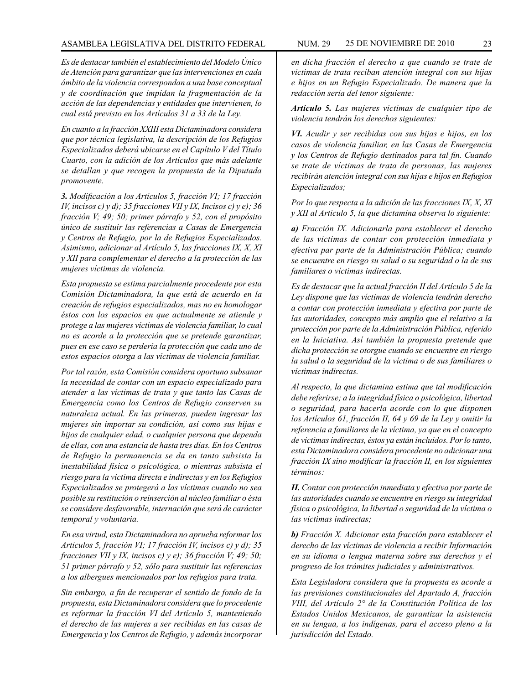*Es de destacar también el establecimiento del Modelo Único de Atención para garantizar que las intervenciones en cada ámbito de la violencia correspondan a una base conceptual y de coordinación que impidan la fragmentación de la acción de las dependencias y entidades que intervienen, lo cual está previsto en los Artículos 31 a 33 de la Ley.*

*En cuanto a la fracción XXIII esta Dictaminadora considera que por técnica legislativa, la descripción de los Refugios Especializados deberá ubicarse en el Capítulo V del Título Cuarto, con la adición de los Artículos que más adelante se detallan y que recogen la propuesta de la Diputada promovente.*

*3. Modificación a los Artículos 5, fracción VI; 17 fracción IV, incisos c) y d); 35 fracciones VII y IX, Incisos c) y e); 36 fracción V; 49; 50; primer párrafo y 52, con el propósito único de sustituir las referencias a Casas de Emergencia y Centros de Refugio, por la de Refugios Especializados. Asimismo, adicionar al Artículo 5, las fracciones IX, X, XI y XII para complementar el derecho a la protección de las mujeres víctimas de violencia.* 

*Esta propuesta se estima parcialmente procedente por esta Comisión Dictaminadora, la que está de acuerdo en la creación de refugios especializados, mas no en homologar éstos con los espacios en que actualmente se atiende y protege a las mujeres víctimas de violencia familiar, lo cual no es acorde a la protección que se pretende garantizar, pues en ese caso se perdería la protección que cada uno de estos espacios otorga a las víctimas de violencia familiar.*

*Por tal razón, esta Comisión considera oportuno subsanar la necesidad de contar con un espacio especializado para atender a las víctimas de trata y que tanto las Casas de Emergencia como los Centros de Refugio conserven su naturaleza actual. En las primeras, pueden ingresar las mujeres sin importar su condición, así como sus hijas e hijos de cualquier edad, o cualquier persona que dependa de ellas, con una estancia de hasta tres días. En los Centros de Refugio la permanencia se da en tanto subsista la inestabilidad física o psicológica, o mientras subsista el riesgo para la víctima directa e indirectas y en los Refugios Especializados se protegerá a las víctimas cuando no sea posible su restitución o reinserción al núcleo familiar o ésta se considere desfavorable, internación que será de carácter temporal y voluntaria.*

*En esa virtud, esta Dictaminadora no aprueba reformar los Artículos 5, fracción VI; 17 fracción IV, incisos c) y d); 35 fracciones VII y IX, incisos c) y e); 36 fracción V; 49; 50; 51 primer párrafo y 52, sólo para sustituir las referencias a los albergues mencionados por los refugios para trata.*

*Sin embargo, a fin de recuperar el sentido de fondo de la propuesta, esta Dictaminadora considera que lo procedente es reformar la fracción VI del Artículo 5, manteniendo el derecho de las mujeres a ser recibidas en las casas de Emergencia y los Centros de Refugio, y además incorporar* 

*en dicha fracción el derecho a que cuando se trate de víctimas de trata reciban atención integral con sus hijas e hijos en un Refugio Especializado. De manera que la redacción sería del tenor siguiente:*

*Artículo 5. Las mujeres víctimas de cualquier tipo de violencia tendrán los derechos siguientes:*

*VI. Acudir y ser recibidas con sus hijas e hijos, en los casos de violencia familiar, en las Casas de Emergencia y los Centros de Refugio destinados para tal fin. Cuando se trate de víctimas de trata de personas, las mujeres recibirán atención integral con sus hijas e hijos en Refugios Especializados;*

*Por lo que respecta a la adición de las fracciones IX, X, XI y XII al Artículo 5, la que dictamina observa lo siguiente:*

*a) Fracción IX. Adicionarla para establecer el derecho de las víctimas de contar con protección inmediata y efectiva par parte de la Administración Pública; cuando se encuentre en riesgo su salud o su seguridad o la de sus familiares o víctimas indirectas.*

*Es de destacar que la actual fracción II del Artículo 5 de la Ley dispone que las víctimas de violencia tendrán derecho a contar con protección inmediata y efectiva por parte de las autoridades, concepto más amplio que el relativo a la protección por parte de la Administración Pública, referido en la Iniciativa. Así también la propuesta pretende que dicha protección se otorgue cuando se encuentre en riesgo la salud o la seguridad de la víctima o de sus familiares o víctimas indirectas.*

*Al respecto, la que dictamina estima que tal modificación debe referirse; a la integridad física o psicológica, libertad o seguridad, para hacerla acorde con lo que disponen los Artículos 61, fracción II, 64 y 69 de la Ley y omitir la referencia a familiares de la víctima, ya que en el concepto de víctimas indirectas, éstos ya están incluidos. Por lo tanto, esta Dictaminadora considera procedente no adicionar una fracción IX sino modificar la fracción II, en los siguientes términos:*

*II. Contar con protección inmediata y efectiva por parte de las autoridades cuando se encuentre en riesgo su integridad física o psicológica, la libertad o seguridad de la víctima o las víctimas indirectas;*

*b) Fracción X. Adicionar esta fracción para establecer el derecho de las víctimas de violencia a recibir Información en su idioma o lengua materna sobre sus derechos y el progreso de los trámites judiciales y administrativos.*

*Esta Legisladora considera que la propuesta es acorde a las previsiones constitucionales del Apartado A, fracción VIII, del Artículo 2° de la Constitución Política de los Estados Unidos Mexicanos, de garantizar la asistencia en su lengua, a los indígenas, para el acceso pleno a la jurisdicción del Estado.*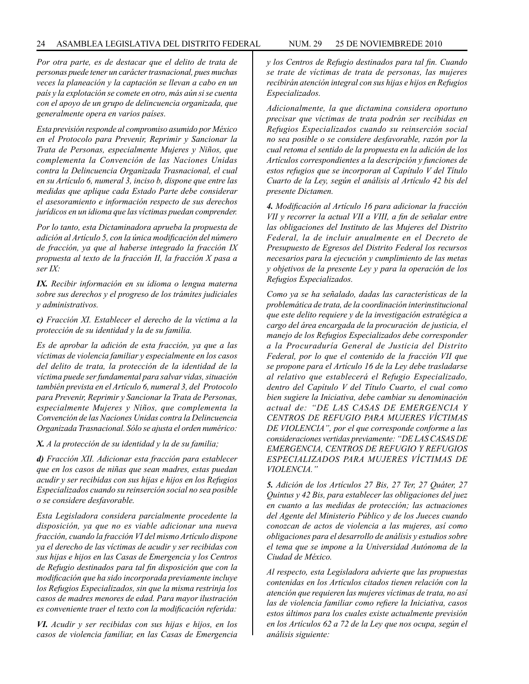*Por otra parte, es de destacar que el delito de trata de personas puede tener un carácter trasnacional, pues muchas veces la planeación y la captación se llevan a cabo en un país y la explotación se comete en otro, más aún si se cuenta con el apoyo de un grupo de delincuencia organizada, que generalmente opera en varios países.*

*Esta previsión responde al compromiso asumido por México en el Protocolo para Prevenir, Reprimir y Sancionar la Trata de Personas, especialmente Mujeres y Niños, que complementa la Convención de las Naciones Unidas contra la Delincuencia Organizada Trasnacional, el cual en su Artículo 6, numeral 3, inciso b, dispone que entre las medidas que aplique cada Estado Parte debe considerar el asesoramiento e información respecto de sus derechos jurídicos en un idioma que las víctimas puedan comprender.*

*Por lo tanto, esta Dictaminadora aprueba la propuesta de adición al Artículo 5, con la única modificación del número de fracción, ya que al haberse integrado la fracción IX propuesta al texto de la fracción II, la fracción X pasa a ser IX:*

*IX. Recibir información en su idioma o lengua materna sobre sus derechos y el progreso de los trámites judiciales y administrativos.*

*c) Fracción XI. Establecer el derecho de la víctima a la protección de su identidad y la de su familia.*

*Es de aprobar la adición de esta fracción, ya que a las víctimas de violencia familiar y especialmente en los casos del delito de trata, la protección de la identidad de la víctima puede ser fundamental para salvar vidas, situación también prevista en el Artículo 6, numeral 3, del Protocolo para Prevenir, Reprimir y Sancionar la Trata de Personas, especialmente Mujeres y Niños, que complementa la Convención de las Naciones Unidas contra la Delincuencia Organizada Trasnacional. Sólo se ajusta el orden numérico:*

*X. A la protección de su identidad y la de su familia;*

*d) Fracción XII. Adicionar esta fracción para establecer que en los casos de niñas que sean madres, estas puedan acudir y ser recibidas con sus hijas e hijos en los Refugios Especializados cuando su reinserción social no sea posible o se considere desfavorable.*

*Esta Legisladora considera parcialmente procedente la disposición, ya que no es viable adicionar una nueva fracción, cuando la fracción VI del mismo Artículo dispone ya el derecho de las víctimas de acudir y ser recibidas con sus hijas e hijos en las Casas de Emergencia y los Centros de Refugio destinados para tal fin disposición que con la modificación que ha sido incorporada previamente incluye los Refugios Especializados, sin que la misma restrinja los casos de madres menores de edad. Para mayor ilustración es conveniente traer el texto con la modificación referida:*

*VI. Acudir y ser recibidas con sus hijas e hijos, en los casos de violencia familiar, en las Casas de Emergencia* 

*y los Centros de Refugio destinados para tal fin. Cuando se trate de víctimas de trata de personas, las mujeres recibirán atención integral con sus hijas e hijos en Refugios Especializados.*

*Adicionalmente, la que dictamina considera oportuno precisar que víctimas de trata podrán ser recibidas en Refugios Especializados cuando su reinserción social no sea posible o se considere desfavorable, razón por la cual retoma el sentido de la propuesta en la adición de los Artículos correspondientes a la descripción y funciones de estos refugios que se incorporan al Capítulo V del Título Cuarto de la Ley, según el análisis al Artículo 42 bis del presente Dictamen.*

*4. Modificación al Artículo 16 para adicionar la fracción VII y recorrer la actual VII a VIII, a fin de señalar entre las obligaciones del Instituto de las Mujeres del Distrito Federal, la de incluir anualmente en el Decreto de Presupuesto de Egresos del Distrito Federal los recursos necesarios para la ejecución y cumplimiento de las metas y objetivos de la presente Ley y para la operación de los Refugios Especializados.*

*Como ya se ha señalado, dadas las características de la problemática de trata, de la coordinación interinstitucional que este delito requiere y de la investigación estratégica a cargo del área encargada de la procuración de justicia, el manejo de los Refugios Especializados debe corresponder a la Procuraduría General de Justicia del Distrito Federal, por lo que el contenido de la fracción VII que se propone para el Artículo 16 de la Ley debe trasladarse al relativo que establecerá el Refugio Especializado, dentro del Capítulo V del Título Cuarto, el cual como bien sugiere la Iniciativa, debe cambiar su denominación actual de: "DE LAS CASAS DE EMERGENCIA Y CENTROS DE REFUGIO PARA MUJERES VÍCTIMAS DE VIOLENCIA", por el que corresponde conforme a las consideraciones vertidas previamente: "DE LAS CASAS DE EMERGENCIA, CENTROS DE REFUGIO Y REFUGIOS ESPECIALIZADOS PARA MUJERES VÍCTIMAS DE VIOLENCIA."*

*5. Adición de los Artículos 27 Bis, 27 Ter, 27 Quáter, 27 Quintus y 42 Bis, para establecer las obligaciones del juez en cuanto a las medidas de protección; las actuaciones del Agente del Ministerio Público y de los Jueces cuando conozcan de actos de violencia a las mujeres, así como obligaciones para el desarrollo de análisis y estudios sobre el tema que se impone a la Universidad Autónoma de la Ciudad de México.*

*Al respecto, esta Legisladora advierte que las propuestas contenidas en los Artículos citados tienen relación con la atención que requieren las mujeres víctimas de trata, no así las de violencia familiar como refiere la Iniciativa, casos estos últimos para los cuales existe actualmente previsión en los Artículos 62 a 72 de la Ley que nos ocupa, según el análisis siguiente:*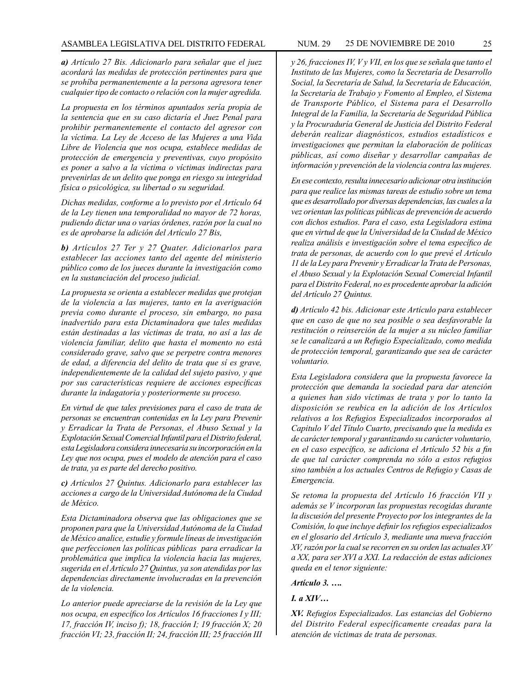*a) Artículo 27 Bis. Adicionarlo para señalar que el juez acordará las medidas de protección pertinentes para que se prohíba permanentemente a la persona agresora tener cualquier tipo de contacto o relación con la mujer agredida.*

*La propuesta en los términos apuntados sería propia de la sentencia que en su caso dictaría el Juez Penal para prohibir permanentemente el contacto del agresor con la víctima. La Ley de Acceso de las Mujeres a una Vida Libre de Violencia que nos ocupa, establece medidas de protección de emergencia y preventivas, cuyo propósito es poner a salvo a la víctima o víctimas indirectas para prevenirlas de un delito que ponga en riesgo su integridad física o psicológica, su libertad o su seguridad.*

*Dichas medidas, conforme a lo previsto por el Artículo 64 de la Ley tienen una temporalidad no mayor de 72 horas, pudiendo dictar una o varias órdenes, razón por la cual no es de aprobarse la adición del Artículo 27 Bis,*

*b) Artículos 27 Ter y 27 Quater. Adicionarlos para establecer las acciones tanto del agente del ministerio público como de los jueces durante la investigación como en la sustanciación del proceso judicial.*

*La propuesta se orienta a establecer medidas que protejan de la violencia a las mujeres, tanto en la averiguación previa como durante el proceso, sin embargo, no pasa inadvertido para esta Dictaminadora que tales medidas están destinadas a las víctimas de trata, no así a las de violencia familiar, delito que hasta el momento no está considerado grave, salvo que se perpetre contra menores de edad, a diferencia del delito de trata que sí es grave, independientemente de la calidad del sujeto pasivo, y que por sus características requiere de acciones específicas durante la indagatoria y posteriormente su proceso.*

*En virtud de que tales previsiones para el caso de trata de personas se encuentran contenidas en la Ley para Prevenir y Erradicar la Trata de Personas, el Abuso Sexual y la Explotación Sexual Comercial Infantil para el Distrito federal, esta Legisladora considera innecesaria su incorporación en la Ley que nos ocupa, pues el modelo de atención para el caso de trata, ya es parte del derecho positivo.*

*c) Artículos 27 Quintus. Adicionarlo para establecer las acciones a cargo de la Universidad Autónoma de la Ciudad de México.*

*Esta Dictaminadora observa que las obligaciones que se proponen para que la Universidad Autónoma de la Ciudad de México analice, estudie y formule líneas de investigación que perfeccionen las políticas públicas para erradicar la problemática que implica la violencia hacia las mujeres, sugerida en el Artículo 27 Quintus, ya son atendidas por las dependencias directamente involucradas en la prevención de la violencia.* 

*Lo anterior puede apreciarse de la revisión de la Ley que nos ocupa, en específico los Artículos 16 fracciones I y III; 17, fracción IV, inciso f); 18, fracción I; 19 fracción X; 20 fracción VI; 23, fracción II; 24, fracción III; 25 fracción III*  *y 26, fracciones IV, V y VII, en los que se señala que tanto el Instituto de las Mujeres, como la Secretaría de Desarrollo Social, la Secretaría de Salud, la Secretaría de Educación, la Secretaría de Trabajo y Fomento al Empleo, el Sistema de Transporte Público, el Sistema para el Desarrollo Integral de la Familia, la Secretaría de Seguridad Pública y la Procuraduría General de Justicia del Distrito Federal deberán realizar diagnósticos, estudios estadísticos e investigaciones que permitan la elaboración de políticas públicas, así como diseñar y desarrollar campañas de información y prevención de la violencia contra las mujeres.*

*En ese contexto, resulta innecesario adicionar otra institución para que realice las mismas tareas de estudio sobre un tema que es desarrollado por diversas dependencias, las cuales a la vez orientan las políticas públicas de prevención de acuerdo con dichos estudios. Para el caso, esta Legisladora estima que en virtud de que la Universidad de la Ciudad de México realiza análisis e investigación sobre el tema específico de trata de personas, de acuerdo con lo que prevé el Artículo 11 de la Ley para Prevenir y Erradicar la Trata de Personas, el Abuso Sexual y la Explotación Sexual Comercial Infantil para el Distrito Federal, no es procedente aprobar la adición del Artículo 27 Quintus.*

*d) Artículo 42 bis. Adicionar este Artículo para establecer que en caso de que no sea posible o sea desfavorable la restitución o reinserción de la mujer a su núcleo familiar se le canalizará a un Refugio Especializado, como medida de protección temporal, garantizando que sea de carácter voluntario.*

*Esta Legisladora considera que la propuesta favorece la protección que demanda la sociedad para dar atención a quienes han sido víctimas de trata y por lo tanto la disposición se reubica en la adición de los Artículos relativos a los Refugios Especializados incorporados al Capitulo V del Título Cuarto, precisando que la medida es de carácter temporal y garantizando su carácter voluntario, en el caso específico, se adiciona el Artículo 52 bis a fin de que tal carácter comprenda no sólo a estos refugios sino también a los actuales Centros de Refugio y Casas de Emergencia.*

*Se retoma la propuesta del Artículo 16 fracción VII y además se V incorporan las propuestas recogidas durante la discusión del presente Proyecto por los integrantes de la Comisión, lo que incluye definir los refugios especializados en el glosario del Artículo 3, mediante una nueva fracción XV, razón por la cual se recorren en su orden las actuales XV a XX, para ser XVI a XXI. La redacción de estas adiciones queda en el tenor siguiente:*

*Artículo 3. ….*

*I. a XIV…*

*XV. Refugios Especializados. Las estancias del Gobierno del Distrito Federal específicamente creadas para la atención de víctimas de trata de personas.*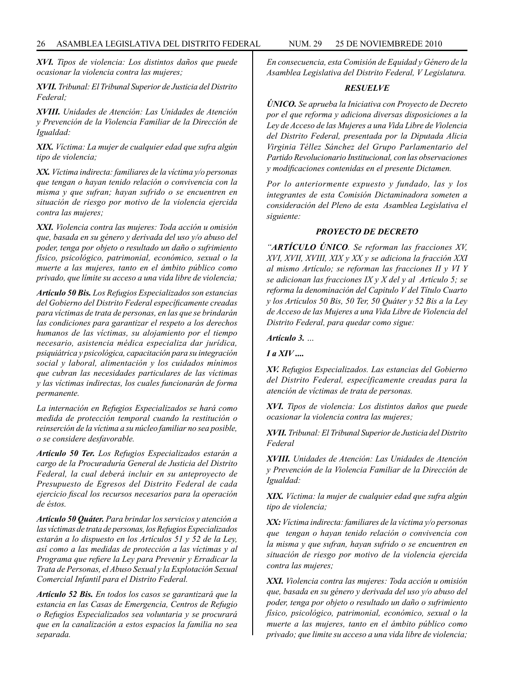*XVI. Tipos de violencia: Los distintos daños que puede ocasionar la violencia contra las mujeres;*

*XVII. Tribunal: El Tribunal Superior de Justicia del Distrito Federal;*

*XVIII. Unidades de Atención: Las Unidades de Atención y Prevención de la Violencia Familiar de la Dirección de Igualdad:*

*XIX. Víctima: La mujer de cualquier edad que sufra algún tipo de violencia;*

*XX. Víctima indirecta: familiares de la víctima y/o personas que tengan o hayan tenido relación o convivencia con la misma y que sufran; hayan sufrido o se encuentren en situación de riesgo por motivo de la violencia ejercida contra las mujeres;*

*XXI. Violencia contra las mujeres: Toda acción u omisión que, basada en su género y derivada del uso y/o abuso del poder, tenga por objeto o resultado un daño o sufrimiento físico, psicológico, patrimonial, económico, sexual o la muerte a las mujeres, tanto en el ámbito público como privado, que límite su acceso a una vida libre de violencia;*

*Artículo 50 Bis. Los Refugios Especializados son estancias del Gobierno del Distrito Federal específicamente creadas para víctimas de trata de personas, en las que se brindarán las condiciones para garantizar el respeto a los derechos humanos de las víctimas, su alojamiento por el tiempo necesario, asistencia médica especializa dar jurídica, psiquiátrica y psicológica, capacitación para su integración social y laboral, alimentación y los cuidados mínimos que cubran las necesidades particulares de las víctimas y las víctimas indirectas, los cuales funcionarán de forma permanente.*

*La internación en Refugios Especializados se hará como medida de protección temporal cuando la restitución o reinserción de la víctima a su núcleo familiar no sea posible, o se considere desfavorable.*

*Artículo 50 Ter. Los Refugios Especializados estarán a cargo de la Procuraduría General de Justicia del Distrito Federal, la cual deberá incluir en su anteproyecto de Presupuesto de Egresos del Distrito Federal de cada ejercicio fiscal los recursos necesarios para la operación de éstos.*

*Artículo 50 Quáter. Para brindar los servicios y atención a las víctimas de trata de personas, los Refugios Especializados estarán a lo dispuesto en los Artículos 51 y 52 de la Ley, así como a las medidas de protección a las víctimas y al Programa que refiere la Ley para Prevenir y Erradicar la Trata de Personas, el Abuso Sexual y la Explotación Sexual Comercial Infantil para el Distrito Federal.*

*Artículo 52 Bis. En todos los casos se garantizará que la estancia en las Casas de Emergencia, Centros de Refugio o Refugios Especializados sea voluntaria y se procurará que en la canalización a estos espacios la familia no sea separada.*

*En consecuencia, esta Comisión de Equidad y Género de la Asamblea Legislativa del Distrito Federal, V Legislatura.*

#### *RESUELVE*

*ÚNICO. Se aprueba la Iniciativa con Proyecto de Decreto por el que reforma y adiciona diversas disposiciones a la Ley de Acceso de las Mujeres a una Vida Libre de Violencia del Distrito Federal, presentada por la Diputada Alicia Virginia Téllez Sánchez del Grupo Parlamentario del Partido Revolucionario Institucional, con las observaciones y modificaciones contenidas en el presente Dictamen.* 

*Por lo anteriormente expuesto y fundado, las y los integrantes de esta Comisión Dictaminadora someten a consideración del Pleno de esta Asamblea Legislativa el siguiente:*

#### *PROYECTO DE DECRETO*

*"ARTÍCULO ÚNICO. Se reforman las fracciones XV, XVI, XVII, XVIII, XIX y XX y se adiciona la fracción XXI al mismo Artículo; se reforman las fracciones II y VI Y se adicionan las fracciones IX y X del y al Artículo 5; se reforma la denominación del Capitulo V del Título Cuarto y los Artículos 50 Bis, 50 Ter, 50 Quáter y 52 Bis a la Ley de Acceso de las Mujeres a una Vida Libre de Violencia del Distrito Federal, para quedar como sigue:*

*Artículo 3. …*

*I a XIV ....* 

*XV. Refugios Especializados. Las estancias del Gobierno del Distrito Federal, específicamente creadas para la atención de víctimas de trata de personas.*

*XVI. Tipos de violencia: Los distintos daños que puede ocasionar la violencia contra las mujeres;*

*XVII. Tribunal: El Tribunal Superior de Justicia del Distrito Federal*

*XVIII. Unidades de Atención: Las Unidades de Atención y Prevención de la Violencia Familiar de la Dirección de Igualdad:*

*XIX. Víctima: la mujer de cualquier edad que sufra algún tipo de violencia;* 

*XX: Víctima indirecta: familiares de la víctima y/o personas que tengan o hayan tenido relación o convivencia con la misma y que sufran, hayan sufrido o se encuentren en situación de riesgo por motivo de la violencia ejercida contra las mujeres;*

*XXI. Violencia contra las mujeres: Toda acción u omisión que, basada en su género y derivada del uso y/o abuso del poder, tenga por objeto o resultado un daño o sufrimiento físico, psicológico, patrimonial, económico, sexual o la muerte a las mujeres, tanto en el ámbito público como privado; que limite su acceso a una vida libre de violencia;*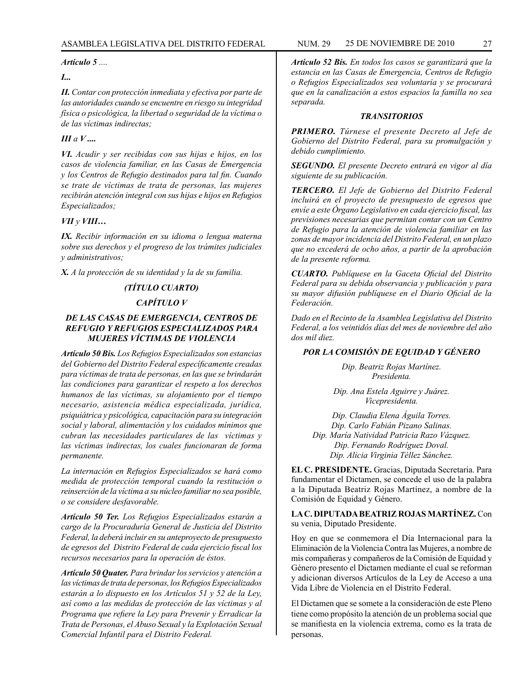*Artículo 5 ....*

# *I...*

*II. Contar con protección inmediata y efectiva por parte de las autoridades cuando se encuentre en riesgo su integridad física o psicológica, la libertad o seguridad de la víctima o de las víctimas indirectas;*

# *III a V ....*

*VI. Acudir y ser recibidas con sus hijas e hijos, en los casos de violencia familiar, en las Casas de Emergencia y los Centros de Refugio destinados para tal fin. Cuando se trate de víctimas de trata de personas, las mujeres recibirán atención integral con sus hijas e hijos en Refugios Especializados;*

# *VII y VIII…*

*IX. Recibir información en su idioma o lengua materna sobre sus derechos y el progreso de los trámites judiciales y administrativos;*

*X. A la protección de su identidad y la de su familia.*

# *(TÍTULO CUARTO)*

# *CAPÍTULO V*

# *DE LAS CASAS DE EMERGENCIA, CENTROS DE REFUGIO Y REFUGIOS ESPECIALIZADOS PARA MUJERES VÍCTIMAS DE VIOLENCIA*

*Artículo 50 Bis. Los Refugios Especializados son estancias del Gobierno del Distrito Federal específicamente creadas para víctimas de trata de personas, en las que se brindarán las condiciones para garantizar el respeto a los derechos humanos de las víctimas, su alojamiento por el tiempo necesario, asistencia médica especializada, jurídica, psiquiátrica y psicológica, capacitación para su integración social y laboral, alimentación y los cuidados mínimos que cubran las necesidades particulares de las víctimas y las víctimas indirectas, los cuales funcionaran de forma permanente.*

*La internación en Refugios Especializados se hará como medida de protección temporal cuando la restitución o reinserción de la víctima a su núcleo familiar no sea posible, o se considere desfavorable.*

*Artículo 50 Ter. Los Refugios Especializados estarán a cargo de la Procuraduría General de Justicia del Distrito Federal, la deberá incluir en su anteproyecto de presupuesto de egresos del Distrito Federal de cada ejercicio fiscal los recursos necesarios para la operación de éstos.*

*Artículo 50 Quater. Para brindar los servicios y atención a las víctimas de trata de personas, los Refugios Especializados estarán a lo dispuesto en los Artículos 51 y 52 de la Ley, así como a las medidas de protección de las víctimas y al Programa que refiere la Ley para Prevenir y Erradicar la Trata de Personas, el Abuso Sexual y la Explotación Sexual Comercial Infantil para el Distrito Federal.*

*Artículo 52 Bís. En todos los casos se garantizará que la estancia en las Casas de Emergencia, Centros de Refugio o Refugios Especializados sea voluntaria y se procurará que en la canalización a estos espacios la familla no sea separada.*

# *TRANSITORIOS*

*PRIMERO. Túrnese el presente Decreto al Jefe de Gobierno del Distrito Federal, para su promulgación y debido cumplimiento.*

*SEGUNDO. El presente Decreto entrará en vigor al día siguiente de su publicación.*

*TERCERO. El Jefe de Gobierno del Distrito Federal incluirá en el proyecto de presupuesto de egresos que envíe a este Órgano Legislativo en cada ejercicio fiscal, las previsiones necesarias que permitan contar con un Centro de Refugio para la atención de violencia familiar en las zonas de mayor incidencia del Distrito Federal, en un plazo que no excederá de ocho años, a partir de la aprobación de la presente reforma.*

*CUARTO. Publíquese en la Gaceta Oficial del Distrito Federal para su debida observancia y publicación y para su mayor difusión publíquese en el Diario Oficial de la Federación.*

*Dado en el Recinto de la Asamblea Legislativa del Distrito Federal, a los veintidós días del mes de noviembre del año dos mil diez.*

# *POR LA COMISIÓN DE EQUIDAD Y GÉNERO*

*Dip. Beatriz Rojas Martínez. Presidenta.*

*Dip. Ana Estela Aguirre y Juárez. Vicepresidenta.*

*Dip. Claudia Elena Águila Torres. Dip. Carlo Fabián Pizano Salinas. Dip. María Natividad Patricia Razo Vázquez. Dip. Fernando Rodríguez Doval. Dip. Alicia Virginia Téllez Sánchez.*

**EL C. PRESIDENTE.** Gracias, Diputada Secretaria. Para fundamentar el Dictamen, se concede el uso de la palabra a la Diputada Beatriz Rojas Martínez, a nombre de la Comisión de Equidad y Género.

**LA C. DIPUTADA BEATRIZ ROJAS MARTÍNEZ.** Con su venia, Diputado Presidente.

Hoy en que se conmemora el Día Internacional para la Eliminación de la Violencia Contra las Mujeres, a nombre de mis compañeras y compañeros de la Comisión de Equidad y Género presento el Dictamen mediante el cual se reforman y adicionan diversos Artículos de la Ley de Acceso a una Vida Libre de Violencia en el Distrito Federal.

El Dictamen que se somete a la consideración de este Pleno tiene como propósito la atención de un problema social que se manifiesta en la violencia extrema, como es la trata de personas.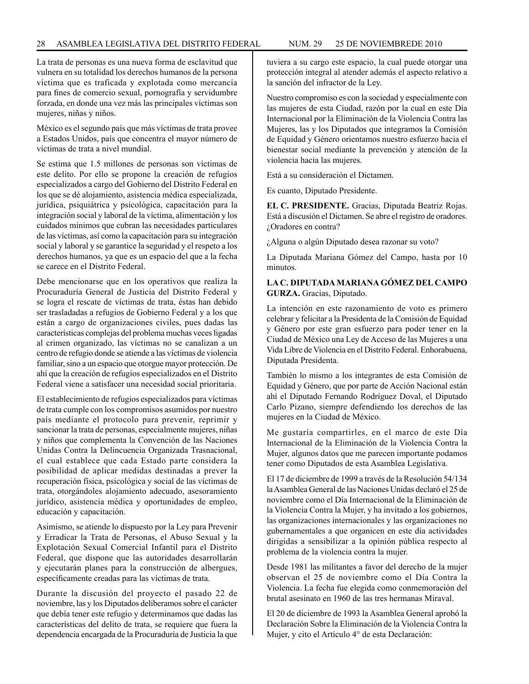La trata de personas es una nueva forma de esclavitud que vulnera en su totalidad los derechos humanos de la persona víctima que es traficada y explotada como mercancía para fines de comercio sexual, pornografía y servidumbre forzada, en donde una vez más las principales víctimas son mujeres, niñas y niños.

México es el segundo país que más víctimas de trata provee a Estados Unidos, país que concentra el mayor número de víctimas de trata a nivel mundial.

Se estima que 1.5 millones de personas son víctimas de este delito. Por ello se propone la creación de refugios especializados a cargo del Gobierno del Distrito Federal en los que se dé alojamiento, asistencia médica especializada, jurídica, psiquiátrica y psicológica, capacitación para la integración social y laboral de la víctima, alimentación y los cuidados mínimos que cubran las necesidades particulares de las víctimas, así como la capacitación para su integración social y laboral y se garantice la seguridad y el respeto a los derechos humanos, ya que es un espacio del que a la fecha se carece en el Distrito Federal.

Debe mencionarse que en los operativos que realiza la Procuraduría General de Justicia del Distrito Federal y se logra el rescate de víctimas de trata, éstas han debido ser trasladadas a refugios de Gobierno Federal y a los que están a cargo de organizaciones civiles, pues dadas las características complejas del problema muchas veces ligadas al crimen organizado, las víctimas no se canalizan a un centro de refugio donde se atiende a las víctimas de violencia familiar, sino a un espacio que otorgue mayor protección. De ahí que la creación de refugios especializados en el Distrito Federal viene a satisfacer una necesidad social prioritaria.

El establecimiento de refugios especializados para víctimas de trata cumple con los compromisos asumidos por nuestro país mediante el protocolo para prevenir, reprimir y sancionar la trata de personas, especialmente mujeres, niñas y niños que complementa la Convención de las Naciones Unidas Contra la Delincuencia Organizada Trasnacional, el cual establece que cada Estado parte considera la posibilidad de aplicar medidas destinadas a prever la recuperación física, psicológica y social de las víctimas de trata, otorgándoles alojamiento adecuado, asesoramiento jurídico, asistencia médica y oportunidades de empleo, educación y capacitación.

Asimismo, se atiende lo dispuesto por la Ley para Prevenir y Erradicar la Trata de Personas, el Abuso Sexual y la Explotación Sexual Comercial Infantil para el Distrito Federal, que dispone que las autoridades desarrollarán y ejecutarán planes para la construcción de albergues, específicamente creadas para las víctimas de trata.

Durante la discusión del proyecto el pasado 22 de noviembre, las y los Diputados deliberamos sobre el carácter que debía tener este refugio y determinamos que dadas las características del delito de trata, se requiere que fuera la dependencia encargada de la Procuraduría de Justicia la que tuviera a su cargo este espacio, la cual puede otorgar una protección integral al atender además el aspecto relativo a la sanción del infractor de la Ley.

Nuestro compromiso es con la sociedad y especialmente con las mujeres de esta Ciudad, razón por la cual en este Día Internacional por la Eliminación de la Violencia Contra las Mujeres, las y los Diputados que integramos la Comisión de Equidad y Género orientamos nuestro esfuerzo hacia el bienestar social mediante la prevención y atención de la violencia hacia las mujeres.

Está a su consideración el Dictamen.

Es cuanto, Diputado Presidente.

**EL C. PRESIDENTE.** Gracias, Diputada Beatriz Rojas. Está a discusión el Dictamen. Se abre el registro de oradores. ¿Oradores en contra?

¿Alguna o algún Diputado desea razonar su voto?

La Diputada Mariana Gómez del Campo, hasta por 10 minutos.

# **LA C. DIPUTADA MARIANA GÓMEZ DEL CAMPO GURZA.** Gracias, Diputado.

La intención en este razonamiento de voto es primero celebrar y felicitar a la Presidenta de la Comisión de Equidad y Género por este gran esfuerzo para poder tener en la Ciudad de México una Ley de Acceso de las Mujeres a una Vida Libre de Violencia en el Distrito Federal. Enhorabuena, Diputada Presidenta.

También lo mismo a los integrantes de esta Comisión de Equidad y Género, que por parte de Acción Nacional están ahí el Diputado Fernando Rodríguez Doval, el Diputado Carlo Pizano, siempre defendiendo los derechos de las mujeres en la Ciudad de México.

Me gustaría compartirles, en el marco de este Día Internacional de la Eliminación de la Violencia Contra la Mujer, algunos datos que me parecen importante podamos tener como Diputados de esta Asamblea Legislativa.

El 17 de diciembre de 1999 a través de la Resolución 54/134 la Asamblea General de las Naciones Unidas declaró el 25 de noviembre como el Día Internacional de la Eliminación de la Violencia Contra la Mujer, y ha invitado a los gobiernos, las organizaciones internacionales y las organizaciones no gubernamentales a que organicen en este día actividades dirigidas a sensibilizar a la opinión pública respecto al problema de la violencia contra la mujer.

Desde 1981 las militantes a favor del derecho de la mujer observan el 25 de noviembre como el Día Contra la Violencia. La fecha fue elegida como conmemoración del brutal asesinato en 1960 de las tres hermanas Miraval.

El 20 de diciembre de 1993 la Asamblea General aprobó la Declaración Sobre la Eliminación de la Violencia Contra la Mujer, y cito el Artículo 4° de esta Declaración: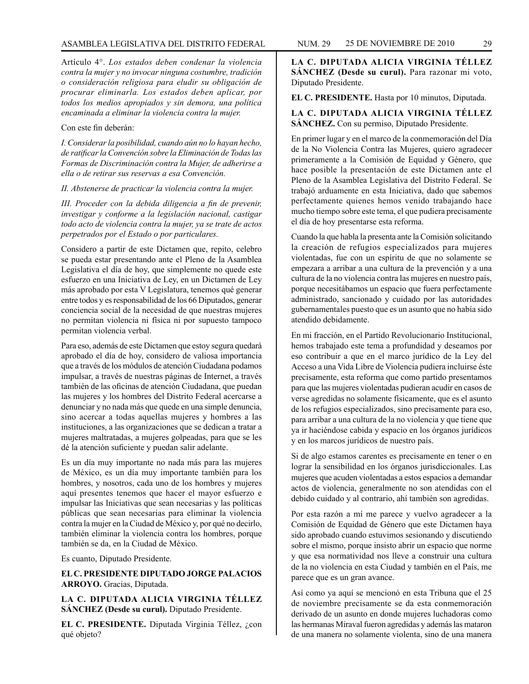Artículo 4°. *Los estados deben condenar la violencia contra la mujer y no invocar ninguna costumbre, tradición o consideración religiosa para eludir su obligación de procurar eliminarla. Los estados deben aplicar, por todos los medios apropiados y sin demora, una política encaminada a eliminar la violencia contra la mujer.*

# Con este fin deberán:

*I. Considerar la posibilidad, cuando aún no lo hayan hecho, de ratificar la Convención sobre la Eliminación de Todas las Formas de Discriminación contra la Mujer, de adherirse a ella o de retirar sus reservas a esa Convención.*

#### *II. Abstenerse de practicar la violencia contra la mujer.*

*III. Proceder con la debida diligencia a fin de prevenir, investigar y conforme a la legislación nacional, castigar todo acto de violencia contra la mujer, ya se trate de actos perpetrados por el Estado o por particulares.*

Considero a partir de este Dictamen que, repito, celebro se pueda estar presentando ante el Pleno de la Asamblea Legislativa el día de hoy, que simplemente no quede este esfuerzo en una Iniciativa de Ley, en un Dictamen de Ley más aprobado por esta V Legislatura, tenemos qué generar entre todos y es responsabilidad de los 66 Diputados, generar conciencia social de la necesidad de que nuestras mujeres no permitan violencia ni física ni por supuesto tampoco permitan violencia verbal.

Para eso, además de este Dictamen que estoy segura quedará aprobado el día de hoy, considero de valiosa importancia que a través de los módulos de atención Ciudadana podamos impulsar, a través de nuestras páginas de Internet, a través también de las oficinas de atención Ciudadana, que puedan las mujeres y los hombres del Distrito Federal acercarse a denunciar y no nada más que quede en una simple denuncia, sino acercar a todas aquellas mujeres y hombres a las instituciones, a las organizaciones que se dedican a tratar a mujeres maltratadas, a mujeres golpeadas, para que se les dé la atención suficiente y puedan salir adelante.

Es un día muy importante no nada más para las mujeres de México, es un día muy importante también para los hombres, y nosotros, cada uno de los hombres y mujeres aquí presentes tenemos que hacer el mayor esfuerzo e impulsar las Iniciativas que sean necesarias y las políticas públicas que sean necesarias para eliminar la violencia contra la mujer en la Ciudad de México y, por qué no decirlo, también eliminar la violencia contra los hombres, porque también se da, en la Ciudad de México.

Es cuanto, Diputado Presidente.

**EL C. PRESIDENTE DIPUTADO JORGE PALACIOS ARROYO.** Gracias, Diputada.

**LA C. DIPUTADA ALICIA VIRGINIA TÉLLEZ SÁNCHEZ (Desde su curul).** Diputado Presidente.

**EL C. PRESIDENTE.** Diputada Virginia Téllez, ¿con qué objeto?

**LA C. DIPUTADA ALICIA VIRGINIA TÉLLEZ SÁNCHEZ (Desde su curul).** Para razonar mi voto, Diputado Presidente.

#### **EL C. PRESIDENTE.** Hasta por 10 minutos, Diputada.

# **LA C. DIPUTADA ALICIA VIRGINIA TÉLLEZ SÁNCHEZ.** Con su permiso, Diputado Presidente.

En primer lugar y en el marco de la conmemoración del Día de la No Violencia Contra las Mujeres, quiero agradecer primeramente a la Comisión de Equidad y Género, que hace posible la presentación de este Dictamen ante el Pleno de la Asamblea Legislativa del Distrito Federal. Se trabajó arduamente en esta Iniciativa, dado que sabemos perfectamente quienes hemos venido trabajando hace mucho tiempo sobre este tema, el que pudiera precisamente el día de hoy presentarse esta reforma.

Cuando la que habla la presenta ante la Comisión solicitando la creación de refugios especializados para mujeres violentadas, fue con un espíritu de que no solamente se empezara a arribar a una cultura de la prevención y a una cultura de la no violencia contra las mujeres en nuestro país, porque necesitábamos un espacio que fuera perfectamente administrado, sancionado y cuidado por las autoridades gubernamentales puesto que es un asunto que no había sido atendido debidamente.

En mi fracción, en el Partido Revolucionario Institucional, hemos trabajado este tema a profundidad y deseamos por eso contribuir a que en el marco jurídico de la Ley del Acceso a una Vida Libre de Violencia pudiera incluirse éste precisamente, esta reforma que como partido presentamos para que las mujeres violentadas pudieran acudir en casos de verse agredidas no solamente físicamente, que es el asunto de los refugios especializados, sino precisamente para eso, para arribar a una cultura de la no violencia y que tiene que ya ir haciéndose cabida y espacio en los órganos jurídicos y en los marcos jurídicos de nuestro país.

Si de algo estamos carentes es precisamente en tener o en lograr la sensibilidad en los órganos jurisdiccionales. Las mujeres que acuden violentadas a estos espacios a demandar actos de violencia, generalmente no son atendidas con el debido cuidado y al contrario, ahí también son agredidas.

Por esta razón a mí me parece y vuelvo agradecer a la Comisión de Equidad de Género que este Dictamen haya sido aprobado cuando estuvimos sesionando y discutiendo sobre el mismo, porque insisto abrir un espacio que norme y que esa normatividad nos lleve a construir una cultura de la no violencia en esta Ciudad y también en el País, me parece que es un gran avance.

Así como ya aquí se mencionó en esta Tribuna que el 25 de noviembre precisamente se da esta conmemoración derivado de un asunto en donde mujeres luchadoras como las hermanas Miraval fueron agredidas y además las mataron de una manera no solamente violenta, sino de una manera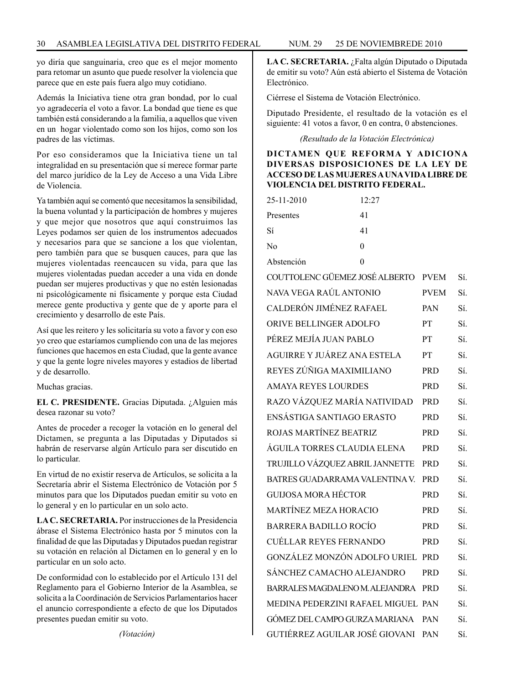yo diría que sanguinaria, creo que es el mejor momento para retomar un asunto que puede resolver la violencia que parece que en este país fuera algo muy cotidiano.

Además la Iniciativa tiene otra gran bondad, por lo cual yo agradecería el voto a favor. La bondad que tiene es que también está considerando a la familia, a aquellos que viven en un hogar violentado como son los hijos, como son los padres de las víctimas.

Por eso consideramos que la Iniciativa tiene un tal integralidad en su presentación que sí merece formar parte del marco jurídico de la Ley de Acceso a una Vida Libre de Violencia.

Ya también aquí se comentó que necesitamos la sensibilidad, la buena voluntad y la participación de hombres y mujeres y que mejor que nosotros que aquí construimos las Leyes podamos ser quien de los instrumentos adecuados y necesarios para que se sancione a los que violentan, pero también para que se busquen cauces, para que las mujeres violentadas reencaucen su vida, para que las mujeres violentadas puedan acceder a una vida en donde puedan ser mujeres productivas y que no estén lesionadas ni psicológicamente ni físicamente y porque esta Ciudad merece gente productiva y gente que de y aporte para el crecimiento y desarrollo de este País.

Así que les reitero y les solicitaría su voto a favor y con eso yo creo que estaríamos cumpliendo con una de las mejores funciones que hacemos en esta Ciudad, que la gente avance y que la gente logre niveles mayores y estadios de libertad y de desarrollo.

Muchas gracias.

**EL C. PRESIDENTE.** Gracias Diputada. ¿Alguien más desea razonar su voto?

Antes de proceder a recoger la votación en lo general del Dictamen, se pregunta a las Diputadas y Diputados si habrán de reservarse algún Artículo para ser discutido en lo particular.

En virtud de no existir reserva de Artículos, se solicita a la Secretaría abrir el Sistema Electrónico de Votación por 5 minutos para que los Diputados puedan emitir su voto en lo general y en lo particular en un solo acto.

**LA C. SECRETARIA.** Por instrucciones de la Presidencia ábrase el Sistema Electrónico hasta por 5 minutos con la finalidad de que las Diputadas y Diputados puedan registrar su votación en relación al Dictamen en lo general y en lo particular en un solo acto.

De conformidad con lo establecido por el Artículo 131 del Reglamento para el Gobierno Interior de la Asamblea, se solicita a la Coordinación de Servicios Parlamentarios hacer el anuncio correspondiente a efecto de que los Diputados presentes puedan emitir su voto.

*(Votación)*

**LA C. SECRETARIA.** ¿Falta algún Diputado o Diputada de emitir su voto? Aún está abierto el Sistema de Votación Electrónico.

Ciérrese el Sistema de Votación Electrónico.

Diputado Presidente, el resultado de la votación es el siguiente: 41 votos a favor, 0 en contra, 0 abstenciones.

*(Resultado de la Votación Electrónica)*

# **DICTAMEN QUE REFORMA Y ADICIONA DIVERSAS DISPOSICIONES DE LA LEY DE ACCESO DE LAS MUJERES A UNA VIDA LIBRE DE VIOLENCIA DEL DISTRITO FEDERAL.**

| 25-11-2010                         | 12:27    |             |     |
|------------------------------------|----------|-------------|-----|
| Presentes                          | 41       |             |     |
| Sí                                 | 41       |             |     |
| No                                 | $\theta$ |             |     |
| Abstención                         | 0        |             |     |
| COUTTOLENC GÜEMEZ JOSÉ ALBERTO     |          | <b>PVEM</b> | Sí. |
| NAVA VEGA RAÚL ANTONIO             |          | <b>PVEM</b> | Sí. |
| CALDERÓN JIMÉNEZ RAFAEL            |          | PAN         | Sí. |
| <b>ORIVE BELLINGER ADOLFO</b>      |          | ${\cal PT}$ | Sí. |
| PÉREZ MEJÍA JUAN PABLO             |          | PT          | Sí. |
| AGUIRRE Y JUÁREZ ANA ESTELA        |          | PT.         | Sí. |
| REYES ZÚÑIGA MAXIMILIANO           |          | <b>PRD</b>  | Sí. |
| <b>AMAYA REYES LOURDES</b>         |          | <b>PRD</b>  | Sí. |
| RAZO VÁZQUEZ MARÍA NATIVIDAD       |          | <b>PRD</b>  | Sí. |
| ENSÁSTIGA SANTIAGO ERASTO          |          | PRD         | Sí. |
| ROJAS MARTÍNEZ BEATRIZ             |          | <b>PRD</b>  | Sí. |
| ÁGUILA TORRES CLAUDIA ELENA        |          | <b>PRD</b>  | Sí. |
| TRUJILLO VÁZQUEZ ABRIL JANNETTE    |          | PRD         | Sí. |
| BATRES GUADARRAMA VALENTINA V.     |          | <b>PRD</b>  | Sí. |
| <b>GUIJOSA MORA HÉCTOR</b>         |          | <b>PRD</b>  | Sí. |
| <b>MARTÍNEZ MEZA HORACIO</b>       |          | <b>PRD</b>  | Sí. |
| <b>BARRERA BADILLO ROCÍO</b>       |          | <b>PRD</b>  | Sí. |
| <b>CUÉLLAR REYES FERNANDO</b>      |          | PRD         | Sí. |
| GONZÁLEZ MONZÓN ADOLFO URIEL PRD   |          |             | Sí. |
| SÁNCHEZ CAMACHO ALEJANDRO          |          | <b>PRD</b>  | Sí. |
| BARRALES MAGDALENO M. ALEJANDRA    |          | <b>PRD</b>  | Sí. |
| MEDINA PEDERZINI RAFAEL MIGUEL PAN |          |             | Sí. |
| GÓMEZ DEL CAMPO GURZA MARIANA      |          | PAN         | Sí. |
| GUTIÉRREZ AGUILAR JOSÉ GIOVANI     |          | PAN         | Sí. |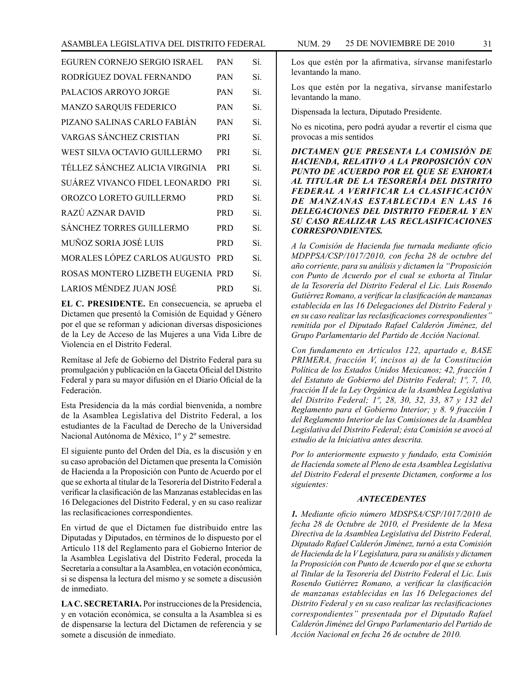| EGUREN CORNEJO SERGIO ISRAEL      | <b>PAN</b> | Sí. |
|-----------------------------------|------------|-----|
| RODRÍGUEZ DOVAL FERNANDO          | <b>PAN</b> | Sí. |
| PALACIOS ARROYO JORGE             | PAN        | Sí. |
| <b>MANZO SARQUIS FEDERICO</b>     | <b>PAN</b> | Sí. |
| PIZANO SALINAS CARLO FABIÁN       | <b>PAN</b> | Sí. |
| VARGAS SÁNCHEZ CRISTIAN           | PRI        | Sí. |
| WEST SILVA OCTAVIO GUILLERMO      | <b>PRI</b> | Sí. |
| TÉLLEZ SÁNCHEZ ALICIA VIRGINIA    | <b>PRI</b> | Sí. |
| SUÁREZ VIVANCO FIDEL LEONARDO     | <b>PRI</b> | Sí. |
| OROZCO LORETO GUILLERMO           | <b>PRD</b> | Sí. |
| RAZÚ AZNAR DAVID                  | <b>PRD</b> | Sí. |
| <b>SÁNCHEZ TORRES GUILLERMO</b>   | <b>PRD</b> | Sí. |
| MUÑOZ SORIA JOSÉ LUIS             | <b>PRD</b> | Sí. |
| MORALES LÓPEZ CARLOS AUGUSTO      | <b>PRD</b> | Sí. |
| ROSAS MONTERO LIZBETH EUGENIA PRD |            | Sí. |
| LARIOS MÉNDEZ JUAN JOSÉ           | <b>PRD</b> | Sí. |

**EL C. PRESIDENTE.** En consecuencia, se aprueba el Dictamen que presentó la Comisión de Equidad y Género por el que se reforman y adicionan diversas disposiciones de la Ley de Acceso de las Mujeres a una Vida Libre de Violencia en el Distrito Federal.

Remítase al Jefe de Gobierno del Distrito Federal para su promulgación y publicación en la Gaceta Oficial del Distrito Federal y para su mayor difusión en el Diario Oficial de la Federación.

Esta Presidencia da la más cordial bienvenida, a nombre de la Asamblea Legislativa del Distrito Federal, a los estudiantes de la Facultad de Derecho de la Universidad Nacional Autónoma de México, 1º y 2º semestre.

El siguiente punto del Orden del Día, es la discusión y en su caso aprobación del Dictamen que presenta la Comisión de Hacienda a la Proposición con Punto de Acuerdo por el que se exhorta al titular de la Tesorería del Distrito Federal a verificar la clasificación de las Manzanas establecidas en las 16 Delegaciones del Distrito Federal, y en su caso realizar las reclasificaciones correspondientes.

En virtud de que el Dictamen fue distribuido entre las Diputadas y Diputados, en términos de lo dispuesto por el Artículo 118 del Reglamento para el Gobierno Interior de la Asamblea Legislativa del Distrito Federal, proceda la Secretaría a consultar a la Asamblea, en votación económica, si se dispensa la lectura del mismo y se somete a discusión de inmediato.

**LA C. SECRETARIA.** Por instrucciones de la Presidencia, y en votación económica, se consulta a la Asamblea si es de dispensarse la lectura del Dictamen de referencia y se somete a discusión de inmediato.

Los que estén por la afirmativa, sírvanse manifestarlo levantando la mano.

Los que estén por la negativa, sírvanse manifestarlo levantando la mano.

Dispensada la lectura, Diputado Presidente.

No es nicotina, pero podrá ayudar a revertir el cisma que provocas a mis sentidos

*DICTAMEN QUE PRESENTA LA COMISIÓN DE HACIENDA, RELATIVO A LA PROPOSICIÓN CON PUNTO DE ACUERDO POR EL QUE SE EXHORTA AL TITULAR DE LA TESORERÍA DEL DISTRITO FEDERAL A VERIFICAR LA CLASIFICACIÓN DE MANZANAS ESTABLECIDA EN LAS 16 DELEGACIONES DEL DISTRITO FEDERAL Y EN SU CASO REALIZAR LAS RECLASIFICACIONES CORRESPONDIENTES.*

*A la Comisión de Hacienda fue turnada mediante oficio MDPPSA/CSP/1017/2010, con fecha 28 de octubre del año corriente, para su análisis y dictamen la "Proposición con Punto de Acuerdo por el cual se exhorta al Titular de la Tesorería del Distrito Federal el Lic. Luis Rosendo Gutiérrez Romano, a verificar la clasificación de manzanas establecida en las 16 Delegaciones del Distrito Federal y en su caso realizar las reclasificaciones correspondientes" remitida por el Diputado Rafael Calderón Jiménez, del Grupo Parlamentario del Partido de Acción Nacional.*

*Con fundamento en Artículos 122, apartado e, BASE PRIMERA, fracción V, incisos a) de la Constitución Política de los Estados Unidos Mexicanos; 42, fracción I del Estatuto de Gobierno del Distrito Federal; 1º, 7, 10, fracción II de la Ley Orgánica de la Asamblea Legislativa del Distrito Federal; 1º, 28, 30, 32, 33, 87 y 132 del Reglamento para el Gobierno Interior; y 8. 9 fracción I del Reglamento Interior de las Comisiones de la Asamblea Legislativa del Distrito Federal; ésta Comisión se avocó al estudio de la Iniciativa antes descrita.*

*Por lo anteriormente expuesto y fundado, esta Comisión de Hacienda somete al Pleno de esta Asamblea Legislativa del Distrito Federal el presente Dictamen, conforme a los siguientes:*

#### *ANTECEDENTES*

*1. Mediante oficio número MDSPSA/CSP/1017/2010 de fecha 28 de Octubre de 2010, el Presidente de la Mesa Directiva de la Asamblea Legislativa del Distrito Federal, Diputado Rafael Calderón Jiménez, turnó a esta Comisión de Hacienda de la V Legislatura, para su análisis y dictamen la Proposición con Punto de Acuerdo por el que se exhorta al Titular de la Tesorería del Distrito Federal el Lic. Luis Rosendo Gutiérrez Romano, a verificar la clasificación de manzanas establecidas en las 16 Delegaciones del Distrito Federal y en su caso realizar las reclasificaciones correspondientes" presentada por el Diputado Rafael Calderón Jiménez del Grupo Parlamentario del Partido de Acción Nacional en fecha 26 de octubre de 2010.*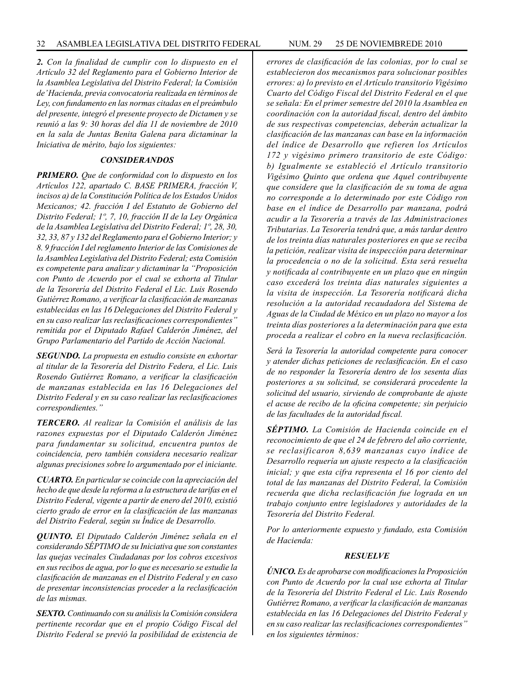*2. Con la finalidad de cumplir con lo dispuesto en el Artículo 32 del Reglamento para el Gobierno Interior de la Asamblea Legislativa del Distrito Federal; la Comisión de' Hacienda, previa convocatoria realizada en términos de Ley, con fundamento en las normas citadas en el preámbulo del presente, integró el presente proyecto de Dictamen y se reunió a las 9: 30 horas del día 11 de noviembre de 2010 en la sala de Juntas Benita Galena para dictaminar la Iniciativa de mérito, bajo los siguientes:*

#### *CONSIDERANDOS*

*PRIMERO. Que de conformidad con lo dispuesto en los Artículos 122, apartado C. BASE PRIMERA, fracción V, incisos a) de la Constitución Política de los Estados Unidos Mexicanos; 42. fracción I del Estatuto de Gobierno del Distrito Federal; 1º, 7, 10, fracción II de la Ley Orgánica de la Asamblea Legislativa del Distrito Federal; 1º, 28, 30, 32, 33, 87 y 132 del Reglamento para el Gobierno Interior; y 8. 9 fracción I del reglamento Interior de las Comisiones de la Asamblea Legislativa del Distrito Federal; esta Comisión es competente para analizar y dictaminar la "Proposición con Punto de Acuerdo por el cual se exhorta al Titular de la Tesorería del Distrito Federal el Lic. Luis Rosendo Gutiérrez Romano, a verificar la clasificación de manzanas establecidas en las 16 Delegaciones del Distrito Federal y en su caso realizar las reclasificaciones correspondientes" remitida por el Diputado Rafael Calderón Jiménez, del Grupo Parlamentario del Partido de Acción Nacional.*

*SEGUNDO. La propuesta en estudio consiste en exhortar al titular de la Tesorería del Distrito Federa, el Lic. Luis Rosendo Gutiérrez Romano, a verificar la clasificación de manzanas establecida en las 16 Delegaciones del Distrito Federal y en su caso realizar las reclasificaciones correspondientes."*

*TERCERO. Al realizar la Comisión el análisis de las razones expuestas por el Diputado Calderón Jiménez para fundamentar su solicitud, encuentra puntos de coincidencia, pero también considera necesario realizar algunas precisiones sobre lo argumentado por el iniciante.*

*CUARTO. En particular se coincide con la apreciación del hecho de que desde la reforma a la estructura de tarifas en el Distrito Federal, vigente a partir de enero del 2010, existió cierto grado de error en la clasificación de las manzanas del Distrito Federal, según su Índice de Desarrollo.*

*QUINTO. El Diputado Calderón Jiménez señala en el considerando SÉPTIMO de su Iniciativa que son constantes las quejas vecinales Ciudadanas por los cobros excesivos en sus recibos de agua, por lo que es necesario se estudie la clasificación de manzanas en el Distrito Federal y en caso de presentar inconsistencias proceder a la reclasificación de las mismas.*

*SEXTO. Continuando con su análisis la Comisión considera pertinente recordar que en el propio Código Fiscal del Distrito Federal se previó la posibilidad de existencia de* 

*errores de clasificación de las colonias, por lo cual se establecieron dos mecanismos para solucionar posibles errores: a) lo previsto en el Artículo transitorio Vigésimo Cuarto del Código Fiscal del Distrito Federal en el que se señala: En el primer semestre del 2010 la Asamblea en coordinación con la autoridad fiscal, dentro del ámbito de sus respectivas competencias, deberán actualizar la clasificación de las manzanas can base en la información del índice de Desarrollo que refieren los Artículos 172 y vigésimo primero transitorio de este Código: b) Igualmente se estableció el Artículo transitorio Vigésimo Quinto que ordena que Aquel contribuyente que considere que la clasificación de su toma de agua no corresponde a lo determinado por este Código ron base en el índice de Desarrollo par manzana, podrá acudir a la Tesorería a través de las Administraciones Tributarias. La Tesorería tendrá que, a más tardar dentro de los treinta días naturales posteriores en que se reciba la petición, realizar visita de inspección para determinar la procedencia o no de la solicitud. Esta será resuelta y notificada al contribuyente en un plazo que en ningún caso excederá los treinta días naturales siguientes a la visita de inspección. La Tesorería notificará dicha resolución a la autoridad recaudadora del Sistema de Aguas de la Ciudad de México en un plazo no mayor a los treinta días posteriores a la determinación para que esta proceda a realizar el cobro en la nueva reclasificación.*

*Será la Tesorería la autoridad competente para conocer y atender dichas peticiones de reclasificación. En el caso de no responder la Tesorería dentro de los sesenta días posteriores a su solicitud, se considerará procedente la solicitud del usuario, sirviendo de comprobante de ajuste el acuse de recibo de la oficina competente; sin perjuicio de las facultades de la autoridad fiscal.*

*SÉPTIMO. La Comisión de Hacienda coincide en el reconocimiento de que el 24 de febrero del año corriente, se reclasificaron 8,639 manzanas cuyo índice de Desarrollo requería un ajuste respecto a la clasificación inicial; y que esta cifra representa el 16 por ciento del total de las manzanas del Distrito Federal, la Comisión recuerda que dicha reclasificación fue lograda en un trabajo conjunto entre legisladores y autoridades de la Tesorería del Distrito Federal.*

*Por lo anteriormente expuesto y fundado, esta Comisión de Hacienda:*

#### *RESUELVE*

*ÚNICO. Es de aprobarse con modificaciones la Proposición con Punto de Acuerdo por la cual use exhorta al Titular de la Tesorería del Distrito Federal el Lic. Luis Rosendo Gutiérrez Romano, a verificar la clasificación de manzanas establecida en las 16 Delegaciones del Distrito Federal y en su caso realizar las reclasificaciones correspondientes" en los siguientes términos:*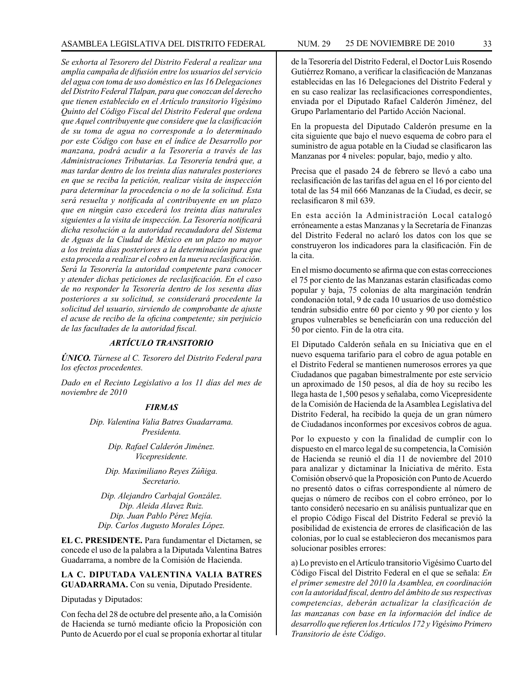*Se exhorta al Tesorero del Distrito Federal a realizar una amplia campaña de difusión entre los usuarios del servicio del agua con toma de uso doméstico en las 16 Delegaciones del Distrito Federal Tlalpan, para que conozcan del derecho que tienen establecido en el Artículo transitorio Vigésimo Quinto del Código Fiscal del Distrito Federal que ordena que Aquel contribuyente que considere que la clasificación de su toma de agua no corresponde a lo determinado por este Código con base en el índice de Desarrollo por manzana, podrá acudir a la Tesorería a través de las Administraciones Tributarias. La Tesorería tendrá que, a mas tardar dentro de los treinta días naturales posteriores en que se reciba la petición, realizar visita de inspección para determinar la procedencia o no de la solicitud. Esta será resuelta y notificada al contribuyente en un plazo que en ningún caso excederá los treinta días naturales siguientes a la visita de inspección. La Tesorería notificará dicha resolución a la autoridad recaudadora del Sistema de Aguas de la Ciudad de México en un plazo no mayor a los treinta días posteriores a la determinación para que esta proceda a realizar el cobro en la nueva reclasificación. Será la Tesorería la autoridad competente para conocer y atender dichas peticiones de reclasificación. En el caso de no responder la Tesorería dentro de los sesenta días posteriores a su solicitud, se considerará procedente la solicitud del usuario, sirviendo de comprobante de ajuste el acuse de recibo de la oficina competente; sin perjuicio de las facultades de la autoridad fiscal.*

# *ARTÍCULO TRANSITORIO*

*ÚNICO. Túrnese al C. Tesorero del Distrito Federal para los efectos procedentes.*

*Dado en el Recinto Legislativo a los 11 días del mes de noviembre de 2010*

#### *FIRMAS*

*Dip. Valentina Valia Batres Guadarrama. Presidenta.*

> *Dip. Rafael Calderón Jiménez. Vicepresidente.*

*Dip. Maximiliano Reyes Zúñiga. Secretario.* 

*Dip. Alejandro Carbajal González. Dip. Aleida Alavez Ruiz. Dip. Juan Pablo Pérez Mejía. Dip. Carlos Augusto Morales López.*

**EL C. PRESIDENTE.** Para fundamentar el Dictamen, se concede el uso de la palabra a la Diputada Valentina Batres Guadarrama, a nombre de la Comisión de Hacienda.

# **LA C. DIPUTADA VALENTINA VALIA BATRES GUADARRAMA.** Con su venia, Diputado Presidente.

Diputadas y Diputados:

Con fecha del 28 de octubre del presente año, a la Comisión de Hacienda se turnó mediante oficio la Proposición con Punto de Acuerdo por el cual se proponía exhortar al titular

de la Tesorería del Distrito Federal, el Doctor Luis Rosendo Gutiérrez Romano, a verificar la clasificación de Manzanas establecidas en las 16 Delegaciones del Distrito Federal y en su caso realizar las reclasificaciones correspondientes, enviada por el Diputado Rafael Calderón Jiménez, del Grupo Parlamentario del Partido Acción Nacional.

En la propuesta del Diputado Calderón presume en la cita siguiente que bajo el nuevo esquema de cobro para el suministro de agua potable en la Ciudad se clasificaron las Manzanas por 4 niveles: popular, bajo, medio y alto.

Precisa que el pasado 24 de febrero se llevó a cabo una reclasificación de las tarifas del agua en el 16 por ciento del total de las 54 mil 666 Manzanas de la Ciudad, es decir, se reclasificaron 8 mil 639.

En esta acción la Administración Local catalogó erróneamente a estas Manzanas y la Secretaría de Finanzas del Distrito Federal no aclaró los datos con los que se construyeron los indicadores para la clasificación. Fin de la cita.

En el mismo documento se afirma que con estas correcciones el 75 por ciento de las Manzanas estarán clasificadas como popular y baja, 75 colonias de alta marginación tendrán condonación total, 9 de cada 10 usuarios de uso doméstico tendrán subsidio entre 60 por ciento y 90 por ciento y los grupos vulnerables se beneficiarán con una reducción del 50 por ciento. Fin de la otra cita.

El Diputado Calderón señala en su Iniciativa que en el nuevo esquema tarifario para el cobro de agua potable en el Distrito Federal se mantienen numerosos errores ya que Ciudadanos que pagaban bimestralmente por este servicio un aproximado de 150 pesos, al día de hoy su recibo les llega hasta de 1,500 pesos y señalaba, como Vicepresidente de la Comisión de Hacienda de la Asamblea Legislativa del Distrito Federal, ha recibido la queja de un gran número de Ciudadanos inconformes por excesivos cobros de agua.

Por lo expuesto y con la finalidad de cumplir con lo dispuesto en el marco legal de su competencia, la Comisión de Hacienda se reunió el día 11 de noviembre del 2010 para analizar y dictaminar la Iniciativa de mérito. Esta Comisión observó que la Proposición con Punto de Acuerdo no presentó datos o cifras correspondiente al número de quejas o número de recibos con el cobro erróneo, por lo tanto consideró necesario en su análisis puntualizar que en el propio Código Fiscal del Distrito Federal se previó la posibilidad de existencia de errores de clasificación de las colonias, por lo cual se establecieron dos mecanismos para solucionar posibles errores:

a) Lo previsto en el Artículo transitorio Vigésimo Cuarto del Código Fiscal del Distrito Federal en el que se señala: *En el primer semestre del 2010 la Asamblea, en coordinación con la autoridad fiscal, dentro del ámbito de sus respectivas competencias, deberán actualizar la clasificación de las manzanas con base en la información del índice de desarrollo que refieren los Artículos 172 y Vigésimo Primero Transitorio de éste Código*.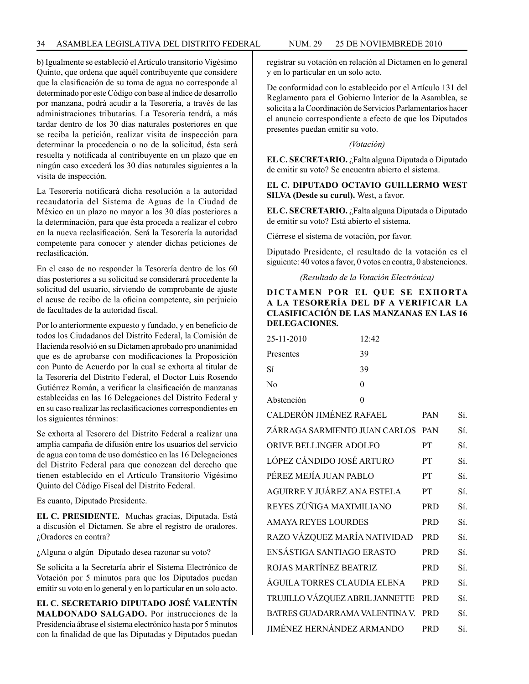b) Igualmente se estableció el Artículo transitorio Vigésimo Quinto, que ordena que aquél contribuyente que considere que la clasificación de su toma de agua no corresponde al determinado por este Código con base al índice de desarrollo por manzana, podrá acudir a la Tesorería, a través de las administraciones tributarias. La Tesorería tendrá, a más tardar dentro de los 30 días naturales posteriores en que se reciba la petición, realizar visita de inspección para determinar la procedencia o no de la solicitud, ésta será resuelta y notificada al contribuyente en un plazo que en ningún caso excederá los 30 días naturales siguientes a la visita de inspección.

La Tesorería notificará dicha resolución a la autoridad recaudatoria del Sistema de Aguas de la Ciudad de México en un plazo no mayor a los 30 días posteriores a la determinación, para que ésta proceda a realizar el cobro en la nueva reclasificación. Será la Tesorería la autoridad competente para conocer y atender dichas peticiones de reclasificación.

En el caso de no responder la Tesorería dentro de los 60 días posteriores a su solicitud se considerará procedente la solicitud del usuario, sirviendo de comprobante de ajuste el acuse de recibo de la oficina competente, sin perjuicio de facultades de la autoridad fiscal.

Por lo anteriormente expuesto y fundado, y en beneficio de todos los Ciudadanos del Distrito Federal, la Comisión de Hacienda resolvió en su Dictamen aprobado pro unanimidad que es de aprobarse con modificaciones la Proposición con Punto de Acuerdo por la cual se exhorta al titular de la Tesorería del Distrito Federal, el Doctor Luis Rosendo Gutiérrez Román, a verificar la clasificación de manzanas establecidas en las 16 Delegaciones del Distrito Federal y en su caso realizar las reclasificaciones correspondientes en los siguientes términos:

Se exhorta al Tesorero del Distrito Federal a realizar una amplia campaña de difusión entre los usuarios del servicio de agua con toma de uso doméstico en las 16 Delegaciones del Distrito Federal para que conozcan del derecho que tienen establecido en el Artículo Transitorio Vigésimo Quinto del Código Fiscal del Distrito Federal.

Es cuanto, Diputado Presidente.

**EL C. PRESIDENTE.** Muchas gracias, Diputada. Está a discusión el Dictamen. Se abre el registro de oradores. ¿Oradores en contra?

¿Alguna o algún Diputado desea razonar su voto?

Se solicita a la Secretaría abrir el Sistema Electrónico de Votación por 5 minutos para que los Diputados puedan emitir su voto en lo general y en lo particular en un solo acto.

**EL C. SECRETARIO DIPUTADO JOSÉ VALENTÍN MALDONADO SALGADO.** Por instrucciones de la Presidencia ábrase el sistema electrónico hasta por 5 minutos con la finalidad de que las Diputadas y Diputados puedan registrar su votación en relación al Dictamen en lo general y en lo particular en un solo acto.

De conformidad con lo establecido por el Artículo 131 del Reglamento para el Gobierno Interior de la Asamblea, se solicita a la Coordinación de Servicios Parlamentarios hacer el anuncio correspondiente a efecto de que los Diputados presentes puedan emitir su voto.

*(Votación)*

**EL C. SECRETARIO.** ¿Falta alguna Diputada o Diputado de emitir su voto? Se encuentra abierto el sistema.

**EL C. DIPUTADO OCTAVIO GUILLERMO WEST SILVA (Desde su curul).** West, a favor.

**EL C. SECRETARIO.** ¿Falta alguna Diputada o Diputado de emitir su voto? Está abierto el sistema.

Ciérrese el sistema de votación, por favor.

Diputado Presidente, el resultado de la votación es el siguiente: 40 votos a favor, 0 votos en contra, 0 abstenciones.

*(Resultado de la Votación Electrónica)*

# **DICTAMEN POR EL QUE SE EXHORTA A LA TESORERÍA DEL DF A VERIFICAR LA CLASIFICACIÓN DE LAS MANZANAS EN LAS 16 DELEGACIONES.**

| 25-11-2010                         | 12:42    |            |     |
|------------------------------------|----------|------------|-----|
| Presentes                          | 39       |            |     |
| Sí                                 | 39       |            |     |
| No                                 | $\theta$ |            |     |
| Abstención                         | $\theta$ |            |     |
| CALDERÓN JIMÉNEZ RAFAEL            |          | <b>PAN</b> | Sí. |
| ZÁRRAGA SARMIENTO JUAN CARLOS      |          | <b>PAN</b> | Sí. |
| ORIVE BELLINGER ADOLFO             |          | <b>PT</b>  | Sí. |
| LÓPEZ CÁNDIDO JOSÉ ARTURO          |          | <b>PT</b>  | Sí. |
| PÉREZ MEJÍA JUAN PABLO             |          | PT         | Sí. |
| AGUIRRE Y JUÁREZ ANA ESTELA        |          | <b>PT</b>  | Sí. |
| REYES ZÚÑIGA MAXIMILIANO           |          | <b>PRD</b> | Sí. |
| <b>AMAYA REYES LOURDES</b>         |          | <b>PRD</b> | Sí. |
| RAZO VÁZQUEZ MARÍA NATIVIDAD       |          | <b>PRD</b> | Sí. |
| ENSÁSTIGA SANTIAGO ERASTO          |          | <b>PRD</b> | Sí. |
| ROJAS MARTÍNEZ BEATRIZ             |          | <b>PRD</b> | Sí. |
| ÁGUILA TORRES CLAUDIA ELENA        |          | <b>PRD</b> | Sí. |
| TRUJILLO VÁZQUEZ ABRIL JANNETTE    |          | <b>PRD</b> | Sí. |
| BATRES GUADARRAMA VALENTINA V. PRD |          |            | Sí. |
| <b>JIMÉNEZ HERNÁNDEZ ARMANDO</b>   |          | <b>PRD</b> | Sí. |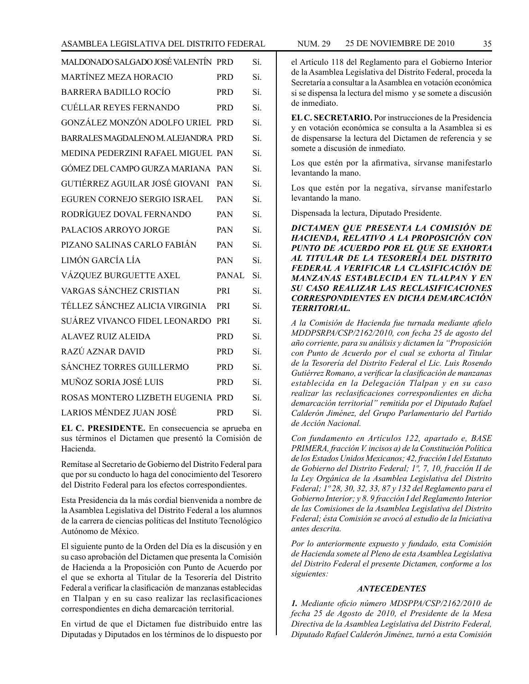| MALDONADO SALGADO JOSÉ VALENTÍN PRD |              | Sí. |
|-------------------------------------|--------------|-----|
| <b>MARTÍNEZ MEZA HORACIO</b>        | <b>PRD</b>   | Sí. |
| <b>BARRERA BADILLO ROCÍO</b>        | <b>PRD</b>   | Sí. |
| <b>CUÉLLAR REYES FERNANDO</b>       | <b>PRD</b>   | Sí. |
| GONZÁLEZ MONZÓN ADOLFO URIEL PRD    |              | Sí. |
| BARRALES MAGDALENO M. ALEJANDRA PRD |              | Sí. |
| MEDINA PEDERZINI RAFAEL MIGUEL PAN  |              | Sí. |
| GÓMEZ DEL CAMPO GURZA MARIANA PAN   |              | Sí. |
| GUTIÉRREZ AGUILAR JOSÉ GIOVANI      | <b>PAN</b>   | Sí. |
| EGUREN CORNEJO SERGIO ISRAEL        | <b>PAN</b>   | Sí. |
| RODRÍGUEZ DOVAL FERNANDO            | <b>PAN</b>   | Sí. |
| PALACIOS ARROYO JORGE               | PAN          | Sí. |
| PIZANO SALINAS CARLO FABIÁN         | PAN          | Sí. |
| LIMÓN GARCÍA LÍA                    | PAN          | Sí. |
| VÁZQUEZ BURGUETTE AXEL              | <b>PANAL</b> | Sí. |
| VARGAS SÁNCHEZ CRISTIAN             | PRI          | Sí. |
| TÉLLEZ SÁNCHEZ ALICIA VIRGINIA      | PRI          | Sí. |
| SUÁREZ VIVANCO FIDEL LEONARDO       | PRI          | Sí. |
| ALAVEZ RUIZ ALEIDA                  | <b>PRD</b>   | Sí. |
| RAZÚ AZNAR DAVID                    | <b>PRD</b>   | Sí. |
| <b>SÁNCHEZ TORRES GUILLERMO</b>     | <b>PRD</b>   | Sí. |
| MUÑOZ SORIA JOSÉ LUIS               | <b>PRD</b>   | Sí. |
| ROSAS MONTERO LIZBETH EUGENIA PRD   |              | Sí. |
| LARIOS MÉNDEZ JUAN JOSÉ             | <b>PRD</b>   | Sí. |

**EL C. PRESIDENTE.** En consecuencia se aprueba en sus términos el Dictamen que presentó la Comisión de Hacienda.

Remítase al Secretario de Gobierno del Distrito Federal para que por su conducto lo haga del conocimiento del Tesorero del Distrito Federal para los efectos correspondientes.

Esta Presidencia da la más cordial bienvenida a nombre de la Asamblea Legislativa del Distrito Federal a los alumnos de la carrera de ciencias políticas del Instituto Tecnológico Autónomo de México.

El siguiente punto de la Orden del Día es la discusión y en su caso aprobación del Dictamen que presenta la Comisión de Hacienda a la Proposición con Punto de Acuerdo por el que se exhorta al Titular de la Tesorería del Distrito Federal a verificar la clasificación de manzanas establecidas en Tlalpan y en su caso realizar las reclasificaciones correspondientes en dicha demarcación territorial.

En virtud de que el Dictamen fue distribuido entre las Diputadas y Diputados en los términos de lo dispuesto por el Artículo 118 del Reglamento para el Gobierno Interior de la Asamblea Legislativa del Distrito Federal, proceda la Secretaría a consultar a la Asamblea en votación económica si se dispensa la lectura del mismo y se somete a discusión de inmediato.

**EL C. SECRETARIO.** Por instrucciones de la Presidencia y en votación económica se consulta a la Asamblea si es de dispensarse la lectura del Dictamen de referencia y se somete a discusión de inmediato.

Los que estén por la afirmativa, sírvanse manifestarlo levantando la mano.

Los que estén por la negativa, sírvanse manifestarlo levantando la mano.

Dispensada la lectura, Diputado Presidente.

*DICTAMEN QUE PRESENTA LA COMISIÓN DE HACIENDA, RELATIVO A LA PROPOSICIÓN CON PUNTO DE ACUERDO POR EL QUE SE EXHORTA AL TITULAR DE LA TESORERÍA DEL DISTRITO FEDERAL A VERIFICAR LA CLASIFICACIÓN DE MANZANAS ESTABLECIDA EN TLALPAN Y EN SU CASO REALIZAR LAS RECLASIFICACIONES CORRESPONDIENTES EN DICHA DEMARCACIÓN TERRITORIAL.*

*A la Comisión de Hacienda fue turnada mediante afielo MDDPSRPA/CSP/2162/2010, con fecha 25 de agosto del año corriente, para su análisis y dictamen la "Proposición con Punto de Acuerdo por el cual se exhorta al Titular de la Tesorería del Distrito Federal el Lic. Luis Rosendo Gutiérrez Romano, a verificar la clasificación de manzanas establecida en la Delegación Tlalpan y en su caso realizar las reclasificaciones correspondientes en dicha demarcación territorial" remitida por el Diputado Rafael Calderón Jiménez, del Grupo Parlamentario del Partido de Acción Nacional.*

*Con fundamento en Artículos 122, apartado e, BASE PRIMERA, fracción V. incisos a) de la Constitución Política de los Estados Unidos Mexicanos; 42, fracción I del Estatuto de Gobierno del Distrito Federal; 1º, 7, 10, fracción II de la Ley Orgánica de la Asamblea Legislativa del Distrito Federal; 1º 28, 30, 32, 33, 87 y 132 del Reglamento para el Gobierno Interior; y 8. 9 fracción I del Reglamento Interior de las Comisiones de la Asamblea Legislativa del Distrito Federal; ésta Comisión se avocó al estudio de la Iniciativa antes descrita.*

*Por lo anteriormente expuesto y fundado, esta Comisión de Hacienda somete al Pleno de esta Asamblea Legislativa del Distrito Federal el presente Dictamen, conforme a los siguientes:*

#### *ANTECEDENTES*

*1. Mediante oficio número MDSPPA/CSP/2162/2010 de fecha 25 de Agosto de 2010, el Presidente de la Mesa Directiva de la Asamblea Legislativa del Distrito Federal, Diputado Rafael Calderón Jiménez, turnó a esta Comisión*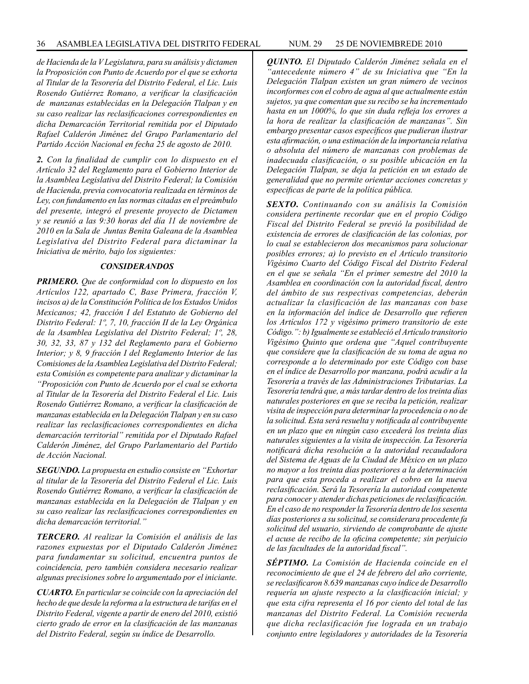*de Hacienda de la V Legislatura, para su análisis y dictamen la Proposición con Punto de Acuerdo por el que se exhorta al Titular de la Tesorería del Distrito Federal, el Lic. Luis Rosendo Gutiérrez Romano, a verificar la clasificación de manzanas establecidas en la Delegación Tlalpan y en su caso realizar las reclasificaciones correspondientes en dicha Demarcación Territorial remitida por el Diputado Rafael Calderón Jiménez del Grupo Parlamentario del Partido Acción Nacional en fecha 25 de agosto de 2010.*

*2. Con la finalidad de cumplir con lo dispuesto en el Artículo 32 del Reglamento para el Gobierno Interior de la Asamblea Legislativa del Distrito Federal; la Comisión de Hacienda, previa convocatoria realizada en términos de Ley, con fundamento en las normas citadas en el preámbulo del presente, integró el presente proyecto de Dictamen y se reunió a las 9:30 horas del día 11 de noviembre de 2010 en la Sala de Juntas Benita Galeana de la Asamblea Legislativa del Distrito Federal para dictaminar la Iniciativa de mérito, bajo los siguientes:*

#### *CONSIDERANDOS*

*PRIMERO. Que de conformidad con lo dispuesto en los Artículos 122, apartado C, Base Primera, fracción V, incisos a) de la Constitución Política de los Estados Unidos Mexicanos; 42, fracción I del Estatuto de Gobierno del Distrito Federal: 1º, 7, 10, fracción II de la Ley Orgánica de la Asamblea Legislativa del Distrito Federal; 1º, 28, 30, 32, 33, 87 y 132 del Reglamento para el Gobierno Interior; y 8, 9 fracción I del Reglamento Interior de las Comisiones de la Asamblea Legislativa del Distrito Federal; esta Comisión es competente para analizar y dictaminar la "Proposición con Punto de Acuerdo por el cual se exhorta al Titular de la Tesorería del Distrito Federal el Lic. Luis Rosendo Gutiérrez Romano, a verificar la clasificación de manzanas establecida en la Delegación Tlalpan y en su caso realizar las reclasificaciones correspondientes en dicha demarcación territorial" remitida por el Diputado Rafael Calderón Jiménez, del Grupo Parlamentario del Partido de Acción Nacional.*

*SEGUNDO. La propuesta en estudio consiste en "Exhortar al titular de la Tesorería del Distrito Federal el Lic. Luis Rosendo Gutiérrez Romano, a verificar la clasificación de manzanas establecida en la Delegación de Tlalpan y en su caso realizar las reclasificaciones correspondientes en dicha demarcación territorial."*

*TERCERO. Al realizar la Comisión el análisis de las razones expuestas por el Diputado Calderón Jiménez para fundamentar su solicitud, encuentra puntos de coincidencia, pero también considera necesario realizar algunas precisiones sobre lo argumentado por el iniciante.*

*CUARTO. En particular se coincide con la apreciación del hecho de que desde la reforma a la estructura de tarifas en el Distrito Federal, vigente a partir de enero del 2010, existió cierto grado de error en la clasificación de las manzanas del Distrito Federal, según su índice de Desarrollo.*

*QUINTO. El Diputado Calderón Jiménez señala en el "antecedente número 4" de su Iniciativa que "En la Delegación Tlalpan existen un gran número de vecinos inconformes con el cobro de agua al que actualmente están sujetos, ya que comentan que su recibo se ha incrementado hasta en un 1000%, lo que sin duda refleja los errores a la hora de realizar la clasificación de manzanas". Sin embargo presentar casos específicos que pudieran ilustrar esta afirmación, o una estimación de la importancia relativa o absoluta del número de manzanas con problemas de inadecuada clasificación, o su posible ubicación en la Delegación Tlalpan, se deja la petición en un estado de generalidad que no permite orientar acciones concretas y especificas de parte de la política pública.*

*SEXTO. Continuando con su análisis la Comisión considera pertinente recordar que en el propio Código Fiscal del Distrito Federal se previó la posibilidad de existencia de errores de clasificación de las colonias, por lo cual se establecieron dos mecanismos para solucionar posibles errores; a) lo previsto en el Artículo transitorio Vigésimo Cuarto del Código Fiscal del Distrito Federal en el que se señala "En el primer semestre del 2010 la Asamblea en coordinación con la autoridad fiscal, dentro del ámbito de sus respectivas competencias, deberán actualizar la clasificación de las manzanas con base en la información del índice de Desarrollo que refieren los Artículos 172 y vigésimo primero transitorio de este Código.": b) Igualmente se estableció el Artículo transitorio Vigésimo Quinto que ordena que "Aquel contribuyente que considere que la clasificación de su toma de agua no corresponde a lo determinado por este Código con base en el índice de Desarrollo por manzana, podrá acudir a la Tesorería a través de las Administraciones Tributarias. La Tesorería tendrá que, a más tardar dentro de los treinta días naturales posteriores en que se reciba la petición, realizar visita de inspección para determinar la procedencia o no de la solicitud. Esta será resuelta y notificada al contribuyente en un plazo que en ningún caso excederá los treinta días naturales siguientes a la visita de inspección. La Tesorería notificará dicha resolución a la autoridad recaudadora del Sistema de Aguas de la Ciudad de México en un plazo no mayor a los treinta días posteriores a la determinación para que esta proceda a realizar el cobro en la nueva reclasificación. Será la Tesorería la autoridad competente para conocer y atender dichas peticiones de reclasificación. En el caso de no responder la Tesorería dentro de los sesenta días posteriores a su solicitud, se considerara procedente fa solicitud del usuario, sirviendo de comprobante de ajuste el acuse de recibo de la oficina competente; sin perjuicio de las facultades de la autoridad fiscal".*

*SÉPTIMO. La Comisión de Hacienda coincide en el reconocimiento de que el 24 de febrero del año corriente, se reclasificaron 8.639 manzanas cuyo índice de Desarrollo requería un ajuste respecto a la clasificación inicial; y que esta cifra representa el 16 por ciento del total de las manzanas del Distrito Federal. La Comisión recuerda que dicha reclasificación fue lograda en un trabajo conjunto entre legisladores y autoridades de la Tesorería*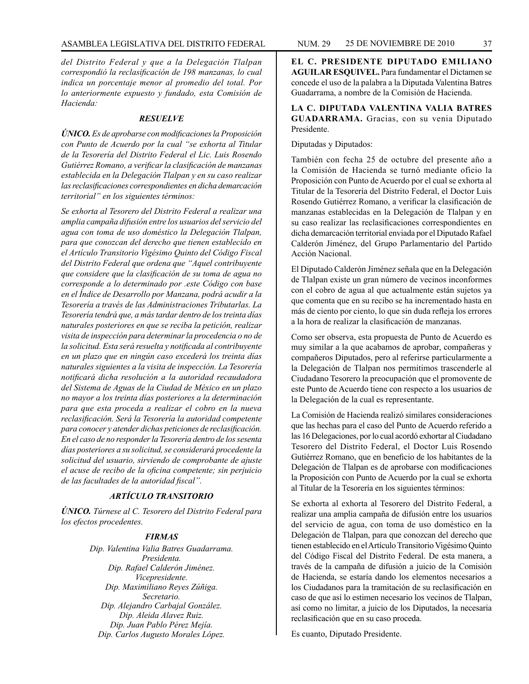*del Distrito Federal y que a la Delegación Tlalpan correspondió la reclasificación de 198 manzanas, lo cual indica un porcentaje menor al promedio del total. Por lo anteriormente expuesto y fundado, esta Comisión de Hacienda:*

#### *RESUELVE*

*ÚNICO. Es de aprobarse con modificaciones la Proposición con Punto de Acuerdo por la cual "se exhorta al Titular de la Tesorería del Distrito Federal el Lic. Luis Rosendo Gutiérrez Romano, a verificar la clasificación de manzanas establecida en la Delegación Tlalpan y en su caso realizar las reclasificaciones correspondientes en dicha demarcación territorial" en los siguientes términos:*

*Se exhorta al Tesorero del Distrito Federal a realizar una amplia campaña difusión entre los usuarios del servicio del agua con toma de uso doméstico la Delegación Tlalpan, para que conozcan del derecho que tienen establecido en el Artículo Transitorio Vigésimo Quinto del Código Fiscal del Distrito Federal que ordena que "Aquel contribuyente que considere que la clasificación de su toma de agua no corresponde a lo determinado por .este Código con base en el Índice de Desarrollo por Manzana, podrá acudir a la Tesorería a través de las Administraciones Tributarlas. La Tesorería tendrá que, a más tardar dentro de los treinta días naturales posteriores en que se reciba la petición, realizar visita de inspección para determinar la procedencia o no de la solicitud. Esta será resuelta y notificada al contribuyente en un plazo que en ningún caso excederá los treinta días naturales siguientes a la visita de inspección. La Tesorería notificará dicha resolución a la autoridad recaudadora del Sistema de Aguas de la Ciudad de México en un plazo no mayor a los treinta días posteriores a la determinación para que esta proceda a realizar el cobro en la nueva reclasificación. Será la Tesorería la autoridad competente para conocer y atender dichas peticiones de reclasificación. En el caso de no responder la Tesorería dentro de los sesenta días posteriores a su solicitud, se considerará procedente la solicitud del usuario, sirviendo de comprobante de ajuste el acuse de recibo de la oficina competente; sin perjuicio de las facultades de la autoridad fiscal".*

# *ARTÍCULO TRANSITORIO*

*ÚNICO. Túrnese al C. Tesorero del Distrito Federal para los efectos procedentes.*

## *FIRMAS*

*Dip. Valentina Valia Batres Guadarrama. Presidenta. Dip. Rafael Calderón Jiménez. Vicepresidente. Dip. Maximiliano Reyes Zúñiga. Secretario. Dip. Alejandro Carbajal González. Dip. Aleida Alavez Ruiz. Dip. Juan Pablo Pérez Mejía. Dip. Carlos Augusto Morales López.*

**EL C. PRESIDENTE DIPUTADO EMILIANO AGUILAR ESQUIVEL.** Para fundamentar el Dictamen se concede el uso de la palabra a la Diputada Valentina Batres Guadarrama, a nombre de la Comisión de Hacienda.

**LA C. DIPUTADA VALENTINA VALIA BATRES GUADARRAMA.** Gracias, con su venia Diputado Presidente.

Diputadas y Diputados:

También con fecha 25 de octubre del presente año a la Comisión de Hacienda se turnó mediante oficio la Proposición con Punto de Acuerdo por el cual se exhorta al Titular de la Tesorería del Distrito Federal, el Doctor Luis Rosendo Gutiérrez Romano, a verificar la clasificación de manzanas establecidas en la Delegación de Tlalpan y en su caso realizar las reclasificaciones correspondientes en dicha demarcación territorial enviada por el Diputado Rafael Calderón Jiménez, del Grupo Parlamentario del Partido Acción Nacional.

El Diputado Calderón Jiménez señala que en la Delegación de Tlalpan existe un gran número de vecinos inconformes con el cobro de agua al que actualmente están sujetos ya que comenta que en su recibo se ha incrementado hasta en más de ciento por ciento, lo que sin duda refleja los errores a la hora de realizar la clasificación de manzanas.

Como ser observa, esta propuesta de Punto de Acuerdo es muy similar a la que acabamos de aprobar, compañeras y compañeros Diputados, pero al referirse particularmente a la Delegación de Tlalpan nos permitimos trascenderle al Ciudadano Tesorero la preocupación que el promovente de este Punto de Acuerdo tiene con respecto a los usuarios de la Delegación de la cual es representante.

La Comisión de Hacienda realizó similares consideraciones que las hechas para el caso del Punto de Acuerdo referido a las 16 Delegaciones, por lo cual acordó exhortar al Ciudadano Tesorero del Distrito Federal, el Doctor Luis Rosendo Gutiérrez Romano, que en beneficio de los habitantes de la Delegación de Tlalpan es de aprobarse con modificaciones la Proposición con Punto de Acuerdo por la cual se exhorta al Titular de la Tesorería en los siguientes términos:

Se exhorta al exhorta al Tesorero del Distrito Federal, a realizar una amplia campaña de difusión entre los usuarios del servicio de agua, con toma de uso doméstico en la Delegación de Tlalpan, para que conozcan del derecho que tienen establecido en el Artículo Transitorio Vigésimo Quinto del Código Fiscal del Distrito Federal. De esta manera, a través de la campaña de difusión a juicio de la Comisión de Hacienda, se estaría dando los elementos necesarios a los Ciudadanos para la tramitación de su reclasificación en caso de que así lo estimen necesario los vecinos de Tlalpan, así como no limitar, a juicio de los Diputados, la necesaria reclasificación que en su caso proceda.

Es cuanto, Diputado Presidente.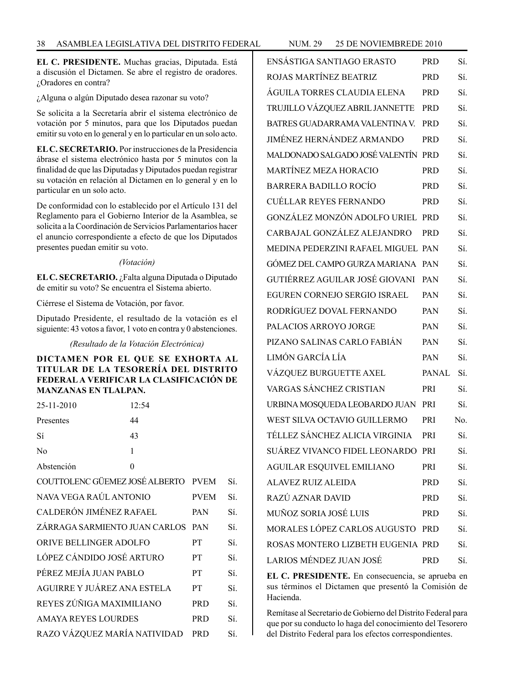**EL C. PRESIDENTE.** Muchas gracias, Diputada. Está a discusión el Dictamen. Se abre el registro de oradores. ¿Oradores en contra?

¿Alguna o algún Diputado desea razonar su voto?

Se solicita a la Secretaría abrir el sistema electrónico de votación por 5 minutos, para que los Diputados puedan emitir su voto en lo general y en lo particular en un solo acto.

**EL C. SECRETARIO.** Por instrucciones de la Presidencia ábrase el sistema electrónico hasta por 5 minutos con la finalidad de que las Diputadas y Diputados puedan registrar su votación en relación al Dictamen en lo general y en lo particular en un solo acto.

De conformidad con lo establecido por el Artículo 131 del Reglamento para el Gobierno Interior de la Asamblea, se solicita a la Coordinación de Servicios Parlamentarios hacer el anuncio correspondiente a efecto de que los Diputados presentes puedan emitir su voto.

#### *(Votación)*

**EL C. SECRETARIO.** ¿Falta alguna Diputada o Diputado de emitir su voto? Se encuentra el Sistema abierto.

Ciérrese el Sistema de Votación, por favor.

Diputado Presidente, el resultado de la votación es el siguiente: 43 votos a favor, 1 voto en contra y 0 abstenciones.

*(Resultado de la Votación Electrónica)* 

**DICTAMEN POR EL QUE SE EXHORTA AL TITULAR DE LA TESORERÍA DEL DISTRITO FEDERAL A VERIFICAR LA CLASIFICACIÓN DE MANZANAS EN TLALPAN.**

| 25-11-2010                          | 12:54    |             |     |
|-------------------------------------|----------|-------------|-----|
| Presentes                           | 44       |             |     |
| Sí                                  | 43       |             |     |
| No                                  | 1        |             |     |
| Abstención                          | $\theta$ |             |     |
| COUTTOLENC GÜEMEZ JOSÉ ALBERTO PVEM |          |             | Sí. |
| NAVA VEGA RAÚL ANTONIO              |          | <b>PVEM</b> | Sí. |
| CALDERÓN JIMÉNEZ RAFAEL             |          | <b>PAN</b>  | Sí. |
| ZÁRRAGA SARMIENTO JUAN CARLOS       |          | <b>PAN</b>  | Sí. |
| ORIVE BELLINGER ADOLFO              |          | <b>PT</b>   | Sí. |
| LÓPEZ CÁNDIDO JOSÉ ARTURO           |          | <b>PT</b>   | Sí. |
| PÉREZ MEJÍA JUAN PABLO              |          | <b>PT</b>   | Sí. |
| AGUIRRE Y JUÁREZ ANA ESTELA         |          | <b>PT</b>   | Sí. |
| REYES ZÚÑIGA MAXIMILIANO            |          | <b>PRD</b>  | Sí. |
| <b>AMAYA REYES LOURDES</b>          |          | <b>PRD</b>  | Sí. |
| RAZO VÁZQUEZ MARÍA NATIVIDAD        |          | <b>PRD</b>  | Sí. |

| ENSÁSTIGA SANTIAGO ERASTO          | <b>PRD</b>   | Sí. |
|------------------------------------|--------------|-----|
| ROJAS MARTÍNEZ BEATRIZ             | <b>PRD</b>   | Sí. |
| ÁGUILA TORRES CLAUDIA ELENA        | <b>PRD</b>   | Sí. |
| TRUJILLO VÁZQUEZ ABRIL JANNETTE    | <b>PRD</b>   | Sí. |
| BATRES GUADARRAMA VALENTINA V.     | <b>PRD</b>   | Sí. |
| JIMÉNEZ HERNÁNDEZ ARMANDO          | <b>PRD</b>   | Sí. |
| MALDONADO SALGADO JOSÉ VALENTÍN    | <b>PRD</b>   | Sí. |
| MARTÍNEZ MEZA HORACIO              | <b>PRD</b>   | Sí. |
| BARRERA BADILLO ROCÍO              | <b>PRD</b>   | Sí. |
| CUÉLLAR REYES FERNANDO             | <b>PRD</b>   | Sí. |
| GONZÁLEZ MONZÓN ADOLFO URIEL       | <b>PRD</b>   | Sí. |
| CARBAJAL GONZÁLEZ ALEJANDRO        | <b>PRD</b>   | Sí. |
| MEDINA PEDERZINI RAFAEL MIGUEL PAN |              | Sí. |
| GÓMEZ DEL CAMPO GURZA MARIANA      | PAN          | Sí. |
| GUTIÉRREZ AGUILAR JOSÉ GIOVANI     | PAN          | Sí. |
| EGUREN CORNEJO SERGIO ISRAEL       | PAN          | Sí. |
| RODRÍGUEZ DOVAL FERNANDO           | PAN          | Sí. |
| PALACIOS ARROYO JORGE              | PAN          | Sí. |
| PIZANO SALINAS CARLO FABIÁN        | PAN          | Sí. |
| LIMÓN GARCÍA LÍA                   | PAN          | Sí. |
| VÁZQUEZ BURGUETTE AXEL             | <b>PANAL</b> | Sí. |
| VARGAS SÁNCHEZ CRISTIAN            | PRI          | Sí. |
| URBINA MOSQUEDA LEOBARDO JUAN      | PRI          | Sí. |
| WEST SILVA OCTAVIO GUILLERMO       | PRI          | No. |
| TÉLLEZ SÁNCHEZ ALICIA VIRGINIA     | PRI          | Sí. |
| SUÁREZ VIVANCO FIDEL LEONARDO PRI  |              | Sí. |
| <b>AGUILAR ESQUIVEL EMILIANO</b>   | PRI          | Sí. |
| <b>ALAVEZ RUIZ ALEIDA</b>          | PRD.         | Sí. |
| RAZÚ AZNAR DAVID                   | PRD          | Sí. |
| MUÑOZ SORIA JOSÉ LUIS              | PRD          | Sí. |
| MORALES LÓPEZ CARLOS AUGUSTO       | <b>PRD</b>   | Sí. |
| ROSAS MONTERO LIZBETH EUGENIA PRD  |              | Sí. |
| LARIOS MÉNDEZ JUAN JOSÉ            | PRD          | Sí. |
|                                    |              |     |

**EL C. PRESIDENTE.** En consecuencia, se aprueba en sus términos el Dictamen que presentó la Comisión de Hacienda.

Remítase al Secretario de Gobierno del Distrito Federal para que por su conducto lo haga del conocimiento del Tesorero del Distrito Federal para los efectos correspondientes.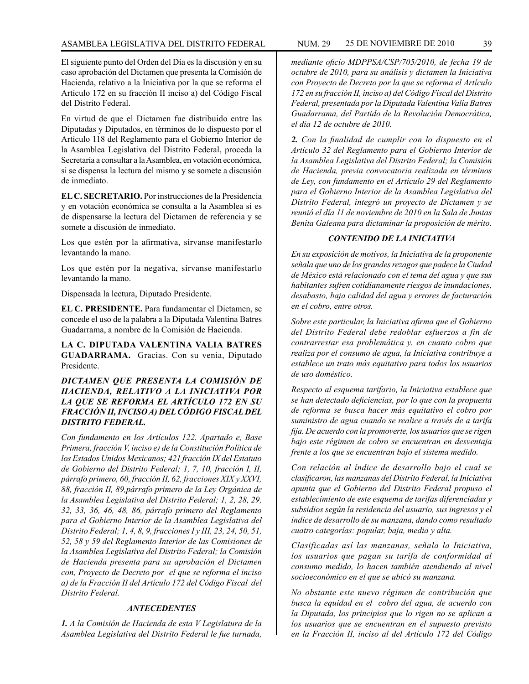#### ASAMBLEA LEGISLATIVA DEL DISTRITO FEDERAL NUM. 29 25 DE NOVIEMBRE DE 2010 39

El siguiente punto del Orden del Día es la discusión y en su caso aprobación del Dictamen que presenta la Comisión de Hacienda, relativo a la Iniciativa por la que se reforma el Artículo 172 en su fracción II inciso a) del Código Fiscal del Distrito Federal.

En virtud de que el Dictamen fue distribuido entre las Diputadas y Diputados, en términos de lo dispuesto por el Artículo 118 del Reglamento para el Gobierno Interior de la Asamblea Legislativa del Distrito Federal, proceda la Secretaría a consultar a la Asamblea, en votación económica, si se dispensa la lectura del mismo y se somete a discusión de inmediato.

**EL C. SECRETARIO.** Por instrucciones de la Presidencia y en votación económica se consulta a la Asamblea si es de dispensarse la lectura del Dictamen de referencia y se somete a discusión de inmediato.

Los que estén por la afirmativa, sírvanse manifestarlo levantando la mano.

Los que estén por la negativa, sírvanse manifestarlo levantando la mano.

Dispensada la lectura, Diputado Presidente.

**EL C. PRESIDENTE.** Para fundamentar el Dictamen, se concede el uso de la palabra a la Diputada Valentina Batres Guadarrama, a nombre de la Comisión de Hacienda.

**LA C. DIPUTADA VALENTINA VALIA BATRES GUADARRAMA.** Gracias. Con su venia, Diputado Presidente.

## *DICTAMEN QUE PRESENTA LA COMISIÓN DE HACIENDA, RELATIVO A LA INICIATIVA POR LA QUE SE REFORMA EL ARTÍCULO 172 EN SU FRACCIÓN II, INCISO A) DEL CÓDIGO FISCAL DEL DISTRITO FEDERAL.*

*Con fundamento en los Artículos 122. Apartado e, Base Primera, fracción V, inciso e) de la Constitución Política de los Estados Unidos Mexicanos; 421 fracción IX del Estatuto de Gobierno del Distrito Federal; 1, 7, 10, fracción I, II, párrafo primero, 60, fracción II, 62, fracciones XIX y XXVI, 88, fracción II, 89,párrafo primero de la Ley Orgánica de la Asamblea Legislativa del Distrito Federal; 1, 2, 28, 29, 32, 33, 36, 46, 48, 86, párrafo primero del Reglamento para el Gobierno Interior de la Asamblea Legislativa del Distrito Federal; 1, 4, 8, 9, fracciones I y III, 23, 24, 50, 51, 52, 58 y 59 del Reglamento Interior de las Comisiones de la Asamblea Legislativa del Distrito Federal; la Comisión de Hacienda presenta para su aprobación el Dictamen con, Proyecto de Decreto por el que se reforma el inciso a) de la Fracción II del Artículo 172 del Código Fiscal del Distrito Federal.*

#### *ANTECEDENTES*

*1. A la Comisión de Hacienda de esta V Legislatura de la Asamblea Legislativa del Distrito Federal le fue turnada,*  *mediante oficio MDPPSA/CSP/705/2010, de fecha 19 de octubre de 2010, para su análisis y dictamen la Iniciativa con Proyecto de Decreto por la que se reforma el Artículo 172 en su fracción II, inciso a) del Código Fiscal del Distrito Federal, presentada por la Diputada Valentina Valía Batres Guadarrama, del Partido de la Revolución Democrática, el día 12 de octubre de 2010.*

*2. Con la finalidad de cumplir con lo dispuesto en el Artículo 32 del Reglamento para el Gobierno Interior de la Asamblea Legislativa del Distrito Federal; la Comisión de Hacienda, previa convocatoria realizada en términos de Ley, con fundamento en el Artículo 29 del Reglamento para el Gobierno Interior de la Asamblea Legislativa del Distrito Federal, integró un proyecto de Dictamen y se reunió el día 11 de noviembre de 2010 en la Sala de Juntas Benita Galeana para dictaminar la proposición de mérito.*

#### *CONTENIDO DE LA INICIATIVA*

*En su exposición de motivos, la Iniciativa de la proponente señala que uno de los grandes rezagos que padece la Ciudad de México está relacionado con el tema del agua y que sus habitantes sufren cotidianamente riesgos de inundaciones, desabasto, baja calidad del agua y errores de facturación en el cobro, entre otros.*

*Sobre este particular, la Iniciativa afirma que el Gobierno del Distrito Federal debe redoblar esfuerzos a fin de contrarrestar esa problemática y. en cuanto cobro que realiza por el consumo de agua, la Iniciativa contribuye a establece un trato más equitativo para todos los usuarios de uso doméstico.*

*Respecto al esquema tarifario, la Iniciativa establece que se han detectado deficiencias, por lo que con la propuesta de reforma se busca hacer más equitativo el cobro por suministro de agua cuando se realice a través de a tarifa fija. De acuerdo con la promoverte, los usuarios que se rigen bajo este régimen de cobro se encuentran en desventaja frente a los que se encuentran bajo el sistema medido.*

*Con relación al índice de desarrollo bajo el cual se clasificaron, las manzanas del Distrito Federal, la Iniciativa apunta que el Gobierno del Distrito Federal propuso el establecimiento de este esquema de tarifas diferenciadas y subsidios según la residencia del usuario, sus ingresos y el índice de desarrollo de su manzana, dando como resultado cuatro categorías: popular, baja, media y alta.*

*Clasificadas así las manzanas, señala la Iniciativa, los usuarios que pagan su tarifa de conformidad al consumo medido, lo hacen también atendiendo al nivel socioeconómico en el que se ubicó su manzana.*

*No obstante este nuevo régimen de contribución que busca la equidad en el cobro del agua, de acuerdo con la Diputada, los principios que lo rigen no se aplican a los usuarios que se encuentran en el supuesto previsto en la Fracción II, inciso al del Artículo 172 del Código*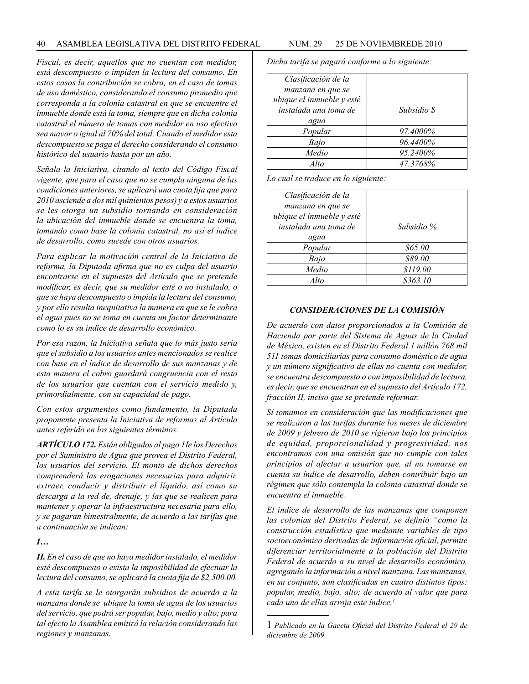*Fiscal, es decir, aquellos que no cuentan con medidor, está descompuesto o impiden la lectura del consumo. En estos casos la contribución se cobra, en el caso de tomas de uso doméstico, considerando el consumo promedio que corresponda a la colonia catastral en que se encuentre el inmueble donde está la toma, siempre que en dicha colonia catastral el número de tomas con medidor en uso efectivo sea mayor o igual al 70% del total. Cuando el medidor esta descompuesto se paga el derecho considerando el consumo histórico del usuario hasta por un año.*

*Señala la Iniciativa, citando al texto del Código Fiscal vigente, que para el caso que no se cumpla ninguna de las condiciones anteriores, se aplicará una cuota fija que para 2010 asciende a dos mil quinientos pesos) y a estos usuarios se les otorga un subsidio tornando en consideración la ubicación del inmueble donde se encuentra la toma, tomando como base la colonia catastral, no así el índice de desarrollo, como sucede con otros usuarios.*

*Para explicar la motivación central de la Iniciativa de reforma, la Diputada afirma que no es culpa del usuario encontrarse en el supuesto del Artículo que se pretende modificar, es decir, que su medidor esté o no instalado, o que se haya descompuesto o impida la lectura del consumo, y por ello resulta inequitativa la manera en que se le cobra el agua pues no se toma en cuenta un factor determinante como lo es su índice de desarrollo económico.*

*Por esa razón, la Iniciativa señala que lo más justo sería que el subsidio a los usuarios antes mencionados se realice con base en el índice de desarrollo de sus manzanas y de esta manera el cobro guardará congruencia con el resto de los usuarios que cuentan con el servicio medido y, primordialmente, con su capacidad de pago.* 

*Con estos argumentos como fundamento, la Diputada proponente presenta la Iniciativa de reformas al Artículo antes referido en los siguientes términos:*

*ARTÍCULO 172. Están obligados al pago 1Ie los Derechos por el Suministro de Agua que provea el Distrito Federal, los usuarios del servicio. El monto de dichos derechos comprenderá las erogaciones necesarias para adquirir, extraer, conducir y distribuir el líquido, así como su descarga a la red de, drenaje, y las que se realicen para mantener y operar la infraestructura necesaria para ello, y se pagaran bimestralmente, de acuerdo a las tarifas que a continuación se indican:*

# *I…*

*II. En el caso de que no haya medidor instalado, el medidor esté descompuesto o exista la imposibilidad de efectuar la lectura del consumo, se aplicará la cuota fija de \$2,500.00.*

*A esta tarifa se le otorgarán subsidios de acuerdo a la manzana donde se ubique la toma de agua de los usuarios del servicio, que podrá ser popular, bajo, medio y alto; para tal efecto la Asamblea emitirá la relación considerando las regiones y manzanas.*

*Dicha tarifa se pagará conforme a lo siguiente:*

| Clasificación de la       |             |
|---------------------------|-------------|
| manzana en que se         |             |
| ubique el inmueble y esté |             |
| instalada una toma de     | Subsidio \$ |
| agua                      |             |
| Popular                   | 97.4000%    |
| Bajo                      | 96.4400%    |
| Medio                     | 95.2400%    |
| Alto                      | 47.3768%    |

*Lo cual se traduce en lo siguiente:*

| Clasificación de la<br>manzana en que se<br>ubique el inmueble y esté<br>instalada una toma de | Subsidio % |
|------------------------------------------------------------------------------------------------|------------|
| agua                                                                                           |            |
| Popular                                                                                        | \$65.00    |
| Bajo                                                                                           | \$89.00    |
| Medio                                                                                          | \$119.00   |
| Alto                                                                                           | \$363.10   |

#### *CONSIDERACIONES DE LA COMISIÓN*

*De acuerdo con datos proporcionados a la Comisión de Hacienda por parte del Sistema de Aguas de la Ciudad de México, existen en el Distrito Federal 1 millón 768 mil 511 tomas domiciliarias para consumo doméstico de agua y un número significativo de ellas no cuenta con medidor, se encuentra descompuesto o con imposibilidad de lectura, es decir, que se encuentran en el supuesto del Artículo 172, fracción II, inciso que se pretende reformar.*

*Sí tomamos en consideración que las modificaciones que se realizaron a las tarifas durante los meses de diciembre de 2009 y febrero de 2010 se rigieron bajo los principios de equidad, proporcionalidad y progresividad, nos encontramos con una omisión que no cumple con tales principios al afectar a usuarios que, al no tomarse en cuenta su índice de desarrollo, deben contribuir bajo un régimen que sólo contempla la colonia catastral donde se encuentra el inmueble.*

*El índice de desarrollo de las manzanas que componen las colonias del Distrito Federal, se definió "como la construcción estadística que mediante variables de tipo socioeconómico derivadas de información oficial, permite diferenciar territorialmente a la población del Distrito Federal de acuerdo a su nivel de desarrollo económico, agregando la información a nivel manzana. Las manzanas, en su conjunto, son clasificadas en cuatro distintos tipos: popular, medio, bajo, alto; de acuerdo al valor que para cada una de ellas arroja este índice.1*

<sup>1</sup> *Publicado en la Gaceta Oficial del Distrito Federal el 29 de diciembre de 2009.*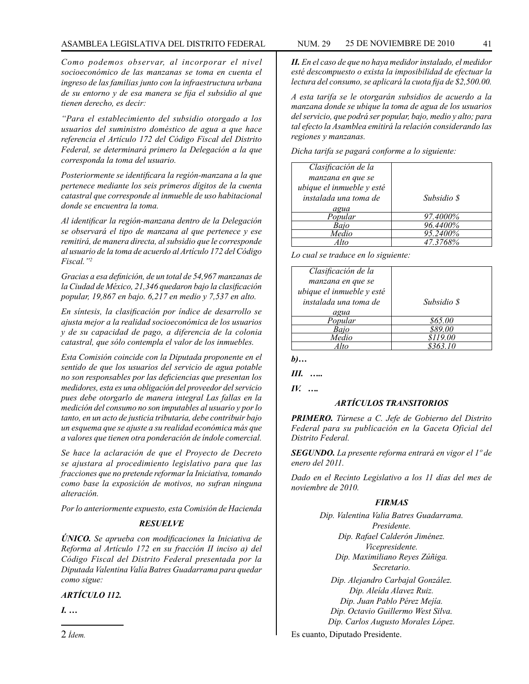### ASAMBLEA LEGISLATIVA DEL DISTRITO FEDERAL NUM. 29 25 DE NOVIEMBRE DE 2010 41

*Como podemos observar, al incorporar el nivel socioeconómico de las manzanas se toma en cuenta el ingreso de las familias junto con la infraestructura urbana de su entorno y de esa manera se fija el subsidio al que tienen derecho, es decir:*

*"Para el establecimiento del subsidio otorgado a los usuarios del suministro doméstico de agua a que hace referencia el Artículo 172 del Código Fiscal del Distrito Federal, se determinará primero la Delegación a la que corresponda la toma del usuario.*

*Posteriormente se identificara la región-manzana a la que pertenece mediante los seis primeros dígitos de la cuenta catastral que corresponde al inmueble de uso habitacional donde se encuentra la toma.*

*Al identificar la región-manzana dentro de la Delegación se observará el tipo de manzana al que pertenece y ese remitirá, de manera directa, al subsidio que le corresponde al usuario de la toma de acuerdo al Artículo 172 del Código Fiscal."2*

*Gracias a esa definición, de un total de 54,967 manzanas de la Ciudad de México, 21,346 quedaron bajo la clasificación popular, 19,867 en bajo. 6,217 en medio y 7,537 en alto.*

*En síntesis, la clasificación por índice de desarrollo se ajusta mejor a la realidad socioeconómica de los usuarios y de su capacidad de pago, a diferencia de la colonia catastral, que sólo contempla el valor de los inmuebles.*

*Esta Comisión coincide con la Diputada proponente en el sentido de que los usuarios del servicio de agua potable no son responsables por las deficiencias que presentan los medidores, esta es una obligación del proveedor del servicio pues debe otorgarlo de manera integral Las fallas en la medición del consumo no son imputables al usuario y por lo tanto, en un acto de justicia tributaria, debe contribuir bajo un esquema que se ajuste a su realidad económica más que a valores que tienen otra ponderación de índole comercial.*

*Se hace la aclaración de que el Proyecto de Decreto se ajustara al procedimiento legislativo para que las fracciones que no pretende reformar la Iniciativa, tomando como base la exposición de motivos, no sufran ninguna alteración.*

*Por lo anteriormente expuesto, esta Comisión de Hacienda*

## *RESUELVE*

*ÚNICO. Se aprueba con modificaciones la Iniciativa de Reforma al Artículo 172 en su fracción II inciso a) del Código Fiscal del Distrito Federal presentada por la Diputada Valentina Valía Batres Guadarrama para quedar como sigue:*

*ARTÍCULO 112.*

*I. …*

*II. En el caso de que no haya medidor instalado, el medidor esté descompuesto o exista la imposibilidad de efectuar la lectura del consumo, se aplicará la cuota fija de \$2,500.00.*

*A esta tarifa se le otorgarán subsidios de acuerdo a la manzana donde se ubique la toma de agua de los usuarios del servicio, que podrá ser popular, bajo, medio y alto; para tal efecto la Asamblea emitirá la relación considerando las regiones y manzanas.*

*Dicha tarifa se pagará conforme a lo siguiente:*

| Clasificación de la       |             |
|---------------------------|-------------|
| manzana en que se         |             |
| ubique el inmueble y esté |             |
| instalada una toma de     | Subsidio \$ |
| agua                      |             |
| Popular                   | 97.4000%    |
| Baio                      | 96.4400%    |
| Medio                     | 95.2400%    |
|                           | 47.37680    |

*Lo cual se traduce en lo siguiente:*

| Clasificación de la       |             |
|---------------------------|-------------|
| manzana en que se         |             |
| ubique el inmueble y esté |             |
| instalada una toma de     | Subsidio \$ |
| agua                      |             |
| Popular                   | \$65.00     |
|                           | 889.00      |
| Medio                     | \$119.00    |
|                           | 8363.10     |

*b)…*

*III. …..*

*IV. ….*

# *ARTÍCULOS TRANSITORIOS*

*PRIMERO. Túrnese a C. Jefe de Gobierno del Distrito Federal para su publicación en la Gaceta Oficial del Distrito Federal.*

*SEGUNDO. La presente reforma entrará en vigor el 1º de enero del 2011.*

*Dado en el Recinto Legislativo a los 11 días del mes de noviembre de 2010.*

## *FIRMAS*

*Dip. Valentina Valia Batres Guadarrama. Presidente. Dip. Rafael Calderón Jiménez. Vicepresidente. Dip. Maximiliano Reyes Zúñiga. Secretario.*

*Dip. Alejandro Carbajal González. Dip. Aleída Alavez Ruiz. Dip. Juan Pablo Pérez Mejía. Dip. Octavio Guillermo West Silva. Dip. Carlos Augusto Morales López.*

Es cuanto, Diputado Presidente.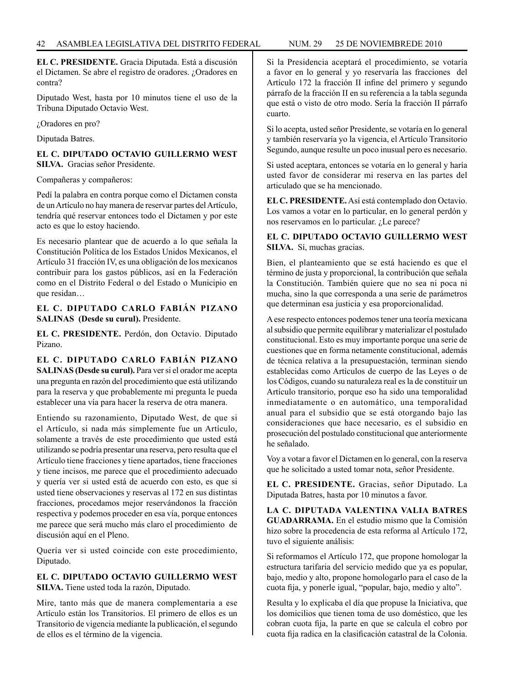**EL C. PRESIDENTE.** Gracia Diputada. Está a discusión el Dictamen. Se abre el registro de oradores. ¿Oradores en contra?

Diputado West, hasta por 10 minutos tiene el uso de la Tribuna Diputado Octavio West.

¿Oradores en pro?

Diputada Batres.

**EL C. DIPUTADO OCTAVIO GUILLERMO WEST SILVA.** Gracias señor Presidente.

Compañeras y compañeros:

Pedí la palabra en contra porque como el Dictamen consta de un Artículo no hay manera de reservar partes del Artículo, tendría qué reservar entonces todo el Dictamen y por este acto es que lo estoy haciendo.

Es necesario plantear que de acuerdo a lo que señala la Constitución Política de los Estados Unidos Mexicanos, el Artículo 31 fracción IV, es una obligación de los mexicanos contribuir para los gastos públicos, así en la Federación como en el Distrito Federal o del Estado o Municipio en que residan…

**EL C. DIPUTADO CARLO FABIÁN PIZANO SALINAS (Desde su curul).** Presidente.

**EL C. PRESIDENTE.** Perdón, don Octavio. Diputado Pizano.

**EL C. DIPUTADO CARLO FABIÁN PIZANO SALINAS (Desde su curul).** Para ver si el orador me acepta una pregunta en razón del procedimiento que está utilizando para la reserva y que probablemente mi pregunta le pueda establecer una vía para hacer la reserva de otra manera.

Entiendo su razonamiento, Diputado West, de que si el Artículo, si nada más simplemente fue un Artículo, solamente a través de este procedimiento que usted está utilizando se podría presentar una reserva, pero resulta que el Artículo tiene fracciones y tiene apartados, tiene fracciones y tiene incisos, me parece que el procedimiento adecuado y quería ver si usted está de acuerdo con esto, es que si usted tiene observaciones y reservas al 172 en sus distintas fracciones, procedamos mejor reservándonos la fracción respectiva y podemos proceder en esa vía, porque entonces me parece que será mucho más claro el procedimiento de discusión aquí en el Pleno.

Quería ver si usted coincide con este procedimiento, Diputado.

# **EL C. DIPUTADO OCTAVIO GUILLERMO WEST SILVA.** Tiene usted toda la razón, Diputado.

Mire, tanto más que de manera complementaria a ese Artículo están los Transitorios. El primero de ellos es un Transitorio de vigencia mediante la publicación, el segundo de ellos es el término de la vigencia.

Si la Presidencia aceptará el procedimiento, se votaría a favor en lo general y yo reservaría las fracciones del Artículo 172 la fracción II infine del primero y segundo párrafo de la fracción II en su referencia a la tabla segunda que está o visto de otro modo. Sería la fracción II párrafo cuarto.

Si lo acepta, usted señor Presidente, se votaría en lo general y también reservaría yo la vigencia, el Artículo Transitorio Segundo, aunque resulte un poco inusual pero es necesario.

Si usted aceptara, entonces se votaría en lo general y haría usted favor de considerar mi reserva en las partes del articulado que se ha mencionado.

**EL C. PRESIDENTE.** Así está contemplado don Octavio. Los vamos a votar en lo particular, en lo general perdón y nos reservamos en lo particular. ¿Le parece?

**EL C. DIPUTADO OCTAVIO GUILLERMO WEST SILVA.** Sí, muchas gracias.

Bien, el planteamiento que se está haciendo es que el término de justa y proporcional, la contribución que señala la Constitución. También quiere que no sea ni poca ni mucha, sino la que corresponda a una serie de parámetros que determinan esa justicia y esa proporcionalidad.

A ese respecto entonces podemos tener una teoría mexicana al subsidio que permite equilibrar y materializar el postulado constitucional. Esto es muy importante porque una serie de cuestiones que en forma netamente constitucional, además de técnica relativa a la presupuestación, terminan siendo establecidas como Artículos de cuerpo de las Leyes o de los Códigos, cuando su naturaleza real es la de constituir un Artículo transitorio, porque eso ha sido una temporalidad inmediatamente o en automático, una temporalidad anual para el subsidio que se está otorgando bajo las consideraciones que hace necesario, es el subsidio en prosecución del postulado constitucional que anteriormente he señalado.

Voy a votar a favor el Dictamen en lo general, con la reserva que he solicitado a usted tomar nota, señor Presidente.

**EL C. PRESIDENTE.** Gracias, señor Diputado. La Diputada Batres, hasta por 10 minutos a favor.

**LA C. DIPUTADA VALENTINA VALIA BATRES GUADARRAMA.** En el estudio mismo que la Comisión hizo sobre la procedencia de esta reforma al Artículo 172, tuvo el siguiente análisis:

Si reformamos el Artículo 172, que propone homologar la estructura tarifaria del servicio medido que ya es popular, bajo, medio y alto, propone homologarlo para el caso de la cuota fija, y ponerle igual, "popular, bajo, medio y alto".

Resulta y lo explicaba el día que propuse la Iniciativa, que los domicilios que tienen toma de uso doméstico, que les cobran cuota fija, la parte en que se calcula el cobro por cuota fija radica en la clasificación catastral de la Colonia.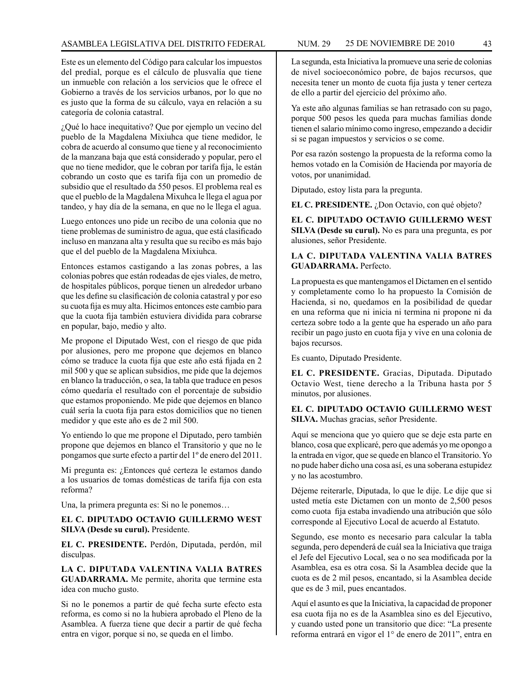Este es un elemento del Código para calcular los impuestos del predial, porque es el cálculo de plusvalía que tiene un inmueble con relación a los servicios que le ofrece el Gobierno a través de los servicios urbanos, por lo que no es justo que la forma de su cálculo, vaya en relación a su categoría de colonia catastral.

¿Qué lo hace inequitativo? Que por ejemplo un vecino del pueblo de la Magdalena Mixiuhca que tiene medidor, le cobra de acuerdo al consumo que tiene y al reconocimiento de la manzana baja que está considerado y popular, pero el que no tiene medidor, que le cobran por tarifa fija, le están cobrando un costo que es tarifa fija con un promedio de subsidio que el resultado da 550 pesos. El problema real es que el pueblo de la Magdalena Mixuhca le llega el agua por tandeo, y hay día de la semana, en que no le llega el agua.

Luego entonces uno pide un recibo de una colonia que no tiene problemas de suministro de agua, que está clasificado incluso en manzana alta y resulta que su recibo es más bajo que el del pueblo de la Magdalena Mixiuhca.

Entonces estamos castigando a las zonas pobres, a las colonias pobres que están rodeadas de ejes viales, de metro, de hospitales públicos, porque tienen un alrededor urbano que les define su clasificación de colonia catastral y por eso su cuota fija es muy alta. Hicimos entonces este cambio para que la cuota fija también estuviera dividida para cobrarse en popular, bajo, medio y alto.

Me propone el Diputado West, con el riesgo de que pida por alusiones, pero me propone que dejemos en blanco cómo se traduce la cuota fija que este año está fijada en 2 mil 500 y que se aplican subsidios, me pide que la dejemos en blanco la traducción, o sea, la tabla que traduce en pesos cómo quedaría el resultado con el porcentaje de subsidio que estamos proponiendo. Me pide que dejemos en blanco cuál sería la cuota fija para estos domicilios que no tienen medidor y que este año es de 2 mil 500.

Yo entiendo lo que me propone el Diputado, pero también propone que dejemos en blanco el Transitorio y que no le pongamos que surte efecto a partir del 1º de enero del 2011.

Mi pregunta es: ¿Entonces qué certeza le estamos dando a los usuarios de tomas domésticas de tarifa fija con esta reforma?

Una, la primera pregunta es: Si no le ponemos…

#### **EL C. DIPUTADO OCTAVIO GUILLERMO WEST SILVA (Desde su curul).** Presidente.

**EL C. PRESIDENTE.** Perdón, Diputada, perdón, mil disculpas.

**LA C. DIPUTADA VALENTINA VALIA BATRES GUADARRAMA.** Me permite, ahorita que termine esta idea con mucho gusto.

Si no le ponemos a partir de qué fecha surte efecto esta reforma, es como si no la hubiera aprobado el Pleno de la Asamblea. A fuerza tiene que decir a partir de qué fecha entra en vigor, porque si no, se queda en el limbo.

La segunda, esta Iniciativa la promueve una serie de colonias de nivel socioeconómico pobre, de bajos recursos, que necesita tener un monto de cuota fija justa y tener certeza de ello a partir del ejercicio del próximo año.

Ya este año algunas familias se han retrasado con su pago, porque 500 pesos les queda para muchas familias donde tienen el salario mínimo como ingreso, empezando a decidir si se pagan impuestos y servicios o se come.

Por esa razón sostengo la propuesta de la reforma como la hemos votado en la Comisión de Hacienda por mayoría de votos, por unanimidad.

Diputado, estoy lista para la pregunta.

**EL C. PRESIDENTE.** *i*Don Octavio, con qué objeto?

**EL C. DIPUTADO OCTAVIO GUILLERMO WEST SILVA (Desde su curul).** No es para una pregunta, es por alusiones, señor Presidente.

## **LA C. DIPUTADA VALENTINA VALIA BATRES GUADARRAMA.** Perfecto.

La propuesta es que mantengamos el Dictamen en el sentido y completamente como lo ha propuesto la Comisión de Hacienda, si no, quedamos en la posibilidad de quedar en una reforma que ni inicia ni termina ni propone ni da certeza sobre todo a la gente que ha esperado un año para recibir un pago justo en cuota fija y vive en una colonia de bajos recursos.

Es cuanto, Diputado Presidente.

**EL C. PRESIDENTE.** Gracias, Diputada. Diputado Octavio West, tiene derecho a la Tribuna hasta por 5 minutos, por alusiones.

## **EL C. DIPUTADO OCTAVIO GUILLERMO WEST SILVA.** Muchas gracias, señor Presidente.

Aquí se menciona que yo quiero que se deje esta parte en blanco, cosa que explicaré, pero que además yo me opongo a la entrada en vigor, que se quede en blanco el Transitorio. Yo no pude haber dicho una cosa así, es una soberana estupidez y no las acostumbro.

Déjeme reiterarle, Diputada, lo que le dije. Le dije que si usted metía este Dictamen con un monto de 2,500 pesos como cuota fija estaba invadiendo una atribución que sólo corresponde al Ejecutivo Local de acuerdo al Estatuto.

Segundo, ese monto es necesario para calcular la tabla segunda, pero dependerá de cuál sea la Iniciativa que traiga el Jefe del Ejecutivo Local, sea o no sea modificada por la Asamblea, esa es otra cosa. Si la Asamblea decide que la cuota es de 2 mil pesos, encantado, si la Asamblea decide que es de 3 mil, pues encantados.

Aquí el asunto es que la Iniciativa, la capacidad de proponer esa cuota fija no es de la Asamblea sino es del Ejecutivo, y cuando usted pone un transitorio que dice: "La presente reforma entrará en vigor el 1° de enero de 2011", entra en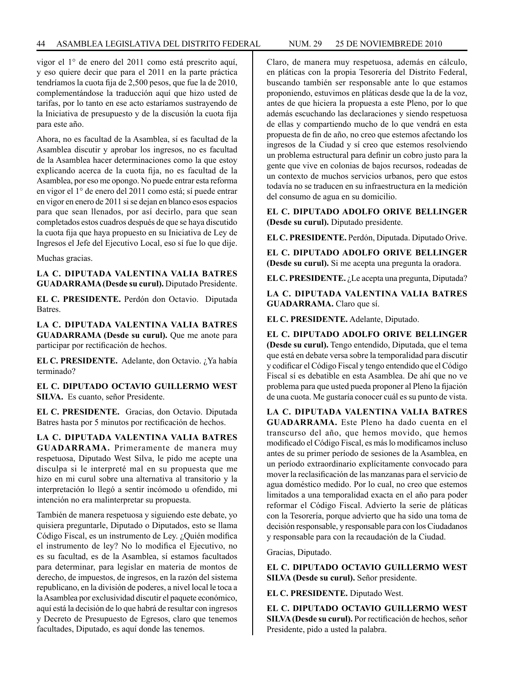vigor el 1° de enero del 2011 como está prescrito aquí, y eso quiere decir que para el 2011 en la parte práctica tendríamos la cuota fija de 2,500 pesos, que fue la de 2010, complementándose la traducción aquí que hizo usted de tarifas, por lo tanto en ese acto estaríamos sustrayendo de la Iniciativa de presupuesto y de la discusión la cuota fija para este año.

Ahora, no es facultad de la Asamblea, sí es facultad de la Asamblea discutir y aprobar los ingresos, no es facultad de la Asamblea hacer determinaciones como la que estoy explicando acerca de la cuota fija, no es facultad de la Asamblea, por eso me opongo. No puede entrar esta reforma en vigor el 1° de enero del 2011 como está; sí puede entrar en vigor en enero de 2011 si se dejan en blanco esos espacios para que sean llenados, por así decirlo, para que sean completados estos cuadros después de que se haya discutido la cuota fija que haya propuesto en su Iniciativa de Ley de Ingresos el Jefe del Ejecutivo Local, eso sí fue lo que dije.

Muchas gracias.

**LA C. DIPUTADA VALENTINA VALIA BATRES GUADARRAMA (Desde su curul).** Diputado Presidente.

**EL C. PRESIDENTE.** Perdón don Octavio. Diputada Batres.

**LA C. DIPUTADA VALENTINA VALIA BATRES GUADARRAMA (Desde su curul).** Que me anote para participar por rectificación de hechos.

**EL C. PRESIDENTE.** Adelante, don Octavio. ¿Ya había terminado?

**EL C. DIPUTADO OCTAVIO GUILLERMO WEST SILVA.** Es cuanto, señor Presidente.

**EL C. PRESIDENTE.** Gracias, don Octavio. Diputada Batres hasta por 5 minutos por rectificación de hechos.

**LA C. DIPUTADA VALENTINA VALIA BATRES GUADARRAMA.** Primeramente de manera muy respetuosa, Diputado West Silva, le pido me acepte una disculpa si le interpreté mal en su propuesta que me hizo en mi curul sobre una alternativa al transitorio y la interpretación lo llegó a sentir incómodo u ofendido, mi intención no era malinterpretar su propuesta.

También de manera respetuosa y siguiendo este debate, yo quisiera preguntarle, Diputado o Diputados, esto se llama Código Fiscal, es un instrumento de Ley. ¿Quién modifica el instrumento de ley? No lo modifica el Ejecutivo, no es su facultad, es de la Asamblea, sí estamos facultados para determinar, para legislar en materia de montos de derecho, de impuestos, de ingresos, en la razón del sistema republicano, en la división de poderes, a nivel local le toca a la Asamblea por exclusividad discutir el paquete económico, aquí está la decisión de lo que habrá de resultar con ingresos y Decreto de Presupuesto de Egresos, claro que tenemos facultades, Diputado, es aquí donde las tenemos.

Claro, de manera muy respetuosa, además en cálculo, en pláticas con la propia Tesorería del Distrito Federal, buscando también ser responsable ante lo que estamos proponiendo, estuvimos en pláticas desde que la de la voz, antes de que hiciera la propuesta a este Pleno, por lo que además escuchando las declaraciones y siendo respetuosa de ellas y compartiendo mucho de lo que vendrá en esta propuesta de fin de año, no creo que estemos afectando los ingresos de la Ciudad y sí creo que estemos resolviendo un problema estructural para definir un cobro justo para la gente que vive en colonias de bajos recursos, rodeadas de un contexto de muchos servicios urbanos, pero que estos todavía no se traducen en su infraestructura en la medición del consumo de agua en su domicilio.

**EL C. DIPUTADO ADOLFO ORIVE BELLINGER (Desde su curul).** Diputado presidente.

**EL C. PRESIDENTE.** Perdón, Diputada. Diputado Orive.

**EL C. DIPUTADO ADOLFO ORIVE BELLINGER (Desde su curul).** Si me acepta una pregunta la oradora.

**EL C. PRESIDENTE.** ¿Le acepta una pregunta, Diputada?

**LA C. DIPUTADA VALENTINA VALIA BATRES GUADARRAMA.** Claro que sí.

**EL C. PRESIDENTE.** Adelante, Diputado.

**EL C. DIPUTADO ADOLFO ORIVE BELLINGER (Desde su curul).** Tengo entendido, Diputada, que el tema que está en debate versa sobre la temporalidad para discutir y codificar el Código Fiscal y tengo entendido que el Código Fiscal sí es debatible en esta Asamblea. De ahí que no ve problema para que usted pueda proponer al Pleno la fijación de una cuota. Me gustaría conocer cuál es su punto de vista.

**LA C. DIPUTADA VALENTINA VALIA BATRES GUADARRAMA.** Este Pleno ha dado cuenta en el transcurso del año, que hemos movido, que hemos modificado el Código Fiscal, es más lo modificamos incluso antes de su primer período de sesiones de la Asamblea, en un período extraordinario explícitamente convocado para mover la reclasificación de las manzanas para el servicio de agua doméstico medido. Por lo cual, no creo que estemos limitados a una temporalidad exacta en el año para poder reformar el Código Fiscal. Advierto la serie de pláticas con la Tesorería, porque advierto que ha sido una toma de decisión responsable, y responsable para con los Ciudadanos y responsable para con la recaudación de la Ciudad.

Gracias, Diputado.

**EL C. DIPUTADO OCTAVIO GUILLERMO WEST SILVA (Desde su curul).** Señor presidente.

**EL C. PRESIDENTE.** Diputado West.

**EL C. DIPUTADO OCTAVIO GUILLERMO WEST SILVA (Desde su curul).** Por rectificación de hechos, señor Presidente, pido a usted la palabra.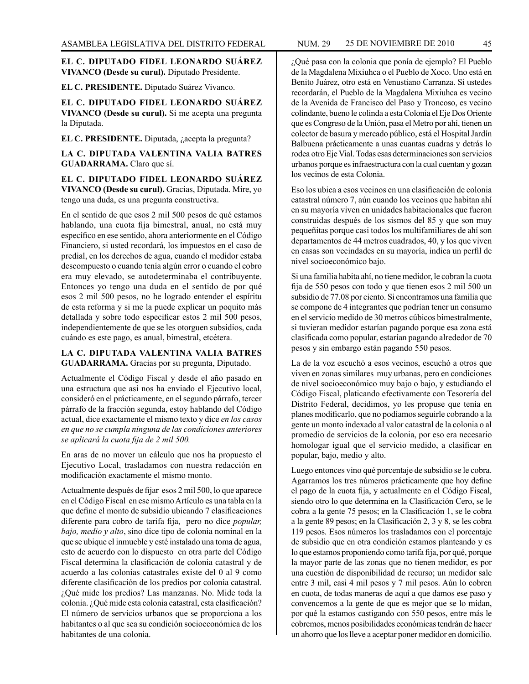#### **EL C. DIPUTADO FIDEL LEONARDO SUÁREZ VIVANCO (Desde su curul).** Diputado Presidente.

**EL C. PRESIDENTE.** Diputado Suárez Vivanco.

**EL C. DIPUTADO FIDEL LEONARDO SUÁREZ VIVANCO (Desde su curul).** Si me acepta una pregunta la Diputada.

**EL C. PRESIDENTE.** Diputada, ¿acepta la pregunta?

**LA C. DIPUTADA VALENTINA VALIA BATRES GUADARRAMA.** Claro que sí.

**EL C. DIPUTADO FIDEL LEONARDO SUÁREZ VIVANCO (Desde su curul).** Gracias, Diputada. Mire, yo tengo una duda, es una pregunta constructiva.

En el sentido de que esos 2 mil 500 pesos de qué estamos hablando, una cuota fija bimestral, anual, no está muy específico en ese sentido, ahora anteriormente en el Código Financiero, si usted recordará, los impuestos en el caso de predial, en los derechos de agua, cuando el medidor estaba descompuesto o cuando tenía algún error o cuando el cobro era muy elevado, se autodeterminaba el contribuyente. Entonces yo tengo una duda en el sentido de por qué esos 2 mil 500 pesos, no he logrado entender el espíritu de esta reforma y si me la puede explicar un poquito más detallada y sobre todo especificar estos 2 mil 500 pesos, independientemente de que se les otorguen subsidios, cada cuándo es este pago, es anual, bimestral, etcétera.

## **LA C. DIPUTADA VALENTINA VALIA BATRES GUADARRAMA.** Gracias por su pregunta, Diputado.

Actualmente el Código Fiscal y desde el año pasado en una estructura que así nos ha enviado el Ejecutivo local, consideró en el prácticamente, en el segundo párrafo, tercer párrafo de la fracción segunda, estoy hablando del Código actual, dice exactamente el mismo texto y dice *en los casos en que no se cumpla ninguna de las condiciones anteriores se aplicará la cuota fija de 2 mil 500.*

En aras de no mover un cálculo que nos ha propuesto el Ejecutivo Local, trasladamos con nuestra redacción en modificación exactamente el mismo monto.

Actualmente después de fijar esos 2 mil 500, lo que aparece en el Código Fiscal en ese mismo Artículo es una tabla en la que define el monto de subsidio ubicando 7 clasificaciones diferente para cobro de tarifa fija, pero no dice *popular, bajo, medio y alto*, sino dice tipo de colonia nominal en la que se ubique el inmueble y esté instalado una toma de agua, esto de acuerdo con lo dispuesto en otra parte del Código Fiscal determina la clasificación de colonia catastral y de acuerdo a las colonias catastrales existe del 0 al 9 como diferente clasificación de los predios por colonia catastral. ¿Qué mide los predios? Las manzanas. No. Mide toda la colonia. ¿Qué mide esta colonia catastral, esta clasificación? El número de servicios urbanos que se proporciona a los habitantes o al que sea su condición socioeconómica de los habitantes de una colonia.

¿Qué pasa con la colonia que ponía de ejemplo? El Pueblo de la Magdalena Mixiuhca o el Pueblo de Xoco. Uno está en Benito Juárez, otro está en Venustiano Carranza. Si ustedes recordarán, el Pueblo de la Magdalena Mixiuhca es vecino de la Avenida de Francisco del Paso y Troncoso, es vecino colindante, bueno le colinda a esta Colonia el Eje Dos Oriente que es Congreso de la Unión, pasa el Metro por ahí, tienen un colector de basura y mercado público, está el Hospital Jardín Balbuena prácticamente a unas cuantas cuadras y detrás lo rodea otro Eje Vial. Todas esas determinaciones son servicios urbanos porque es infraestructura con la cual cuentan y gozan los vecinos de esta Colonia.

Eso los ubica a esos vecinos en una clasificación de colonia catastral número 7, aún cuando los vecinos que habitan ahí en su mayoría viven en unidades habitacionales que fueron construidas después de los sismos del 85 y que son muy pequeñitas porque casi todos los multifamiliares de ahí son departamentos de 44 metros cuadrados, 40, y los que viven en casas son vecindades en su mayoría, indica un perfil de nivel socioeconómico bajo.

Si una familia habita ahí, no tiene medidor, le cobran la cuota fija de 550 pesos con todo y que tienen esos 2 mil 500 un subsidio de 77.08 por ciento. Si encontramos una familia que se compone de 4 integrantes que podrían tener un consumo en el servicio medido de 30 metros cúbicos bimestralmente, si tuvieran medidor estarían pagando porque esa zona está clasificada como popular, estarían pagando alrededor de 70 pesos y sin embargo están pagando 550 pesos.

La de la voz escuchó a esos vecinos, escuchó a otros que viven en zonas similares muy urbanas, pero en condiciones de nivel socioeconómico muy bajo o bajo, y estudiando el Código Fiscal, platicando efectivamente con Tesorería del Distrito Federal, decidimos, yo les propuse que tenía en planes modificarlo, que no podíamos seguirle cobrando a la gente un monto indexado al valor catastral de la colonia o al promedio de servicios de la colonia, por eso era necesario homologar igual que el servicio medido, a clasificar en popular, bajo, medio y alto.

Luego entonces vino qué porcentaje de subsidio se le cobra. Agarramos los tres números prácticamente que hoy define el pago de la cuota fija, y actualmente en el Código Fiscal, siendo otro lo que determina en la Clasificación Cero, se le cobra a la gente 75 pesos; en la Clasificación 1, se le cobra a la gente 89 pesos; en la Clasificación 2, 3 y 8, se les cobra 119 pesos. Esos números los trasladamos con el porcentaje de subsidio que en otra condición estamos planteando y es lo que estamos proponiendo como tarifa fija, por qué, porque la mayor parte de las zonas que no tienen medidor, es por una cuestión de disponibilidad de recurso; un medidor sale entre 3 mil, casi 4 mil pesos y 7 mil pesos. Aún lo cobren en cuota, de todas maneras de aquí a que damos ese paso y convencemos a la gente de que es mejor que se lo midan, por qué la estamos castigando con 550 pesos, entre más le cobremos, menos posibilidades económicas tendrán de hacer un ahorro que los lleve a aceptar poner medidor en domicilio.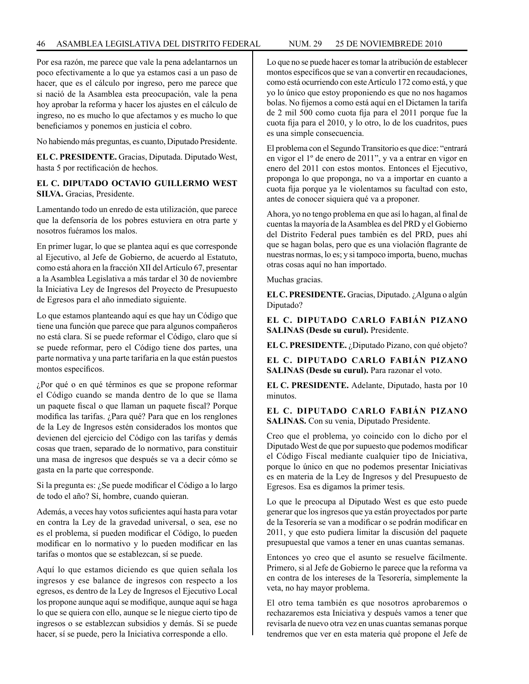Por esa razón, me parece que vale la pena adelantarnos un poco efectivamente a lo que ya estamos casi a un paso de hacer, que es el cálculo por ingreso, pero me parece que si nació de la Asamblea esta preocupación, vale la pena hoy aprobar la reforma y hacer los ajustes en el cálculo de ingreso, no es mucho lo que afectamos y es mucho lo que beneficiamos y ponemos en justicia el cobro.

No habiendo más preguntas, es cuanto, Diputado Presidente.

**EL C. PRESIDENTE.** Gracias, Diputada. Diputado West, hasta 5 por rectificación de hechos.

# **EL C. DIPUTADO OCTAVIO GUILLERMO WEST SILVA.** Gracias, Presidente.

Lamentando todo un enredo de esta utilización, que parece que la defensoría de los pobres estuviera en otra parte y nosotros fuéramos los malos.

En primer lugar, lo que se plantea aquí es que corresponde al Ejecutivo, al Jefe de Gobierno, de acuerdo al Estatuto, como está ahora en la fracción XII del Artículo 67, presentar a la Asamblea Legislativa a más tardar el 30 de noviembre la Iniciativa Ley de Ingresos del Proyecto de Presupuesto de Egresos para el año inmediato siguiente.

Lo que estamos planteando aquí es que hay un Código que tiene una función que parece que para algunos compañeros no está clara. Sí se puede reformar el Código, claro que sí se puede reformar, pero el Código tiene dos partes, una parte normativa y una parte tarifaria en la que están puestos montos específicos.

¿Por qué o en qué términos es que se propone reformar el Código cuando se manda dentro de lo que se llama un paquete fiscal o que llaman un paquete fiscal? Porque modifica las tarifas. ¿Para qué? Para que en los renglones de la Ley de Ingresos estén considerados los montos que devienen del ejercicio del Código con las tarifas y demás cosas que traen, separado de lo normativo, para constituir una masa de ingresos que después se va a decir cómo se gasta en la parte que corresponde.

Si la pregunta es:  $\zeta$ Se puede modificar el Código a lo largo de todo el año? Sí, hombre, cuando quieran.

Además, a veces hay votos suficientes aquí hasta para votar en contra la Ley de la gravedad universal, o sea, ese no es el problema, sí pueden modificar el Código, lo pueden modificar en lo normativo y lo pueden modificar en las tarifas o montos que se establezcan, sí se puede.

Aquí lo que estamos diciendo es que quien señala los ingresos y ese balance de ingresos con respecto a los egresos, es dentro de la Ley de Ingresos el Ejecutivo Local los propone aunque aquí se modifique, aunque aquí se haga lo que se quiera con ello, aunque se le niegue cierto tipo de ingresos o se establezcan subsidios y demás. Sí se puede hacer, sí se puede, pero la Iniciativa corresponde a ello.

Lo que no se puede hacer es tomar la atribución de establecer montos específicos que se van a convertir en recaudaciones, como está ocurriendo con este Artículo 172 como está, y que yo lo único que estoy proponiendo es que no nos hagamos bolas. No fijemos a como está aquí en el Dictamen la tarifa de 2 mil 500 como cuota fija para el 2011 porque fue la cuota fija para el 2010, y lo otro, lo de los cuadritos, pues es una simple consecuencia.

El problema con el Segundo Transitorio es que dice: "entrará en vigor el 1º de enero de 2011", y va a entrar en vigor en enero del 2011 con estos montos. Entonces el Ejecutivo, proponga lo que proponga, no va a importar en cuanto a cuota fija porque ya le violentamos su facultad con esto, antes de conocer siquiera qué va a proponer.

Ahora, yo no tengo problema en que así lo hagan, al final de cuentas la mayoría de la Asamblea es del PRD y el Gobierno del Distrito Federal pues también es del PRD, pues ahí que se hagan bolas, pero que es una violación flagrante de nuestras normas, lo es; y si tampoco importa, bueno, muchas otras cosas aquí no han importado.

Muchas gracias.

**EL C. PRESIDENTE.** Gracias, Diputado. ¿Alguna o algún Diputado?

**EL C. DIPUTADO CARLO FABIÁN PIZANO SALINAS (Desde su curul).** Presidente.

**EL C. PRESIDENTE.** ¿Diputado Pizano, con qué objeto?

**EL C. DIPUTADO CARLO FABIÁN PIZANO SALINAS (Desde su curul).** Para razonar el voto.

**EL C. PRESIDENTE.** Adelante, Diputado, hasta por 10 minutos.

**EL C. DIPUTADO CARLO FABIÁN PIZANO SALINAS.** Con su venia, Diputado Presidente.

Creo que el problema, yo coincido con lo dicho por el Diputado West de que por supuesto que podemos modificar el Código Fiscal mediante cualquier tipo de Iniciativa, porque lo único en que no podemos presentar Iniciativas es en materia de la Ley de Ingresos y del Presupuesto de Egresos. Esa es digamos la primer tesis.

Lo que le preocupa al Diputado West es que esto puede generar que los ingresos que ya están proyectados por parte de la Tesorería se van a modificar o se podrán modificar en 2011, y que esto pudiera limitar la discusión del paquete presupuestal que vamos a tener en unas cuantas semanas.

Entonces yo creo que el asunto se resuelve fácilmente. Primero, si al Jefe de Gobierno le parece que la reforma va en contra de los intereses de la Tesorería, simplemente la veta, no hay mayor problema.

El otro tema también es que nosotros aprobaremos o rechazaremos esta Iniciativa y después vamos a tener que revisarla de nuevo otra vez en unas cuantas semanas porque tendremos que ver en esta materia qué propone el Jefe de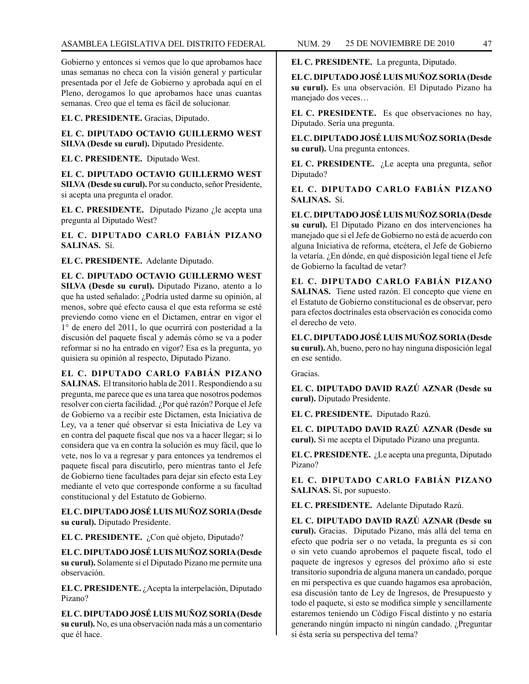Gobierno y entonces si vemos que lo que aprobamos hace unas semanas no checa con la visión general y particular presentada por el Jefe de Gobierno y aprobada aquí en el Pleno, derogamos lo que aprobamos hace unas cuantas semanas. Creo que el tema es fácil de solucionar.

**EL C. PRESIDENTE.** Gracias, Diputado.

**EL C. DIPUTADO OCTAVIO GUILLERMO WEST SILVA (Desde su curul).** Diputado Presidente.

**EL C. PRESIDENTE.** Diputado West.

**EL C. DIPUTADO OCTAVIO GUILLERMO WEST SILVA (Desde su curul).** Por su conducto, señor Presidente, si acepta una pregunta el orador.

**EL C. PRESIDENTE.** Diputado Pizano ¿le acepta una pregunta al Diputado West?

**EL C. DIPUTADO CARLO FABIÁN PIZANO SALINAS.** Sí.

**EL C. PRESIDENTE.** Adelante Diputado.

**EL C. DIPUTADO OCTAVIO GUILLERMO WEST SILVA (Desde su curul).** Diputado Pizano, atento a lo que ha usted señalado: ¿Podría usted darme su opinión, al menos, sobre qué efecto causa el que esta reforma se esté previendo como viene en el Dictamen, entrar en vigor el 1° de enero del 2011, lo que ocurrirá con posteridad a la discusión del paquete fiscal y además cómo se va a poder reformar si no ha entrado en vigor? Esa es la pregunta, yo quisiera su opinión al respecto, Diputado Pizano.

**EL C. DIPUTADO CARLO FABIÁN PIZANO SALINAS.** El transitorio habla de 2011. Respondiendo a su pregunta, me parece que es una tarea que nosotros podemos resolver con cierta facilidad. ¿Por qué razón? Porque el Jefe de Gobierno va a recibir este Dictamen, esta Iniciativa de Ley, va a tener qué observar si esta Iniciativa de Ley va en contra del paquete fiscal que nos va a hacer llegar; si lo considera que va en contra la solución es muy fácil, que lo vete, nos lo va a regresar y para entonces ya tendremos el paquete fiscal para discutirlo, pero mientras tanto el Jefe de Gobierno tiene facultades para dejar sin efecto esta Ley mediante el veto que corresponde conforme a su facultad constitucional y del Estatuto de Gobierno.

**EL C. DIPUTADO JOSÉ LUIS MUÑOZ SORIA (Desde su curul).** Diputado Presidente.

**EL C. PRESIDENTE.** ¿Con qué objeto, Diputado?

**EL C. DIPUTADO JOSÉ LUIS MUÑOZ SORIA (Desde su curul).** Solamente si el Diputado Pizano me permite una observación.

**EL C. PRESIDENTE.** ¿Acepta la interpelación, Diputado Pizano?

**EL C. DIPUTADO JOSÉ LUIS MUÑOZ SORIA (Desde su curul).** No, es una observación nada más a un comentario que él hace.

**EL C. PRESIDENTE.** La pregunta, Diputado.

**EL C. DIPUTADO JOSÉ LUIS MUÑOZ SORIA (Desde su curul).** Es una observación. El Diputado Pizano ha manejado dos veces…

**EL C. PRESIDENTE.** Es que observaciones no hay, Diputado. Sería una pregunta.

**EL C. DIPUTADO JOSÉ LUIS MUÑOZ SORIA (Desde su curul).** Una pregunta entonces.

**EL C. PRESIDENTE.** ¿Le acepta una pregunta, señor Diputado?

**EL C. DIPUTADO CARLO FABIÁN PIZANO SALINAS.** Sí.

**EL C. DIPUTADO JOSÉ LUIS MUÑOZ SORIA (Desde su curul).** El Diputado Pizano en dos intervenciones ha manejado que si el Jefe de Gobierno no está de acuerdo con alguna Iniciativa de reforma, etcétera, el Jefe de Gobierno la vetaría. ¿En dónde, en qué disposición legal tiene el Jefe de Gobierno la facultad de vetar?

**EL C. DIPUTADO CARLO FABIÁN PIZANO SALINAS.** Tiene usted razón. El concepto que viene en el Estatuto de Gobierno constitucional es de observar, pero para efectos doctrinales esta observación es conocida como el derecho de veto.

**EL C. DIPUTADO JOSÉ LUIS MUÑOZ SORIA (Desde su curul).** Ah, bueno, pero no hay ninguna disposición legal en ese sentido.

**Gracias** 

**EL C. DIPUTADO DAVID RAZÚ AZNAR (Desde su curul).** Diputado Presidente.

**EL C. PRESIDENTE.** Diputado Razú.

**EL C. DIPUTADO DAVID RAZÚ AZNAR (Desde su curul).** Si me acepta el Diputado Pizano una pregunta.

**EL C. PRESIDENTE.** ¿Le acepta una pregunta, Diputado Pizano?

**EL C. DIPUTADO CARLO FABIÁN PIZANO SALINAS.** Sí, por supuesto.

**EL C. PRESIDENTE.** Adelante Diputado Razú.

**EL C. DIPUTADO DAVID RAZÚ AZNAR (Desde su curul).** Gracias. Diputado Pizano, más allá del tema en efecto que podría ser o no vetada, la pregunta es si con o sin veto cuando aprobemos el paquete fiscal, todo el paquete de ingresos y egresos del próximo año si este transitorio supondría de alguna manera un candado, porque en mi perspectiva es que cuando hagamos esa aprobación, esa discusión tanto de Ley de Ingresos, de Presupuesto y todo el paquete, si esto se modifica simple y sencillamente estaremos teniendo un Código Fiscal distinto y no estaría generando ningún impacto ni ningún candado. ¿Preguntar si ésta sería su perspectiva del tema?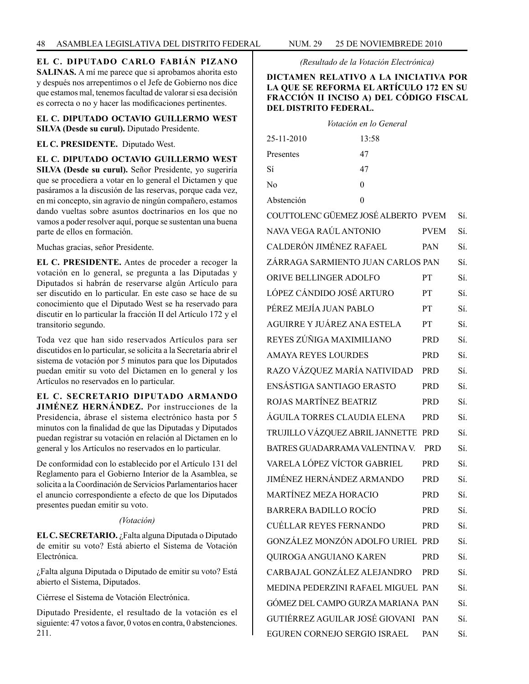**EL C. DIPUTADO CARLO FABIÁN PIZANO SALINAS.** A mí me parece que si aprobamos ahorita esto y después nos arrepentimos o el Jefe de Gobierno nos dice que estamos mal, tenemos facultad de valorar si esa decisión es correcta o no y hacer las modificaciones pertinentes.

**EL C. DIPUTADO OCTAVIO GUILLERMO WEST SILVA (Desde su curul).** Diputado Presidente.

## **EL C. PRESIDENTE.** Diputado West.

**EL C. DIPUTADO OCTAVIO GUILLERMO WEST SILVA (Desde su curul).** Señor Presidente, yo sugeriría que se procediera a votar en lo general el Dictamen y que pasáramos a la discusión de las reservas, porque cada vez, en mi concepto, sin agravio de ningún compañero, estamos dando vueltas sobre asuntos doctrinarios en los que no vamos a poder resolver aquí, porque se sustentan una buena parte de ellos en formación.

Muchas gracias, señor Presidente.

**EL C. PRESIDENTE.** Antes de proceder a recoger la votación en lo general, se pregunta a las Diputadas y Diputados si habrán de reservarse algún Artículo para ser discutido en lo particular. En este caso se hace de su conocimiento que el Diputado West se ha reservado para discutir en lo particular la fracción II del Artículo 172 y el transitorio segundo.

Toda vez que han sido reservados Artículos para ser discutidos en lo particular, se solicita a la Secretaría abrir el sistema de votación por 5 minutos para que los Diputados puedan emitir su voto del Dictamen en lo general y los Artículos no reservados en lo particular.

# **EL C. SECRETARIO DIPUTADO ARMANDO**

**JIMÉNEZ HERNÁNDEZ.** Por instrucciones de la Presidencia, ábrase el sistema electrónico hasta por 5 minutos con la finalidad de que las Diputadas y Diputados puedan registrar su votación en relación al Dictamen en lo general y los Artículos no reservados en lo particular.

De conformidad con lo establecido por el Artículo 131 del Reglamento para el Gobierno Interior de la Asamblea, se solicita a la Coordinación de Servicios Parlamentarios hacer el anuncio correspondiente a efecto de que los Diputados presentes puedan emitir su voto.

## *(Votación)*

**EL C. SECRETARIO.** ¿Falta alguna Diputada o Diputado de emitir su voto? Está abierto el Sistema de Votación Electrónica.

¿Falta alguna Diputada o Diputado de emitir su voto? Está abierto el Sistema, Diputados.

Ciérrese el Sistema de Votación Electrónica.

Diputado Presidente, el resultado de la votación es el siguiente: 47 votos a favor, 0 votos en contra, 0 abstenciones. 211.

*(Resultado de la Votación Electrónica)*

# **DICTAMEN RELATIVO A LA INICIATIVA POR LA QUE SE REFORMA EL ARTÍCULO 172 EN SU FRACCIÓN II INCISO A) DEL CÓDIGO FISCAL DEL DISTRITO FEDERAL.**

|                                     | Votación en lo General |             |     |
|-------------------------------------|------------------------|-------------|-----|
| 25-11-2010                          | 13:58                  |             |     |
| Presentes                           | 47                     |             |     |
| Sí                                  | 47                     |             |     |
| No                                  | $\theta$               |             |     |
| Abstención                          | $\theta$               |             |     |
| COUTTOLENC GÜEMEZ JOSÉ ALBERTO PVEM |                        |             | Sí. |
| NAVA VEGA RAÚL ANTONIO              |                        | <b>PVEM</b> | Sí. |
| CALDERÓN JIMÉNEZ RAFAEL             |                        | PAN         | Sí. |
| ZÁRRAGA SARMIENTO JUAN CARLOS PAN   |                        |             | Sí. |
| ORIVE BELLINGER ADOLFO              |                        | PT          | Sí. |
| LÓPEZ CÁNDIDO JOSÉ ARTURO           |                        | PT          | Sí. |
| PÉREZ MEJÍA JUAN PABLO              |                        | PT          | Sí. |
| AGUIRRE Y JUÁREZ ANA ESTELA         |                        | PT          | Sí. |
| REYES ZÚÑIGA MAXIMILIANO            |                        | <b>PRD</b>  | Sí. |
| <b>AMAYA REYES LOURDES</b>          |                        | <b>PRD</b>  | Sí. |
| RAZO VÁZQUEZ MARÍA NATIVIDAD        |                        | <b>PRD</b>  | Sí. |
| ENSÁSTIGA SANTIAGO ERASTO           |                        | <b>PRD</b>  | Sí. |
| ROJAS MARTÍNEZ BEATRIZ              |                        | <b>PRD</b>  | Sí. |
| ÁGUILA TORRES CLAUDIA ELENA         |                        | <b>PRD</b>  | Sí. |
| TRUJILLO VÁZQUEZ ABRIL JANNETTE PRD |                        |             | Sí. |
| BATRES GUADARRAMA VALENTINA V.      |                        | <b>PRD</b>  | Sí. |
| VARELA LÓPEZ VÍCTOR GABRIEL         |                        | <b>PRD</b>  | Sí. |
| <b>JIMÉNEZ HERNÁNDEZ ARMANDO</b>    |                        | <b>PRD</b>  | Sí. |
| MARTÍNEZ MEZA HORACIO               |                        | <b>PRD</b>  | Sí. |
| <b>BARRERA BADILLO ROCÍO</b>        |                        | <b>PRD</b>  | Sí. |
| <b>CUÉLLAR REYES FERNANDO</b>       |                        | <b>PRD</b>  | Sí. |
| GONZÁLEZ MONZÓN ADOLFO URIEL PRD    |                        |             | Sí. |
| QUIROGA ANGUIANO KAREN              |                        | <b>PRD</b>  | Sí. |
| CARBAJAL GONZÁLEZ ALEJANDRO         |                        | <b>PRD</b>  | Sí. |
| MEDINA PEDERZINI RAFAEL MIGUEL PAN  |                        |             | Sí. |
| GÓMEZ DEL CAMPO GURZA MARIANA PAN   |                        |             | Sí. |
| GUTIÉRREZ AGUILAR JOSÉ GIOVANI PAN  |                        |             | Sí. |
| EGUREN CORNEJO SERGIO ISRAEL        |                        | PAN         | Sí. |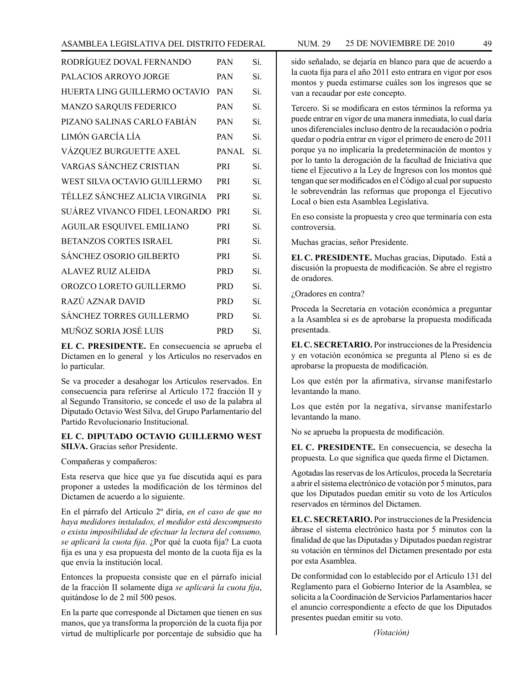### ASAMBLEA LEGISLATIVA DEL DISTRITO FEDERAL NUM. 29 25 DE NOVIEMBRE DE 2010 49

| RODRÍGUEZ DOVAL FERNANDO         | <b>PAN</b> | Sí  |
|----------------------------------|------------|-----|
| PALACIOS ARROYO JORGE            | <b>PAN</b> | Sí. |
| HUERTA LING GUILLERMO OCTAVIO    | <b>PAN</b> | Sí  |
| MANZO SARQUIS FEDERICO           | <b>PAN</b> | Sí. |
| PIZANO SALINAS CARLO FABIÁN      | <b>PAN</b> | Sí  |
| LIMÓN GARCÍA LÍA                 | <b>PAN</b> | Sí. |
| VÁZQUEZ BURGUETTE AXEL           | PANAL      | Sí. |
| VARGAS SÁNCHEZ CRISTIAN          | <b>PRI</b> | Sí. |
| WEST SILVA OCTAVIO GUILLERMO     | PRI        | Sí. |
| TÉLLEZ SÁNCHEZ ALICIA VIRGINIA   | <b>PRI</b> | Sí. |
| SUÁREZ VIVANCO FIDEL LEONARDO    | <b>PRI</b> | Sí. |
| <b>AGUILAR ESQUIVEL EMILIANO</b> | <b>PRI</b> | Sí. |
| BETANZOS CORTES ISRAEL           | <b>PRI</b> | Sí  |
| <b>SÁNCHEZ OSORIO GILBERTO</b>   | PRI        | Sí. |
| ALAVEZ RUIZ ALEIDA               | <b>PRD</b> | Sí. |
| OROZCO LORETO GUILLERMO          | <b>PRD</b> | Sí. |
| RAZÚ AZNAR DAVID                 | <b>PRD</b> | Sí. |
| <b>SÁNCHEZ TORRES GUILLERMO</b>  | <b>PRD</b> | Sí  |
| MUÑOZ SORIA JOSÉ LUIS            | <b>PRD</b> | Sí. |
|                                  |            |     |

**EL C. PRESIDENTE.** En consecuencia se aprueba el Dictamen en lo general y los Artículos no reservados en lo particular.

Se va proceder a desahogar los Artículos reservados. En consecuencia para referirse al Artículo 172 fracción II y al Segundo Transitorio, se concede el uso de la palabra al Diputado Octavio West Silva, del Grupo Parlamentario del Partido Revolucionario Institucional.

## **EL C. DIPUTADO OCTAVIO GUILLERMO WEST SILVA.** Gracias señor Presidente.

Compañeras y compañeros:

Esta reserva que hice que ya fue discutida aquí es para proponer a ustedes la modificación de los términos del Dictamen de acuerdo a lo siguiente.

En el párrafo del Artículo 2º diría, *en el caso de que no haya medidores instalados, el medidor está descompuesto o exista imposibilidad de efectuar la lectura del consumo, se aplicará la cuota fija*. ¿Por qué la cuota fija? La cuota fija es una y esa propuesta del monto de la cuota fija es la que envía la institución local.

Entonces la propuesta consiste que en el párrafo inicial de la fracción II solamente diga *se aplicará la cuota fija*, quitándose lo de 2 mil 500 pesos.

En la parte que corresponde al Dictamen que tienen en sus manos, que ya transforma la proporción de la cuota fija por virtud de multiplicarle por porcentaje de subsidio que ha

sido señalado, se dejaría en blanco para que de acuerdo a la cuota fija para el año 2011 esto entrara en vigor por esos montos y pueda estimarse cuáles son los ingresos que se van a recaudar por este concepto.

Tercero. Si se modificara en estos términos la reforma ya puede entrar en vigor de una manera inmediata, lo cual daría unos diferenciales incluso dentro de la recaudación o podría quedar o podría entrar en vigor el primero de enero de 2011 porque ya no implicaría la predeterminación de montos y por lo tanto la derogación de la facultad de Iniciativa que tiene el Ejecutivo a la Ley de Ingresos con los montos qué tengan que ser modificados en el Código al cual por supuesto le sobrevendrán las reformas que proponga el Ejecutivo Local o bien esta Asamblea Legislativa.

En eso consiste la propuesta y creo que terminaría con esta controversia.

Muchas gracias, señor Presidente.

**EL C. PRESIDENTE.** Muchas gracias, Diputado. Está a discusión la propuesta de modificación. Se abre el registro de oradores.

¿Oradores en contra?

Proceda la Secretaria en votación económica a preguntar a la Asamblea si es de aprobarse la propuesta modificada presentada.

**EL C. SECRETARIO.** Por instrucciones de la Presidencia y en votación económica se pregunta al Pleno si es de aprobarse la propuesta de modificación.

Los que estén por la afirmativa, sírvanse manifestarlo levantando la mano.

Los que estén por la negativa, sírvanse manifestarlo levantando la mano.

No se aprueba la propuesta de modificación.

**EL C. PRESIDENTE.** En consecuencia, se desecha la propuesta. Lo que significa que queda firme el Dictamen.

Agotadas las reservas de los Artículos, proceda la Secretaría a abrir el sistema electrónico de votación por 5 minutos, para que los Diputados puedan emitir su voto de los Artículos reservados en términos del Dictamen.

**EL C. SECRETARIO.** Por instrucciones de la Presidencia ábrase el sistema electrónico hasta por 5 minutos con la finalidad de que las Diputadas y Diputados puedan registrar su votación en términos del Dictamen presentado por esta por esta Asamblea.

De conformidad con lo establecido por el Artículo 131 del Reglamento para el Gobierno Interior de la Asamblea, se solicita a la Coordinación de Servicios Parlamentarios hacer el anuncio correspondiente a efecto de que los Diputados presentes puedan emitir su voto.

*(Votación)*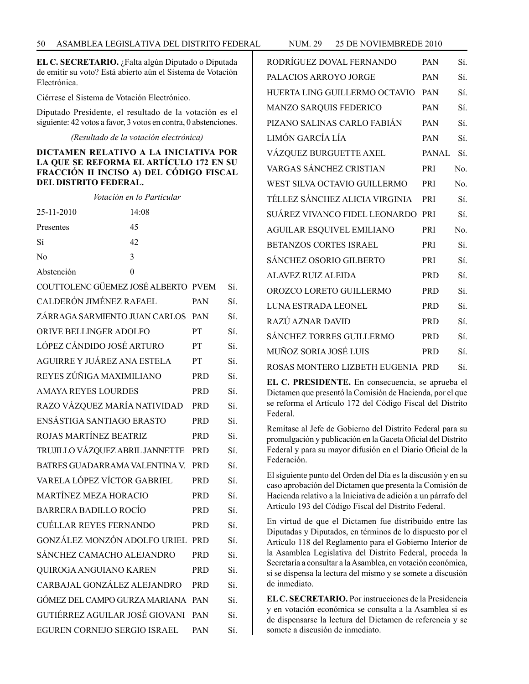**EL C. SECRETARIO.** ¿Falta algún Diputado o Diputada de emitir su voto? Está abierto aún el Sistema de Votación Electrónica.

Ciérrese el Sistema de Votación Electrónico.

Diputado Presidente, el resultado de la votación es el siguiente: 42 votos a favor, 3 votos en contra, 0 abstenciones.

*(Resultado de la votación electrónica)*

#### **DICTAMEN RELATIVO A LA INICIATIVA POR LA QUE SE REFORMA EL ARTÍCULO 172 EN SU FRACCIÓN II INCISO A) DEL CÓDIGO FISCAL DEL DISTRITO FEDERAL.**

|                                     | Votación en lo Particular |            |     |
|-------------------------------------|---------------------------|------------|-----|
| 25-11-2010                          | 14:08                     |            |     |
| Presentes                           | 45                        |            |     |
| Sí                                  | 42                        |            |     |
| N <sub>0</sub>                      | 3                         |            |     |
| Abstención                          | $\theta$                  |            |     |
| COUTTOLENC GÜEMEZ JOSÉ ALBERTO PVEM |                           |            | Sí. |
| CALDERÓN JIMÉNEZ RAFAEL             |                           | <b>PAN</b> | Sí. |
| ZÁRRAGA SARMIENTO JUAN CARLOS       |                           | <b>PAN</b> | Sí. |
| ORIVE BELLINGER ADOLFO              |                           | PT         | Sí. |
| LÓPEZ CÁNDIDO JOSÉ ARTURO           |                           | PТ         | Sí. |
| AGUIRRE Y JUÁREZ ANA ESTELA         |                           | <b>PT</b>  | Sí. |
| REYES ZÚÑIGA MAXIMILIANO            |                           | <b>PRD</b> | Sí. |
| <b>AMAYA REYES LOURDES</b>          |                           | <b>PRD</b> | Sí. |
| RAZO VÁZQUEZ MARÍA NATIVIDAD        |                           | <b>PRD</b> | Sí. |
| ENSÁSTIGA SANTIAGO ERASTO           |                           | <b>PRD</b> | Sí. |
| ROJAS MARTÍNEZ BEATRIZ              |                           | <b>PRD</b> | Sí. |
| TRUJILLO VÁZOUEZ ABRIL JANNETTE     |                           | <b>PRD</b> | Sí. |
| BATRES GUADARRAMA VALENTINA V       |                           | <b>PRD</b> | Sí. |
| VARELA LÓPEZ VÍCTOR GABRIEL         |                           | <b>PRD</b> | Sí. |
| <b>MARTÍNEZ MEZA HORACIO</b>        |                           | <b>PRD</b> | Sí. |
| BARRERA BADILLO ROCÍO               |                           | <b>PRD</b> | Sí. |
| <b>CUÉLLAR REYES FERNANDO</b>       |                           | <b>PRD</b> | Sí. |
| GONZÁLEZ MONZÓN ADOLFO URIEL        |                           | <b>PRD</b> | Sí. |
| SÁNCHEZ CAMACHO ALEJANDRO           |                           | <b>PRD</b> | Sí. |
| QUIROGA ANGUIANO KAREN              |                           | <b>PRD</b> | Sí. |
| CARBAJAL GONZÁLEZ ALEJANDRO         |                           | <b>PRD</b> | Sí. |
| GÓMEZ DEL CAMPO GURZA MARIANA       |                           | <b>PAN</b> | Sí. |
| GUTIÉRREZ AGUILAR JOSÉ GIOVANI      |                           | <b>PAN</b> | Sí. |
| EGUREN CORNEJO SERGIO ISRAEL        |                           | <b>PAN</b> | Sí. |
|                                     |                           |            |     |

| RODRÍGUEZ DOVAL FERNANDO          | <b>PAN</b> | Sí. |
|-----------------------------------|------------|-----|
| PALACIOS ARROYO JORGE             | PAN        | Sí. |
| HUERTA LING GUILLERMO OCTAVIO     | <b>PAN</b> | Sí. |
| MANZO SARQUIS FEDERICO            | <b>PAN</b> | Sí. |
| PIZANO SALINAS CARLO FABIÁN       | <b>PAN</b> | Sí. |
| LIMÓN GARCÍA LÍA                  | <b>PAN</b> | Sí. |
| VÁZQUEZ BURGUETTE AXEL            | PANAL Sí.  |     |
| VARGAS SÁNCHEZ CRISTIAN           | PRI        | No. |
| WEST SILVA OCTAVIO GUILLERMO      | PRI        | No. |
| TÉLLEZ SÁNCHEZ ALICIA VIRGINIA    | PRI        | Sí. |
| SUÁREZ VIVANCO FIDEL LEONARDO     | PRI        | Sí. |
| <b>AGUILAR ESQUIVEL EMILIANO</b>  | <b>PRI</b> | No. |
| <b>BETANZOS CORTES ISRAEL</b>     | PRI        | Sí. |
| SÁNCHEZ OSORIO GILBERTO           | PRI        | Sí. |
| <b>ALAVEZ RUIZ ALEIDA</b>         | <b>PRD</b> | Sí. |
| OROZCO LORETO GUILLERMO           | <b>PRD</b> | Sí. |
| LUNA ESTRADA LEONEL               | <b>PRD</b> | Sí. |
| RAZÚ AZNAR DAVID                  | <b>PRD</b> | Sí. |
| <b>SÁNCHEZ TORRES GUILLERMO</b>   | <b>PRD</b> | Sí. |
| MUÑOZ SORIA JOSÉ LUIS             | <b>PRD</b> | Sí. |
| ROSAS MONTERO LIZBETH EUGENIA PRD |            | Sí. |

**EL C. PRESIDENTE.** En consecuencia, se aprueba el Dictamen que presentó la Comisión de Hacienda, por el que se reforma el Artículo 172 del Código Fiscal del Distrito Federal.

Remítase al Jefe de Gobierno del Distrito Federal para su promulgación y publicación en la Gaceta Oficial del Distrito Federal y para su mayor difusión en el Diario Oficial de la Federación.

El siguiente punto del Orden del Día es la discusión y en su caso aprobación del Dictamen que presenta la Comisión de Hacienda relativo a la Iniciativa de adición a un párrafo del Artículo 193 del Código Fiscal del Distrito Federal.

En virtud de que el Dictamen fue distribuido entre las Diputadas y Diputados, en términos de lo dispuesto por el Artículo 118 del Reglamento para el Gobierno Interior de la Asamblea Legislativa del Distrito Federal, proceda la Secretaría a consultar a la Asamblea, en votación económica, si se dispensa la lectura del mismo y se somete a discusión de inmediato.

**EL C. SECRETARIO.** Por instrucciones de la Presidencia y en votación económica se consulta a la Asamblea si es de dispensarse la lectura del Dictamen de referencia y se somete a discusión de inmediato.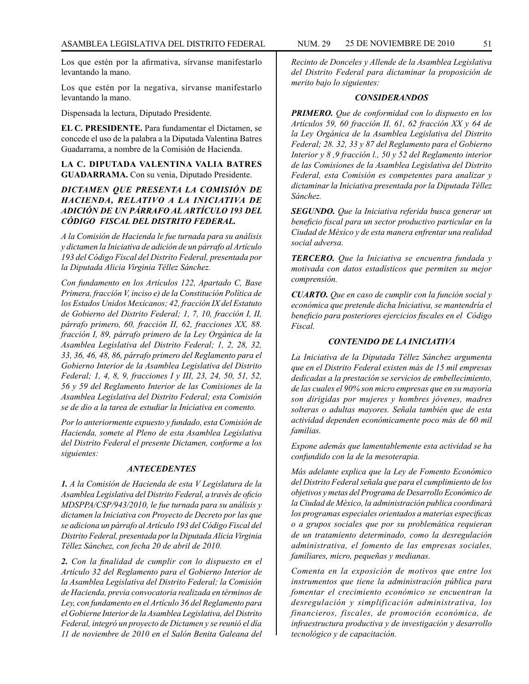Los que estén por la afirmativa, sírvanse manifestarlo levantando la mano.

Los que estén por la negativa, sírvanse manifestarlo levantando la mano.

Dispensada la lectura, Diputado Presidente.

**EL C. PRESIDENTE.** Para fundamentar el Dictamen, se concede el uso de la palabra a la Diputada Valentina Batres Guadarrama, a nombre de la Comisión de Hacienda.

**LA C. DIPUTADA VALENTINA VALIA BATRES GUADARRAMA.** Con su venia, Diputado Presidente.

# *DICTAMEN QUE PRESENTA LA COMISIÓN DE HACIENDA, RELATIVO A LA INICIATIVA DE ADICIÓN DE UN PÁRRAFO AL ARTÍCULO 193 DEL CÓDIGO FISCAL DEL DISTRITO FEDERAL.*

*A la Comisión de Hacienda le fue turnada para su análisis y dictamen la Iniciativa de adición de un párrafo al Artículo 193 del Código Fiscal del Distrito Federal, presentada por la Diputada Alicia Virginia Téllez Sánchez.*

*Con fundamento en los Artículos 122, Apartado C, Base Primera, fracción V, inciso e) de la Constitución Política de los Estados Unidos Mexicanos; 42, fracción IX del Estatuto de Gobierno del Distrito Federal; 1, 7, 10, fracción I, II, párrafo primero, 60, fracción II, 62, fracciones XX, 88. fracción I, 89, párrafo primero de la Ley Orgánica de la Asamblea Legislativa del Distrito Federal; 1, 2, 28, 32, 33, 36, 46, 48, 86, párrafo primero del Reglamento para el Gobierno Interior de la Asamblea Legislativa del Distrito Federal; 1, 4, 8, 9, fracciones I y III, 23, 24, 50, 51, 52, 56 y 59 del Reglamento Interior de las Comisiones de la Asamblea Legislativa del Distrito Federal; esta Comisión se de dio a la tarea de estudiar la Iniciativa en comento.*

*Por lo anteriormente expuesto y fundado, esta Comisión de Hacienda, somete al Pleno de esta Asamblea Legislativa del Distrito Federal el presente Dictamen, conforme a los siguientes:*

#### *ANTECEDENTES*

*1. A la Comisión de Hacienda de esta V Legislatura de la Asamblea Legislativa del Distrito Federal, a través de oficio MDSPPA/CSP/943/2010, le fue turnada para su análisis y dictamen la Iniciativa con Proyecto de Decreto por las que se adiciona un párrafo al Artículo 193 del Código Fiscal del Distrito Federal, presentada por la Diputada Alicia Virginia Téllez Sánchez, con fecha 20 de abril de 2010.*

*2. Con la finalidad de cumplir con lo dispuesto en el Artículo 32 del Reglamento para el Gobierno Interior de la Asamblea Legislativa del Distrito Federal; la Comisión de Hacienda, previa convocatoria realizada en términos de Ley, con fundamento en el Artículo 36 del Reglamento para el Gobierne Interior de la Asamblea Legislativa, del Distrito Federal, integró un proyecto de Dictamen y se reunió el día 11 de noviembre de 2010 en el Salón Benita Galeana del* 

*Recinto de Donceles y Allende de la Asamblea Legislativa del Distrito Federal para dictaminar la proposición de merito bajo lo siguientes:*

#### *CONSIDERANDOS*

*PRIMERO. Que de conformidad con lo dispuesto en los Artículos 59, 60 fracción II, 61, 62 fracción XX y 64 de la Ley Orgánica de la Asamblea Legislativa del Distrito Federal; 28. 32, 33 y 87 del Reglamento para el Gobierno Interior y 8 ,9 fracción l., 50 y 52 del Reglamento interior de las Comisiones de la Asamblea Legislativa del Distrito Federal, esta Comisión es competentes para analizar y dictaminar la Iniciativa presentada por la Diputada Téllez Sánchez.*

*SEGUNDO. Que la Iniciativa referida busca generar un beneficio fiscal para un sector productivo particular en la Ciudad de México y de esta manera enfrentar una realidad social adversa.*

*TERCERO. Que la Iniciativa se encuentra fundada y motivada con datos estadísticos que permiten su mejor comprensión.*

*CUARTO. Que en caso de cumplir con la función social y económica que pretende dicha Iniciativa, se mantendría el beneficio para posteriores ejercicios fiscales en el Código Fiscal.*

#### *CONTENIDO DE LA INICIATIVA*

*La Iniciativa de la Diputada Téllez Sánchez argumenta que en el Distrito Federal existen más de 15 mil empresas dedicadas a la prestación se servicios de embellecimiento, de las cuales el 90% son micro empresas que en su mayoría son dirigidas por mujeres y hombres jóvenes, madres solteras o adultas mayores. Señala también que de esta actividad dependen económicamente poco más de 60 mil familias.*

*Expone además que lamentablemente esta actividad se ha confundido con la de la mesoterapia.*

*Más adelante explica que la Ley de Fomento Económico del Distrito Federal señala que para el cumplimiento de los objetivos y metas del Programa de Desarrollo Económico de la Ciudad de México, la administración publica coordinará los programas especiales orientados a materias especificas o a grupos sociales que por su problemática requieran de un tratamiento determinado, como la desregulación administrativa, el fomento de las empresas sociales, familiares, micro, pequeñas y medianas.*

*Comenta en la exposición de motivos que entre los instrumentos que tiene la administración pública para fomentar el crecimiento económico se encuentran la desregulación y simplificación administrativa, los financieros, fiscales, de promoción económica, de infraestructura productiva y de investigación y desarrollo tecnológico y de capacitación.*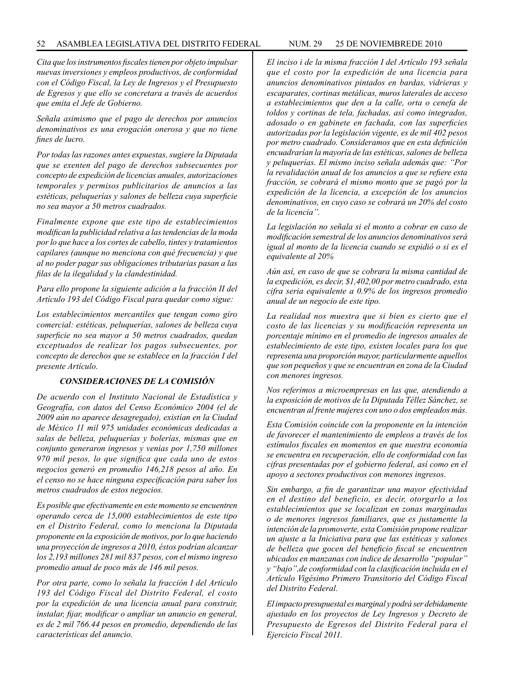#### 52 ASAMBLEA LEGISLATIVA DEL DISTRITO FEDERAL NUM. 29 25 DE NOVIEMBREde 2010

*Cita que los instrumentos fiscales tienen por objeto impulsar nuevas inversiones y empleos productivos, de conformidad con el Código Fiscal, la Ley de Ingresos y el Presupuesto de Egresos y que ello se concretara a través de acuerdos que emita el Jefe de Gobierno.*

*Señala asimismo que el pago de derechos por anuncios denominativos es una erogación onerosa y que no tiene fines de lucro.*

*Por todas las razones antes expuestas, sugiere la Diputada que se exenten del pago de derechos subsecuentes por concepto de expedición de licencias anuales, autorizaciones temporales y permisos publicitarios de anuncios a las estéticas, peluquerías y salones de belleza cuya superficie no sea mayor a 50 metros cuadrados.*

*Finalmente expone que este tipo de establecimientos modifican la publicidad relativa a las tendencias de la moda por lo que hace a los cortes de cabello, tintes y tratamientos capilares (aunque no menciona con qué frecuencia) y que al no poder pagar sus obligaciones tributarias pasan a las filas de la ilegalidad y la clandestinidad.*

*Para ello propone la siguiente adición a la fracción II del Artículo 193 del Código Fiscal para quedar como sigue:*

*Los establecimientos mercantiles que tengan como giro comercial: estéticas, peluquerías, salones de belleza cuya superficie no sea mayor a 50 metros cuadrados, quedan exceptuados de realizar los pagos subsecuentes, por concepto de derechos que se establece en la fracción I del presente Artículo.*

## *CONSIDERACIONES DE LA COMISIÓN*

*De acuerdo con el Instituto Nacional de Estadística y Geografía, con datos del Censo Económico 2004 (el de 2009 aún no aparece desagregado), existían en la Ciudad de México 11 mil 975 unidades económicas dedicadas a salas de belleza, peluquerías y bolerías, mismas que en conjunto generaron ingresos y venias por 1,750 millones 970 mil pesos, lo que significa que cada uno de estos negocios generó en promedio 146,218 pesos al año. En el censo no se hace ninguna especificación para saber los metros cuadrados de estos negocios.*

*Es posible que efectivamente en este momento se encuentren operando cerca de 15,000 establecimientos de este tipo en el Distrito Federal, como lo menciona la Diputada proponente en la exposición de motivos, por lo que haciendo una proyección de ingresos a 2010, éstos podrían alcanzar los 2,193 millones 281 mil 837 pesos, con el mismo ingreso promedio anual de poco más de 146 mil pesos.*

*Por otra parte, como lo señala la fracción I del Artículo 193 del Código Fiscal del Distrito Federal, el costo por la expedición de una licencia anual para construir, instalar, fijar, modificar o ampliar un anuncio en general, es de 2 mil 766.44 pesos en promedio, dependiendo de las características del anuncio.*

*El inciso i de la misma fracción I del Artículo 193 señala que el costo por la expedición de una licencia para anuncios denominativos pintados en bardas, vidrieras y escaparates, cortinas metálicas, muros laterales de acceso a establecimientos que den a la calle, orta o cenefa de toldos y cortinas de tela, fachadas, así como integrados, adosado o en gabinete en fachada, con las superficies autorizadas por la legislación vigente, es de mil 402 pesos por metro cuadrado. Consideramos que en esta definición encuadrarían la mayoría de las estéticas, salones de belleza y peluquerías. El mismo inciso señala además que: "Por la revalidación anual de los anuncios a que se refiere esta fracción, se cobrará el mismo monto que se pagó por la expedición de la licencia, a excepción de los anuncios denominativos, en cuyo caso se cobrará un 20% del costo de la licencia".*

*La legislación no señala si el monto a cobrar en caso de modificación semestral de los anuncios denominativos será igual al monto de la licencia cuando se expidió o si es el equivalente al 20%*

*Aún así, en caso de que se cobrara la misma cantidad de la expedición, es decir, \$1,402,00 por metro cuadrado, esta cifra seria equivalente a 0.9% de los ingresos promedio anual de un negocio de este tipo.*

*La realidad nos muestra que si bien es cierto que el costo de las licencias y su modificación representa un porcentaje mínimo en el promedio de ingresos anuales de establecimiento de este tipo, existen locales para los que representa una proporción mayor, particularmente aquellos que son pequeños y que se encuentran en zona de la Ciudad con menores ingresos.*

*Nos referimos a microempresas en las que, atendiendo a la exposición de motivos de la Diputada Téllez Sánchez, se encuentran al frente mujeres con uno o dos empleados más.*

*Esta Comisión coincide con la proponente en la intención de favorecer el mantenimiento de empleos a través de los estímulos fiscales en momentos en que nuestra economía se encuentra en recuperación, ello de conformidad con las cifras presentadas por el gobierno federal, así como en el apoyo a sectores productivos con menores ingresos.*

*Sin embargo, a fin de garantizar una mayor efectividad en el destino del beneficio, es decir, otorgarlo a los establecimientos que se localizan en zonas marginadas o de menores ingresos familiares, que es justamente la intención de la promoverte, esta Comisión propone realizar un ajuste a la Iniciativa para que las estéticas y salones de belleza que gocen del beneficio fiscal se encuentren ubicados en manzanas con índice de desarrollo "popular" y "bajo",de conformidad con la clasificación incluida en el Artículo Vigésimo Primero Transitorio del Código Fiscal del Distrito Federal.*

*El impacto presupuestal es marginal y podrá ser debidamente ajustado en los proyectos de Ley Ingresos y Decreto de Presupuesto de Egresos del Distrito Federal para el Ejercicio Fiscal 2011.*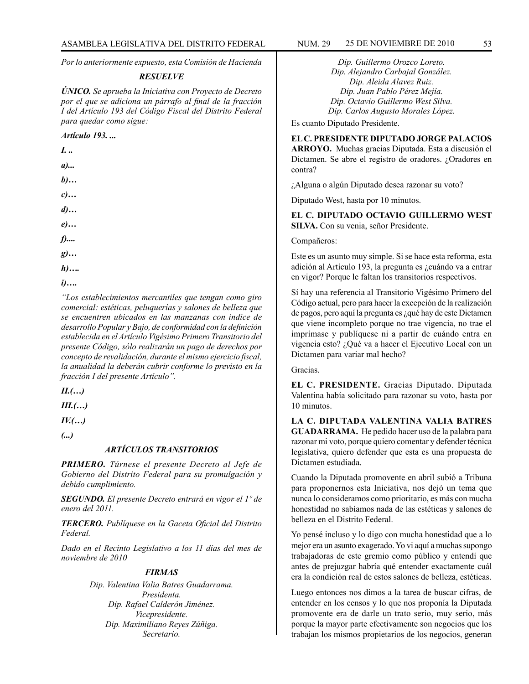*Por lo anteriormente expuesto, esta Comisión de Hacienda*

#### *RESUELVE*

*ÚNICO. Se aprueba la Iniciativa con Proyecto de Decreto por el que se adiciona un párrafo al final de la fracción I del Artículo 193 del Código Fiscal del Distrito Federal para quedar como sigue:*

*Artículo 193. ...*

*I. .. a)... b)… c)… d)… e)… f).... g)… h)….*

*i)….*

*"Los establecimientos mercantiles que tengan como giro comercial: estéticas, peluquerías y salones de belleza que se encuentren ubicados en las manzanas con índice de desarrollo Popular y Bajo, de conformidad con la definición establecida en el Artículo Vigésimo Primero Transitorio del presente Código, sólo realizarán un pago de derechos por concepto de revalidación, durante el mismo ejercicio fiscal, la anualidad la deberán cubrir conforme lo previsto en la fracción I del presente Artículo".*

*II.(…)*

*III.(…)*

*IV.(…)*

*(...)* 

#### *ARTÍCULOS TRANSITORIOS*

*PRIMERO. Túrnese el presente Decreto al Jefe de Gobierno del Distrito Federal para su promulgación y debido cumplimiento.*

*SEGUNDO. El presente Decreto entrará en vigor el 1º de enero del 2011.*

*TERCERO. Publíquese en la Gaceta Oficial del Distrito Federal.*

*Dado en el Recinto Legislativo a los 11 días del mes de noviembre de 2010*

#### *FIRMAS*

*Dip. Valentina Valia Batres Guadarrama. Presidenta. Dip. Rafael Calderón Jiménez. Vicepresidente. Dip. Maximiliano Reyes Zúñiga. Secretario.*

*Dip. Guillermo Orozco Loreto. Dip. Alejandro Carbajal González. Dip. Aleida Alavez Ruiz. Dip. Juan Pablo Pérez Mejía. Dip. Octavio Guillermo West Silva. Dip. Carlos Augusto Morales López.*

Es cuanto Diputado Presidente.

# **EL C. PRESIDENTE DIPUTADO JORGE PALACIOS**

**ARROYO.** Muchas gracias Diputada. Esta a discusión el Dictamen. Se abre el registro de oradores. ¿Oradores en contra?

¿Alguna o algún Diputado desea razonar su voto?

Diputado West, hasta por 10 minutos.

#### **EL C. DIPUTADO OCTAVIO GUILLERMO WEST SILVA.** Con su venia, señor Presidente.

Compañeros:

Este es un asunto muy simple. Si se hace esta reforma, esta adición al Artículo 193, la pregunta es ¿cuándo va a entrar en vigor? Porque le faltan los transitorios respectivos.

Sí hay una referencia al Transitorio Vigésimo Primero del Código actual, pero para hacer la excepción de la realización de pagos, pero aquí la pregunta es ¿qué hay de este Dictamen que viene incompleto porque no trae vigencia, no trae el imprímase y publíquese ni a partir de cuándo entra en vigencia esto? ¿Qué va a hacer el Ejecutivo Local con un Dictamen para variar mal hecho?

Gracias.

**EL C. PRESIDENTE.** Gracias Diputado. Diputada Valentina había solicitado para razonar su voto, hasta por 10 minutos.

**LA C. DIPUTADA VALENTINA VALIA BATRES GUADARRAMA.** He pedido hacer uso de la palabra para razonar mi voto, porque quiero comentar y defender técnica legislativa, quiero defender que esta es una propuesta de Dictamen estudiada.

Cuando la Diputada promovente en abril subió a Tribuna para proponernos esta Iniciativa, nos dejó un tema que nunca lo consideramos como prioritario, es más con mucha honestidad no sabíamos nada de las estéticas y salones de belleza en el Distrito Federal.

Yo pensé incluso y lo digo con mucha honestidad que a lo mejor era un asunto exagerado. Yo vi aquí a muchas supongo trabajadoras de este gremio como público y entendí que antes de prejuzgar habría qué entender exactamente cuál era la condición real de estos salones de belleza, estéticas.

Luego entonces nos dimos a la tarea de buscar cifras, de entender en los censos y lo que nos proponía la Diputada promovente era de darle un trato serio, muy serio, más porque la mayor parte efectivamente son negocios que los trabajan los mismos propietarios de los negocios, generan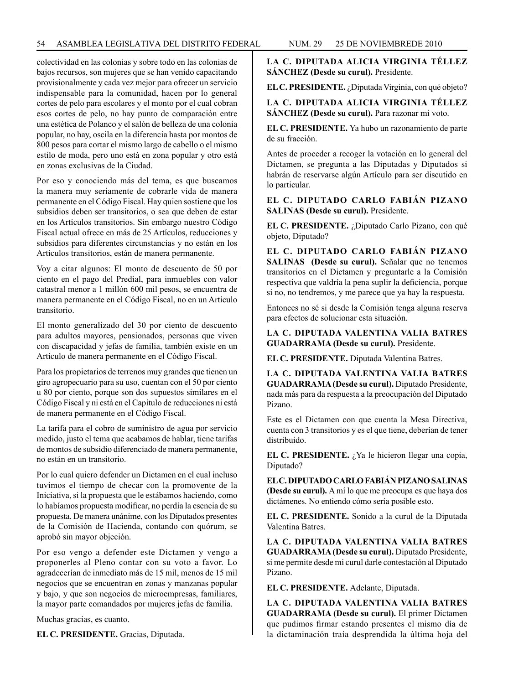colectividad en las colonias y sobre todo en las colonias de bajos recursos, son mujeres que se han venido capacitando provisionalmente y cada vez mejor para ofrecer un servicio indispensable para la comunidad, hacen por lo general cortes de pelo para escolares y el monto por el cual cobran esos cortes de pelo, no hay punto de comparación entre una estética de Polanco y el salón de belleza de una colonia popular, no hay, oscila en la diferencia hasta por montos de 800 pesos para cortar el mismo largo de cabello o el mismo estilo de moda, pero uno está en zona popular y otro está en zonas exclusivas de la Ciudad.

Por eso y conociendo más del tema, es que buscamos la manera muy seriamente de cobrarle vida de manera permanente en el Código Fiscal. Hay quien sostiene que los subsidios deben ser transitorios, o sea que deben de estar en los Artículos transitorios. Sin embargo nuestro Código Fiscal actual ofrece en más de 25 Artículos, reducciones y subsidios para diferentes circunstancias y no están en los Artículos transitorios, están de manera permanente.

Voy a citar algunos: El monto de descuento de 50 por ciento en el pago del Predial, para inmuebles con valor catastral menor a 1 millón 600 mil pesos, se encuentra de manera permanente en el Código Fiscal, no en un Artículo transitorio.

El monto generalizado del 30 por ciento de descuento para adultos mayores, pensionados, personas que viven con discapacidad y jefas de familia, también existe en un Artículo de manera permanente en el Código Fiscal.

Para los propietarios de terrenos muy grandes que tienen un giro agropecuario para su uso, cuentan con el 50 por ciento u 80 por ciento, porque son dos supuestos similares en el Código Fiscal y ni está en el Capítulo de reducciones ni está de manera permanente en el Código Fiscal.

La tarifa para el cobro de suministro de agua por servicio medido, justo el tema que acabamos de hablar, tiene tarifas de montos de subsidio diferenciado de manera permanente, no están en un transitorio.

Por lo cual quiero defender un Dictamen en el cual incluso tuvimos el tiempo de checar con la promovente de la Iniciativa, si la propuesta que le estábamos haciendo, como lo habíamos propuesta modificar, no perdía la esencia de su propuesta. De manera unánime, con los Diputados presentes de la Comisión de Hacienda, contando con quórum, se aprobó sin mayor objeción.

Por eso vengo a defender este Dictamen y vengo a proponerles al Pleno contar con su voto a favor. Lo agradecerían de inmediato más de 15 mil, menos de 15 mil negocios que se encuentran en zonas y manzanas popular y bajo, y que son negocios de microempresas, familiares, la mayor parte comandados por mujeres jefas de familia.

Muchas gracias, es cuanto.

**EL C. PRESIDENTE.** Gracias, Diputada.

**LA C. DIPUTADA ALICIA VIRGINIA TÉLLEZ SÁNCHEZ (Desde su curul).** Presidente.

**EL C. PRESIDENTE.** ¿Diputada Virginia, con qué objeto?

## **LA C. DIPUTADA ALICIA VIRGINIA TÉLLEZ SÁNCHEZ (Desde su curul).** Para razonar mi voto.

**EL C. PRESIDENTE.** Ya hubo un razonamiento de parte de su fracción.

Antes de proceder a recoger la votación en lo general del Dictamen, se pregunta a las Diputadas y Diputados si habrán de reservarse algún Artículo para ser discutido en lo particular.

**EL C. DIPUTADO CARLO FABIÁN PIZANO SALINAS (Desde su curul).** Presidente.

**EL C. PRESIDENTE.** ¿Diputado Carlo Pizano, con qué objeto, Diputado?

**EL C. DIPUTADO CARLO FABIÁN PIZANO SALINAS (Desde su curul).** Señalar que no tenemos transitorios en el Dictamen y preguntarle a la Comisión respectiva que valdría la pena suplir la deficiencia, porque si no, no tendremos, y me parece que ya hay la respuesta.

Entonces no sé si desde la Comisión tenga alguna reserva para efectos de solucionar esta situación.

**LA C. DIPUTADA VALENTINA VALIA BATRES GUADARRAMA (Desde su curul).** Presidente.

**EL C. PRESIDENTE.** Diputada Valentina Batres.

**LA C. DIPUTADA VALENTINA VALIA BATRES GUADARRAMA (Desde su curul).** Diputado Presidente, nada más para da respuesta a la preocupación del Diputado Pizano.

Este es el Dictamen con que cuenta la Mesa Directiva, cuenta con 3 transitorios y es el que tiene, deberían de tener distribuido.

**EL C. PRESIDENTE.** *i*, Ya le hicieron llegar una copia, Diputado?

**EL C. DIPUTADO CARLO FABIÁN PIZANO SALINAS (Desde su curul).** A mí lo que me preocupa es que haya dos dictámenes. No entiendo cómo sería posible esto.

**EL C. PRESIDENTE.** Sonido a la curul de la Diputada Valentina Batres.

**LA C. DIPUTADA VALENTINA VALIA BATRES GUADARRAMA (Desde su curul).** Diputado Presidente, si me permite desde mi curul darle contestación al Diputado Pizano.

**EL C. PRESIDENTE.** Adelante, Diputada.

**LA C. DIPUTADA VALENTINA VALIA BATRES GUADARRAMA (Desde su curul).** El primer Dictamen que pudimos firmar estando presentes el mismo día de la dictaminación traía desprendida la última hoja del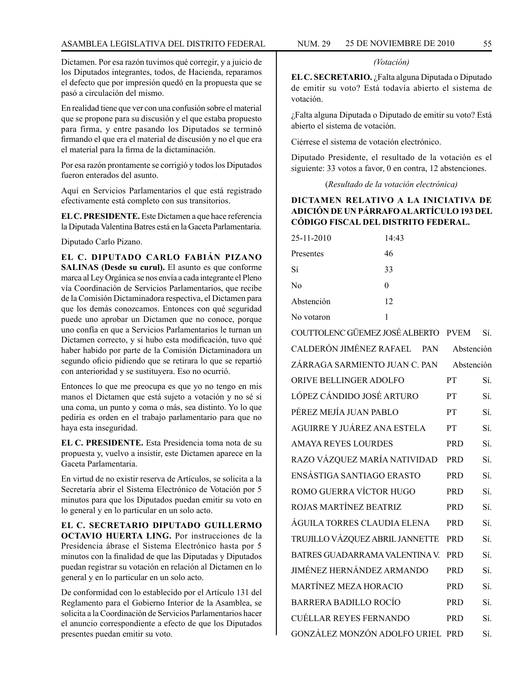Dictamen. Por esa razón tuvimos qué corregir, y a juicio de los Diputados integrantes, todos, de Hacienda, reparamos el defecto que por impresión quedó en la propuesta que se pasó a circulación del mismo.

En realidad tiene que ver con una confusión sobre el material que se propone para su discusión y el que estaba propuesto para firma, y entre pasando los Diputados se terminó firmando el que era el material de discusión y no el que era el material para la firma de la dictaminación.

Por esa razón prontamente se corrigió y todos los Diputados fueron enterados del asunto.

Aquí en Servicios Parlamentarios el que está registrado efectivamente está completo con sus transitorios.

**EL C. PRESIDENTE.** Este Dictamen a que hace referencia la Diputada Valentina Batres está en la Gaceta Parlamentaria.

Diputado Carlo Pizano.

**EL C. DIPUTADO CARLO FABIÁN PIZANO SALINAS (Desde su curul).** El asunto es que conforme marca al Ley Orgánica se nos envía a cada integrante el Pleno vía Coordinación de Servicios Parlamentarios, que recibe de la Comisión Dictaminadora respectiva, el Dictamen para que los demás conozcamos. Entonces con qué seguridad puede uno aprobar un Dictamen que no conoce, porque uno confía en que a Servicios Parlamentarios le turnan un Dictamen correcto, y si hubo esta modificación, tuvo qué haber habido por parte de la Comisión Dictaminadora un segundo oficio pidiendo que se retirara lo que se repartió con anterioridad y se sustituyera. Eso no ocurrió.

Entonces lo que me preocupa es que yo no tengo en mis manos el Dictamen que está sujeto a votación y no sé si una coma, un punto y coma o más, sea distinto. Yo lo que pediría es orden en el trabajo parlamentario para que no haya esta inseguridad.

**EL C. PRESIDENTE.** Esta Presidencia toma nota de su propuesta y, vuelvo a insistir, este Dictamen aparece en la Gaceta Parlamentaria.

En virtud de no existir reserva de Artículos, se solicita a la Secretaría abrir el Sistema Electrónico de Votación por 5 minutos para que los Diputados puedan emitir su voto en lo general y en lo particular en un solo acto.

**EL C. SECRETARIO DIPUTADO GUILLERMO OCTAVIO HUERTA LING.** Por instrucciones de la Presidencia ábrase el Sistema Electrónico hasta por 5 minutos con la finalidad de que las Diputadas y Diputados puedan registrar su votación en relación al Dictamen en lo general y en lo particular en un solo acto.

De conformidad con lo establecido por el Artículo 131 del Reglamento para el Gobierno Interior de la Asamblea, se solicita a la Coordinación de Servicios Parlamentarios hacer el anuncio correspondiente a efecto de que los Diputados presentes puedan emitir su voto.

#### *(Votación)*

**EL C. SECRETARIO.** ¿Falta alguna Diputada o Diputado de emitir su voto? Está todavía abierto el sistema de votación.

¿Falta alguna Diputada o Diputado de emitir su voto? Está abierto el sistema de votación.

Ciérrese el sistema de votación electrónico.

Diputado Presidente, el resultado de la votación es el siguiente: 33 votos a favor, 0 en contra, 12 abstenciones.

(*Resultado de la votación electrónica)*

## **DICTAMEN RELATIVO A LA INICIATIVA DE ADICIÓN DE UN PÁRRAFO AL ARTÍCULO 193 DEL CÓDIGO FISCAL DEL DISTRITO FEDERAL.**

| 25-11-2010 | 14:43    |
|------------|----------|
| Presentes  | 46       |
| Sí         | 33       |
| No         | $\Omega$ |
| Abstención | 12       |
| No votaron | 1        |

| COUTTOLENC GÜEMEZ JOSÉ ALBERTO   | <b>PVEM</b> | Sí. |
|----------------------------------|-------------|-----|
| CALDERÓN JIMÉNEZ RAFAEL<br>PAN   | Abstención  |     |
| ZÁRRAGA SARMIENTO JUAN C. PAN    | Abstención  |     |
| ORIVE BELLINGER ADOLFO           | <b>PT</b>   | Sí. |
| LÓPEZ CÁNDIDO JOSÉ ARTURO        | PT          | Sí. |
| PÉREZ MEJÍA JUAN PABLO           | PT          | Sí. |
| AGUIRRE Y JUÁREZ ANA ESTELA      | PT          | Sí. |
| <b>AMAYA REYES LOURDES</b>       | <b>PRD</b>  | Sí. |
| RAZO VÁZQUEZ MARÍA NATIVIDAD     | <b>PRD</b>  | Sí. |
| ENSÁSTIGA SANTIAGO ERASTO        | <b>PRD</b>  | Sí. |
| ROMO GUERRA VÍCTOR HUGO          | <b>PRD</b>  | Sí. |
| ROJAS MARTÍNEZ BEATRIZ           | <b>PRD</b>  | Sí. |
| ÁGUILA TORRES CLAUDIA ELENA      | <b>PRD</b>  | Sí. |
| TRUJILLO VÁZQUEZ ABRIL JANNETTE  | <b>PRD</b>  | Sí. |
| BATRES GUADARRAMA VALENTINA V.   | <b>PRD</b>  | Sí. |
| JIMÉNEZ HERNÁNDEZ ARMANDO        | <b>PRD</b>  | Sí. |
| <b>MARTÍNEZ MEZA HORACIO</b>     | <b>PRD</b>  | Sí. |
| <b>BARRERA BADILLO ROCÍO</b>     | <b>PRD</b>  | Sí. |
| CUÉLLAR REYES FERNANDO           | <b>PRD</b>  | Sí. |
| GONZÁLEZ MONZÓN ADOLFO URIEL PRD |             | Sí. |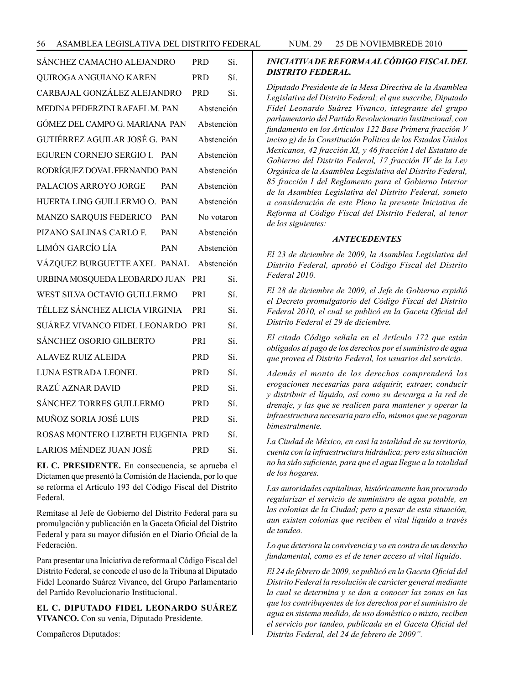| SÁNCHEZ CAMACHO ALEJANDRO                    |            | PRD.       | Sí. |
|----------------------------------------------|------------|------------|-----|
| QUIROGA ANGUIANO KAREN                       |            | PRD.       | Sí. |
| CARBAJAL GONZÁLEZ ALEJANDRO                  |            | PRD.       | Sí. |
| MEDINA PEDERZINI RAFAEL M. PAN<br>Abstención |            |            |     |
| GÓMEZ DEL CAMPO G. MARIANA PAN               |            | Abstención |     |
| GUTIÉRREZ AGUILAR JOSÉ G. PAN                |            | Abstención |     |
| EGUREN CORNEJO SERGIO I. PAN                 |            | Abstención |     |
| RODRÍGUEZ DOVAL FERNANDO PAN                 |            | Abstención |     |
| PALACIOS ARROYO JORGE                        | <b>PAN</b> | Abstención |     |
| HUERTA LING GUILLERMO O. PAN                 |            | Abstención |     |
| MANZO SARQUIS FEDERICO PAN                   |            | No votaron |     |
| PIZANO SALINAS CARLO F. PAN                  |            | Abstención |     |
| LIMÓN GARCÍO LÍA                             | <b>PAN</b> | Abstención |     |
| VÁZQUEZ BURGUETTE AXEL PANAL                 |            | Abstención |     |
| URBINA MOSQUEDA LEOBARDO JUAN                |            | <b>PRI</b> | Sí. |
| WEST SILVA OCTAVIO GUILLERMO                 |            | <b>PRI</b> | Sí. |
| TÉLLEZ SÁNCHEZ ALICIA VIRGINIA               |            | <b>PRI</b> | Sí. |
| SUÁREZ VIVANCO FIDEL LEONARDO                |            | <b>PRI</b> | Sí  |
| <b>SÁNCHEZ OSORIO GILBERTO</b>               |            | PRI        | Sí. |
| <b>ALAVEZ RUIZ ALEIDA</b>                    |            | <b>PRD</b> | Sí. |
| LUNA ESTRADA LEONEL                          |            | <b>PRD</b> | Sí. |
| RAZÚ AZNAR DAVID                             |            | <b>PRD</b> | Sí  |
| <b>SÁNCHEZ TORRES GUILLERMO</b>              |            | <b>PRD</b> | Sí. |
| MUÑOZ SORIA JOSÉ LUIS                        |            | <b>PRD</b> | Sí  |
| ROSAS MONTERO LIZBETH EUGENIA PRD            |            |            | Sí. |
| LARIOS MÉNDEZ JUAN JOSÉ                      |            | <b>PRD</b> | Sí. |

**EL C. PRESIDENTE.** En consecuencia, se aprueba el Dictamen que presentó la Comisión de Hacienda, por lo que se reforma el Artículo 193 del Código Fiscal del Distrito Federal.

Remítase al Jefe de Gobierno del Distrito Federal para su promulgación y publicación en la Gaceta Oficial del Distrito Federal y para su mayor difusión en el Diario Oficial de la Federación.

Para presentar una Iniciativa de reforma al Código Fiscal del Distrito Federal, se concede el uso de la Tribuna al Diputado Fidel Leonardo Suárez Vivanco, del Grupo Parlamentario del Partido Revolucionario Institucional.

**EL C. DIPUTADO FIDEL LEONARDO SUÁREZ VIVANCO.** Con su venia, Diputado Presidente.

Compañeros Diputados:

# *INICIATIVA DE REFORMA AL CÓDIGO FISCAL DEL DISTRITO FEDERAL.*

*Diputado Presidente de la Mesa Directiva de la Asamblea Legislativa del Distrito Federal; el que suscribe, Diputado Fidel Leonardo Suárez Vivanco, integrante del grupo parlamentario del Partido Revolucionario Institucional, con fundamento en los Artículos 122 Base Primera fracción V inciso g) de la Constitución Política de los Estados Unidos Mexicanos, 42 fracción XI, y 46 fracción I del Estatuto de Gobierno del Distrito Federal, 17 fracción IV de la Ley Orgánica de la Asamblea Legislativa del Distrito Federal, 85 fracción I del Reglamento para el Gobierno Interior de la Asamblea Legislativa del Distrito Federal, someto a consideración de este Pleno la presente Iniciativa de Reforma al Código Fiscal del Distrito Federal, al tenor de los siguientes:*

## *ANTECEDENTES*

*El 23 de diciembre de 2009, la Asamblea Legislativa del Distrito Federal, aprobó el Código Fiscal del Distrito Federal 2010.*

*El 28 de diciembre de 2009, el Jefe de Gobierno expidió el Decreto promulgatorio del Código Fiscal del Distrito Federal 2010, el cual se publicó en la Gaceta Oficial del Distrito Federal el 29 de diciembre.*

*El citado Código señala en el Artículo 172 que están obligados al pago de los derechos por el suministro de agua que provea el Distrito Federal, los usuarios del servicio.*

*Además el monto de los derechos comprenderá las erogaciones necesarias para adquirir, extraer, conducir y distribuir el líquido, así como su descarga a la red de drenaje, y las que se realicen para mantener y operar la infraestructura necesaria para ello, mismos que se pagaran bimestralmente.*

*La Ciudad de México, en casi la totalidad de su territorio, cuenta con la infraestructura hidráulica; pero esta situación no ha sido suficiente, para que el agua llegue a la totalidad de los hogares.* 

*Las autoridades capitalinas, históricamente han procurado regularizar el servicio de suministro de agua potable, en las colonias de la Ciudad; pero a pesar de esta situación, aun existen colonias que reciben el vital líquido a través de tandeo.*

*Lo que deteriora la convivencia y va en contra de un derecho fundamental, como es el de tener acceso al vital liquido.*

*El 24 de febrero de 2009, se publicó en la Gaceta Oficial del Distrito Federal la resolución de carácter general mediante la cual se determina y se dan a conocer las zonas en las que los contribuyentes de los derechos por el suministro de agua en sistema medido, de uso doméstico o mixto, reciben el servicio por tandeo, publicada en el Gaceta Oficial del Distrito Federal, del 24 de febrero de 2009".*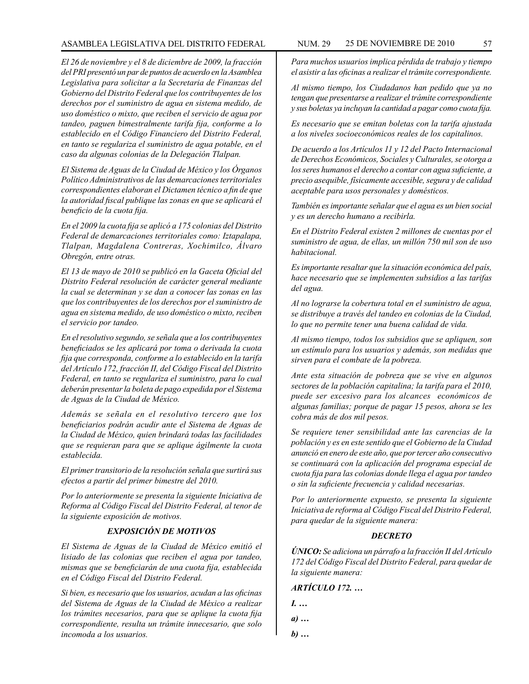#### ASAMBLEA LEGISLATIVA DEL DISTRITO FEDERAL NUM. 29 25 DE NOVIEMBRE DE 2010 57

*El 26 de noviembre y el 8 de diciembre de 2009, la fracción del PRI presentó un par de puntos de acuerdo en la Asamblea Legislativa para solicitar a la Secretaria de Finanzas del Gobierno del Distrito Federal que los contribuyentes de los derechos por el suministro de agua en sistema medido, de uso doméstico o mixto, que reciben el servicio de agua por tandeo, paguen bimestralmente tarifa fija, conforme a lo establecido en el Código Financiero del Distrito Federal, en tanto se regulariza el suministro de agua potable, en el caso da algunas colonias de la Delegación Tlalpan.*

*El Sistema de Aguas de la Ciudad de México y los Órganos Político Administrativos de las demarcaciones territoriales correspondientes elaboran el Dictamen técnico a fin de que la autoridad fiscal publique las zonas en que se aplicará el beneficio de la cuota fija.*

*En el 2009 la cuota fija se aplicó a 175 colonias del Distrito Federal de demarcaciones territoriales como: Iztapalapa, Tlalpan, Magdalena Contreras, Xochimilco, Álvaro Obregón, entre otras.*

*El 13 de mayo de 2010 se publicó en la Gaceta Oficial del Distrito Federal resolución de carácter general mediante la cual se determinan y se dan a conocer las zonas en las que los contribuyentes de los derechos por el suministro de agua en sistema medido, de uso doméstico o mixto, reciben el servicio por tandeo.*

*En el resolutivo segundo, se señala que a los contribuyentes beneficiados se les aplicará por toma o derivada la cuota fija que corresponda, conforme a lo establecido en la tarifa del Artículo 172, fracción II, del Código Fiscal del Distrito Federal, en tanto se regulariza el suministro, para lo cual deberán presentar la boleta de pago expedida por el Sistema de Aguas de la Ciudad de México.*

*Además se señala en el resolutivo tercero que los beneficiarios podrán acudir ante el Sistema de Aguas de la Ciudad de México, quien brindará todas las facilidades que se requieran para que se aplique ágilmente la cuota establecida.*

*El primer transitorio de la resolución señala que surtirá sus efectos a partir del primer bimestre del 2010.* 

*Por lo anteriormente se presenta la siguiente Iniciativa de Reforma al Código Fiscal del Distrito Federal, al tenor de la siguiente exposición de motivos.*

## *EXPOSICIÓN DE MOTIVOS*

*El Sistema de Aguas de la Ciudad de México emitió el lisiado de las colonias que reciben el agua por tandeo, mismas que se beneficiarán de una cuota fija, establecida en el Código Fiscal del Distrito Federal.*

*Si bien, es necesario que los usuarios, acudan a las oficinas del Sistema de Aguas de la Ciudad de México a realizar los trámites necesarios, para que se aplique la cuota fija correspondiente, resulta un trámite innecesario, que solo incomoda a los usuarios.*

*Para muchos usuarios implica pérdida de trabajo y tiempo el asistir a las oficinas a realizar el trámite correspondiente.*

*Al mismo tiempo, los Ciudadanos han pedido que ya no tengan que presentarse a realizar el trámite correspondiente y sus boletas ya incluyan la cantidad a pagar como cuota fija.*

*Es necesario que se emitan boletas con la tarifa ajustada a los niveles socioeconómicos reales de los capitalinos.*

*De acuerdo a los Artículos 11 y 12 del Pacto Internacional de Derechos Económicos, Sociales y Culturales, se otorga a los seres humanos el derecho a contar con agua suficiente, a precio asequible, físicamente accesible, segura y de calidad aceptable para usos personales y domésticos.*

*También es importante señalar que el agua es un bien social y es un derecho humano a recibirla.*

*En el Distrito Federal existen 2 millones de cuentas por el suministro de agua, de ellas, un millón 750 mil son de uso habitacional.*

*Es importante resaltar que la situación económica del país, hace necesario que se implementen subsidios a las tarifas del agua.*

*Al no lograrse la cobertura total en el suministro de agua, se distribuye a través del tandeo en colonias de la Ciudad, lo que no permite tener una buena calidad de vida.*

*Al mismo tiempo, todos los subsidios que se apliquen, son un estímulo para los usuarios y además, son medidas que sirven para el combate de la pobreza.*

*Ante esta situación de pobreza que se vive en algunos sectores de la población capitalina; la tarifa para el 2010, puede ser excesivo para los alcances económicos de algunas familias; porque de pagar 15 pesos, ahora se les cobra más de dos mil pesos.*

*Se requiere tener sensibilidad ante las carencias de la población y es en este sentido que el Gobierno de la Ciudad anunció en enero de este año, que por tercer año consecutivo se continuará con la aplicación del programa especial de cuota fija para las colonias donde llega el agua por tandeo o sin la suficiente frecuencia y calidad necesarias.*

*Por lo anteriormente expuesto, se presenta la siguiente Iniciativa de reforma al Código Fiscal del Distrito Federal, para quedar de la siguiente manera:*

## *DECRETO*

*ÚNICO: Se adiciona un párrafo a la fracción II del Artículo 172 del Código Fiscal del Distrito Federal, para quedar de la siguiente manera:*

*ARTÍCULO 172. …*

- *I. …*
- *a) …*
- *b) …*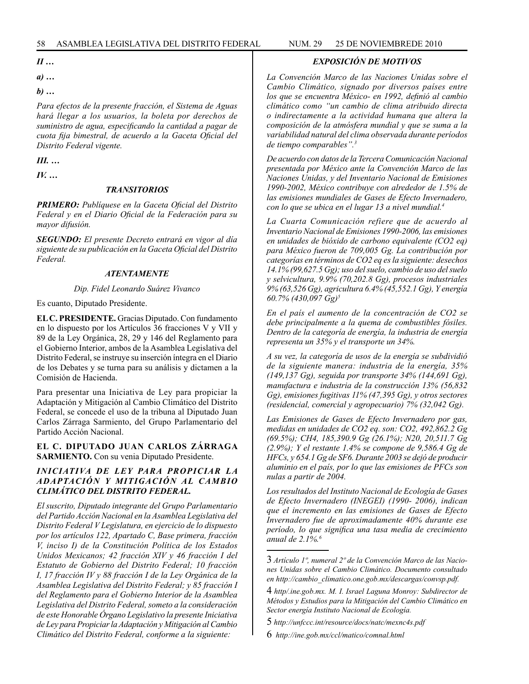## *II …*

*a) …*

*b) …*

*Para efectos de la presente fracción, el Sistema de Aguas hará llegar a los usuarios, la boleta por derechos de suministro de agua, especificando la cantidad a pagar de cuota fija bimestral, de acuerdo a la Gaceta Oficial del Distrito Federal vigente.*

*III. …*

*IV. …*

#### *TRANSITORIOS*

*PRIMERO: Publíquese en la Gaceta Oficial del Distrito Federal y en el Diario Oficial de la Federación para su mayor difusión.*

*SEGUNDO: El presente Decreto entrará en vigor al día siguiente de su publicación en la Gaceta Oficial del Distrito Federal.*

#### *ATENTAMENTE*

#### *Dip. Fidel Leonardo Suárez Vivanco*

Es cuanto, Diputado Presidente.

**EL C. PRESIDENTE.** Gracias Diputado. Con fundamento en lo dispuesto por los Artículos 36 fracciones V y VII y 89 de la Ley Orgánica, 28, 29 y 146 del Reglamento para el Gobierno Interior, ambos de la Asamblea Legislativa del Distrito Federal, se instruye su inserción íntegra en el Diario de los Debates y se turna para su análisis y dictamen a la Comisión de Hacienda.

Para presentar una Iniciativa de Ley para propiciar la Adaptación y Mitigación al Cambio Climático del Distrito Federal, se concede el uso de la tribuna al Diputado Juan Carlos Zárraga Sarmiento, del Grupo Parlamentario del Partido Acción Nacional.

#### **EL C. DIPUTADO JUAN CARLOS ZÁRRAGA SARMIENTO.** Con su venia Diputado Presidente.

### *INICIATIVA DE LEY PARA PROPICIAR LA ADAPTACIÓN Y MITIGACIÓN AL CAMBIO CLIMÁTICO DEL DISTRITO FEDERAL.*

*El suscrito, Diputado integrante del Grupo Parlamentario del Partido Acción Nacional en la Asamblea Legislativa del Distrito Federal V Legislatura, en ejercicio de lo dispuesto por los artículos 122, Apartado C, Base primera, fracción V, inciso I) de la Constitución Política de los Estados Unidos Mexicanos; 42 fracción XIV y 46 fracción I del Estatuto de Gobierno del Distrito Federal; 10 fracción I, 17 fracción IV y 88 fracción I de la Ley Orgánica de la Asamblea Legislativa del Distrito Federal; y 85 fracción I del Reglamento para el Gobierno Interior de la Asamblea Legislativa del Distrito Federal, someto a la consideración de este Honorable Órgano Legislativo la presente Iniciativa de Ley para Propiciar la Adaptación y Mitigación al Cambio Climático del Distrito Federal, conforme a la siguiente:*

#### *EXPOSICIÓN DE MOTIVOS*

*La Convención Marco de las Naciones Unidas sobre el Cambio Climático, signado por diversos países entre los que se encuentra México- en 1992, definió al cambio climático como "un cambio de clima atribuido directa o indirectamente a la actividad humana que altera la composición de la atmósfera mundial y que se suma a la variabilidad natural del clima observada durante períodos de tiempo comparables".3*

*De acuerdo con datos de la Tercera Comunicación Nacional presentada por México ante la Convención Marco de las Naciones Unidas, y del Inventario Nacional de Emisiones 1990-2002, México contribuye con alrededor de 1.5% de las emisiones mundiales de Gases de Efecto Invernadero, con lo que se ubica en el lugar 13 a nivel mundial.4*

*La Cuarta Comunicación refiere que de acuerdo al Inventario Nacional de Emisiones 1990-2006, las emisiones en unidades de bióxido de carbono equivalente (CO2 eq) para México fueron de 709,005 Gg. La contribución por categorías en términos de CO2 eq es la siguiente: desechos 14.1% (99,627.5 Gg); uso del suelo, cambio de uso del suelo y selvicultura, 9.9% (70,202.8 Gg), procesos industriales 9% (63,526 Gg), agricultura 6.4% (45,552.1 Gg), Y energía 60.7% (430,097 Gg)5*

*En el país el aumento de la concentración de CO2 se debe principalmente a la quema de combustibles fósiles. Dentro de la categoría de energía, la industria de energía representa un 35% y el transporte un 34%.*

*A su vez, la categoría de usos de la energía se subdividió de la siguiente manera: industria de la energía, 35% (149,137 Gg), seguida por transporte 34% (144,691 Gg), manufactura e industria de la construcción 13% (56,832 Gg), emisiones fugitivas 11% (47,395 Gg), y otros sectores (residencial, comercial y agropecuario) 7% (32,042 Gg).*

*Las Emisiones de Gases de Efecto Invernadero por gas, medidas en unidades de CO2 eq. son: CO2, 492,862.2 Gg (69.5%); CH4, 185,390.9 Gg (26.1%); N20, 20,511.7 Gg (2.9%); Y el restante 1.4% se compone de 9,586.4 Gg de HFCs, y 654.1 Gg de SF6. Durante 2003 se dejó de producir aluminio en el país, por lo que las emisiones de PFCs son nulas a partir de 2004.*

*Los resultados del Instituto Nacional de Ecología de Gases de Efecto Invernadero (INEGEI) (1990- 2006), indican que el incremento en las emisiones de Gases de Efecto Invernadero fue de aproximadamente 40% durante ese período, lo que significa una tasa media de crecimiento anual de 2.1%.6*

<sup>3</sup> *Artículo 1º, numeral 2º de la Convención Marco de las Naciones Unidas sobre el Cambio Climático. Documento consultado en http://cambio\_climatico.one.gob.mx/descargas/convsp.pdf.*

<sup>4</sup> *http/.ine.gob.mx. M. I. Israel Laguna Monroy: Subdirector de Métodos y Estudios para la Mitigación del Cambio Climático en Sector energía Instituto Nacional de Ecología.*

<sup>5</sup> *http://unfccc.int/resource/docs/natc/mexnc4s.pdf*

<sup>6</sup> *http://ine.gob.mx/ccl/matico/comnal.html*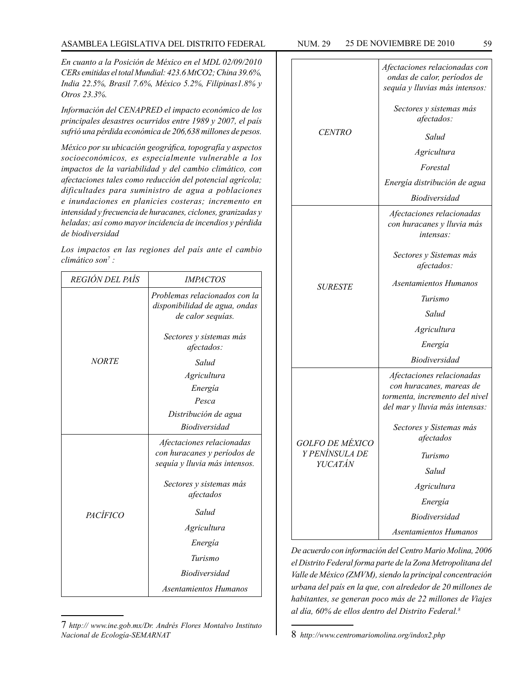#### ASAMBLEA LEGISLATIVA DEL DISTRITO FEDERAL NUM. 29 25 DE NOVIEMBRE DE 2010 59

*En cuanto a la Posición de México en el MDL 02/09/2010 CERs emitidas el total Mundial: 423.6 MtCO2; China 39.6%, India 22.5%, Brasil 7.6%, México 5.2%, Filipinas1.8% y Otros 23.3%.*

*Información del CENAPRED el impacto económico de los principales desastres ocurridos entre 1989 y 2007, el país sufrió una pérdida económica de 206,638 millones de pesos.*

*México por su ubicación geográfica, topografía y aspectos socioeconómicos, es especialmente vulnerable a los impactos de la variabilidad y del cambio climático, con afectaciones tales como reducción del potencial agrícola; dificultades para suministro de agua a poblaciones e inundaciones en planicies costeras; incremento en intensidad y frecuencia de huracanes, ciclones, granizadas y heladas; así como mayor incidencia de incendios y pérdida de biodiversidad*

*Los impactos en las regiones del país ante el cambio climático son7 :*

| <i>REGIÓN DEL PAÍS</i> | <b>IMPACTOS</b>                                                                           |  |
|------------------------|-------------------------------------------------------------------------------------------|--|
| <b>NORTE</b>           | Problemas relacionados con la<br>disponibilidad de agua, ondas<br>de calor sequías.       |  |
|                        | Sectores y sistemas más<br>afectados:                                                     |  |
|                        | Salud                                                                                     |  |
|                        | Agricultura                                                                               |  |
|                        | Energía                                                                                   |  |
|                        | Pesca                                                                                     |  |
|                        | Distribución de agua                                                                      |  |
|                        | <b>Biodiversidad</b>                                                                      |  |
| PACÍFICO               | Afectaciones relacionadas<br>con huracanes y períodos de<br>sequía y lluvia más intensos. |  |
|                        | Sectores y sistemas más<br>afectados                                                      |  |
|                        | Salud                                                                                     |  |
|                        | Agricultura                                                                               |  |
|                        | Energía                                                                                   |  |
|                        | Turismo                                                                                   |  |
|                        | <b>Biodiversidad</b>                                                                      |  |
|                        | Asentamientos Humanos                                                                     |  |

<sup>7</sup> *http:// www.ine.gob.mx/Dr. Andrés Flores Montalvo Instituto Nacional de Ecología-SEMARNAT*

| <b>CENTRO</b>                                              | Afectaciones relacionadas con<br>ondas de calor, períodos de<br>sequía y lluvias más intensos: |  |
|------------------------------------------------------------|------------------------------------------------------------------------------------------------|--|
|                                                            | Sectores y sistemas más<br>afectados:                                                          |  |
|                                                            | Salud                                                                                          |  |
|                                                            | Agricultura                                                                                    |  |
|                                                            | Forestal                                                                                       |  |
|                                                            | Energía distribución de agua                                                                   |  |
|                                                            | <b>Biodiversidad</b>                                                                           |  |
| <b>SURESTE</b>                                             | Afectaciones relacionadas<br>con huracanes y lluvia más<br>intensas:                           |  |
|                                                            | Sectores y Sistemas más<br>afectados:                                                          |  |
|                                                            | Asentamientos Humanos                                                                          |  |
|                                                            | Turismo                                                                                        |  |
|                                                            | Salud                                                                                          |  |
|                                                            | Agricultura                                                                                    |  |
|                                                            | Energía                                                                                        |  |
|                                                            | <b>Biodiversidad</b>                                                                           |  |
| <i>GOLFO DE MÉXICO</i><br>Y PENÍNSULA DE<br><b>YUCATÁN</b> | Afectaciones relacionadas                                                                      |  |
|                                                            | con huracanes, mareas de<br>tormenta, incremento del nivel                                     |  |
|                                                            | del mar y lluvia más intensas:                                                                 |  |
|                                                            | Sectores y Sistemas más<br>afectados                                                           |  |
|                                                            | Turismo                                                                                        |  |
|                                                            | Salud                                                                                          |  |
|                                                            | Agricultura                                                                                    |  |
|                                                            | Energía                                                                                        |  |
|                                                            | <b>Biodiversidad</b>                                                                           |  |
|                                                            | Asentamientos Humanos                                                                          |  |

*De acuerdo con información del Centro Mario Molina, 2006 el Distrito Federal forma parte de la Zona Metropolitana del Valle de México (ZMVM), siendo la principal concentración urbana del país en la que, con alrededor de 20 millones de habitantes, se generan poco más de 22 millones de Viajes al día, 60% de ellos dentro del Distrito Federal.8*

<sup>8</sup> *http://www.centromariomolina.org/indox2.php*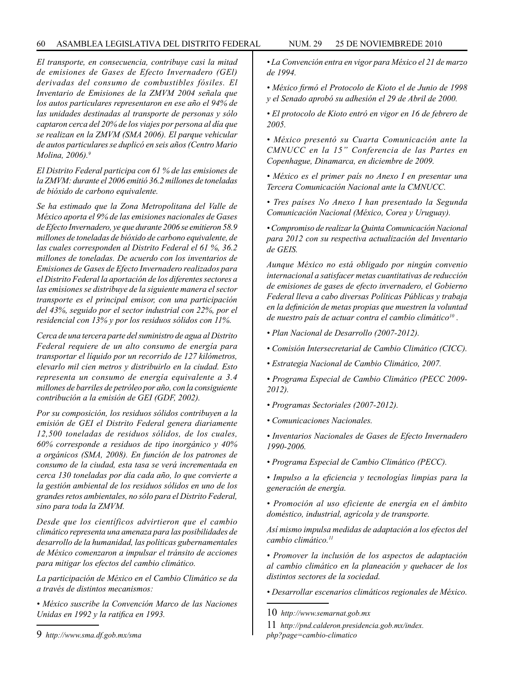*El transporte, en consecuencia, contribuye casi la mitad de emisiones de Gases de Efecto Invernadero (GEl) derivadas del consumo de combustibles fósiles. El Inventario de Emisiones de la ZMVM 2004 señala que los autos particulares representaron en ese año el 94% de las unidades destinadas al transporte de personas y sólo captaron cerca del 20% de los viajes por persona al día que se realizan en la ZMVM (SMA 2006). El parque vehicular de autos particulares se duplicó en seis años (Centro Mario Molina, 2006).9*

*El Distrito Federal participa con 61 % de las emisiones de la ZMVM: durante el 2006 emitió 36.2 millones de toneladas de bióxido de carbono equivalente.*

*Se ha estimado que la Zona Metropolitana del Valle de México aporta el 9% de las emisiones nacionales de Gases de Efecto Invernadero, ye que durante 2006 se emitieron 58.9 millones de toneladas de bióxido de carbono equivalente, de las cuales corresponden al Distrito Federal el 61 %, 36.2 millones de toneladas. De acuerdo con los inventarios de Emisiones de Gases de Efecto Invernadero realizados para el Distrito Federal la aportación de los diferentes sectores a las emisiones se distribuye de la siguiente manera el sector transporte es el principal emisor, con una participación del 43%, seguido por el sector industrial con 22%, por el residencial con 13% y por los residuos sólidos con 11%.*

*Cerca de una tercera parte del suministro de agua al Distrito Federal requiere de un alto consumo de energía para transportar el líquido por un recorrido de 127 kilómetros, elevarlo mil cien metros y distribuirlo en la ciudad. Esto representa un consumo de energía equivalente a 3.4 millones de barriles de petróleo por año, con la consiguiente contribución a la emisión de GEI (GDF, 2002).*

*Por su composición, los residuos sólidos contribuyen a la emisión de GEI el Distrito Federal genera diariamente 12,500 toneladas de residuos sólidos, de los cuales, 60% corresponde a residuos de tipo inorgánico y 40% a orgánicos (SMA, 2008). En función de los patrones de consumo de la ciudad, esta tasa se verá incrementada en cerca 130 toneladas por día cada año, lo que convierte a la gestión ambiental de los residuos sólidos en uno de los grandes retos ambientales, no sólo para el Distrito Federal, sino para toda la ZMVM.*

*Desde que los científicos advirtieron que el cambio climático representa una amenaza para las posibilidades de desarrollo de la humanidad, las políticas gubernamentales de México comenzaron a impulsar el tránsito de acciones para mitigar los efectos del cambio climático.*

*La participación de México en el Cambio Climático se da a través de distintos mecanismos:*

*• México suscribe la Convención Marco de las Naciones Unidas en 1992 y la ratifica en 1993.*

*• La Convención entra en vigor para México el 21 de marzo de 1994.*

*• México firmó el Protocolo de Kioto el de Junio de 1998 y el Senado aprobó su adhesión el 29 de Abril de 2000.*

*• El protocolo de Kioto entró en vigor en 16 de febrero de 2005.*

*• México presentó su Cuarta Comunicación ante la CMNUCC en la 15" Conferencia de las Partes en Copenhague, Dinamarca, en diciembre de 2009.*

*• México es el primer país no Anexo I en presentar una Tercera Comunicación Nacional ante la CMNUCC.*

*• Tres países No Anexo I han presentado la Segunda Comunicación Nacional (México, Corea y Uruguay).*

*• Compromiso de realizar la Quinta Comunicación Nacional para 2012 con su respectiva actualización del Inventario de GEIS.*

*Aunque México no está obligado por ningún convenio internacional a satisfacer metas cuantitativas de reducción de emisiones de gases de efecto invernadero, el Gobierno Federal lleva a cabo diversas Políticas Públicas y trabaja en la definición de metas propias que muestren la voluntad de nuestro país de actuar contra el cambio climático10 .*

- *Plan Nacional de Desarrollo (2007-2012).*
- *Comisión Intersecretarial de Cambio Climático (CICC).*
- *Estrategia Nacional de Cambio Climático, 2007.*
- *Programa Especial de Cambio Climático (PECC 2009- 2012).*
- *Programas Sectoriales (2007-2012).*
- *Comunicaciones Nacionales.*

*• Inventarios Nacionales de Gases de Efecto Invernadero 1990-2006.*

*• Programa Especial de Cambio Climático (PECC).*

*• Impulso a la eficiencia y tecnologías limpias para la generación de energía.*

*• Promoción al uso eficiente de energía en el ámbito doméstico, industrial, agrícola y de transporte.*

*Así mismo impulsa medidas de adaptación a los efectos del cambio climático.11*

*• Promover la inclusión de los aspectos de adaptación al cambio climático en la planeación y quehacer de los distintos sectores de la sociedad.*

*• Desarrollar escenarios climáticos regionales de México.*

<sup>9</sup> *http://www.sma.df.gob.mx/sma*

<sup>10</sup> *http://www.semarnat.gob.mx*

<sup>11</sup> *http://pnd.calderon.presidencia.gob.mx/index. php?page=cambio-climatico*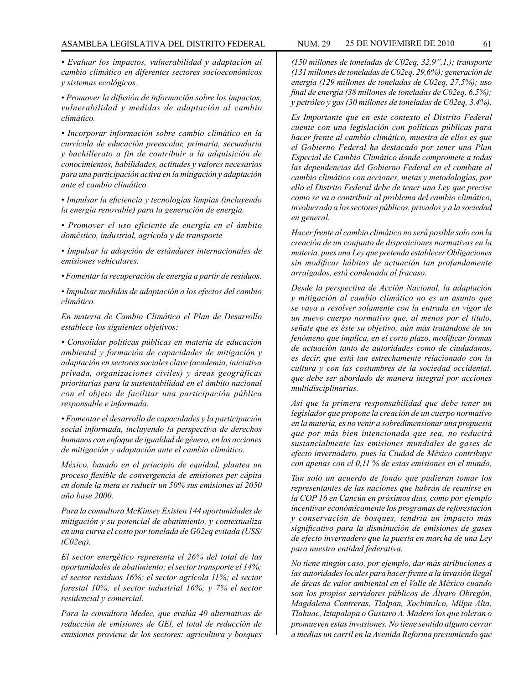*• Evaluar los impactos, vulnerabilidad y adaptación al cambio climático en diferentes sectores socioeconómicos y sistemas ecológicos.*

*• Promover la difusión de información sobre los impactos, vulnerabilidad y medidas de adaptación al cambio climático.*

*• Incorporar información sobre cambio climático en la currícula de educación preescolar, primaria, secundaria y bachillerato a fin de contribuir a la adquisición de conocimientos, habilidades, actitudes y valores necesarios para una participación activa en la mitigación y adaptación ante el cambio climático.*

*• Impulsar la eficiencia y tecnologías limpias (incluyendo la energía renovable) para la generación de energía.*

*• Promover el uso eficiente de energía en el ámbito doméstico, industrial, agrícola y de transporte*

*• Impulsar la adopción de estándares internacionales de emisiones vehiculares.*

*• Fomentar la recuperación de energía a partir de residuos.*

*• Impulsar medidas de adaptación a los efectos del cambio climático.*

*En materia de Cambio Climático el Plan de Desarrollo establece los siguientes objetivos:*

*• Consolidar políticas públicas en materia de educación ambiental y formación de capacidades de mitigación y adaptación en sectores sociales clave (academia, iniciativa privada, organizaciones civiles) y áreas geográficas prioritarias para la sustentabilidad en el ámbito nacional con el objeto de facilitar una participación pública responsable e informada.*

*• Fomentar el desarrollo de capacidades y la participación social informada, incluyendo la perspectiva de derechos humanos con enfoque de igualdad de género, en las acciones de mitigación y adaptación ante el cambio climático.*

*México, basado en el principio de equidad, plantea un proceso flexible de convergencia de emisiones per cápita en donde la meta es reducir un 50% sus emisiones al 2050 año base 2000.*

*Para la consultora McKinsey Existen 144 oportunidades de mitigación y su potencial de abatimiento, y contextualiza en una curva el costo por tonelada de G02eq evitada (USS/ tC02eq).*

*El sector energético representa el 26% del total de las oportunidades de abatimiento; el sector transporte el 14%; el sector residuos 16%; el sector agrícola 11%; el sector forestal 10%; el sector industrial 16%; y 7% el sector residencial y comercial.*

*Para la consultora Medec, que evalúa 40 alternativas de reducción de emisiones de GEl, el total de reducción de emisiones proviene de los sectores: agricultura y bosques* 

*(150 millones de toneladas de C02eq, 32,9",1,); transporte (131 millones de toneladas de C02eq, 29,6%); generación de energía (129 millones de toneladas de C02eq, 27,5%); uso final de energía (38 millones de toneladas de C02eq, 6,5%); y petróleo y gas (30 millones de toneladas de C02eq, 3.4%).*

*Es Importante que en este contexto el Distrito Federal cuente con una legislación con políticas públicas para hacer frente al cambio climático, muestra de ellos es que el Gobierno Federal ha destacado por tener una Plan Especial de Cambio Climático donde compromete a todas las dependencias del Gobierno Federal en el combate al cambio climático con acciones, metas y metodologías, por ello el Distrito Federal debe de tener una Ley que precise como se va a contribuir al problema del cambio climático, involucrado a los sectores públicos, privados y a la sociedad en general.*

*Hacer frente al cambio climático no será posible solo con la creación de un conjunto de disposiciones normativas en la materia, pues una Ley que pretenda establecer Obligaciones sin modificar hábitos de actuación tan profundamente arraigados, está condenada al fracaso.*

*Desde la perspectiva de Acción Nacional, la adaptación y mitigación al cambio climático no es un asunto que se vaya a resolver solamente con la entrada en vigor de un nuevo cuerpo normativo que, al menos por el título, señale que es éste su objetivo, aún más tratándose de un fenómeno que implica, en el corto plazo, modificar formas de actuación tanto de autoridades como de ciudadanos, es decir, que está tan estrechamente relacionado con la cultura y con las costumbres de la sociedad occidental, que debe ser abordado de manera integral por acciones multidisciplinarías.*

*Así que la primera responsabilidad que debe tener un legislador que propone la creación de un cuerpo normativo en la materia, es no venir a sobredimensionar una propuesta que por más bien intencionada que sea, no reducirá sustancialmente las emisiones mundiales de gases de efecto invernadero, pues la Ciudad de México contribuye con apenas con el 0,11 % de estas emisiones en el mundo,*

*Tan solo un acuerdo de fondo que pudieran tomar los representantes de las naciones que habrán de reunirse en la COP 16 en Cancún en próximos días, como por ejemplo incentivar económicamente los programas de reforestación y conservación de bosques, tendría un impacto más significativo para la disminución de emisiones de gases de efecto invernadero que la puesta en marcha de una Ley para nuestra entidad federativa.*

*No tiene ningún caso, por ejemplo, dar más atribuciones a las autoridades locales para hacer frente a la invasión ilegal de áreas de valor ambiental en el Valle de México cuando son los propios servidores públicos de Álvaro Obregón, Magdalena Contreras, Tlalpan, Xochimilco, Milpa Alta, Tlahuac, Iztapalapa o Gustavo A. Madero los que toleran o promueven estas invasiones. No tiene sentido alguno cerrar a medias un carril en la Avenida Reforma presumiendo que*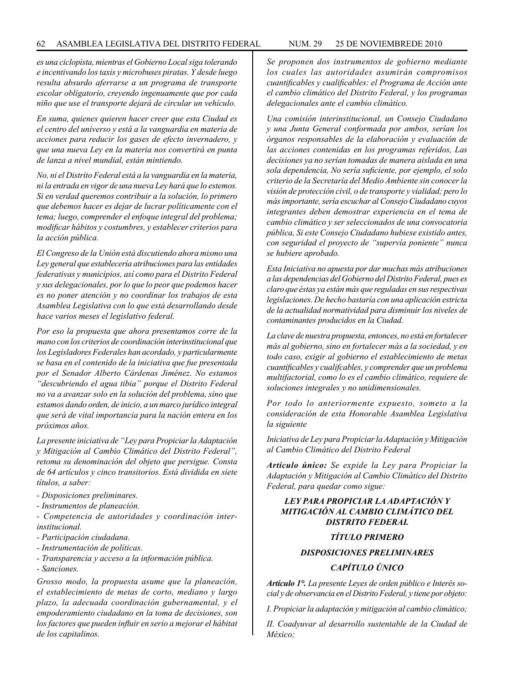*es una ciclopista, mientras el Gobierno Local siga tolerando e incentivando los taxis y microbuses piratas. Y desde luego resulta absurdo aferrarse a un programa de transporte escolar obligatorio, creyendo ingenuamente que por cada niño que use el transporte dejará de circular un vehículo.*

*En suma, quienes quieren hacer creer que esta Ciudad es el centro del universo y está a la vanguardia en materia de acciones para reducir los gases de efecto invernadero, y que una nueva Ley en la materia nos convertirá en punta de lanza a nivel mundial, están mintiendo.*

*No, ni el Distrito Federal está a la vanguardia en la materia, ni la entrada en vigor de una nueva Ley hará que lo estemos. Si en verdad queremos contribuir a la solución, lo primero que debemos hacer es dejar de lucrar políticamente con el tema; luego, comprender el enfoque integral del problema; modificar hábitos y costumbres, y establecer criterios para la acción pública.*

*El Congreso de la Unión está discutiendo ahora mismo una Ley general que establecería atribuciones para las entidades federativas y municipios, así como para el Distrito Federal y sus delegacionales, por lo que lo peor que podemos hacer es no poner atención y no coordinar los trabajos de esta Asamblea Legislativa con lo que está desarrollando desde hace varios meses el legislativo federal.*

*Por eso la propuesta que ahora presentamos corre de la mano con los criterios de coordinación interinstitucional que los Legisladores Federales han acordado, y particularmente se basa en el contenido de la iniciativa que fue presentada por el Senador Alberto Cárdenas Jiménez. No estamos "descubriendo el agua tibia" porque el Distrito Federal no va a avanzar solo en la solución del problema, sino que estamos dando orden, de inicio, a un marco jurídico integral que será de vital importancia para la nación entera en los próximos años.*

*La presente iniciativa de "Ley para Propiciar la Adaptación y Mitigación al Cambio Climático del Distrito Federal", retoma su denominación del objeto que persigue. Consta de 64 artículos y cinco transitorios. Está dividida en siete títulos, a saber:*

*- Disposiciones preliminares.*

*- Instrumentos de planeación.*

*- Competencia de autoridades y coordinación interinstitucional.*

- *Participación ciudadana.*
- *Instrumentación de políticas.*
- *Transparencia y acceso a la información pública.*

*- Sanciones.*

*Grosso modo, la propuesta asume que la planeación, el establecimiento de metas de corto, mediano y largo plazo, la adecuada coordinación gubernamental, y el empoderamiento ciudadano en la toma de decisiones, son los factores que pueden influir en serio a mejorar el hábitat de los capitalinos.*

*Se proponen dos instrumentos de gobierno mediante los cuales las autoridades asumirán compromisos cuantificables y cualificables: el Programa de Acción ante el cambio climático del Distrito Federal, y los programas delegacionales ante el cambio climático.*

*Una comisión interinstitucional, un Consejo Ciudadano y una Junta General conformada por ambos, serían los órganos responsables de la elaboración y evaluación de las acciones contenidas en los programas referidos, Las decisiones ya no serían tomadas de manera aislada en una sola dependencia, No sería suficiente, por ejemplo, el solo criterio de la Secretaría del Medio Ambiente sin conocer la visión de protección civil, o de transporte y vialidad; pero lo más importante, sería escuchar al Consejo Ciudadano cuyos integrantes deben demostrar experiencia en el tema de cambio climático y ser seleccionados de una convocatoria pública, Si este Consejo Ciudadano hubiese existido antes, con seguridad el proyecto de "supervía poniente" nunca se hubiere aprobado.*

*Esta Iniciativa no apuesta por dar muchas más atribuciones a las dependencias del Gobierno del Distrito Federal, pues es claro que éstas ya están más que reguladas en sus respectivas legislaciones. De hecho bastaría con una aplicación estricta de la actualidad normatividad para disminuir los niveles de contaminantes producidos en la Ciudad.*

*La clave de nuestra propuesta, entonces, no está en fortalecer más al gobierno, sino en fortalecer más a la sociedad, y en todo caso, exigir al gobierno el establecimiento de metas cuantificables y cualifcables, y comprender que un problema multifactorial, como lo es el cambio climático, requiere de soluciones integrales y no unidimensionales.*

*Por todo lo anteriormente expuesto, someto a la consideración de esta Honorable Asamblea Legislativa la siguiente*

*Iniciativa de Ley para Propiciar la Adaptación y Mitigación al Cambio Climático del Distrito Federal*

*Artículo único: Se expide la Ley para Propiciar la Adaptación y Mitigación al Cambio Climático del Distrito Federal, para quedar como sigue:*

# *LEY PARA PROPICIAR LA ADAPTACIÓN Y MITIGACIÓN AL CAMBIO CLIMÁTICO DEL DISTRITO FEDERAL*

# *TÍTULO PRIMERO*

# *DISPOSICIONES PRELIMINARES*

# *CAPÍTULO ÚNICO*

*Artículo 1°. La presente Leyes de orden público e Interés social y de observancia en el Distrito Federal, y tiene por objeto:*

*I. Propiciar la adaptación y mitigación al cambio climático;*

*II. Coadyuvar al desarrollo sustentable de la Ciudad de México;*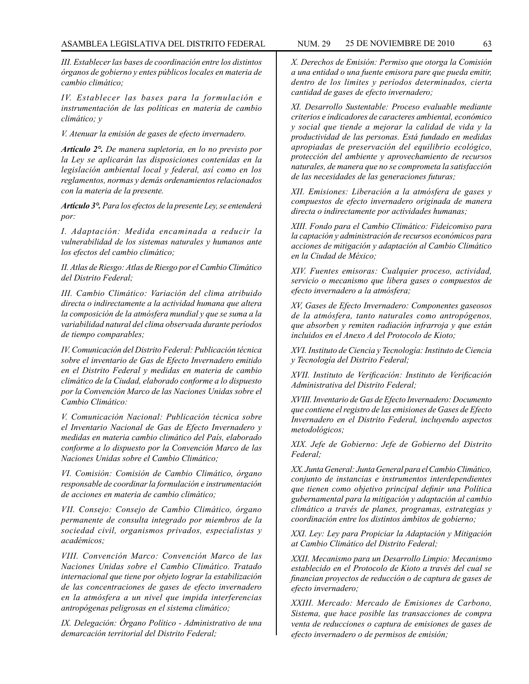*III. Establecer las bases de coordinación entre los distintos órganos de gobierno y entes públicos locales en materia de cambio climático;*

*IV. Establecer las bases para la formulación e instrumentación de las políticas en materia de cambio climático; y*

*V. Atenuar la emisión de gases de efecto invernadero.*

*Artículo 2°. De manera supletoria, en lo no previsto por la Ley se aplicarán las disposiciones contenidas en la legislación ambiental local y federal, así como en los reglamentos, normas y demás ordenamientos relacionados con la materia de la presente.*

*Artículo 3°. Para los efectos de la presente Ley, se entenderá por:*

*I. Adaptación: Medida encaminada a reducir la vulnerabilidad de los sistemas naturales y humanos ante los efectos del cambio climático;*

*II. Atlas de Riesgo: Atlas de Riesgo por el Cambio Climático del Distrito Federal;*

*III. Cambio Climático: Variación del clima atribuido directa o indirectamente a la actividad humana que altera la composición de la atmósfera mundial y que se suma a la variabilidad natural del clima observada durante períodos de tiempo comparables;*

*IV. Comunicación del Distrito Federal: Publicación técnica sobre el inventario de Gas de Efecto Invernadero emitido en el Distrito Federal y medidas en materia de cambio climático de la Ciudad, elaborado conforme a lo dispuesto por la Convención Marco de las Naciones Unidas sobre el Cambio Climático:*

*V. Comunicación Nacional: Publicación técnica sobre el Inventario Nacional de Gas de Efecto Invernadero y medidas en materia cambio climático del País, elaborado conforme a lo dispuesto por la Convención Marco de las Naciones Unidas sobre el Cambio Climático;*

*VI. Comisión: Comisión de Cambio Climático, órgano responsable de coordinar la formulación e instrumentación de acciones en materia de cambio climático;*

*VII. Consejo: Consejo de Cambio Climático, órgano permanente de consulta integrado por miembros de la sociedad civil, organismos privados, especialistas y académicos;*

*VIII. Convención Marco: Convención Marco de las Naciones Unidas sobre el Cambio Climático. Tratado internacional que tiene por objeto lograr la estabilización de las concentraciones de gases de efecto invernadero en la atmósfera a un nivel que impida interferencias antropógenas peligrosas en el sistema climático;*

*IX. Delegación: Órgano Político - Administrativo de una demarcación territorial del Distrito Federal;*

*X. Derechos de Emisión: Permiso que otorga la Comisión a una entidad o una fuente emisora pare que pueda emitir, dentro de los limites y períodos determinados, cierta cantidad de gases de efecto invernadero;*

*XI. Desarrollo Sustentable: Proceso evaluable mediante criterios e indicadores de caracteres ambiental, económico y social que tiende a mejorar la calidad de vida y la productividad de las personas. Está fundado en medidas apropiadas de preservación del equilibrio ecológico, protección del ambiente y aprovechamiento de recursos naturales, de manera que no se comprometa la satisfacción de las necesidades de las generaciones futuras;*

*XII. Emisiones: Liberación a la atmósfera de gases y compuestos de efecto invernadero originada de manera directa o indirectamente por actividades humanas;*

*XIII. Fondo para el Cambio Climático: Fideicomiso para la captación y administración de recursos económicos para acciones de mitigación y adaptación al Cambio Climático en la Ciudad de México;*

*XIV. Fuentes emisoras: Cualquier proceso, actividad, servicio o mecanismo que libera gases o compuestos de efecto invernadero a la atmósfera;*

*XV, Gases de Efecto Invernadero: Componentes gaseosos de la atmósfera, tanto naturales como antropógenos, que absorben y remiten radiación infrarroja y que están incluidos en el Anexo A del Protocolo de Kioto;*

*XVI. Instituto de Ciencia y Tecnología: Instituto de Ciencia y Tecnología del Distrito Federal;*

*XVII. Instituto de Verificación: Instituto de Verificación Administrativa del Distrito Federal;*

*XVIII. Inventario de Gas de Efecto Invernadero: Documento que contiene el registro de las emisiones de Gases de Efecto Invernadero en el Distrito Federal, incluyendo aspectos metodológicos;*

*XIX. Jefe de Gobierno: Jefe de Gobierno del Distrito Federal;*

*XX. Junta General: Junta General para el Cambio Climático, conjunto de instancias e instrumentos interdependientes que tienen como objetivo principal definir una Política gubernamental para la mitigación y adaptación al cambio climático a través de planes, programas, estrategias y coordinación entre los distintos ámbitos de gobierno;*

*XXI. Ley: Ley para Propiciar la Adaptación y Mitigación at Cambio Climático del Distrito Federal;*

*XXII. Mecanismo para un Desarrollo Limpio: Mecanismo establecido en el Protocolo de Kioto a través del cual se financian proyectos de reducción o de captura de gases de efecto invernadero;*

*XXIII. Mercado: Mercado de Emisiones de Carbono, Sistema, que hace posible las transacciones de compra venta de reducciones o captura de emisiones de gases de efecto invernadero o de permisos de emisión;*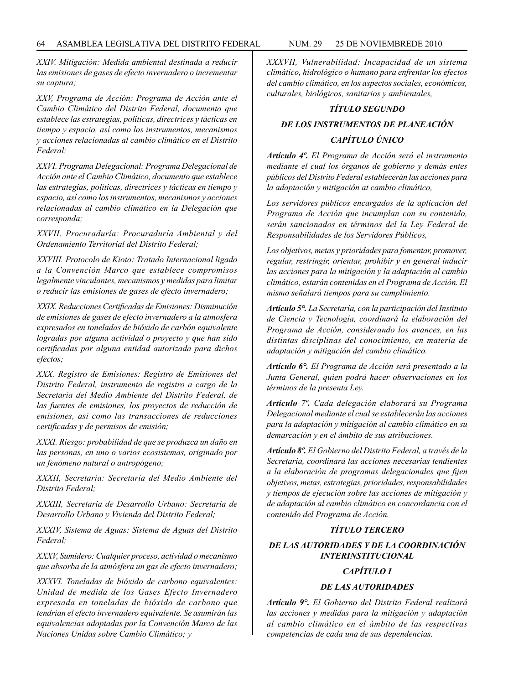*XXIV. Mitigación: Medida ambiental destinada a reducir las emisiones de gases de efecto invernadero o incrementar su captura;*

*XXV, Programa de Acción: Programa de Acción ante el Cambio Climático del Distrito Federal, documento que establece las estrategias, políticas, directrices y tácticas en tiempo y espacio, así como los instrumentos, mecanismos y acciones relacionadas al cambio climático en el Distrito Federal;*

*XXVI. Programa Delegacional: Programa Delegacional de Acción ante el Cambio Climático, documento que establece las estrategias, políticas, directrices y tácticas en tiempo y espacio, así como los instrumentos, mecanismos y acciones relacionadas al cambio climático en la Delegación que corresponda;*

*XXVII. Procuraduría: Procuraduría Ambiental y del Ordenamiento Territorial del Distrito Federal;*

*XXVIII. Protocolo de Kioto: Tratado Internacional ligado a la Convención Marco que establece compromisos legalmente vinculantes, mecanismos y medidas para limitar o reducir las emisiones de gases de efecto invernadero;*

*XXIX. Reducciones Certificadas de Emisiones: Disminución de emisiones de gases de efecto invernadero a la atmosfera expresados en toneladas de bióxido de carbón equivalente logradas por alguna actividad o proyecto y que han sido certificadas por alguna entidad autorizada para dichos efectos;*

*XXX. Registro de Emisiones: Registro de Emisiones del Distrito Federal, instrumento de registro a cargo de la Secretaría del Medio Ambiente del Distrito Federal, de las fuentes de emisiones, los proyectos de reducción de emisiones, así como las transacciones de reducciones certificadas y de permisos de emisión;*

*XXXI. Riesgo: probabilidad de que se produzca un daño en las personas, en uno o varios ecosistemas, originado por un fenómeno natural o antropógeno;*

*XXXII, Secretaría: Secretaría del Medio Ambiente del Distrito Federal;*

*XXXIII, Secretaria de Desarrollo Urbano: Secretaria de Desarrollo Urbano y Vivienda del Distrito Federal;*

*XXXIV, Sistema de Aguas: Sistema de Aguas del Distrito Federal;*

*XXXV, Sumidero: Cualquier proceso, actividad o mecanismo que absorba de la atmósfera un gas de efecto invernadero;*

*XXXVI. Toneladas de bióxido de carbono equivalentes: Unidad de medida de los Gases Efecto Invernadero expresada en toneladas de bióxido de carbono que tendrían el efecto invernadero equivalente. Se asumirán las equivalencias adoptadas por la Convención Marco de las Naciones Unidas sobre Cambio Climático; y*

*XXXVII, Vulnerabilidad: Incapacidad de un sistema climático, hidrológico o humano para enfrentar los efectos del cambio climático, en los aspectos sociales, económicos, culturales, biológicos, sanitarios y ambientales,*

## *TÍTULO SEGUNDO*

# *DE LOS INSTRUMENTOS DE PLANEACIÓN CAPÍTULO ÚNICO*

*Artículo 4º. El Programa de Acción será el instrumento mediante el cual los órganos de gobierno y demás entes públicos del Distrito Federal establecerán las acciones para la adaptación y mitigación at cambio climático,*

*Los servidores públicos encargados de la aplicación del Programa de Acción que incumplan con su contenido, serán sancionados en términos del la Ley Federal de Responsabilidades de los Servidores Públicos,*

*Los objetivos, metas y prioridades para fomentar, promover, regular, restringir, orientar, prohibir y en general inducir las acciones para la mitigación y la adaptación al cambio climático, estarán contenidas en el Programa de Acción. El mismo señalará tiempos para su cumplimiento.*

*Artículo 5°. La Secretaría, con la participación del Instituto de Ciencia y Tecnología, coordinará la elaboración del Programa de Acción, considerando los avances, en las distintas disciplinas del conocimiento, en materia de adaptación y mitigación del cambio climático.*

*Artículo 6°. El Programa de Acción será presentado a la Junta General, quien podrá hacer observaciones en los términos de la presenta Ley.*

*Artículo 7º. Cada delegación elaborará su Programa Delegacional mediante el cual se establecerán las acciones para la adaptación y mitigación al cambio climático en su demarcación y en el ámbito de sus atribuciones.*

*Artículo 8º. El Gobierno del Distrito Federal, a través de la Secretaría, coordinará las acciones necesarias tendientes a la elaboración de programas delegacionales que fijen objetivos, metas, estrategias, prioridades, responsabilidades y tiempos de ejecución sobre las acciones de mitigación y de adaptación al cambio climático en concordancia con el contenido del Programa de Acción.*

## *TÍTULO TERCERO*

# *DE LAS AUTORIDADES Y DE LA COORDINACIÓN INTERINSTITUCIONAL*

# *CAPÍTULO I*

#### *DE LAS AUTORIDADES*

*Artículo 9°. El Gobierno del Distrito Federal realizará las acciones y medidas para la mitigación y adaptación al cambio climático en el ámbito de las respectivas competencias de cada una de sus dependencias.*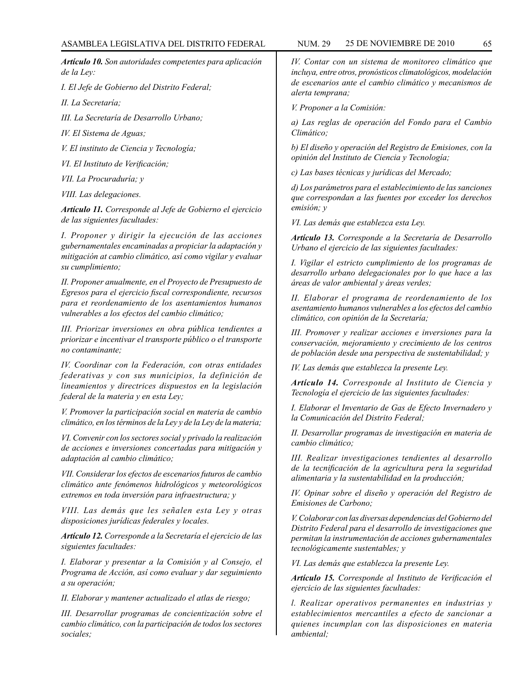*Artículo 10. Son autoridades competentes para aplicación de la Ley:*

*I. El Jefe de Gobierno del Distrito Federal;*

*II. La Secretaría;*

*III. La Secretaría de Desarrollo Urbano;*

*IV. El Sistema de Aguas;*

*V. El instituto de Ciencia y Tecnología;*

*VI. El Instituto de Verificación;*

*VII. La Procuraduría; y*

*VIII. Las delegaciones.*

*Artículo 11. Corresponde al Jefe de Gobierno el ejercicio de las siguientes facultades:*

*I. Proponer y dirigir la ejecución de las acciones gubernamentales encaminadas a propiciar la adaptación y mitigación at cambio climático, así como vigilar y evaluar su cumplimiento;*

*II. Proponer anualmente, en el Proyecto de Presupuesto de Egresos para el ejercicio fiscal correspondiente, recursos para et reordenamiento de los asentamientos humanos vulnerables a los efectos del cambio climático;*

*III. Priorizar inversiones en obra pública tendientes a priorizar e incentivar el transporte público o el transporte no contaminante;*

*IV. Coordinar con la Federación, con otras entidades federativas y con sus municipios, la definición de lineamientos y directrices dispuestos en la legislación federal de la materia y en esta Ley;*

*V. Promover la participación social en materia de cambio climático, en los términos de la Ley y de la Ley de la materia;*

*VI. Convenir con los sectores social y privado la realización de acciones e inversiones concertadas para mitigación y adaptación al cambio climático;*

*VII. Considerar los efectos de escenarios futuros de cambio climático ante fenómenos hidrológicos y meteorológicos extremos en toda inversión para infraestructura; y*

*VIII. Las demás que les señalen esta Ley y otras disposiciones jurídicas federales y locales.*

*Artículo 12. Corresponde a la Secretaría el ejercicio de las siguientes facultades:*

*I. Elaborar y presentar a la Comisión y al Consejo, el Programa de Acción, así como evaluar y dar seguimiento a su operación;*

*II. Elaborar y mantener actualizado el atlas de riesgo;*

*III. Desarrollar programas de concientización sobre el cambio climático, con la participación de todos los sectores sociales;*

*IV. Contar con un sistema de monitoreo climático que incluya, entre otros, pronósticos climatológicos, modelación de escenarios ante el cambio climático y mecanismos de alerta temprana;*

*V. Proponer a la Comisión:*

*a) Las reglas de operación del Fondo para el Cambio Climático;*

*b) El diseño y operación del Registro de Emisiones, con la opinión del Instituto de Ciencia y Tecnología;*

*c) Las bases técnicas y jurídicas del Mercado;*

*d) Los parámetros para el establecimiento de las sanciones que correspondan a las fuentes por exceder los derechos emisión; y*

*VI. Las demás que establezca esta Ley.*

*Artículo 13. Corresponde a la Secretaría de Desarrollo Urbano el ejercicio de las siguientes facultades:*

*I. Vigilar el estricto cumplimiento de los programas de desarrollo urbano delegacionales por lo que hace a las áreas de valor ambiental y áreas verdes;*

*II. Elaborar el programa de reordenamiento de los asentamiento humanos vulnerables a los efectos del cambio climático, con opinión de la Secretaría;*

*III. Promover y realizar acciones e inversiones para la conservación, mejoramiento y crecimiento de los centros de población desde una perspectiva de sustentabilidad; y*

*IV. Las demás que establezca la presente Ley.*

*Artículo 14. Corresponde al Instituto de Ciencia y Tecnología el ejercicio de las siguientes facultades:*

*I. Elaborar el Inventario de Gas de Efecto Invernadero y la Comunicación del Distrito Federal;*

*II. Desarrollar programas de investigación en materia de cambio climático;*

*III. Realizar investigaciones tendientes al desarrollo de la tecnificación de la agricultura pera la seguridad alimentaria y la sustentabilidad en la producción;*

*IV. Opinar sobre el diseño y operación del Registro de Emisiones de Carbono;*

*V. Colaborar con las diversas dependencias del Gobierno del Distrito Federal para el desarrollo de investigaciones que permitan la instrumentación de acciones gubernamentales tecnológicamente sustentables; y*

*VI. Las demás que establezca la presente Ley.*

*Artículo 15. Corresponde al Instituto de Verificación el ejercicio de las siguientes facultades:*

*l. Realizar operativos permanentes en industrias y establecimientos mercantiles a efecto de sancionar a quienes incumplan con las disposiciones en materia ambiental;*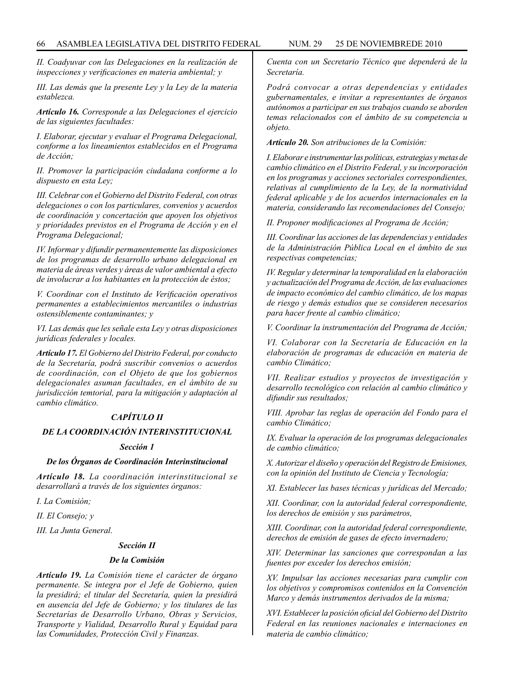*II. Coadyuvar con las Delegaciones en la realización de inspecciones y verificaciones en materia ambiental; y*

*III. Las demás que la presente Ley y la Ley de la materia establezca.*

*Artículo 16. Corresponde a las Delegaciones el ejercicio de las siguientes facultades:*

*I. Elaborar, ejecutar y evaluar el Programa Delegacional, conforme a los lineamientos establecidos en el Programa de Acción;*

*II. Promover la participación ciudadana conforme a lo dispuesto en esta Ley;*

*III. Celebrar con el Gobierno del Distrito Federal, con otras delegaciones o con los particulares, convenios y acuerdos de coordinación y concertación que apoyen los objetivos y prioridades previstos en el Programa de Acción y en el Programa Delegacional;*

*IV. Informar y difundir permanentemente las disposiciones de los programas de desarrollo urbano delegacional en materia de áreas verdes y áreas de valor ambiental a efecto de involucrar a los habitantes en la protección de éstos;*

*V. Coordinar con el Instituto de Verificación operativos permanentes a establecimientos mercantiles o industrias ostensiblemente contaminantes; y*

*VI. Las demás que les señale esta Ley y otras disposiciones jurídicas federales y locales.*

*Artículo 17. El Gobierno del Distrito Federal, por conducto de la Secretaría, podrá suscribir convenios o acuerdos de coordinación, con el Objeto de que los gobiernos delegacionales asuman facultades, en el ámbito de su jurisdicción temtorial, para la mitigación y adaptación al cambio climático.*

# *CAPÍTULO II*

# *DE LA COORDINACIÓN INTERINSTITUCIONAL*

#### *Sección 1*

## *De los Órganos de Coordinación Interinstitucional*

*Artículo 18. La coordinación interinstitucional se desarrollará a través de los siguientes órganos:*

*I. La Comisión;*

*II. El Consejo; y*

*III. La Junta General.*

#### *Sección II*

#### *De la Comisión*

*Artículo 19. La Comisión tiene el carácter de órgano permanente. Se integra por el Jefe de Gobierno, quien la presidirá; el titular del Secretaría, quien la presidirá en ausencia del Jefe de Gobierno; y los titulares de las Secretarías de Desarrollo Urbano, Obras y Servicios, Transporte y Vialidad, Desarrollo Rural y Equidad para las Comunidades, Protección Civil y Finanzas.*

*Cuenta con un Secretario Técnico que dependerá de la Secretaría.*

*Podrá convocar a otras dependencias y entidades gubernamentales, e invitar a representantes de órganos autónomos a participar en sus trabajos cuando se aborden temas relacionados con el ámbito de su competencia u objeto.*

*Artículo 20. Son atribuciones de la Comisión:*

*I. Elaborar e instrumentar las políticas, estrategias y metas de cambio climático en el Distrito Federal, y su incorporación en los programas y acciones sectoriales correspondientes, relativas al cumplimiento de la Ley, de la normatividad federal aplicable y de los acuerdos internacionales en la materia, considerando las recomendaciones del Consejo;*

*II. Proponer modificaciones al Programa de Acción;*

*III. Coordinar las acciones de las dependencias y entidades de la Administración Pública Local en el ámbito de sus respectivas competencias;*

*IV. Regular y determinar la temporalidad en la elaboración y actualización del Programa de Acción, de las evaluaciones de impacto económico del cambio climático, de los mapas de riesgo y demás estudios que se consideren necesarios para hacer frente al cambio climático;*

*V. Coordinar la instrumentación del Programa de Acción;*

*VI. Colaborar con la Secretaría de Educación en la elaboración de programas de educación en materia de cambio Climático;*

*VII. Realizar estudios y proyectos de investigación y desarrollo tecnológico con relación al cambio climático y difundir sus resultados;*

*VIII. Aprobar las reglas de operación del Fondo para el cambio Climático;*

*IX. Evaluar la operación de los programas delegacionales de cambio climático;*

*X. Autorizar el diseño y operación del Registro de Emisiones, con la opinión del Instituto de Ciencia y Tecnología;*

*XI. Establecer las bases técnicas y jurídicas del Mercado;*

*XII. Coordinar, con la autoridad federal correspondiente, los derechos de emisión y sus parámetros,*

*XIII. Coordinar, con la autoridad federal correspondiente, derechos de emisión de gases de efecto invernadero;*

*XIV. Determinar las sanciones que correspondan a las fuentes por exceder los derechos emisión;*

*XV. Impulsar las acciones necesarias para cumplir con los objetivos y compromisos contenidos en la Convención Marco y demás instrumentos derivados de la misma;*

*XVI. Establecer la posición oficial del Gobierno del Distrito Federal en las reuniones nacionales e internaciones en materia de cambio climático;*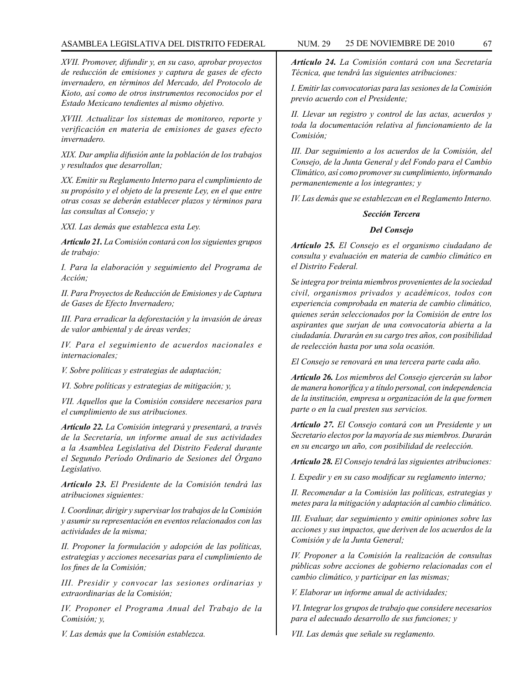### ASAMBLEA LEGISLATIVA DEL DISTRITO FEDERAL NUM. 29 25 DE NOVIEMBRE DE 2010 67

*XVII. Promover, difundir y, en su caso, aprobar proyectos de reducción de emisiones y captura de gases de efecto invernadero, en términos del Mercado, del Protocolo de Kioto, así como de otros instrumentos reconocidos por el Estado Mexicano tendientes al mismo objetivo.*

*XVIII. Actualizar los sistemas de monitoreo, reporte y verificación en materia de emisiones de gases efecto invernadero.*

*XIX. Dar amplia difusión ante la población de los trabajos y resultados que desarrollan;* 

*XX. Emitir su Reglamento Interno para el cumplimiento de su propósito y el objeto de la presente Ley, en el que entre otras cosas se deberán establecer plazos y términos para las consultas al Consejo; y*

*XXI. Las demás que establezca esta Ley.*

*Artículo 21. La Comisión contará con los siguientes grupos de trabajo:*

*I. Para la elaboración y seguimiento del Programa de Acción;*

*II. Para Proyectos de Reducción de Emisiones y de Captura de Gases de Efecto Invernadero;*

*III. Para erradicar la deforestación y la invasión de áreas de valor ambiental y de áreas verdes;*

*IV. Para el seguimiento de acuerdos nacionales e internacionales;*

*V. Sobre políticas y estrategias de adaptación;*

*VI. Sobre políticas y estrategias de mitigación; y,*

*VII. Aquellos que la Comisión considere necesarios para el cumplimiento de sus atribuciones.*

*Artículo 22. La Comisión integrará y presentará, a través de la Secretaría, un informe anual de sus actividades a la Asamblea Legislativa del Distrito Federal durante el Segundo Período Ordinario de Sesiones del Órgano Legislativo.*

*Artículo 23. El Presidente de la Comisión tendrá las atribuciones siguientes:*

*I. Coordinar, dirigir y supervisar los trabajos de la Comisión y asumir su representación en eventos relacionados con las actividades de la misma;*

*II. Proponer la formulación y adopción de las políticas, estrategias y acciones necesarias para el cumplimiento de los fines de la Comisión;*

*III. Presidir y convocar las sesiones ordinarias y extraordinarias de la Comisión;*

*IV. Proponer el Programa Anual del Trabajo de la Comisión; y,*

*V. Las demás que la Comisión establezca.*

*Artículo 24. La Comisión contará con una Secretaría Técnica, que tendrá las siguientes atribuciones:*

*I. Emitir las convocatorias para las sesiones de la Comisión previo acuerdo con el Presidente;*

*II. Llevar un registro y control de las actas, acuerdos y toda la documentación relativa al funcionamiento de la Comisión;*

*III. Dar seguimiento a los acuerdos de la Comisión, del Consejo, de la Junta General y del Fondo para el Cambio Climático, así como promover su cumplimiento, informando permanentemente a los integrantes; y*

*IV. Las demás que se establezcan en el Reglamento Interno.* 

#### *Sección Tercera*

#### *Del Consejo*

*Artículo 25. El Consejo es el organismo ciudadano de consulta y evaluación en materia de cambio climático en el Distrito Federal.*

*Se integra por treinta miembros provenientes de la sociedad civil, organismos privados y académicos, todos con experiencia comprobada en materia de cambio climático, quienes serán seleccionados por la Comisión de entre los aspirantes que surjan de una convocatoria abierta a la ciudadanía. Durarán en su cargo tres años, con posibilidad de reelección hasta por una sola ocasión.*

*El Consejo se renovará en una tercera parte cada año.*

*Artículo 26. Los miembros del Consejo ejercerán su labor de manera honorífica y a título personal, con independencia de la institución, empresa u organización de la que formen parte o en la cual presten sus servicios.*

*Artículo 27. El Consejo contará con un Presidente y un Secretario electos por la mayoría de sus miembros. Durarán en su encargo un año, con posibilidad de reelección.*

*Artículo 28. El Consejo tendrá las siguientes atribuciones:*

*I. Expedir y en su caso modificar su reglamento interno;*

*II. Recomendar a la Comisión las políticas, estrategias y metes para la mitigación y adaptación al cambio climático.*

*III. Evaluar, dar seguimiento y emitir opiniones sobre las acciones y sus impactos, que deriven de los acuerdos de la Comisión y de la Junta General;*

*IV. Proponer a la Comisión la realización de consultas públicas sobre acciones de gobierno relacionadas con el cambio climático, y participar en las mismas;*

*V. Elaborar un informe anual de actividades;*

*VI. Integrar los grupos de trabajo que considere necesarios para el adecuado desarrollo de sus funciones; y*

*VII. Las demás que señale su reglamento.*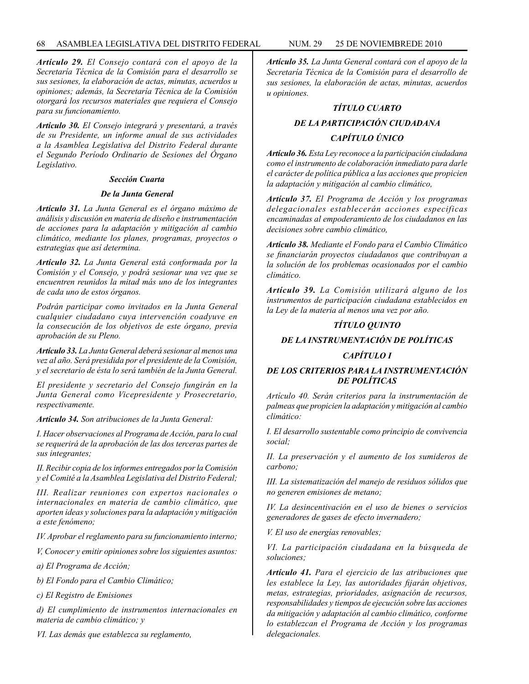*Artículo 29. El Consejo contará con el apoyo de la Secretaría Técnica de la Comisión para el desarrollo se sus sesiones, la elaboración de actas, minutas, acuerdos u opiniones; además, la Secretaría Técnica de la Comisión otorgará los recursos materiales que requiera el Consejo para su funcionamiento.*

*Artículo 30. El Consejo integrará y presentará, a través de su Presidente, un informe anual de sus actividades a la Asamblea Legislativa del Distrito Federal durante el Segundo Período Ordinario de Sesiones del Órgano Legislativo.*

#### *Sección Cuarta*

#### *De la Junta General*

*Artículo 31. La Junta General es el órgano máximo de análisis y discusión en materia de diseño e instrumentación de acciones para la adaptación y mitigación al cambio climático, mediante los planes, programas, proyectos o estrategias que así determina.*

*Artículo 32. La Junta General está conformada por la Comisión y el Consejo, y podrá sesionar una vez que se encuentren reunidos la mitad más uno de los integrantes de cada uno de estos órganos.*

*Podrán participar como invitados en la Junta General cualquier ciudadano cuya intervención coadyuve en la consecución de los objetivos de este órgano, previa aprobación de su Pleno.*

*Artículo 33. La Junta General deberá sesionar al menos una vez al año. Será presidida por el presidente de la Comisión, y el secretario de ésta lo será también de la Junta General.*

*El presidente y secretario del Consejo fungirán en la Junta General como Vicepresidente y Prosecretario, respectivamente.*

*Artículo 34. Son atribuciones de la Junta General:*

*I. Hacer observaciones al Programa de Acción, para lo cual se requerirá de la aprobación de las dos terceras partes de sus integrantes;*

*II. Recibir copia de los informes entregados por la Comisión y el Comité a la Asamblea Legislativa del Distrito Federal;*

*III. Realizar reuniones con expertos nacionales o internacionales en materia de cambio climático, que aporten ideas y soluciones para la adaptación y mitigación a este fenómeno;*

*IV. Aprobar el reglamento para su funcionamiento interno;*

*V, Conocer y emitir opiniones sobre los siguientes asuntos:*

*a) El Programa de Acción;*

*b) El Fondo para el Cambio Climático;*

*c) El Registro de Emisiones*

*d) El cumplimiento de instrumentos internacionales en materia de cambio climático; y*

*VI. Las demás que establezca su reglamento,*

*Artículo 35. La Junta General contará con el apoyo de la Secretaría Técnica de la Comisión para el desarrollo de sus sesiones, la elaboración de actas, minutas, acuerdos u opiniones.*

#### *TÍTULO CUARTO*

# *DE LA PARTICIPACIÓN CIUDADANA CAPÍTULO ÚNICO*

*Artículo 36. Esta Ley reconoce a la participación ciudadana como el instrumento de colaboración inmediato para darle el carácter de política pública a las acciones que propicien la adaptación y mitigación al cambio climático,*

*Artículo 37. El Programa de Acción y los programas delegacionales establecerán acciones especificas encaminadas al empoderamiento de los ciudadanos en las decisiones sobre cambio climático,*

*Artículo 38. Mediante el Fondo para el Cambio Climático se financiarán proyectos ciudadanos que contribuyan a la solución de los problemas ocasionados por el cambio climático.*

*Artículo 39. La Comisión utilizará alguno de los instrumentos de participación ciudadana establecidos en la Ley de la materia al menos una vez por año.*

#### *TÍTULO QUINTO*

#### *DE LA INSTRUMENTACIÓN DE POLÍTICAS*

## *CAPÍTULO I*

## *DE LOS CRITERIOS PARA LA INSTRUMENTACIÓN DE POLÍTICAS*

*Artículo 40. Serán criterios para la instrumentación de palmeas que propicien la adaptación y mitigación al cambio climático:*

*I. El desarrollo sustentable como principio de convivencia social;*

*II. La preservación y el aumento de los sumideros de carbono;*

*III. La sistematización del manejo de residuos sólidos que no generen emisiones de metano;*

*IV. La desincentivación en el uso de bienes o servicios generadores de gases de efecto invernadero;*

*V. El uso de energías renovables;*

*VI. La participación ciudadana en la búsqueda de soluciones;*

*Artículo 41. Para el ejercicio de las atribuciones que les establece la Ley, las autoridades fijarán objetivos, metas, estrategias, prioridades, asignación de recursos, responsabilidades y tiempos de ejecución sobre las acciones da mitigación y adaptación al cambio climático, conforme lo establezcan el Programa de Acción y los programas delegacionales.*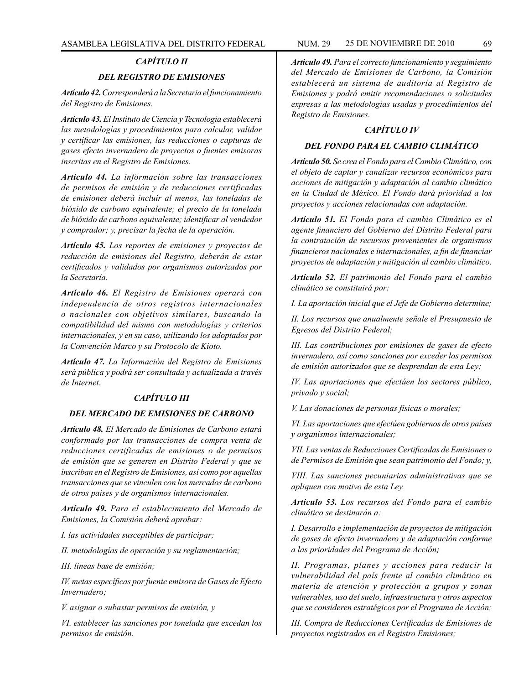#### *CAPÍTULO II*

#### *DEL REGISTRO DE EMISIONES*

*Artículo 42. Corresponderá a la Secretaria el funcionamiento del Registro de Emisiones.*

*Artículo 43. El Instituto de Ciencia y Tecnología establecerá las metodologías y procedimientos para calcular, validar y certificar las emisiones, las reducciones o capturas de gases efecto invernadero de proyectos o fuentes emisoras inscritas en el Registro de Emisiones.*

*Artículo 44. La información sobre las transacciones de permisos de emisión y de reducciones certificadas de emisiones deberá incluir al menos, las toneladas de bióxido de carbono equivalente; el precio de la tonelada de bióxido de carbono equivalente; identificar al vendedor y comprador; y, precisar la fecha de la operación.*

*Artículo 45. Los reportes de emisiones y proyectos de reducción de emisiones del Registro, deberán de estar certificados y validados por organismos autorizados por la Secretaría.*

*Artículo 46. El Registro de Emisiones operará con independencia de otros registros internacionales o nacionales con objetivos similares, buscando la compatibilidad del mismo con metodologías y criterios internacionales, y en su caso, utilizando los adoptados por la Convención Marco y su Protocolo de Kioto.*

*Artículo 47. La Información del Registro de Emisiones será pública y podrá ser consultada y actualizada a través de Internet.*

#### *CAPÍTULO III*

#### *DEL MERCADO DE EMISIONES DE CARBONO*

*Artículo 48. El Mercado de Emisiones de Carbono estará conformado por las transacciones de compra venta de reducciones certificadas de emisiones o de permisos de emisión que se generen en Distrito Federal y que se inscriban en el Registro de Emisiones, así como por aquellas transacciones que se vinculen con los mercados de carbono de otros países y de organismos internacionales.*

*Artículo 49. Para el establecimiento del Mercado de Emisiones, la Comisión deberá aprobar:*

*I. las actividades susceptibles de participar;*

*II. metodologías de operación y su reglamentación;*

*III. líneas base de emisión;*

*IV. metas específicas por fuente emisora de Gases de Efecto Invernadero;*

*V. asignar o subastar permisos de emisión, y*

*VI. establecer las sanciones por tonelada que excedan los permisos de emisión.*

*Artículo 49. Para el correcto funcionamiento y seguimiento del Mercado de Emisiones de Carbono, la Comisión establecerá un sistema de auditoría al Registro de Emisiones y podrá emitir recomendaciones o solicitudes expresas a las metodologías usadas y procedimientos del Registro de Emisiones.*

# *CAPÍTULO IV*

#### *DEL FONDO PARA EL CAMBIO CLIMÁTICO*

*Artículo 50. Se crea el Fondo para el Cambio Climático, con el objeto de captar y canalizar recursos económicos para acciones de mitigación y adaptación al cambio climático en la Ciudad de México. El Fondo dará prioridad a los proyectos y acciones relacionadas con adaptación.*

*Artículo 51. El Fondo para el cambio Climático es el agente financiero del Gobierno del Distrito Federal para la contratación de recursos provenientes de organismos financieros nacionales e internacionales, a fin de financiar proyectos de adaptación y mitigación al cambio climático.*

*Artículo 52. El patrimonio del Fondo para el cambio climático se constituirá por:*

*I. La aportación inicial que el Jefe de Gobierno determine;*

*II. Los recursos que anualmente señale el Presupuesto de Egresos del Distrito Federal;*

*III. Las contribuciones por emisiones de gases de efecto invernadero, así como sanciones por exceder los permisos de emisión autorizados que se desprendan de esta Ley;*

*IV. Las aportaciones que efectúen los sectores público, privado y social;*

*V. Las donaciones de personas físicas o morales;*

*VI. Las aportaciones que efectúen gobiernos de otros países y organismos internacionales;*

*VII. Las ventas de Reducciones Certificadas de Emisiones o de Permisos de Emisión que sean patrimonio del Fondo; y,*

*VIII. Las sanciones pecuniarias administrativas que se apliquen con motivo de esta Ley.*

*Artículo 53. Los recursos del Fondo para el cambio climático se destinarán a:*

*I. Desarrollo e implementación de proyectos de mitigación de gases de efecto invernadero y de adaptación conforme a las prioridades del Programa de Acción;*

*II. Programas, planes y acciones para reducir la vulnerabilidad del país frente al cambio climático en materia de atención y protección a grupos y zonas vulnerables, uso del suelo, infraestructura y otros aspectos que se consideren estratégicos por el Programa de Acción;*

*III. Compra de Reducciones Certificadas de Emisiones de proyectos registrados en el Registro Emisiones;*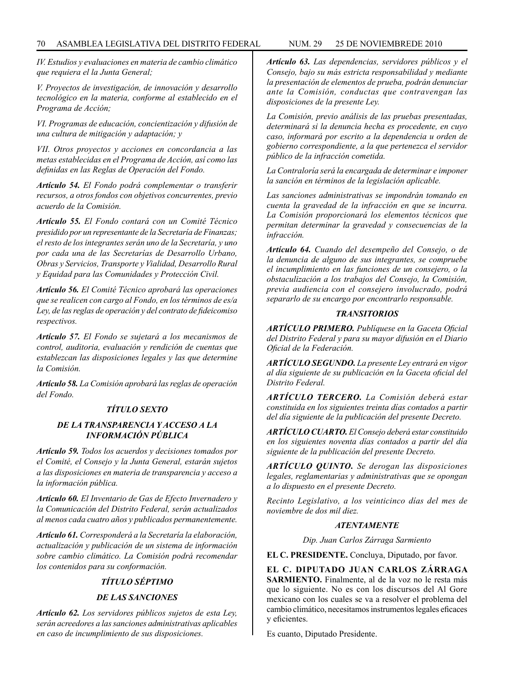*IV. Estudios y evaluaciones en materia de cambio climático que requiera el la Junta General;*

*V. Proyectos de investigación, de innovación y desarrollo tecnológico en la materia, conforme al establecido en el Programa de Acción;*

*VI. Programas de educación, concientización y difusión de una cultura de mitigación y adaptación; y*

*VII. Otros proyectos y acciones en concordancia a las metas establecidas en el Programa de Acción, así como las definidas en las Reglas de Operación del Fondo.*

*Artículo 54. El Fondo podrá complementar o transferir recursos, a otros fondos con objetivos concurrentes, previo acuerdo de la Comisión.*

*Artículo 55. El Fondo contará con un Comité Técnico presidido por un representante de la Secretaría de Finanzas; el resto de los integrantes serán uno de la Secretaría, y uno por cada una de las Secretarías de Desarrollo Urbano, Obras y Servicios, Transporte y Vialidad, Desarrollo Rural y Equidad para las Comunidades y Protección Civil.*

*Artículo 56. El Comité Técnico aprobará las operaciones que se realicen con cargo al Fondo, en los términos de es/a Ley, de las reglas de operación y del contrato de fideicomiso respectivos.*

*Artículo 57. El Fondo se sujetará a los mecanismos de control, auditoria, evaluación y rendición de cuentas que establezcan las disposiciones legales y las que determine la Comisión.*

*Artículo 58. La Comisión aprobará las reglas de operación del Fondo.*

# *TÍTULO SEXTO*

# *DE LA TRANSPARENCIA Y ACCESO A LA INFORMACIÓN PÚBLICA*

*Artículo 59. Todos los acuerdos y decisiones tomados por el Comité, el Consejo y la Junta General, estarán sujetos a las disposiciones en materia de transparencia y acceso a la información pública.*

*Artículo 60. El Inventario de Gas de Efecto Invernadero y la Comunicación del Distrito Federal, serán actualizados al menos cada cuatro años y publicados permanentemente.*

*Artículo 61. Corresponderá a la Secretaría la elaboración, actualización y publicación de un sistema de información sobre cambio climático. La Comisión podrá recomendar los contenidos para su conformación.*

## *TÍTULO SÉPTIMO*

## *DE LAS SANCIONES*

*Artículo 62. Los servidores públicos sujetos de esta Ley, serán acreedores a las sanciones administrativas aplicables en caso de incumplimiento de sus disposiciones.*

*Artículo 63. Las dependencias, servidores públicos y el Consejo, bajo su más estricta responsabilidad y mediante la presentación de elementos de prueba, podrán denunciar ante la Comisión, conductas que contravengan las disposiciones de la presente Ley.*

*La Comisión, previo análisis de las pruebas presentadas, determinará si la denuncia hecha es procedente, en cuyo caso, informará por escrito a la dependencia u orden de gobierno correspondiente, a la que pertenezca el servidor público de la infracción cometida.*

*La Contraloría será la encargada de determinar e imponer la sanción en términos de la legislación aplicable.*

*Las sanciones administrativas se impondrán tomando en cuenta la gravedad de la infracción en que se incurra. La Comisión proporcionará los elementos técnicos que permitan determinar la gravedad y consecuencias de la infracción.*

*Artículo 64. Cuando del desempeño del Consejo, o de la denuncia de alguno de sus integrantes, se compruebe el incumplimiento en las funciones de un consejero, o la obstaculización a los trabajos del Consejo, la Comisión, previa audiencia con el consejero involucrado, podrá separarlo de su encargo por encontrarlo responsable.*

## *TRANSITORIOS*

*ARTÍCULO PRIMERO. Publíquese en la Gaceta Oficial del Distrito Federal y para su mayor difusión en el Diario Oficial de la Federación.*

*ARTÍCULO SEGUNDO. La presente Ley entrará en vigor al día siguiente de su publicación en la Gaceta oficial del Distrito Federal.*

*ARTÍCULO TERCERO. La Comisión deberá estar constituida en los siguientes treinta días contados a partir del día siguiente de la publicación del presente Decreto.*

*ARTÍCULO CUARTO. El Consejo deberá estar constituido en los siguientes noventa días contados a partir del día siguiente de la publicación del presente Decreto.*

*ARTÍCULO QUINTO. Se derogan las disposiciones legales, reglamentarias y administrativas que se opongan a lo dispuesto en el presente Decreto.*

*Recinto Legislativo, a los veinticinco días del mes de noviembre de dos mil diez.*

#### *ATENTAMENTE*

*Dip. Juan Carlos Zárraga Sarmiento*

**EL C. PRESIDENTE.** Concluya, Diputado, por favor.

**EL C. DIPUTADO JUAN CARLOS ZÁRRAGA**  SARMIENTO. Finalmente, al de la voz no le resta más que lo siguiente. No es con los discursos del Al Gore mexicano con los cuales se va a resolver el problema del cambio climático, necesitamos instrumentos legales eficaces y eficientes.

Es cuanto, Diputado Presidente.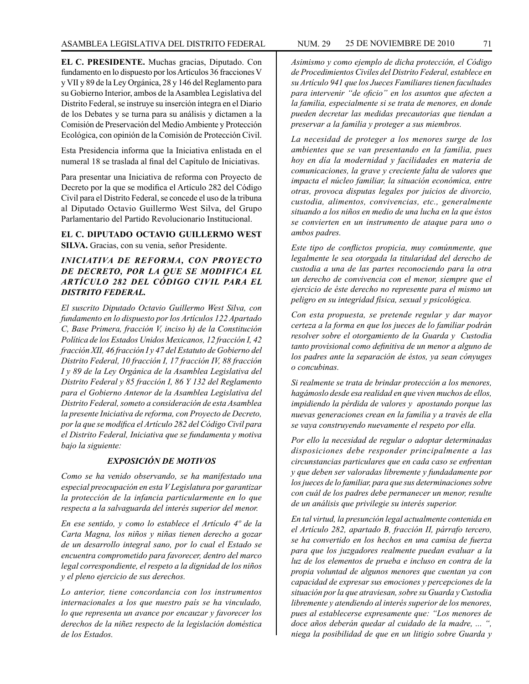**EL C. PRESIDENTE.** Muchas gracias, Diputado. Con fundamento en lo dispuesto por los Artículos 36 fracciones V y VII y 89 de la Ley Orgánica, 28 y 146 del Reglamento para su Gobierno Interior, ambos de la Asamblea Legislativa del Distrito Federal, se instruye su inserción íntegra en el Diario de los Debates y se turna para su análisis y dictamen a la Comisión de Preservación del Medio Ambiente y Protección Ecológica, con opinión de la Comisión de Protección Civil.

Esta Presidencia informa que la Iniciativa enlistada en el numeral 18 se traslada al final del Capítulo de Iniciativas.

Para presentar una Iniciativa de reforma con Proyecto de Decreto por la que se modifica el Artículo 282 del Código Civil para el Distrito Federal, se concede el uso de la tribuna al Diputado Octavio Guillermo West Silva, del Grupo Parlamentario del Partido Revolucionario Institucional.

**EL C. DIPUTADO OCTAVIO GUILLERMO WEST SILVA.** Gracias, con su venia, señor Presidente.

# *INICIATIVA DE REFORMA, CON PROYECTO DE DECRETO, POR LA QUE SE MODIFICA EL ARTÍCULO 282 DEL CÓDIGO CIVIL PARA EL DISTRITO FEDERAL.*

*El suscrito Diputado Octavio Guillermo West Silva, con fundamento en lo dispuesto por los Artículos 122 Apartado C, Base Primera, fracción V, inciso h) de la Constitución Política de los Estados Unidos Mexicanos, 12 fracción I, 42 fracción XII, 46 fracción I y 47 del Estatuto de Gobierno del Distrito Federal, 10 fracción I, 17 fracción IV, 88 fracción I y 89 de la Ley Orgánica de la Asamblea Legislativa del Distrito Federal y 85 fracción I, 86 Y 132 del Reglamento para el Gobierno Antenor de la Asamblea Legislativa del Distrito Federal, someto a consideración de esta Asamblea la presente Iniciativa de reforma, con Proyecto de Decreto, por la que se modifica el Artículo 282 del Código Civil para el Distrito Federal, Iniciativa que se fundamenta y motiva bajo la siguiente:*

## *EXPOSICIÓN DE MOTIVOS*

*Como se ha venido observando, se ha manifestado una especial preocupación en esta V Legislatura por garantizar la protección de la infancia particularmente en lo que respecta a la salvaguarda del interés superior del menor.*

*En ese sentido, y como lo establece el Artículo 4º de la Carta Magna, los niños y niñas tienen derecho a gozar de un desarrollo integral sano, por lo cual el Estado se encuentra comprometido para favorecer, dentro del marco legal correspondiente, el respeto a la dignidad de los niños y el pleno ejercicio de sus derechos.*

*Lo anterior, tiene concordancia con los instrumentos internacionales a los que nuestro país se ha vinculado, lo que representa un avance por encauzar y favorecer los derechos de la niñez respecto de la legislación doméstica de los Estados.*

*Asimismo y como ejemplo de dicha protección, el Código de Procedimientos Civiles del Distrito Federal, establece en su Artículo 941 que los Jueces Familiares tienen facultades para intervenir "de oficio" en los asuntos que afecten a la familia, especialmente si se trata de menores, en donde pueden decretar las medidas precautorias que tiendan a preservar a la familia y proteger a sus miembros.*

*La necesidad de proteger a los menores surge de los ambientes que se van presentando en la familia, pues hoy en día la modernidad y facilidades en materia de comunicaciones, la grave y creciente falta de valores que impacta el núcleo familiar, la situación económica, entre otras, provoca disputas legales por juicios de divorcio, custodia, alimentos, convivencias, etc., generalmente situando a los niños en medio de una lucha en la que éstos se convierten en un instrumento de ataque para uno o ambos padres.*

*Este tipo de conflictos propicia, muy comúnmente, que legalmente le sea otorgada la titularidad del derecho de custodia a una de las partes reconociendo para la otra un derecho de convivencia con el menor, siempre que el ejercicio de éste derecho no represente para el mismo un peligro en su integridad física, sexual y psicológica.*

*Con esta propuesta, se pretende regular y dar mayor certeza a la forma en que los jueces de lo familiar podrán resolver sobre el otorgamiento de la Guarda y Custodia tanto provisional como definitiva de un menor a alguno de los padres ante la separación de éstos, ya sean cónyuges o concubinas.*

*Si realmente se trata de brindar protección a los menores, hagámoslo desde esa realidad en que viven muchos de ellos, impidiendo la pérdida de valores y apostando porque las nuevas generaciones crean en la familia y a través de ella se vaya construyendo nuevamente el respeto por ella.*

*Por ello la necesidad de regular o adoptar determinadas disposiciones debe responder principalmente a las circunstancias particulares que en cada caso se enfrentan y que deben ser valoradas libremente y fundadamente por los jueces de lo familiar, para que sus determinaciones sobre con cuál de los padres debe permanecer un menor, resulte de un análisis que privilegie su interés superior.*

*En tal virtud, la presunción legal actualmente contenida en el Artículo 282, apartado B, fracción II, párrafo tercero, se ha convertido en los hechos en una camisa de fuerza para que los juzgadores realmente puedan evaluar a la luz de los elementos de prueba e incluso en contra de la propia voluntad de algunos menores que cuentan ya con capacidad de expresar sus emociones y percepciones de la situación por la que atraviesan, sobre su Guarda y Custodia libremente y atendiendo al interés superior de los menores, pues al establecerse expresamente que: "Los menores de doce años deberán quedar al cuidado de la madre, ... ", niega la posibilidad de que en un litigio sobre Guarda y*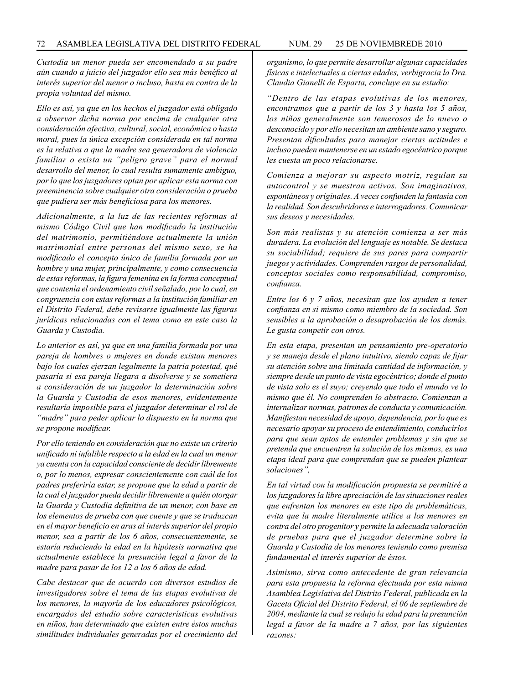*Custodia un menor pueda ser encomendado a su padre aún cuando a juicio del juzgador ello sea más benéfico al interés superior del menor o incluso, hasta en contra de la propia voluntad del mismo.*

*Ello es así, ya que en los hechos el juzgador está obligado a observar dicha norma por encima de cualquier otra consideración afectiva, cultural, social, económica o hasta moral, pues la única excepción considerada en tal norma es la relativa a que la madre sea generadora de violencia familiar o exista un "peligro grave" para el normal desarrollo del menor, lo cual resulta sumamente ambiguo, por lo que los juzgadores optan por aplicar esta norma con preeminencia sobre cualquier otra consideración o prueba que pudiera ser más beneficiosa para los menores.*

*Adicionalmente, a la luz de las recientes reformas al mismo Código Civil que han modificado la institución del matrimonio, permitiéndose actualmente la unión matrimonial entre personas del mismo sexo, se ha modificado el concepto único de familia formada por un hombre y una mujer, principalmente, y como consecuencia de estas reformas, la figura femenina en la forma conceptual que contenía el ordenamiento civil señalado, por lo cual, en congruencia con estas reformas a la institución familiar en el Distrito Federal, debe revisarse igualmente las figuras jurídicas relacionadas con el tema como en este caso la Guarda y Custodia.* 

*Lo anterior es así, ya que en una familia formada por una pareja de hombres o mujeres en donde existan menores bajo los cuales ejerzan legalmente la patria potestad, qué pasaría si esa pareja llegara a disolverse y se sometiera a consideración de un juzgador la determinación sobre la Guarda y Custodia de esos menores, evidentemente resultaría imposible para el juzgador determinar el rol de "madre" para peder aplicar lo dispuesto en la norma que se propone modificar.*

*Por ello teniendo en consideración que no existe un criterio unificado ni infalible respecto a la edad en la cual un menor ya cuenta con la capacidad consciente de decidir libremente o, por lo menos, expresar conscientemente con cuál de los padres preferiría estar, se propone que la edad a partir de la cual el juzgador pueda decidir libremente a quién otorgar la Guarda y Custodia definitiva de un menor, con base en los elementos de prueba con que cuente y que se traduzcan en el mayor beneficio en aras al interés superior del propio menor, sea a partir de los 6 años, consecuentemente, se estaría reduciendo la edad en la hipótesis normativa que actualmente establece la presunción legal a favor de la madre para pasar de los 12 a los 6 años de edad.*

*Cabe destacar que de acuerdo con diversos estudios de investigadores sobre el tema de las etapas evolutivas de los menores, la mayoría de los educadores psicológicos, encargados del estudio sobre características evolutivas en niños, han determinado que existen entre éstos muchas similitudes individuales generadas por el crecimiento del*  *organismo, lo que permite desarrollar algunas capacidades físicas e intelectuales a ciertas edades, verbigracia la Dra. Claudia Gianelli de Esparta, concluye en su estudio:*

*"Dentro de las etapas evolutivas de los menores, encontramos que a partir de los 3 y hasta los 5 años, los niños generalmente son temerosos de lo nuevo o desconocido y por ello necesitan un ambiente sano y seguro. Presentan dificultades para manejar ciertas actitudes e incluso pueden mantenerse en un estado egocéntrico porque les cuesta un poco relacionarse.*

*Comienza a mejorar su aspecto motriz, regulan su autocontrol y se muestran activos. Son imaginativos, espontáneos y originales. A veces confunden la fantasía con la realidad. Son descubridores e interrogadores. Comunicar sus deseos y necesidades.*

*Son más realistas y su atención comienza a ser más duradera. La evolución del lenguaje es notable. Se destaca su sociabilidad; requiere de sus pares para compartir juegos y actividades. Comprenden rasgos de personalidad, conceptos sociales como responsabilidad, compromiso, confianza.*

*Entre los 6 y 7 años, necesitan que los ayuden a tener confianza en si mismo como miembro de la sociedad. Son sensibles a la aprobación o desaprobación de los demás. Le gusta competir con otros.*

*En esta etapa, presentan un pensamiento pre-operatorio y se maneja desde el plano intuitivo, siendo capaz de fijar su atención sobre una limitada cantidad de información, y siempre desde un punto de vista egocéntrico; donde el punto de vista solo es el suyo; creyendo que todo el mundo ve lo mismo que él. No comprenden lo abstracto. Comienzan a internalizar normas, patrones de conducta y comunicación. Manifiestan necesidad de apoyo, dependencia, por lo que es necesario apoyar su proceso de entendimiento, conducirlos para que sean aptos de entender problemas y sin que se pretenda que encuentren la solución de los mismos, es una etapa ideal para que comprendan que se pueden plantear soluciones",*

*En tal virtud con la modificación propuesta se permitiré a los juzgadores la libre apreciación de las situaciones reales que enfrentan los menores en este tipo de problemáticas, evita que la madre literalmente utilice a los menores en contra del otro progenitor y permite la adecuada valoración de pruebas para que el juzgador determine sobre la Guarda y Custodia de los menores teniendo como premisa fundamental el interés superior de éstos.*

*Asimismo, sirva como antecedente de gran relevancia para esta propuesta la reforma efectuada por esta misma Asamblea Legislativa del Distrito Federal, publicada en la Gaceta Oficial del Distrito Federal, el 06 de septiembre de 2004, mediante la cual se redujo la edad para la presunción legal a favor de la madre a 7 años, por las siguientes razones:*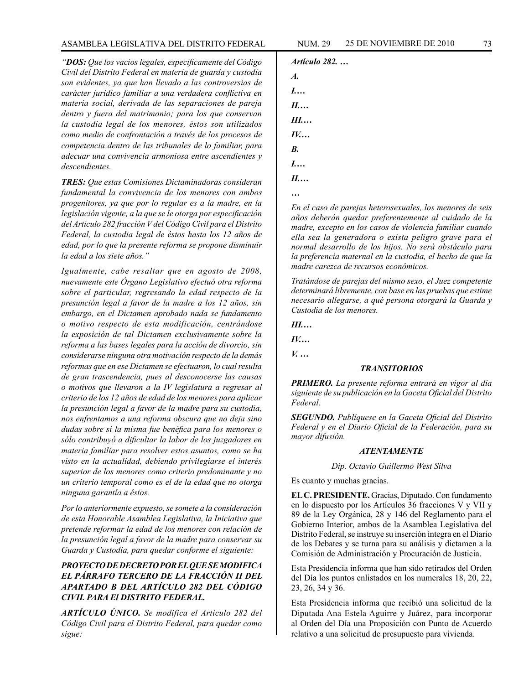*"DOS: Que los vacíos legales, específicamente del Código Civil del Distrito Federal en materia de guarda y custodia son evidentes, ya que han llevado a las controversias de carácter jurídico familiar a una verdadera conflictiva en materia social, derivada de las separaciones de pareja dentro y fuera del matrimonio; para los que conservan la custodia legal de los menores, éstos son utilizados como medio de confrontación a través de los procesos de competencia dentro de las tribunales de lo familiar, para adecuar una convivencia armoniosa entre ascendientes y descendientes.*

*TRES: Que estas Comisiones Dictaminadoras consideran fundamental la convivencia de los menores con ambos progenitores, ya que por lo regular es a la madre, en la legislación vigente, a la que se le otorga por especificación del Artículo 282 fracción V del Código Civil para el Distrito Federal, la custodia legal de éstos hasta los 12 años de edad, por lo que la presente reforma se propone disminuir la edad a los siete años."*

*Igualmente, cabe resaltar que en agosto de 2008, nuevamente este Órgano Legislativo efectuó otra reforma sobre el particular, regresando la edad respecto de la presunción legal a favor de la madre a los 12 años, sin embargo, en el Dictamen aprobado nada se fundamento o motivo respecto de esta modificación, centrándose la exposición de tal Dictamen exclusivamente sobre la reforma a las bases legales para la acción de divorcio, sin considerarse ninguna otra motivación respecto de la demás reformas que en ese Dictamen se efectuaron, lo cual resulta de gran trascendencia, pues al desconocerse las causas o motivos que llevaron a la IV legislatura a regresar al criterio de los 12 años de edad de los menores para aplicar la presunción legal a favor de la madre para su custodia, nos enfrentamos a una reforma obscura que no deja sino dudas sobre si la misma fue benéfica para los menores o sólo contribuyó a dificultar la labor de los juzgadores en materia familiar para resolver estos asuntos, como se ha visto en la actualidad, debiendo privilegiarse el interés superior de los menores como criterio predominante y no un criterio temporal como es el de la edad que no otorga ninguna garantía a éstos.*

*Por lo anteriormente expuesto, se somete a la consideración de esta Honorable Asamblea Legislativa, la Iniciativa que pretende reformar la edad de los menores con relación de la presunción legal a favor de la madre para conservar su Guarda y Custodia, para quedar conforme el siguiente:*

# *PROYECTO DE DECRETO POR EL QUE SE MODIFICA EL PÁRRAFO TERCERO DE LA FRACCIÓN II DEL APARTADO B DEL ARTÍCULO 282 DEL CÓDIGO CIVIL PARA El DISTRITO FEDERAL.*

*ARTÍCULO ÚNICO. Se modifica el Artículo 282 del Código Civil para el Distrito Federal, para quedar como sigue:*

```
Artículo 282. …
A.
I.…
II.…
III.…
IV.…
B.
I.…
II.…
…
```
*En el caso de parejas heterosexuales, los menores de seis años deberán quedar preferentemente al cuidado de la madre, excepto en los casos de violencia familiar cuando ella sea la generadora o exista peligro grave para el normal desarrollo de los hijos. No será obstáculo para la preferencia maternal en la custodia, el hecho de que la madre carezca de recursos económicos.*

*Tratándose de parejas del mismo sexo, el Juez competente determinará libremente, con base en las pruebas que estime necesario allegarse, a qué persona otorgará la Guarda y Custodia de los menores.*

*III.…*

*IV.…*

*V. …*

### *TRANSITORIOS*

*PRIMERO. La presente reforma entrará en vigor al día siguiente de su publicación en la Gaceta Oficial del Distrito Federal.*

*SEGUNDO. Publíquese en la Gaceta Oficial del Distrito Federal y en el Diario Oficial de la Federación, para su mayor difusión.*

### *ATENTAMENTE*

*Dip. Octavio Guillermo West Silva*

Es cuanto y muchas gracias.

**EL C. PRESIDENTE.** Gracias, Diputado. Con fundamento en lo dispuesto por los Artículos 36 fracciones V y VII y 89 de la Ley Orgánica, 28 y 146 del Reglamento para el Gobierno Interior, ambos de la Asamblea Legislativa del Distrito Federal, se instruye su inserción íntegra en el Diario de los Debates y se turna para su análisis y dictamen a la Comisión de Administración y Procuración de Justicia.

Esta Presidencia informa que han sido retirados del Orden del Día los puntos enlistados en los numerales 18, 20, 22, 23, 26, 34 y 36.

Esta Presidencia informa que recibió una solicitud de la Diputada Ana Estela Aguirre y Juárez, para incorporar al Orden del Día una Proposición con Punto de Acuerdo relativo a una solicitud de presupuesto para vivienda.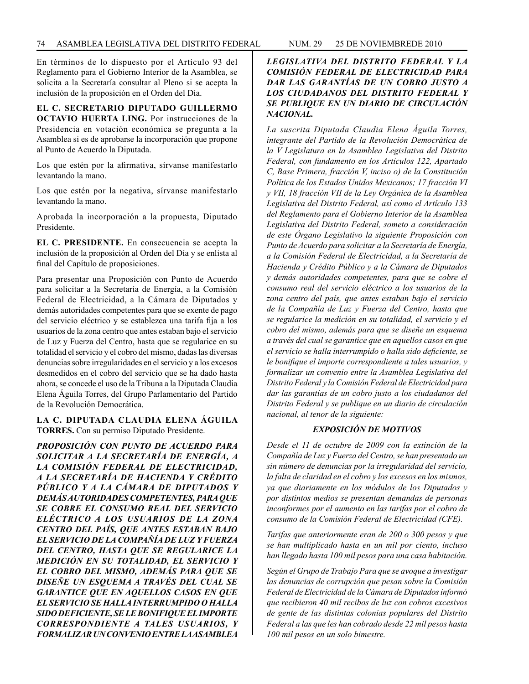En términos de lo dispuesto por el Artículo 93 del Reglamento para el Gobierno Interior de la Asamblea, se solicita a la Secretaría consultar al Pleno si se acepta la inclusión de la proposición en el Orden del Día.

**EL C. SECRETARIO DIPUTADO GUILLERMO OCTAVIO HUERTA LING.** Por instrucciones de la Presidencia en votación económica se pregunta a la Asamblea si es de aprobarse la incorporación que propone al Punto de Acuerdo la Diputada.

Los que estén por la afirmativa, sírvanse manifestarlo levantando la mano.

Los que estén por la negativa, sírvanse manifestarlo levantando la mano.

Aprobada la incorporación a la propuesta, Diputado Presidente.

**EL C. PRESIDENTE.** En consecuencia se acepta la inclusión de la proposición al Orden del Día y se enlista al final del Capítulo de proposiciones.

Para presentar una Proposición con Punto de Acuerdo para solicitar a la Secretaría de Energía, a la Comisión Federal de Electricidad, a la Cámara de Diputados y demás autoridades competentes para que se exente de pago del servicio eléctrico y se establezca una tarifa fija a los usuarios de la zona centro que antes estaban bajo el servicio de Luz y Fuerza del Centro, hasta que se regularice en su totalidad el servicio y el cobro del mismo, dadas las diversas denuncias sobre irregularidades en el servicio y a los excesos desmedidos en el cobro del servicio que se ha dado hasta ahora, se concede el uso de la Tribuna a la Diputada Claudia Elena Águila Torres, del Grupo Parlamentario del Partido de la Revolución Democrática.

## **LA C. DIPUTADA CLAUDIA ELENA ÁGUILA TORRES.** Con su permiso Diputado Presidente.

*PROPOSICIÓN CON PUNTO DE ACUERDO PARA SOLICITAR A LA SECRETARÍA DE ENERGÍA, A LA COMISIÓN FEDERAL DE ELECTRICIDAD, A LA SECRETARÍA DE HACIENDA Y CRÉDITO PÚBLICO Y A LA CÁMARA DE DIPUTADOS Y DEMÁS AUTORIDADES COMPETENTES, PARA QUE SE COBRE EL CONSUMO REAL DEL SERVICIO ELÉCTRICO A LOS USUARIOS DE LA ZONA CENTRO DEL PAÍS, QUE ANTES ESTABAN BAJO EL SERVICIO DE LA COMPAÑÍA DE LUZ Y FUERZA DEL CENTRO, HASTA QUE SE REGULARICE LA MEDICIÓN EN SU TOTALIDAD, EL SERVICIO Y EL COBRO DEL MISMO, ADEMÁS PARA QUE SE DISEÑE UN ESQUEMA A TRAVÉS DEL CUAL SE GARANTICE QUE EN AQUELLOS CASOS EN QUE EL SERVICIO SE HALLA INTERRUMPIDO O HALLA SIDO DEFICIENTE, SE LE BONIFIQUE EL IMPORTE CORRESPONDIENTE A TALES USUARIOS, Y FORMALIZAR UN CONVENIO ENTRE LA ASAMBLEA* 

# *LEGISLATIVA DEL DISTRITO FEDERAL Y LA COMISIÓN FEDERAL DE ELECTRICIDAD PARA DAR LAS GARANTÍAS DE UN COBRO JUSTO A LOS CIUDADANOS DEL DISTRITO FEDERAL Y SE PUBLIQUE EN UN DIARIO DE CIRCULACIÓN NACIONAL.*

*La suscrita Diputada Claudia Elena Águila Torres, integrante del Partido de la Revolución Democrática de la V Legislatura en la Asamblea Legislativa del Distrito Federal, con fundamento en los Artículos 122, Apartado C, Base Primera, fracción V, inciso o) de la Constitución Política de los Estados Unidos Mexicanos; 17 fracción VI y VII, 18 fracción VII de la Ley Orgánica de la Asamblea Legislativa del Distrito Federal, así como el Artículo 133 del Reglamento para el Gobierno Interior de la Asamblea Legislativa del Distrito Federal, someto a consideración de este Órgano Legislativo la siguiente Proposición con Punto de Acuerdo para solicitar a la Secretaría de Energía, a la Comisión Federal de Electricidad, a la Secretaría de Hacienda y Crédito Público y a la Cámara de Diputados y demás autoridades competentes, para que se cobre el consumo real del servicio eléctrico a los usuarios de la zona centro del país, que antes estaban bajo el servicio de la Compañía de Luz y Fuerza del Centro, hasta que se regularice la medición en su totalidad, el servicio y el cobro del mismo, además para que se diseñe un esquema a través del cual se garantice que en aquellos casos en que el servicio se halla interrumpido o halla sido deficiente, se le bonifique el importe correspondiente a tales usuarios, y formalizar un convenio entre la Asamblea Legislativa del Distrito Federal y la Comisión Federal de Electricidad para dar las garantías de un cobro justo a los ciudadanos del Distrito Federal y se publique en un diario de circulación nacional, al tenor de la siguiente:*

# *EXPOSICIÓN DE MOTIVOS*

*Desde el 11 de octubre de 2009 con la extinción de la Compañía de Luz y Fuerza del Centro, se han presentado un sin número de denuncias por la irregularidad del servicio, la falta de claridad en el cobro y los excesos en los mismos, ya que diariamente en los módulos de los Diputados y por distintos medios se presentan demandas de personas inconformes por el aumento en las tarifas por el cobro de consumo de la Comisión Federal de Electricidad (CFE).*

*Tarifas que anteriormente eran de 200 o 300 pesos y que se han multiplicado hasta en un mil por ciento, incluso han llegado hasta 100 mil pesos para una casa habitación.*

*Según el Grupo de Trabajo Para que se avoque a investigar las denuncias de corrupción que pesan sobre la Comisión Federal de Electricidad de la Cámara de Diputados informó que recibieron 40 mil recibos de luz con cobros excesivos de gente de las distintas colonias populares del Distrito Federal a las que les han cobrado desde 22 mil pesos hasta 100 mil pesos en un solo bimestre.*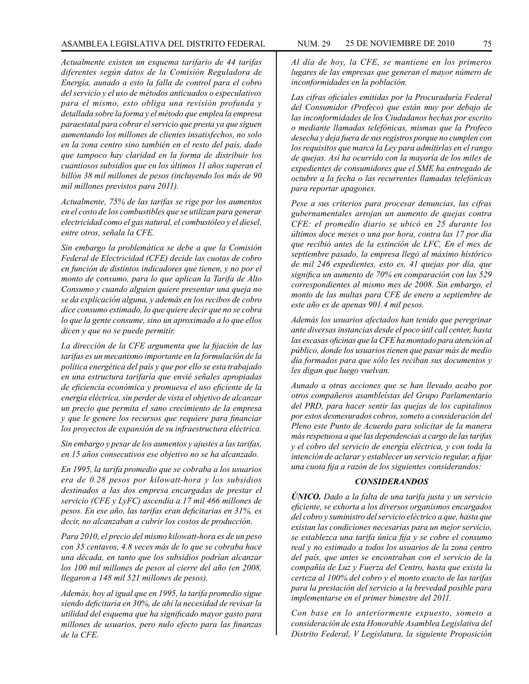*Actualmente existen un esquema tarifario de 44 tarifas diferentes según datos de la Comisión Reguladora de Energía, aunado a esto la falla de control para el cobro del servicio y el uso de métodos anticuados o especulativos para el mismo, esto obliga una revisión profunda y detallada sobre la forma y el método que emplea la empresa paraestatal para cobrar el servicio que presta ya que siguen aumentando los millones de clientes insatisfechos, no solo en la zona centro sino también en el resto del país, dado que tampoco hay claridad en la forma de distribuir los cuantiosos subsidios que en los últimos 11 años superan el billón 38 mil millones de pesos (incluyendo los más de 90 mil millones previstos para 2011).*

*Actualmente, 75% de las tarifas se rige por los aumentos en el costo de los combustibles que se utilizan para generar electricidad como el gas natural, el combustóleo y el diesel, entre otros, señala la CFE.*

*Sin embargo la problemática se debe a que la Comisión Federal de Electricidad (CFE) decide las cuotas de cobro en función de distintos indicadores que tienen, y no por el monto de consumo, para lo que aplican la Tarifa de Alto Consumo y cuando alguien quiere presentar una queja no se da explicación alguna, y además en los recibos de cobro dice consumo estimado, lo que quiere decir que no se cobra lo que la gente consume, sino un aproximado a lo que ellos dicen y que no se puede permitir.*

*La dirección de la CFE argumenta que la fijación de las tarifas es un mecanismo importante en la formulación de la política energética del país y que por ello se esta trabajado en una estructura tarifaría que envié señales apropiadas de eficiencia económica y promueva el uso eficiente de la energía eléctrica, sin perder de vista el objetivo de alcanzar un precio que permita el sano crecimiento de la empresa y que le genere los recursos que requiere para financiar los proyectos de expansión de su infraestructura eléctrica.*

*Sin embargo y pesar de los aumentos y ajustes a las tarifas, en 15 años consecutivos ese objetivo no se ha alcanzado.*

*En 1995, la tarifa promedio que se cobraba a los usuarios era de 0.28 pesos por kilowatt-hora y los subsidios destinados a las dos empresa encargadas de prestar el servicio (CFE y LyFC) ascendía a 17 mil 466 millones de pesos. En ese año, las tarifas eran deficitarias en 31%, es decir, no alcanzaban a cubrir los costos de producción.*

*Para 2010, el precio del mismo kilowatt-hora es de un peso con 35 centavos, 4.8 veces más de lo que se cobraba hace una década, en tanto que los subsidios podrían alcanzar los 100 mil millones de pesos al cierre del año (en 2008, llegaron a 148 mil 521 millones de pesos).* 

*Además, hoy al igual que en 1995, la tarifa promedio sigue siendo deficitaria en 30%, de ahí la necesidad de revisar la utilidad del esquema que ha significado mayor gasto para millones de usuarios, pero nulo efecto para las finanzas de la CFE.*

*Al día de hoy, la CFE, se mantiene en los primeros lugares de las empresas que generan el mayor número de inconformidades en la población.*

*Las cifras oficiales emitidas por la Procuraduría Federal del Consumidor (Profeco) que están muy por debajo de las inconformidades de los Ciudadanos hechas por escrito o mediante llamadas telefónicas, mismas que la Profeco desecha y deja fuera de sus registros porque no cumplen con los requisitos que marca la Ley para admitirlas en el rango de quejas. Así ha ocurrido con la mayoría de los miles de expedientes de consumidores que el SME ha entregado de octubre a la fecha o las recurrentes llamadas telefónicas para reportar apagones.*

*Pese a sus criterios para procesar denuncias, las cifras gubernamentales arrojan un aumento de quejas contra CFE: el promedio diario se ubicó en 25 durante los últimos doce meses o una por hora, contra las 17 por día que recibió antes de la extinción de LFC, En el mes de septiembre pasado, la empresa llegó al máximo histórico de mil 246 expedientes, esto es, 41 quejas por día, que significa un aumento de 70% en comparación con las 529 correspondientes al mismo mes de 2008. Sin embargo, el monto de las multas para CFE de enero a septiembre de este año es de apenas 901.4 mil pesos.*

*Además los usuarios afectados han tenido que peregrinar ante diversas instancias desde el poco útil call center, hasta las escasas oficinas que la CFE ha montado para atención al público, donde los usuarios tienen que pasar más de medio día formados para que sólo les reciban sus documentos y les digan que luego vuelvan.*

*Aunado a otras acciones que se han llevado acabo por otros compañeros asambleístas del Grupo Parlamentario del PRD, para hacer sentir las quejas de los capitalinos por estos desmesurados cobros, someto a consideración del Pleno este Punto de Acuerdo para solicitar de la manera más respetuosa a que las dependencias a cargo de las tarifas y el cobro del servicio de energía eléctrica, y con toda la intención de aclarar y establecer un servicio regular, a fijar una cuota fija a razón de los siguientes considerandos:*

### *CONSIDERANDOS*

*ÚNICO. Dado a la falta de una tarifa justa y un servicio eficiente, se exhorta a los diversos organismos encargados del cobro y suministro del servicio eléctrico a que, hasta que existan las condiciones necesarias para un mejor servicio, se establezca una tarifa única fija y se cobre el consumo real y no estimado a todos los usuarios de la zona centro del país, que antes se encontraban con el servicio de la compañía de Luz y Fuerza del Centro, hasta que exista la certeza al 100% del cobro y el monto exacto de las tarifas para la prestación del servicio a la brevedad posible para implementarse en el primer bimestre del 2011.*

*Con base en lo anteriormente expuesto, someto a consideración de esta Honorable Asamblea Legislativa del Distrito Federal, V Legislatura, la siguiente Proposición*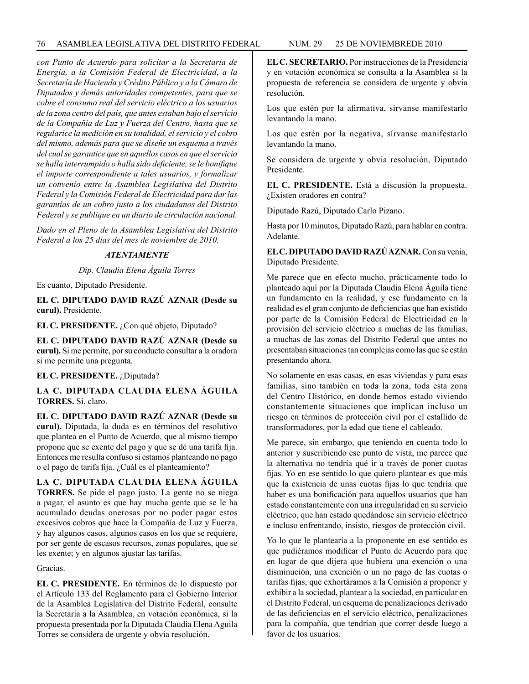*con Punto de Acuerdo para solicitar a la Secretaría de Energía, a la Comisión Federal de Electricidad, a la Secretaría de Hacienda y Crédito Público y a la Cámara de Diputados y demás autoridades competentes, para que se cobre el consumo real del servicio eléctrico a los usuarios de la zona centro del país, que antes estaban bajo el servicio de la Compañía de Luz y Fuerza del Centro, hasta que se regularice la medición en su totalidad, el servicio y el cobro del mismo, además para que se diseñe un esquema a través del cual se garantice que en aquellos casos en que el servicio se halla interrumpido o halla sido deficiente, se le bonifique el importe correspondiente a tales usuarios, y formalizar un convenio entre la Asamblea Legislativa del Distrito Federal y la Comisión Federal de Electricidad para dar las garantías de un cobro justo a los ciudadanos del Distrito Federal y se publique en un diario de circulación nacional.*

*Dado en el Pleno de la Asamblea Legislativa del Distrito Federal a los 25 días del mes de noviembre de 2010.*

### *ATENTAMENTE*

*Dip. Claudia Elena Águila Torres*

Es cuanto, Diputado Presidente.

**EL C. DIPUTADO DAVID RAZÚ AZNAR (Desde su curul).** Presidente.

**EL C. PRESIDENTE.** ¿Con qué objeto, Diputado?

**EL C. DIPUTADO DAVID RAZÚ AZNAR (Desde su curul).** Si me permite, por su conducto consultar a la oradora si me permite una pregunta.

**EL C. PRESIDENTE.** ¿Diputada?

**LA C. DIPUTADA CLAUDIA ELENA ÁGUILA TORRES.** Sí, claro.

**EL C. DIPUTADO DAVID RAZÚ AZNAR (Desde su curul).** Diputada, la duda es en términos del resolutivo que plantea en el Punto de Acuerdo, que al mismo tiempo propone que se exente del pago y que se dé una tarifa fija. Entonces me resulta confuso si estamos planteando no pago o el pago de tarifa fija. ¿Cuál es el planteamiento?

**LA C. DIPUTADA CLAUDIA ELENA ÁGUILA TORRES.** Se pide el pago justo. La gente no se niega a pagar, el asunto es que hay mucha gente que se le ha acumulado deudas onerosas por no poder pagar estos excesivos cobros que hace la Compañía de Luz y Fuerza, y hay algunos casos, algunos casos en los que se requiere, por ser gente de escasos recursos, zonas populares, que se les exente; y en algunos ajustar las tarifas.

Gracias.

**EL C. PRESIDENTE.** En términos de lo dispuesto por el Artículo 133 del Reglamento para el Gobierno Interior de la Asamblea Legislativa del Distrito Federal, consulte la Secretaría a la Asamblea, en votación económica, si la propuesta presentada por la Diputada Claudia Elena Aguila Torres se considera de urgente y obvia resolución.

**EL C. SECRETARIO.** Por instrucciones de la Presidencia y en votación económica se consulta a la Asamblea si la propuesta de referencia se considera de urgente y obvia resolución.

Los que estén por la afirmativa, sírvanse manifestarlo levantando la mano.

Los que estén por la negativa, sírvanse manifestarlo levantando la mano.

Se considera de urgente y obvia resolución, Diputado Presidente.

**EL C. PRESIDENTE.** Está a discusión la propuesta. ¿Existen oradores en contra?

Diputado Razú, Diputado Carlo Pizano.

Hasta por 10 minutos, Diputado Razú, para hablar en contra. Adelante.

**EL C. DIPUTADO DAVID RAZÚ AZNAR.** Con su venia, Diputado Presidente.

Me parece que en efecto mucho, prácticamente todo lo planteado aquí por la Diputada Claudia Elena Águila tiene un fundamento en la realidad, y ese fundamento en la realidad es el gran conjunto de deficiencias que han existido por parte de la Comisión Federal de Electricidad en la provisión del servicio eléctrico a muchas de las familias, a muchas de las zonas del Distrito Federal que antes no presentaban situaciones tan complejas como las que se están presentando ahora.

No solamente en esas casas, en esas viviendas y para esas familias, sino también en toda la zona, toda esta zona del Centro Histórico, en donde hemos estado viviendo constantemente situaciones que implican incluso un riesgo en términos de protección civil por el estallido de transformadores, por la edad que tiene el cableado.

Me parece, sin embargo, que teniendo en cuenta todo lo anterior y suscribiendo ese punto de vista, me parece que la alternativa no tendría qué ir a través de poner cuotas fijas. Yo en ese sentido lo que quiero plantear es que más que la existencia de unas cuotas fijas lo que tendría que haber es una bonificación para aquellos usuarios que han estado constantemente con una irregularidad en su servicio eléctrico, que han estado quedándose sin servicio eléctrico e incluso enfrentando, insisto, riesgos de protección civil.

Yo lo que le plantearía a la proponente en ese sentido es que pudiéramos modificar el Punto de Acuerdo para que en lugar de que dijera que hubiera una exención o una disminución, una exención o un no pago de las cuotas o tarifas fijas, que exhortáramos a la Comisión a proponer y exhibir a la sociedad, plantear a la sociedad, en particular en el Distrito Federal, un esquema de penalizaciones derivado de las deficiencias en el servicio eléctrico, penalizaciones para la compañía, que tendrían que correr desde luego a favor de los usuarios.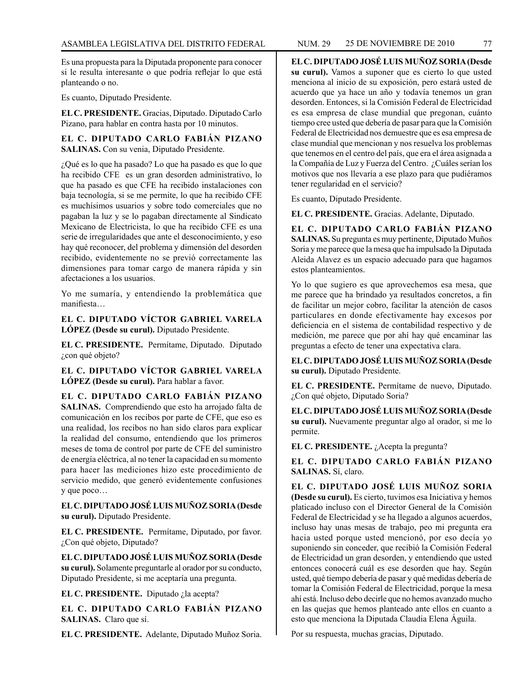Es una propuesta para la Diputada proponente para conocer si le resulta interesante o que podría reflejar lo que está planteando o no.

Es cuanto, Diputado Presidente.

**EL C. PRESIDENTE.** Gracias, Diputado. Diputado Carlo Pizano, para hablar en contra hasta por 10 minutos.

**EL C. DIPUTADO CARLO FABIÁN PIZANO SALINAS.** Con su venia, Diputado Presidente.

¿Qué es lo que ha pasado? Lo que ha pasado es que lo que ha recibido CFE es un gran desorden administrativo, lo que ha pasado es que CFE ha recibido instalaciones con baja tecnología, si se me permite, lo que ha recibido CFE es muchísimos usuarios y sobre todo comerciales que no pagaban la luz y se lo pagaban directamente al Sindicato Mexicano de Electricista, lo que ha recibido CFE es una serie de irregularidades que ante el desconocimiento, y eso hay qué reconocer, del problema y dimensión del desorden recibido, evidentemente no se previó correctamente las dimensiones para tomar cargo de manera rápida y sin afectaciones a los usuarios.

Yo me sumaría, y entendiendo la problemática que manifiesta…

**EL C. DIPUTADO VÍCTOR GABRIEL VARELA LÓPEZ (Desde su curul).** Diputado Presidente.

**EL C. PRESIDENTE.** Permítame, Diputado. Diputado ¿con qué objeto?

**EL C. DIPUTADO VÍCTOR GABRIEL VARELA LÓPEZ (Desde su curul).** Para hablar a favor.

**EL C. DIPUTADO CARLO FABIÁN PIZANO SALINAS.** Comprendiendo que esto ha arrojado falta de comunicación en los recibos por parte de CFE, que eso es una realidad, los recibos no han sido claros para explicar la realidad del consumo, entendiendo que los primeros meses de toma de control por parte de CFE del suministro de energía eléctrica, al no tener la capacidad en su momento para hacer las mediciones hizo este procedimiento de servicio medido, que generó evidentemente confusiones y que poco…

**EL C. DIPUTADO JOSÉ LUIS MUÑOZ SORIA (Desde su curul).** Diputado Presidente.

**EL C. PRESIDENTE.** Permítame, Diputado, por favor. ¿Con qué objeto, Diputado?

**EL C. DIPUTADO JOSÉ LUIS MUÑOZ SORIA (Desde su curul).** Solamente preguntarle al orador por su conducto, Diputado Presidente, si me aceptaría una pregunta.

**EL C. PRESIDENTE.** Diputado ¿la acepta?

**EL C. DIPUTADO CARLO FABIÁN PIZANO SALINAS.** Claro que sí.

**EL C. PRESIDENTE.** Adelante, Diputado Muñoz Soria.

**EL C. DIPUTADO JOSÉ LUIS MUÑOZ SORIA (Desde su curul).** Vamos a suponer que es cierto lo que usted menciona al inicio de su exposición, pero estará usted de acuerdo que ya hace un año y todavía tenemos un gran desorden. Entonces, si la Comisión Federal de Electricidad es esa empresa de clase mundial que pregonan, cuánto tiempo cree usted que debería de pasar para que la Comisión Federal de Electricidad nos demuestre que es esa empresa de clase mundial que mencionan y nos resuelva los problemas que tenemos en el centro del país, que era el área asignada a la Compañía de Luz y Fuerza del Centro. ¿Cuáles serían los motivos que nos llevaría a ese plazo para que pudiéramos tener regularidad en el servicio?

Es cuanto, Diputado Presidente.

**EL C. PRESIDENTE.** Gracias. Adelante, Diputado.

**EL C. DIPUTADO CARLO FABIÁN PIZANO SALINAS.** Su pregunta es muy pertinente, Diputado Muños Soria y me parece que la mesa que ha impulsado la Diputada Aleida Alavez es un espacio adecuado para que hagamos estos planteamientos.

Yo lo que sugiero es que aprovechemos esa mesa, que me parece que ha brindado ya resultados concretos, a fin de facilitar un mejor cobro, facilitar la atención de casos particulares en donde efectivamente hay excesos por deficiencia en el sistema de contabilidad respectivo y de medición, me parece que por ahí hay qué encaminar las preguntas a efecto de tener una expectativa clara.

**EL C. DIPUTADO JOSÉ LUIS MUÑOZ SORIA (Desde su curul).** Diputado Presidente.

**EL C. PRESIDENTE.** Permítame de nuevo, Diputado. ¿Con qué objeto, Diputado Soria?

**EL C. DIPUTADO JOSÉ LUIS MUÑOZ SORIA (Desde su curul).** Nuevamente preguntar algo al orador, si me lo permite.

**EL C. PRESIDENTE.** ¿Acepta la pregunta?

**EL C. DIPUTADO CARLO FABIÁN PIZANO SALINAS.** Sí, claro.

**EL C. DIPUTADO JOSÉ LUIS MUÑOZ SORIA (Desde su curul).** Es cierto, tuvimos esa Iniciativa y hemos platicado incluso con el Director General de la Comisión Federal de Electricidad y se ha llegado a algunos acuerdos, incluso hay unas mesas de trabajo, peo mi pregunta era hacia usted porque usted mencionó, por eso decía yo suponiendo sin conceder, que recibió la Comisión Federal de Electricidad un gran desorden, y entendiendo que usted entonces conocerá cuál es ese desorden que hay. Según usted, qué tiempo debería de pasar y qué medidas debería de tomar la Comisión Federal de Electricidad, porque la mesa ahí está. Incluso debo decirle que no hemos avanzado mucho en las quejas que hemos planteado ante ellos en cuanto a esto que menciona la Diputada Claudia Elena Águila.

Por su respuesta, muchas gracias, Diputado.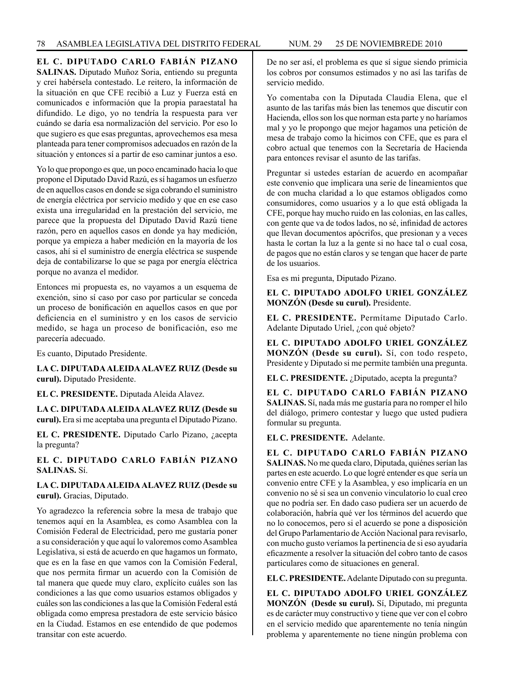# **EL C. DIPUTADO CARLO FABIÁN PIZANO**

**SALINAS.** Diputado Muñoz Soria, entiendo su pregunta y creí habérsela contestado. Le reitero, la información de la situación en que CFE recibió a Luz y Fuerza está en comunicados e información que la propia paraestatal ha difundido. Le digo, yo no tendría la respuesta para ver cuándo se daría esa normalización del servicio. Por eso lo que sugiero es que esas preguntas, aprovechemos esa mesa planteada para tener compromisos adecuados en razón de la situación y entonces sí a partir de eso caminar juntos a eso.

Yo lo que propongo es que, un poco encaminado hacia lo que propone el Diputado David Razú, es sí hagamos un esfuerzo de en aquellos casos en donde se siga cobrando el suministro de energía eléctrica por servicio medido y que en ese caso exista una irregularidad en la prestación del servicio, me parece que la propuesta del Diputado David Razú tiene razón, pero en aquellos casos en donde ya hay medición, porque ya empieza a haber medición en la mayoría de los casos, ahí si el suministro de energía eléctrica se suspende deja de contabilizarse lo que se paga por energía eléctrica porque no avanza el medidor.

Entonces mi propuesta es, no vayamos a un esquema de exención, sino sí caso por caso por particular se conceda un proceso de bonificación en aquellos casos en que por deficiencia en el suministro y en los casos de servicio medido, se haga un proceso de bonificación, eso me parecería adecuado.

Es cuanto, Diputado Presidente.

**LA C. DIPUTADA ALEIDA ALAVEZ RUIZ (Desde su curul).** Diputado Presidente.

**EL C. PRESIDENTE.** Diputada Aleida Alavez.

**LA C. DIPUTADA ALEIDA ALAVEZ RUIZ (Desde su curul).** Era si me aceptaba una pregunta el Diputado Pizano.

**EL C. PRESIDENTE.** Diputado Carlo Pizano, ¿acepta la pregunta?

**EL C. DIPUTADO CARLO FABIÁN PIZANO SALINAS.** Sí.

**LA C. DIPUTADA ALEIDA ALAVEZ RUIZ (Desde su curul).** Gracias, Diputado.

Yo agradezco la referencia sobre la mesa de trabajo que tenemos aquí en la Asamblea, es como Asamblea con la Comisión Federal de Electricidad, pero me gustaría poner a su consideración y que aquí lo valoremos como Asamblea Legislativa, si está de acuerdo en que hagamos un formato, que es en la fase en que vamos con la Comisión Federal, que nos permita firmar un acuerdo con la Comisión de tal manera que quede muy claro, explícito cuáles son las condiciones a las que como usuarios estamos obligados y cuáles son las condiciones a las que la Comisión Federal está obligada como empresa prestadora de este servicio básico en la Ciudad. Estamos en ese entendido de que podemos transitar con este acuerdo.

De no ser así, el problema es que sí sigue siendo primicia los cobros por consumos estimados y no así las tarifas de servicio medido.

Yo comentaba con la Diputada Claudia Elena, que el asunto de las tarifas más bien las tenemos que discutir con Hacienda, ellos son los que norman esta parte y no haríamos mal y yo le propongo que mejor hagamos una petición de mesa de trabajo como la hicimos con CFE, que es para el cobro actual que tenemos con la Secretaría de Hacienda para entonces revisar el asunto de las tarifas.

Preguntar si ustedes estarían de acuerdo en acompañar este convenio que implicara una serie de lineamientos que de con mucha claridad a lo que estamos obligados como consumidores, como usuarios y a lo que está obligada la CFE, porque hay mucho ruido en las colonias, en las calles, con gente que va de todos lados, no sé, infinidad de actores que llevan documentos apócrifos, que presionan y a veces hasta le cortan la luz a la gente si no hace tal o cual cosa, de pagos que no están claros y se tengan que hacer de parte de los usuarios.

Esa es mi pregunta, Diputado Pizano.

### **EL C. DIPUTADO ADOLFO URIEL GONZÁLEZ MONZÓN (Desde su curul).** Presidente.

**EL C. PRESIDENTE.** Permítame Diputado Carlo. Adelante Diputado Uriel, ¿con qué objeto?

**EL C. DIPUTADO ADOLFO URIEL GONZÁLEZ MONZÓN (Desde su curul).** Sí, con todo respeto, Presidente y Diputado si me permite también una pregunta.

**EL C. PRESIDENTE.** ¿Diputado, acepta la pregunta?

**EL C. DIPUTADO CARLO FABIÁN PIZANO SALINAS.** Sí, nada más me gustaría para no romper el hilo del diálogo, primero contestar y luego que usted pudiera formular su pregunta.

**EL C. PRESIDENTE.** Adelante.

**EL C. DIPUTADO CARLO FABIÁN PIZANO SALINAS.** No me queda claro, Diputada, quiénes serían las partes en este acuerdo. Lo que logré entender es que sería un convenio entre CFE y la Asamblea, y eso implicaría en un convenio no sé si sea un convenio vinculatorio lo cual creo que no podría ser. En dado caso pudiera ser un acuerdo de colaboración, habría qué ver los términos del acuerdo que no lo conocemos, pero si el acuerdo se pone a disposición del Grupo Parlamentario de Acción Nacional para revisarlo, con mucho gusto veríamos la pertinencia de si eso ayudaría eficazmente a resolver la situación del cobro tanto de casos particulares como de situaciones en general.

**EL C. PRESIDENTE.** Adelante Diputado con su pregunta.

**EL C. DIPUTADO ADOLFO URIEL GONZÁLEZ MONZÓN (Desde su curul).** Sí, Diputado, mi pregunta es de carácter muy constructivo y tiene que ver con el cobro en el servicio medido que aparentemente no tenía ningún problema y aparentemente no tiene ningún problema con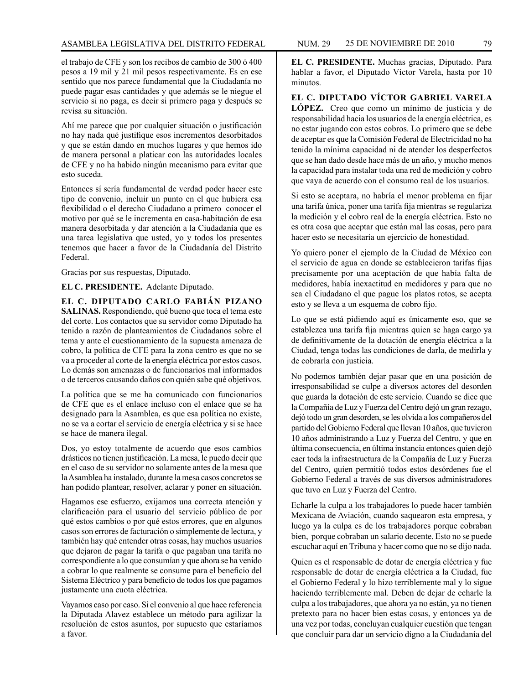el trabajo de CFE y son los recibos de cambio de 300 ó 400 pesos a 19 mil y 21 mil pesos respectivamente. Es en ese sentido que nos parece fundamental que la Ciudadanía no puede pagar esas cantidades y que además se le niegue el servicio si no paga, es decir si primero paga y después se revisa su situación.

Ahí me parece que por cualquier situación o justificación no hay nada qué justifique esos incrementos desorbitados y que se están dando en muchos lugares y que hemos ido de manera personal a platicar con las autoridades locales de CFE y no ha habido ningún mecanismo para evitar que esto suceda.

Entonces sí sería fundamental de verdad poder hacer este tipo de convenio, incluir un punto en el que hubiera esa flexibilidad o el derecho Ciudadano a primero conocer el motivo por qué se le incrementa en casa-habitación de esa manera desorbitada y dar atención a la Ciudadanía que es una tarea legislativa que usted, yo y todos los presentes tenemos que hacer a favor de la Ciudadanía del Distrito Federal.

Gracias por sus respuestas, Diputado.

**EL C. PRESIDENTE.** Adelante Diputado.

**EL C. DIPUTADO CARLO FABIÁN PIZANO SALINAS.** Respondiendo, qué bueno que toca el tema este del corte. Los contactos que su servidor como Diputado ha tenido a razón de planteamientos de Ciudadanos sobre el tema y ante el cuestionamiento de la supuesta amenaza de cobro, la política de CFE para la zona centro es que no se va a proceder al corte de la energía eléctrica por estos casos. Lo demás son amenazas o de funcionarios mal informados o de terceros causando daños con quién sabe qué objetivos.

La política que se me ha comunicado con funcionarios de CFE que es el enlace incluso con el enlace que se ha designado para la Asamblea, es que esa política no existe, no se va a cortar el servicio de energía eléctrica y si se hace se hace de manera ilegal.

Dos, yo estoy totalmente de acuerdo que esos cambios drásticos no tienen justificación. La mesa, le puedo decir que en el caso de su servidor no solamente antes de la mesa que la Asamblea ha instalado, durante la mesa casos concretos se han podido plantear, resolver, aclarar y poner en situación.

Hagamos ese esfuerzo, exijamos una correcta atención y clarificación para el usuario del servicio público de por qué estos cambios o por qué estos errores, que en algunos casos son errores de facturación o simplemente de lectura, y también hay qué entender otras cosas, hay muchos usuarios que dejaron de pagar la tarifa o que pagaban una tarifa no correspondiente a lo que consumían y que ahora se ha venido a cobrar lo que realmente se consume para el beneficio del Sistema Eléctrico y para beneficio de todos los que pagamos justamente una cuota eléctrica.

Vayamos caso por caso. Si el convenio al que hace referencia la Diputada Alavez establece un método para agilizar la resolución de estos asuntos, por supuesto que estaríamos a favor.

**EL C. PRESIDENTE.** Muchas gracias, Diputado. Para hablar a favor, el Diputado Víctor Varela, hasta por 10 minutos.

**EL C. DIPUTADO VÍCTOR GABRIEL VARELA LÓPEZ.** Creo que como un mínimo de justicia y de responsabilidad hacia los usuarios de la energía eléctrica, es no estar jugando con estos cobros. Lo primero que se debe de aceptar es que la Comisión Federal de Electricidad no ha tenido la mínima capacidad ni de atender los desperfectos que se han dado desde hace más de un año, y mucho menos la capacidad para instalar toda una red de medición y cobro que vaya de acuerdo con el consumo real de los usuarios.

Si esto se aceptara, no habría el menor problema en fijar una tarifa única, poner una tarifa fija mientras se regulariza la medición y el cobro real de la energía eléctrica. Esto no es otra cosa que aceptar que están mal las cosas, pero para hacer esto se necesitaría un ejercicio de honestidad.

Yo quiero poner el ejemplo de la Ciudad de México con el servicio de agua en donde se establecieron tarifas fijas precisamente por una aceptación de que había falta de medidores, había inexactitud en medidores y para que no sea el Ciudadano el que pague los platos rotos, se acepta esto y se lleva a un esquema de cobro fijo.

Lo que se está pidiendo aquí es únicamente eso, que se establezca una tarifa fija mientras quien se haga cargo ya de definitivamente de la dotación de energía eléctrica a la Ciudad, tenga todas las condiciones de darla, de medirla y de cobrarla con justicia.

No podemos también dejar pasar que en una posición de irresponsabilidad se culpe a diversos actores del desorden que guarda la dotación de este servicio. Cuando se dice que la Compañía de Luz y Fuerza del Centro dejó un gran rezago, dejó todo un gran desorden, se les olvida a los compañeros del partido del Gobierno Federal que llevan 10 años, que tuvieron 10 años administrando a Luz y Fuerza del Centro, y que en última consecuencia, en última instancia entonces quien dejó caer toda la infraestructura de la Compañía de Luz y Fuerza del Centro, quien permitió todos estos desórdenes fue el Gobierno Federal a través de sus diversos administradores que tuvo en Luz y Fuerza del Centro.

Echarle la culpa a los trabajadores lo puede hacer también Mexicana de Aviación, cuando saquearon esta empresa, y luego ya la culpa es de los trabajadores porque cobraban bien, porque cobraban un salario decente. Esto no se puede escuchar aquí en Tribuna y hacer como que no se dijo nada.

Quien es el responsable de dotar de energía eléctrica y fue responsable de dotar de energía eléctrica a la Ciudad, fue el Gobierno Federal y lo hizo terriblemente mal y lo sigue haciendo terriblemente mal. Deben de dejar de echarle la culpa a los trabajadores, que ahora ya no están, ya no tienen pretexto para no hacer bien estas cosas, y entonces ya de una vez por todas, concluyan cualquier cuestión que tengan que concluir para dar un servicio digno a la Ciudadanía del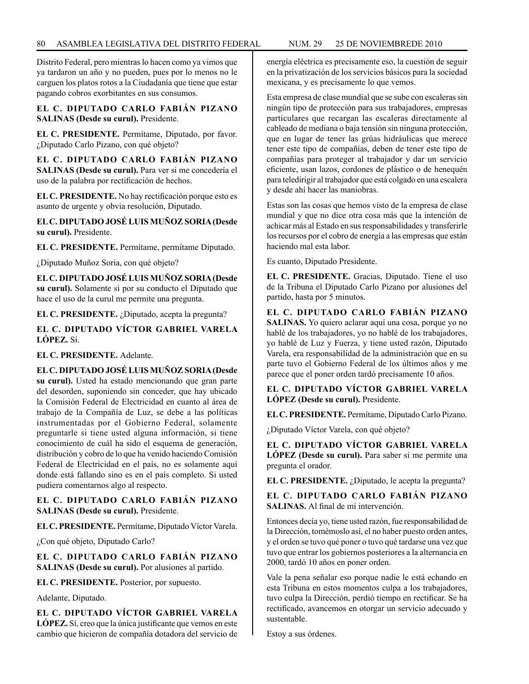Distrito Federal, pero mientras lo hacen como ya vimos que ya tardaron un año y no pueden, pues por lo menos no le carguen los platos rotos a la Ciudadanía que tiene que estar pagando cobros exorbitantes en sus consumos.

**EL C. DIPUTADO CARLO FABIÁN PIZANO SALINAS (Desde su curul).** Presidente.

**EL C. PRESIDENTE.** Permítame, Diputado, por favor. ¿Diputado Carlo Pizano, con qué objeto?

**EL C. DIPUTADO CARLO FABIÁN PIZANO SALINAS (Desde su curul).** Para ver si me concedería el uso de la palabra por rectificación de hechos.

**EL C. PRESIDENTE.** No hay rectificación porque esto es asunto de urgente y obvia resolución, Diputado.

**EL C. DIPUTADO JOSÉ LUIS MUÑOZ SORIA (Desde su curul).** Presidente.

**EL C. PRESIDENTE.** Permítame, permítame Diputado.

¿Diputado Muñoz Soria, con qué objeto?

**EL C. DIPUTADO JOSÉ LUIS MUÑOZ SORIA (Desde su curul).** Solamente si por su conducto el Diputado que hace el uso de la curul me permite una pregunta.

**EL C. PRESIDENTE.** ¿Diputado, acepta la pregunta?

**EL C. DIPUTADO VÍCTOR GABRIEL VARELA LÓPEZ.** Sí.

**EL C. PRESIDENTE.** Adelante.

**EL C. DIPUTADO JOSÉ LUIS MUÑOZ SORIA (Desde su curul).** Usted ha estado mencionando que gran parte del desorden, suponiendo sin conceder, que hay ubicado la Comisión Federal de Electricidad en cuanto al área de trabajo de la Compañía de Luz, se debe a las políticas instrumentadas por el Gobierno Federal, solamente preguntarle si tiene usted alguna información, si tiene conocimiento de cuál ha sido el esquema de generación, distribución y cobro de lo que ha venido haciendo Comisión Federal de Electricidad en el país, no es solamente aquí donde está fallando sino es en el país completo. Si usted pudiera comentarnos algo al respecto.

## **EL C. DIPUTADO CARLO FABIÁN PIZANO SALINAS (Desde su curul).** Presidente.

**EL C. PRESIDENTE.** Permítame, Diputado Víctor Varela.

¿Con qué objeto, Diputado Carlo?

**EL C. DIPUTADO CARLO FABIÁN PIZANO SALINAS (Desde su curul).** Por alusiones al partido.

**EL C. PRESIDENTE.** Posterior, por supuesto.

Adelante, Diputado.

**EL C. DIPUTADO VÍCTOR GABRIEL VARELA LÓPEZ.** Sí, creo que la única justificante que vemos en este cambio que hicieron de compañía dotadora del servicio de energía eléctrica es precisamente eso, la cuestión de seguir en la privatización de los servicios básicos para la sociedad mexicana, y es precisamente lo que vemos.

Esta empresa de clase mundial que se sube con escaleras sin ningún tipo de protección para sus trabajadores, empresas particulares que recargan las escaleras directamente al cableado de mediana o baja tensión sin ninguna protección, que en lugar de tener las grúas hidráulicas que merece tener este tipo de compañías, deben de tener este tipo de compañías para proteger al trabajador y dar un servicio eficiente, usan lazos, cordones de plástico o de henequén para teledirigir al trabajador que está colgado en una escalera y desde ahí hacer las maniobras.

Estas son las cosas que hemos visto de la empresa de clase mundial y que no dice otra cosa más que la intención de achicar más al Estado en sus responsabilidades y transferirle los recursos por el cobro de energía a las empresas que están haciendo mal esta labor.

Es cuanto, Diputado Presidente.

**EL C. PRESIDENTE.** Gracias, Diputado. Tiene el uso de la Tribuna el Diputado Carlo Pizano por alusiones del partido, hasta por 5 minutos.

**EL C. DIPUTADO CARLO FABIÁN PIZANO SALINAS.** Yo quiero aclarar aquí una cosa, porque yo no hablé de los trabajadores, yo no hablé de los trabajadores, yo hablé de Luz y Fuerza, y tiene usted razón, Diputado Varela, era responsabilidad de la administración que en su parte tuvo el Gobierno Federal de los últimos años y me parece que el poner orden tardó precisamente 10 años.

**EL C. DIPUTADO VÍCTOR GABRIEL VARELA LÓPEZ (Desde su curul).** Presidente.

**EL C. PRESIDENTE.** Permítame, Diputado Carlo Pizano.

¿Diputado Víctor Varela, con qué objeto?

**EL C. DIPUTADO VÍCTOR GABRIEL VARELA LÓPEZ (Desde su curul).** Para saber si me permite una pregunta el orador.

**EL C. PRESIDENTE.** ¿Diputado, le acepta la pregunta?

**EL C. DIPUTADO CARLO FABIÁN PIZANO SALINAS.** Al final de mi intervención.

Entonces decía yo, tiene usted razón, fue responsabilidad de la Dirección, tomémoslo así, el no haber puesto orden antes, y el orden se tuvo qué poner o tuvo qué tardarse una vez que tuvo que entrar los gobiernos posteriores a la alternancia en 2000, tardó 10 años en poner orden.

Vale la pena señalar eso porque nadie le está echando en esta Tribuna en estos momentos culpa a los trabajadores, tuvo culpa la Dirección, perdió tiempo en rectificar. Se ha rectificado, avancemos en otorgar un servicio adecuado y sustentable.

Estoy a sus órdenes.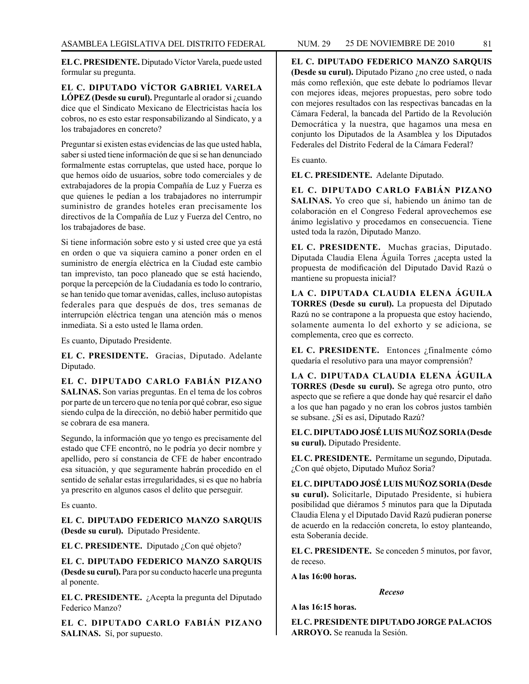**EL C. PRESIDENTE.** Diputado Víctor Varela, puede usted formular su pregunta.

**EL C. DIPUTADO VÍCTOR GABRIEL VARELA LÓPEZ (Desde su curul).** Preguntarle al orador si ¿cuando dice que el Sindicato Mexicano de Electricistas hacía los cobros, no es esto estar responsabilizando al Sindicato, y a los trabajadores en concreto?

Preguntar si existen estas evidencias de las que usted habla, saber si usted tiene información de que si se han denunciado formalmente estas corruptelas, que usted hace, porque lo que hemos oído de usuarios, sobre todo comerciales y de extrabajadores de la propia Compañía de Luz y Fuerza es que quienes le pedían a los trabajadores no interrumpir suministro de grandes hoteles eran precisamente los directivos de la Compañía de Luz y Fuerza del Centro, no los trabajadores de base.

Si tiene información sobre esto y si usted cree que ya está en orden o que va siquiera camino a poner orden en el suministro de energía eléctrica en la Ciudad este cambio tan imprevisto, tan poco planeado que se está haciendo, porque la percepción de la Ciudadanía es todo lo contrario, se han tenido que tomar avenidas, calles, incluso autopistas federales para que después de dos, tres semanas de interrupción eléctrica tengan una atención más o menos inmediata. Si a esto usted le llama orden.

Es cuanto, Diputado Presidente.

**EL C. PRESIDENTE.** Gracias, Diputado. Adelante Diputado.

**EL C. DIPUTADO CARLO FABIÁN PIZANO SALINAS.** Son varias preguntas. En el tema de los cobros por parte de un tercero que no tenía por qué cobrar, eso sigue siendo culpa de la dirección, no debió haber permitido que se cobrara de esa manera.

Segundo, la información que yo tengo es precisamente del estado que CFE encontró, no le podría yo decir nombre y apellido, pero sí constancia de CFE de haber encontrado esa situación, y que seguramente habrán procedido en el sentido de señalar estas irregularidades, si es que no habría ya prescrito en algunos casos el delito que perseguir.

Es cuanto.

**EL C. DIPUTADO FEDERICO MANZO SARQUIS (Desde su curul).** Diputado Presidente.

**EL C. PRESIDENTE.** Diputado ¿Con qué objeto?

**EL C. DIPUTADO FEDERICO MANZO SARQUIS (Desde su curul).** Para por su conducto hacerle una pregunta al ponente.

**EL C. PRESIDENTE.** ¿Acepta la pregunta del Diputado Federico Manzo?

**EL C. DIPUTADO CARLO FABIÁN PIZANO SALINAS.** Sí, por supuesto.

**EL C. DIPUTADO FEDERICO MANZO SARQUIS (Desde su curul).** Diputado Pizano ¿no cree usted, o nada más como reflexión, que este debate lo podríamos llevar con mejores ideas, mejores propuestas, pero sobre todo con mejores resultados con las respectivas bancadas en la Cámara Federal, la bancada del Partido de la Revolución Democrática y la nuestra, que hagamos una mesa en conjunto los Diputados de la Asamblea y los Diputados Federales del Distrito Federal de la Cámara Federal?

Es cuanto.

**EL C. PRESIDENTE.** Adelante Diputado.

**EL C. DIPUTADO CARLO FABIÁN PIZANO SALINAS.** Yo creo que sí, habiendo un ánimo tan de colaboración en el Congreso Federal aprovechemos ese ánimo legislativo y procedamos en consecuencia. Tiene usted toda la razón, Diputado Manzo.

**EL C. PRESIDENTE.** Muchas gracias, Diputado. Diputada Claudia Elena Águila Torres ¿acepta usted la propuesta de modificación del Diputado David Razú o mantiene su propuesta inicial?

**LA C. DIPUTADA CLAUDIA ELENA ÁGUILA TORRES (Desde su curul).** La propuesta del Diputado Razú no se contrapone a la propuesta que estoy haciendo, solamente aumenta lo del exhorto y se adiciona, se complementa, creo que es correcto.

**EL C. PRESIDENTE.** Entonces ¿finalmente cómo quedaría el resolutivo para una mayor comprensión?

**LA C. DIPUTADA CLAUDIA ELENA ÁGUILA TORRES (Desde su curul).** Se agrega otro punto, otro aspecto que se refiere a que donde hay qué resarcir el daño a los que han pagado y no eran los cobros justos también se subsane. ¿Sí es así, Diputado Razú?

**EL C. DIPUTADO JOSÉ LUIS MUÑOZ SORIA (Desde su curul).** Diputado Presidente.

**EL C. PRESIDENTE.** Permítame un segundo, Diputada. ¿Con qué objeto, Diputado Muñoz Soria?

**EL C. DIPUTADO JOSÉ LUIS MUÑOZ SORIA (Desde su curul).** Solicitarle, Diputado Presidente, si hubiera posibilidad que diéramos 5 minutos para que la Diputada Claudia Elena y el Diputado David Razú pudieran ponerse de acuerdo en la redacción concreta, lo estoy planteando, esta Soberanía decide.

**EL C. PRESIDENTE.** Se conceden 5 minutos, por favor, de receso.

**A las 16:00 horas.** 

*Receso*

**A las 16:15 horas.**

**EL C. PRESIDENTE DIPUTADO JORGE PALACIOS ARROYO.** Se reanuda la Sesión.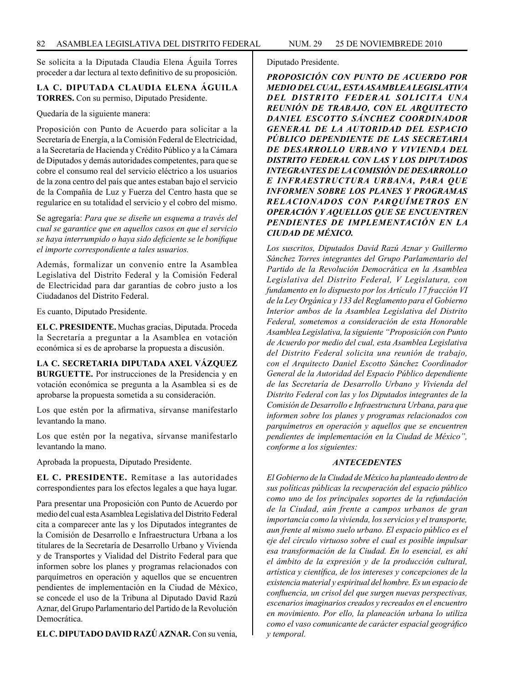Se solicita a la Diputada Claudia Elena Águila Torres proceder a dar lectura al texto definitivo de su proposición.

# **LA C. DIPUTADA CLAUDIA ELENA ÁGUILA TORRES.** Con su permiso, Diputado Presidente.

Quedaría de la siguiente manera:

Proposición con Punto de Acuerdo para solicitar a la Secretaría de Energía, a la Comisión Federal de Electricidad, a la Secretaría de Hacienda y Crédito Público y a la Cámara de Diputados y demás autoridades competentes, para que se cobre el consumo real del servicio eléctrico a los usuarios de la zona centro del país que antes estaban bajo el servicio de la Compañía de Luz y Fuerza del Centro hasta que se regularice en su totalidad el servicio y el cobro del mismo.

Se agregaría: *Para que se diseñe un esquema a través del cual se garantice que en aquellos casos en que el servicio se haya interrumpido o haya sido deficiente se le bonifique el importe correspondiente a tales usuarios.*

Además, formalizar un convenio entre la Asamblea Legislativa del Distrito Federal y la Comisión Federal de Electricidad para dar garantías de cobro justo a los Ciudadanos del Distrito Federal.

Es cuanto, Diputado Presidente.

**EL C. PRESIDENTE.** Muchas gracias, Diputada. Proceda la Secretaría a preguntar a la Asamblea en votación económica si es de aprobarse la propuesta a discusión.

**LA C. SECRETARIA DIPUTADA AXEL VÁZQUEZ BURGUETTE.** Por instrucciones de la Presidencia y en votación económica se pregunta a la Asamblea si es de aprobarse la propuesta sometida a su consideración.

Los que estén por la afirmativa, sírvanse manifestarlo levantando la mano.

Los que estén por la negativa, sírvanse manifestarlo levantando la mano.

Aprobada la propuesta, Diputado Presidente.

**EL C. PRESIDENTE.** Remítase a las autoridades correspondientes para los efectos legales a que haya lugar.

Para presentar una Proposición con Punto de Acuerdo por medio del cual esta Asamblea Legislativa del Distrito Federal cita a comparecer ante las y los Diputados integrantes de la Comisión de Desarrollo e Infraestructura Urbana a los titulares de la Secretaría de Desarrollo Urbano y Vivienda y de Transportes y Vialidad del Distrito Federal para que informen sobre los planes y programas relacionados con parquímetros en operación y aquellos que se encuentren pendientes de implementación en la Ciudad de México, se concede el uso de la Tribuna al Diputado David Razú Aznar, del Grupo Parlamentario del Partido de la Revolución Democrática.

**EL C. DIPUTADO DAVID RAZÚ AZNAR.** Con su venia,

Diputado Presidente.

*PROPOSICIÓN CON PUNTO DE ACUERDO POR MEDIO DEL CUAL, ESTA ASAMBLEA LEGISLATIVA DEL DISTRITO FEDERAL SOLICITA UNA REUNIÓN DE TRABAJO, CON EL ARQUITECTO DANIEL ESCOTTO SÁNCHEZ COORDINADOR GENERAL DE LA AUTORIDAD DEL ESPACIO PÚBLICO DEPENDIENTE DE LAS SECRETARIA DE DESARROLLO URBANO Y VIVIENDA DEL DISTRITO FEDERAL CON LAS Y LOS DIPUTADOS INTEGRANTES DE LA COMISIÓN DE DESARROLLO E INFRAESTRUCTURA URBANA, PARA QUE INFORMEN SOBRE LOS PLANES Y PROGRAMAS RELACIONADOS CON PARQUÍMETROS EN OPERACIÓN Y AQUELLOS QUE SE ENCUENTREN PENDIENTES DE IMPLEMENTACIÓN EN LA CIUDAD DE MÉXICO.*

*Los suscritos, Diputados David Razú Aznar y Guillermo Sánchez Torres integrantes del Grupo Parlamentario del Partido de la Revolución Democrática en la Asamblea Legislativa del Distrito Federal, V Legislatura, con fundamento en lo dispuesto por los Artículo 17 fracción VI de la Ley Orgánica y 133 del Reglamento para el Gobierno Interior ambos de la Asamblea Legislativa del Distrito Federal, sometemos a consideración de esta Honorable Asamblea Legislativa, la siguiente "Proposición con Punto de Acuerdo por medio del cual, esta Asamblea Legislativa del Distrito Federal solicita una reunión de trabajo, con el Arquitecto Daniel Escotto Sánchez Coordinador General de la Autoridad del Espacio Público dependiente de las Secretaría de Desarrollo Urbano y Vivienda del Distrito Federal con las y los Diputados integrantes de la Comisión de Desarrollo e Infraestructura Urbana, para que informen sobre los planes y programas relacionados con parquímetros en operación y aquellos que se encuentren pendientes de implementación en la Ciudad de México", conforme a los siguientes:*

# *ANTECEDENTES*

*El Gobierno de la Ciudad de México ha planteado dentro de sus políticas públicas la recuperación del espacio público como uno de los principales soportes de la refundación de la Ciudad, aún frente a campos urbanos de gran importancia como la vivienda, los servicios y el transporte, aun frente al mismo suelo urbano. El espacio público es el eje del círculo virtuoso sobre el cual es posible impulsar esa transformación de la Ciudad. En lo esencial, es ahí el ámbito de la expresión y de la producción cultural, artística y científica, de los intereses y concepciones de la existencia material y espiritual del hombre. Es un espacio de confluencia, un crisol del que surgen nuevas perspectivas, escenarios imaginarios creados y recreados en el encuentro en movimiento. Por ello, la planeación urbana lo utiliza como el vaso comunicante de carácter espacial geográfico y temporal.*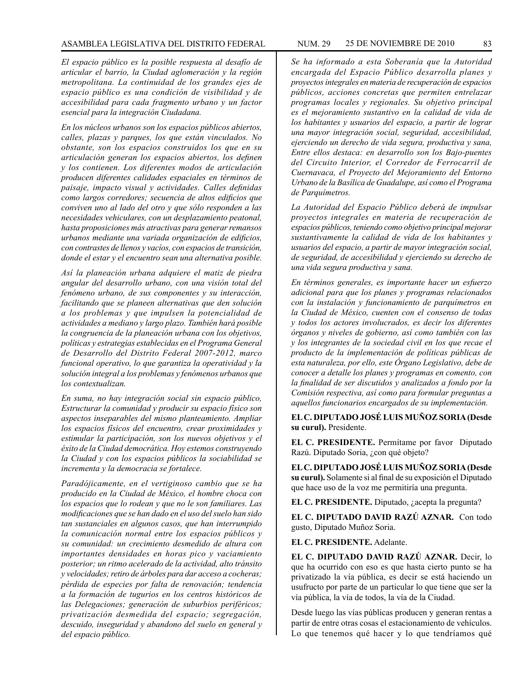*El espacio público es la posible respuesta al desafío de articular el barrio, la Ciudad aglomeración y la región metropolitana. La continuidad de los grandes ejes de espacio público es una condición de visibilidad y de accesibilidad para cada fragmento urbano y un factor esencial para la integración Ciudadana.*

*En los núcleos urbanos son los espacios públicos abiertos, calles, plazas y parques, los que están vinculados. No obstante, son los espacios construidos los que en su articulación generan los espacios abiertos, los definen y los contienen. Los diferentes modos de articulación producen diferentes calidades espaciales en términos de paisaje, impacto visual y actividades. Calles definidas como largos corredores; secuencia de altos edificios que conviven uno al lado del otro y que sólo responden a las necesidades vehiculares, con un desplazamiento peatonal, hasta proposiciones más atractivas para generar remansos urbanos mediante una variada organización de edificios, con contrastes de llenos y vacíos, con espacios de transición, donde el estar y el encuentro sean una alternativa posible.*

*Así la planeación urbana adquiere el matiz de piedra angular del desarrollo urbano, con una visión total del fenómeno urbano, de sus componentes y su interacción, facilitando que se planeen alternativas que den solución a los problemas y que impulsen la potencialidad de actividades a mediano y largo plazo. También hará posible la congruencia de la planeación urbana con los objetivos, políticas y estrategias establecidas en el Programa General de Desarrollo del Distrito Federal 2007-2012, marco funcional operativo, lo que garantiza la operatividad y la solución integral a los problemas y fenómenos urbanos que los contextualizan.*

*En suma, no hay integración social sin espacio público, Estructurar la comunidad y producir su espacio físico son aspectos inseparables del mismo planteamiento. Ampliar los espacios físicos del encuentro, crear proximidades y estimular la participación, son los nuevos objetivos y el éxito de la Ciudad democrática. Hoy estemos construyendo la Ciudad y con los espacios públicos la sociabilidad se incrementa y la democracia se fortalece.*

*Paradójicamente, en el vertiginoso cambio que se ha producido en la Ciudad de México, el hombre choca con los espacios que lo rodean y que no le son familiares. Las modificaciones que se han dado en el uso del suelo han sido tan sustanciales en algunos casos, que han interrumpido la comunicación normal entre los espacios públicos y su comunidad: un crecimiento desmedido de altura con importantes densidades en horas pico y vaciamiento posterior; un ritmo acelerado de la actividad, alto tránsito y velocidades; retiro de árboles para dar acceso a cocheras; pérdida de especies por falta de renovación; tendencia a la formación de tugurios en los centros históricos de las Delegaciones; generación de suburbios periféricos; privatización desmedida del espacio; segregación, descuido, inseguridad y abandono del suelo en general y del espacio público.*

*Se ha informado a esta Soberanía que la Autoridad encargada del Espacio Público desarrolla planes y proyectos integrales en materia de recuperación de espacios públicos, acciones concretas que permiten entrelazar programas locales y regionales. Su objetivo principal es el mejoramiento sustantivo en la calidad de vida de los habitantes y usuarios del espacio, a partir de lograr una mayor integración social, seguridad, accesibilidad, ejerciendo un derecho de vida segura, productiva y sana, Entre ellos destaca: en desarrollo son los Bajo-puentes del Circuito Interior, el Corredor de Ferrocarril de Cuernavaca, el Proyecto del Mejoramiento del Entorno Urbano de la Basílica de Guadalupe, así como el Programa de Parquímetros.*

*La Autoridad del Espacio Público deberá de impulsar proyectos integrales en materia de recuperación de espacios públicos, teniendo como objetivo principal mejorar sustantivamente la calidad de vida de los habitantes y usuarios del espacio, a partir de mayor integración social, de seguridad, de accesibilidad y ejerciendo su derecho de una vida segura productiva y sana.*

*En términos generales, es importante hacer un esfuerzo adicional para que los planes y programas relacionados con la instalación y funcionamiento de parquímetros en la Ciudad de México, cuenten con el consenso de todas y todos los actores involucrados, es decir los diferentes órganos y niveles de gobierno, así como también con las y los integrantes de la sociedad civil en los que recae el producto de la implementación de políticas públicas de esta naturaleza, por ello, este Órgano Legislativo, debe de conocer a detalle los planes y programas en comento, con la finalidad de ser discutidos y analizados a fondo por la Comisión respectiva, así como para formular preguntas a aquellos funcionarios encargados de su implementación.*

**EL C. DIPUTADO JOSÉ LUIS MUÑOZ SORIA (Desde su curul).** Presidente.

**EL C. PRESIDENTE.** Permítame por favor Diputado Razú. Diputado Soria, ¿con qué objeto?

**EL C. DIPUTADO JOSÉ LUIS MUÑOZ SORIA (Desde su curul).** Solamente si al final de su exposición el Diputado que hace uso de la voz me permitiría una pregunta.

**EL C. PRESIDENTE.** Diputado, ¿acepta la pregunta?

**EL C. DIPUTADO DAVID RAZÚ AZNAR.** Con todo gusto, Diputado Muñoz Soria.

**EL C. PRESIDENTE.** Adelante.

**EL C. DIPUTADO DAVID RAZÚ AZNAR.** Decir, lo que ha ocurrido con eso es que hasta cierto punto se ha privatizado la vía pública, es decir se está haciendo un usufructo por parte de un particular lo que tiene que ser la vía pública, la vía de todos, la vía de la Ciudad.

Desde luego las vías públicas producen y generan rentas a partir de entre otras cosas el estacionamiento de vehículos. Lo que tenemos qué hacer y lo que tendríamos qué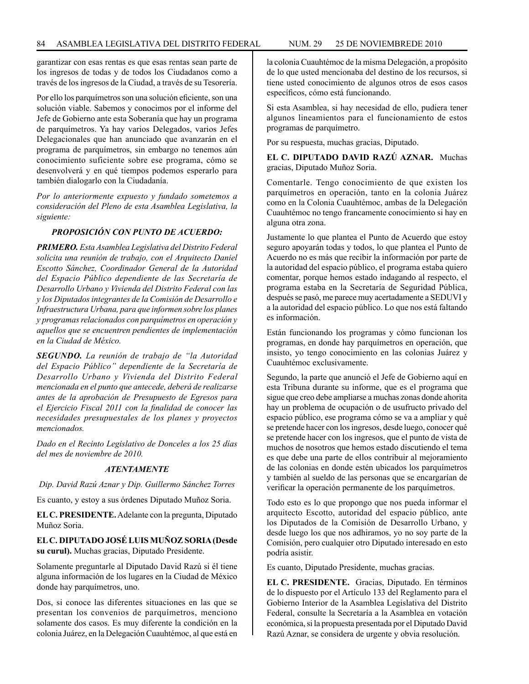garantizar con esas rentas es que esas rentas sean parte de los ingresos de todas y de todos los Ciudadanos como a través de los ingresos de la Ciudad, a través de su Tesorería.

Por ello los parquímetros son una solución eficiente, son una solución viable. Sabemos y conocimos por el informe del Jefe de Gobierno ante esta Soberanía que hay un programa de parquímetros. Ya hay varios Delegados, varios Jefes Delegacionales que han anunciado que avanzarán en el programa de parquímetros, sin embargo no tenemos aún conocimiento suficiente sobre ese programa, cómo se desenvolverá y en qué tiempos podemos esperarlo para también dialogarlo con la Ciudadanía.

*Por lo anteriormente expuesto y fundado sometemos a consideración del Pleno de esta Asamblea Legislativa, la siguiente:*

## *PROPOSICIÓN CON PUNTO DE ACUERDO:*

*PRIMERO. Esta Asamblea Legislativa del Distrito Federal solicita una reunión de trabajo, con el Arquitecto Daniel Escotto Sánchez, Coordinador General de la Autoridad del Espacio Público dependiente de las Secretaría de Desarrollo Urbano y Vivienda del Distrito Federal con las y los Diputados integrantes de la Comisión de Desarrollo e Infraestructura Urbana, para que informen sobre los planes y programas relacionados con parquímetros en operación y aquellos que se encuentren pendientes de implementación en la Ciudad de México.*

*SEGUNDO. La reunión de trabajo de "la Autoridad del Espacio Público" dependiente de la Secretaría de Desarrollo Urbano y Vivienda del Distrito Federal mencionada en el punto que antecede, deberá de realizarse antes de la aprobación de Presupuesto de Egresos para el Ejercicio Fiscal 2011 con la finalidad de conocer las necesidades presupuestales de los planes y proyectos mencionados.*

*Dado en el Recinto Legislativo de Donceles a los 25 días del mes de noviembre de 2010.*

#### *ATENTAMENTE*

*Dip. David Razú Aznar y Dip. Guillermo Sánchez Torres*

Es cuanto, y estoy a sus órdenes Diputado Muñoz Soria.

**EL C. PRESIDENTE.** Adelante con la pregunta, Diputado Muñoz Soria.

# **EL C. DIPUTADO JOSÉ LUIS MUÑOZ SORIA (Desde su curul).** Muchas gracias, Diputado Presidente.

Solamente preguntarle al Diputado David Razú si él tiene alguna información de los lugares en la Ciudad de México donde hay parquímetros, uno.

Dos, si conoce las diferentes situaciones en las que se presentan los convenios de parquímetros, menciono solamente dos casos. Es muy diferente la condición en la colonia Juárez, en la Delegación Cuauhtémoc, al que está en la colonia Cuauhtémoc de la misma Delegación, a propósito de lo que usted mencionaba del destino de los recursos, si tiene usted conocimiento de algunos otros de esos casos específicos, cómo está funcionando.

Si esta Asamblea, si hay necesidad de ello, pudiera tener algunos lineamientos para el funcionamiento de estos programas de parquímetro.

Por su respuesta, muchas gracias, Diputado.

**EL C. DIPUTADO DAVID RAZÚ AZNAR.** Muchas gracias, Diputado Muñoz Soria.

Comentarle. Tengo conocimiento de que existen los parquímetros en operación, tanto en la colonia Juárez como en la Colonia Cuauhtémoc, ambas de la Delegación Cuauhtémoc no tengo francamente conocimiento si hay en alguna otra zona.

Justamente lo que plantea el Punto de Acuerdo que estoy seguro apoyarán todas y todos, lo que plantea el Punto de Acuerdo no es más que recibir la información por parte de la autoridad del espacio público, el programa estaba quiero comentar, porque hemos estado indagando al respecto, el programa estaba en la Secretaría de Seguridad Pública, después se pasó, me parece muy acertadamente a SEDUVI y a la autoridad del espacio público. Lo que nos está faltando es información.

Están funcionando los programas y cómo funcionan los programas, en donde hay parquímetros en operación, que insisto, yo tengo conocimiento en las colonias Juárez y Cuauhtémoc exclusivamente.

Segundo, la parte que anunció el Jefe de Gobierno aquí en esta Tribuna durante su informe, que es el programa que sigue que creo debe ampliarse a muchas zonas donde ahorita hay un problema de ocupación o de usufructo privado del espacio público, ese programa cómo se va a ampliar y qué se pretende hacer con los ingresos, desde luego, conocer qué se pretende hacer con los ingresos, que el punto de vista de muchos de nosotros que hemos estado discutiendo el tema es que debe una parte de ellos contribuir al mejoramiento de las colonias en donde estén ubicados los parquímetros y también al sueldo de las personas que se encargarían de verificar la operación permanente de los parquímetros.

Todo esto es lo que propongo que nos pueda informar el arquitecto Escotto, autoridad del espacio público, ante los Diputados de la Comisión de Desarrollo Urbano, y desde luego los que nos adhiramos, yo no soy parte de la Comisión, pero cualquier otro Diputado interesado en esto podría asistir.

Es cuanto, Diputado Presidente, muchas gracias.

**EL C. PRESIDENTE.** Gracias, Diputado. En términos de lo dispuesto por el Artículo 133 del Reglamento para el Gobierno Interior de la Asamblea Legislativa del Distrito Federal, consulte la Secretaría a la Asamblea en votación económica, si la propuesta presentada por el Diputado David Razú Aznar, se considera de urgente y obvia resolución.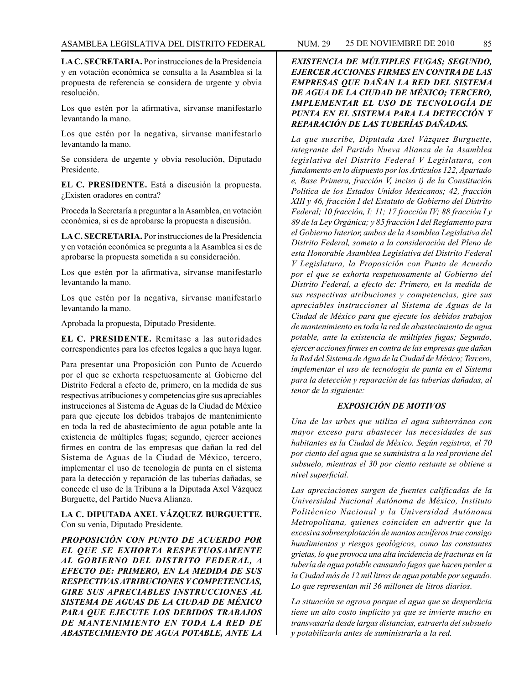**LA C. SECRETARIA.** Por instrucciones de la Presidencia y en votación económica se consulta a la Asamblea si la propuesta de referencia se considera de urgente y obvia resolución.

Los que estén por la afirmativa, sírvanse manifestarlo levantando la mano.

Los que estén por la negativa, sírvanse manifestarlo levantando la mano.

Se considera de urgente y obvia resolución, Diputado Presidente.

**EL C. PRESIDENTE.** Está a discusión la propuesta. ¿Existen oradores en contra?

Proceda la Secretaría a preguntar a la Asamblea, en votación económica, si es de aprobarse la propuesta a discusión.

**LA C. SECRETARIA.** Por instrucciones de la Presidencia y en votación económica se pregunta a la Asamblea si es de aprobarse la propuesta sometida a su consideración.

Los que estén por la afirmativa, sírvanse manifestarlo levantando la mano.

Los que estén por la negativa, sírvanse manifestarlo levantando la mano.

Aprobada la propuesta, Diputado Presidente.

**EL C. PRESIDENTE.** Remítase a las autoridades correspondientes para los efectos legales a que haya lugar.

Para presentar una Proposición con Punto de Acuerdo por el que se exhorta respetuosamente al Gobierno del Distrito Federal a efecto de, primero, en la medida de sus respectivas atribuciones y competencias gire sus apreciables instrucciones al Sistema de Aguas de la Ciudad de México para que ejecute los debidos trabajos de mantenimiento en toda la red de abastecimiento de agua potable ante la existencia de múltiples fugas; segundo, ejercer acciones firmes en contra de las empresas que dañan la red del Sistema de Aguas de la Ciudad de México, tercero, implementar el uso de tecnología de punta en el sistema para la detección y reparación de las tuberías dañadas, se concede el uso de la Tribuna a la Diputada Axel Vázquez Burguette, del Partido Nueva Alianza.

**LA C. DIPUTADA AXEL VÁZQUEZ BURGUETTE.**  Con su venia, Diputado Presidente.

*PROPOSICIÓN CON PUNTO DE ACUERDO POR EL QUE SE EXHORTA RESPETUOSAMENTE AL GOBIERNO DEL DISTRITO FEDERAL, A EFECTO DE: PRIMERO, EN LA MEDIDA DE SUS RESPECTIVAS ATRIBUCIONES Y COMPETENCIAS, GIRE SUS APRECIABLES INSTRUCCIONES AL SISTEMA DE AGUAS DE LA CIUDAD DE MÉXICO PARA QUE EJECUTE LOS DEBIDOS TRABAJOS DE MANTENIMIENTO EN TODA LA RED DE ABASTECIMIENTO DE AGUA POTABLE, ANTE LA* 

# *EXISTENCIA DE MÚLTIPLES FUGAS; SEGUNDO, EJERCER ACCIONES FIRMES EN CONTRA DE LAS EMPRESAS QUE DAÑAN LA RED DEL SISTEMA DE AGUA DE LA CIUDAD DE MÉXICO; TERCERO, IMPLEMENTAR EL USO DE TECNOLOGÍA DE PUNTA EN EL SISTEMA PARA LA DETECCIÓN Y REPARACIÓN DE LAS TUBERÍAS DAÑADAS.*

*La que suscribe, Diputada Axel Vázquez Burguette, integrante del Partido Nueva Alianza de la Asamblea legislativa del Distrito Federal V Legislatura, con fundamento en lo dispuesto por los Artículos 122, Apartado e, Base Primera, fracción V, inciso i) de la Constitución Política de los Estados Unidos Mexicanos; 42, fracción XIII y 46, fracción I del Estatuto de Gobierno del Distrito Federal; 10 fracción, I; 11; 17 fracción IV; 88 fracción I y 89 de la Ley Orgánica; y 85 fracción I del Reglamento para el Gobierno Interior, ambos de la Asamblea Legislativa del Distrito Federal, someto a la consideración del Pleno de esta Honorable Asamblea Legislativa del Distrito Federal V Legislatura, la Proposición con Punto de Acuerdo por el que se exhorta respetuosamente al Gobierno del Distrito Federal, a efecto de: Primero, en la medida de sus respectivas atribuciones y competencias, gire sus apreciables instrucciones al Sistema de Aguas de la Ciudad de México para que ejecute los debidos trabajos de mantenimiento en toda la red de abastecimiento de agua potable, ante la existencia de múltiples fugas; Segundo, ejercer acciones firmes en contra de las empresas que dañan la Red del Sistema de Agua de la Ciudad de México; Tercero, implementar el uso de tecnología de punta en el Sistema para la detección y reparación de las tuberías dañadas, al tenor de la siguiente:*

## *EXPOSICIÓN DE MOTIVOS*

*Una de las urbes que utiliza el agua subterránea con mayor exceso para abastecer las necesidades de sus habitantes es la Ciudad de México. Según registros, el 70 por ciento del agua que se suministra a la red proviene del subsuelo, mientras el 30 por ciento restante se obtiene a nivel superficial.*

*Las apreciaciones surgen de fuentes calificadas de la Universidad Nacional Autónoma de México, Instituto Politécnico Nacional y la Universidad Autónoma Metropolitana, quienes coinciden en advertir que la excesiva sobreexplotación de mantos acuíferos trae consigo hundimientos y riesgos geológicos, como las constantes grietas, lo que provoca una alta incidencia de fracturas en la tubería de agua potable causando fugas que hacen perder a la Ciudad más de 12 mil litros de agua potable por segundo. Lo que representan mil 36 millones de litros diarios.*

*La situación se agrava porque el agua que se desperdicia tiene un alto costo implícito ya que se invierte mucho en transvasarla desde largas distancias, extraerla del subsuelo y potabilizarla antes de suministrarla a la red.*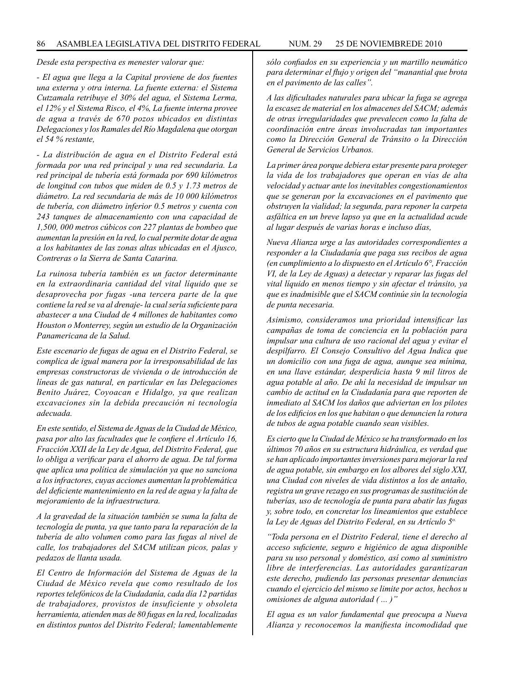*Desde esta perspectiva es menester valorar que:*

*- El agua que llega a la Capital proviene de dos fuentes una externa y otra interna. La fuente externa: el Sistema Cutzamala retribuye el 30% del agua, el Sistema Lerma, el 12% y el Sistema Risco, el 4%, La fuente interna provee de agua a través de 670 pozos ubicados en distintas Delegaciones y los Ramales del Río Magdalena que otorgan el 54 % restante,*

*- La distribución de agua en el Distrito Federal está formada por una red principal y una red secundaria. La red principal de tubería está formada por 690 kilómetros de longitud con tubos que miden de 0.5 y 1.73 metros de diámetro. La red secundaria de más de 10 000 kilómetros de tubería, con diámetro inferior 0.5 metros y cuenta con 243 tanques de almacenamiento con una capacidad de 1,500, 000 metros cúbicos con 227 plantas de bombeo que aumentan la presión en la red, lo cual permite dotar de agua a los habitantes de las zonas altas ubicadas en el Ajusco, Contreras o la Sierra de Santa Catarina.*

*La ruinosa tubería también es un factor determinante en la extraordinaria cantidad del vital líquido que se desaprovecha por fugas -una tercera parte de la que contiene la red se va al drenaje- la cual sería suficiente para abastecer a una Ciudad de 4 millones de habitantes como Houston o Monterrey, según un estudio de la Organización Panamericana de la Salud.*

*Este escenario de fugas de agua en el Distrito Federal, se complica de igual manera por la irresponsabilidad de las empresas constructoras de vivienda o de introducción de líneas de gas natural, en particular en las Delegaciones Benito Juárez, Coyoacan e Hidalgo, ya que realizan excavaciones sin la debida precaución ni tecnología adecuada.*

*En este sentido, el Sistema de Aguas de la Ciudad de México, pasa por alto las facultades que le confiere el Artículo 16, Fracción XXII de la Ley de Agua, del Distrito Federal, que lo obliga a verificar para el ahorro de agua. De tal forma que aplica una política de simulación ya que no sanciona a los infractores, cuyas acciones aumentan la problemática del deficiente mantenimiento en la red de agua y la falta de mejoramiento de la infraestructura.*

*A la gravedad de la situación también se suma la falta de tecnología de punta, ya que tanto para la reparación de la tubería de alto volumen como para las fugas al nivel de calle, los trabajadores del SACM utilizan picos, palas y pedazos de llanta usada.*

*El Centro de Información del Sistema de Aguas de la Ciudad de México revela que como resultado de los reportes telefónicos de la Ciudadanía, cada día 12 partidas de trabajadores, provistos de insuficiente y obsoleta herramienta, atienden mas de 80 fugas en la red, localizadas en distintos puntos del Distrito Federal; lamentablemente* 

*sólo confiados en su experiencia y un martillo neumático para determinar el flujo y origen del "manantial que brota en el pavimento de las calles".*

*A las dificultades naturales para ubicar la fuga se agrega la escasez de material en los almacenes del SACM; además de otras irregularidades que prevalecen como la falta de coordinación entre áreas involucradas tan importantes como la Dirección General de Tránsito o la Dirección General de Servicios Urbanos.*

*La primer área porque debiera estar presente para proteger la vida de los trabajadores que operan en vías de alta velocidad y actuar ante los inevitables congestionamientos que se generan por la excavaciones en el pavimento que obstruyen la vialidad; la segunda, para reponer la carpeta asfáltica en un breve lapso ya que en la actualidad acude al lugar después de varias horas e incluso días,*

*Nueva Alianza urge a las autoridades correspondientes a responder a la Ciudadanía que paga sus recibos de agua (en cumplimiento a lo dispuesto en el Artículo 6°, Fracción VI, de la Ley de Aguas) a detectar y reparar las fugas del vital líquido en menos tiempo y sin afectar el tránsito, ya que es inadmisible que el SACM continúe sin la tecnología de punta necesaria.*

*Asimismo, consideramos una prioridad intensificar las campañas de toma de conciencia en la población para impulsar una cultura de uso racional del agua y evitar el despilfarro. El Consejo Consultivo del Agua Indica que un domicilio con una fuga de agua, aunque sea mínima, en una llave estándar, desperdicia hasta 9 mil litros de agua potable al año. De ahí la necesidad de impulsar un cambio de actitud en la Ciudadanía para que reporten de inmediato al SACM los daños que adviertan en los pilotes de los edificios en los que habitan o que denuncien la rotura de tubos de agua potable cuando sean visibles.*

*Es cierto que la Ciudad de México se ha transformado en los últimos 70 años en su estructura hidráulica, es verdad que se han aplicado importantes inversiones para mejorar la red de agua potable, sin embargo en los albores del siglo XXI, una Ciudad con niveles de vida distintos a los de antaño, registra un grave rezago en sus programas de sustitución de tuberías, uso de tecnología de punta para abatir las fugas y, sobre todo, en concretar los lineamientos que establece la Ley de Aguas del Distrito Federal, en su Artículo 5o.*

*"Toda persona en el Distrito Federal, tiene el derecho al acceso suficiente, seguro e higiénico de agua disponible para su uso personal y doméstico, así como al suministro libre de interferencias. Las autoridades garantizaran este derecho, pudiendo las personas presentar denuncias cuando el ejercicio del mismo se limite por actos, hechos u omisiones de alguna autoridad ( ... )"*

*El agua es un valor fundamental que preocupa a Nueva Alianza y reconocemos la manifiesta incomodidad que*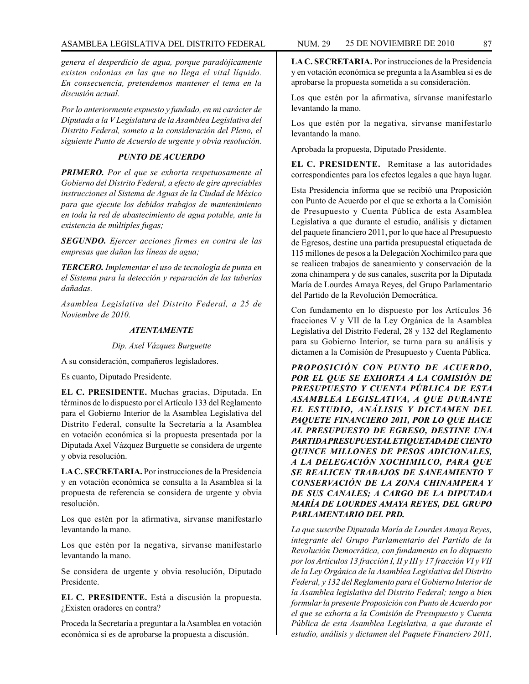*genera el desperdicio de agua, porque paradójicamente existen colonias en las que no llega el vital líquido. En consecuencia, pretendemos mantener el tema en la discusión actual.*

*Por lo anteriormente expuesto y fundado, en mi carácter de Diputada a la V Legislatura de la Asamblea Legislativa del Distrito Federal, someto a la consideración del Pleno, el siguiente Punto de Acuerdo de urgente y obvia resolución.*

# *PUNTO DE ACUERDO*

*PRIMERO. Por el que se exhorta respetuosamente al Gobierno del Distrito Federal, a efecto de gire apreciables instrucciones al Sistema de Aguas de la Ciudad de México para que ejecute los debidos trabajos de mantenimiento en toda la red de abastecimiento de agua potable, ante la existencia de múltiples fugas;*

*SEGUNDO. Ejercer acciones firmes en contra de las empresas que dañan las líneas de agua;*

*TERCERO. Implementar el uso de tecnología de punta en el Sistema para la detección y reparación de las tuberías dañadas.*

*Asamblea Legislativa del Distrito Federal, a 25 de Noviembre de 2010.*

## *ATENTAMENTE*

*Dip. Axel Vázquez Burguette*

A su consideración, compañeros legisladores.

Es cuanto, Diputado Presidente.

**EL C. PRESIDENTE.** Muchas gracias, Diputada. En términos de lo dispuesto por el Artículo 133 del Reglamento para el Gobierno Interior de la Asamblea Legislativa del Distrito Federal, consulte la Secretaría a la Asamblea en votación económica si la propuesta presentada por la Diputada Axel Vázquez Burguette se considera de urgente y obvia resolución.

**LA C. SECRETARIA.** Por instrucciones de la Presidencia y en votación económica se consulta a la Asamblea si la propuesta de referencia se considera de urgente y obvia resolución.

Los que estén por la afirmativa, sírvanse manifestarlo levantando la mano.

Los que estén por la negativa, sírvanse manifestarlo levantando la mano.

Se considera de urgente y obvia resolución, Diputado Presidente.

**EL C. PRESIDENTE.** Está a discusión la propuesta. ¿Existen oradores en contra?

Proceda la Secretaría a preguntar a la Asamblea en votación económica si es de aprobarse la propuesta a discusión.

**LA C. SECRETARIA.** Por instrucciones de la Presidencia y en votación económica se pregunta a la Asamblea si es de aprobarse la propuesta sometida a su consideración.

Los que estén por la afirmativa, sírvanse manifestarlo levantando la mano.

Los que estén por la negativa, sírvanse manifestarlo levantando la mano.

Aprobada la propuesta, Diputado Presidente.

**EL C. PRESIDENTE.** Remítase a las autoridades correspondientes para los efectos legales a que haya lugar.

Esta Presidencia informa que se recibió una Proposición con Punto de Acuerdo por el que se exhorta a la Comisión de Presupuesto y Cuenta Pública de esta Asamblea Legislativa a que durante el estudio, análisis y dictamen del paquete financiero 2011, por lo que hace al Presupuesto de Egresos, destine una partida presupuestal etiquetada de 115 millones de pesos a la Delegación Xochimilco para que se realicen trabajos de saneamiento y conservación de la zona chinampera y de sus canales, suscrita por la Diputada María de Lourdes Amaya Reyes, del Grupo Parlamentario del Partido de la Revolución Democrática.

Con fundamento en lo dispuesto por los Artículos 36 fracciones V y VII de la Ley Orgánica de la Asamblea Legislativa del Distrito Federal, 28 y 132 del Reglamento para su Gobierno Interior, se turna para su análisis y dictamen a la Comisión de Presupuesto y Cuenta Pública.

*PROPOSICIÓN CON PUNTO DE ACUERDO, POR EL QUE SE EXHORTA A LA COMISIÓN DE PRESUPUESTO Y CUENTA PÚBLICA DE ESTA ASAMBLEA LEGISLATIVA, A QUE DURANTE EL ESTUDIO, ANÁLISIS Y DICTAMEN DEL PAQUETE FINANCIERO 2011, POR LO QUE HACE AL PRESUPUESTO DE EGRESO, DESTINE UNA PARTIDA PRESUPUESTAL ETIQUETADA DE CIENTO QUINCE MILLONES DE PESOS ADICIONALES, A LA DELEGACIÓN XOCHIMILCO, PARA QUE SE REALICEN TRABAJOS DE SANEAMIENTO Y CONSERVACIÓN DE LA ZONA CHINAMPERA Y DE SUS CANALES; A CARGO DE LA DIPUTADA MARÍA DE LOURDES AMAYA REYES, DEL GRUPO PARLAMENTARIO DEL PRD.*

*La que suscribe Diputada María de Lourdes Amaya Reyes, integrante del Grupo Parlamentario del Partido de la Revolución Democrática, con fundamento en lo dispuesto por los Artículos 13 fracción I, II y III y 17 fracción VI y VII de la Ley Orgánica de la Asamblea Legislativa del Distrito Federal, y 132 del Reglamento para el Gobierno Interior de la Asamblea legislativa del Distrito Federal; tengo a bien formular la presente Proposición con Punto de Acuerdo por el que se exhorta a la Comisión de Presupuesto y Cuenta Pública de esta Asamblea Legislativa, a que durante el estudio, análisis y dictamen del Paquete Financiero 2011,*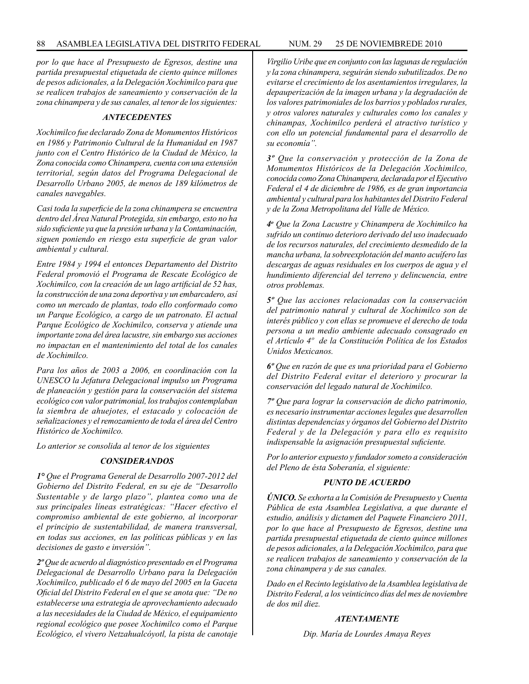*por lo que hace al Presupuesto de Egresos, destine una partida presupuestal etiquetada de ciento quince millones de pesos adicionales, a la Delegación Xochimilco para que se realicen trabajos de saneamiento y conservación de la zona chinampera y de sus canales, al tenor de los siguientes:*

### *ANTECEDENTES*

*Xochimilco fue declarado Zona de Monumentos Históricos en 1986 y Patrimonio Cultural de la Humanidad en 1987 junto con el Centro Histórico de la Ciudad de México, la Zona conocida como Chinampera, cuenta con una extensión territorial, según datos del Programa Delegacional de Desarrollo Urbano 2005, de menos de 189 kilómetros de canales navegables.*

*Casi toda la superficie de la zona chinampera se encuentra dentro del Área Natural Protegida, sin embargo, esto no ha sido suficiente ya que la presión urbana y la Contaminación, siguen poniendo en riesgo esta superficie de gran valor ambiental y cultural.*

*Entre 1984 y 1994 el entonces Departamento del Distrito Federal promovió el Programa de Rescate Ecológico de Xochimilco, con la creación de un lago artificial de 52 has, la construcción de una zona deportiva y un embarcadero, así como un mercado de plantas, todo ello conformado como un Parque Ecológico, a cargo de un patronato. El actual Parque Ecológico de Xochimilco, conserva y atiende una importante zona del área lacustre, sin embargo sus acciones no impactan en el mantenimiento del total de los canales de Xochimilco.*

*Para los años de 2003 a 2006, en coordinación con la UNESCO la Jefatura Delegacional impulso un Programa de planeación y gestión para la conservación del sistema ecológico con valor patrimonial, los trabajos contemplaban la siembra de ahuejotes, el estacado y colocación de señalizaciones y el remozamiento de toda el área del Centro Histórico de Xochimilco.*

*Lo anterior se consolida al tenor de los siguientes*

### *CONSIDERANDOS*

*1° Que el Programa General de Desarrollo 2007-2012 del Gobierno del Distrito Federal, en su eje de "Desarrollo Sustentable y de largo plazo", plantea como una de sus principales líneas estratégicas: "Hacer efectivo el compromiso ambiental de este gobierno, al incorporar el principio de sustentabilidad, de manera transversal, en todas sus acciones, en las políticas públicas y en las decisiones de gasto e inversión".*

*2º Que de acuerdo al diagnóstico presentado en el Programa Delegacional de Desarrollo Urbano para la Delegación Xochimilco, publicado el 6 de mayo del 2005 en la Gaceta Oficial del Distrito Federal en el que se anota que: "De no establecerse una estrategia de aprovechamiento adecuado a las necesidades de la Ciudad de México, el equipamiento regional ecológico que posee Xochimilco como el Parque Ecológico, el vivero Netzahualcóyotl, la pista de canotaje* 

*Virgilio Uribe que en conjunto con las lagunas de regulación y la zona chinampera, seguirán siendo subutilizados. De no evitarse el crecimiento de los asentamientos irregulares, la depauperización de la imagen urbana y la degradación de los valores patrimoniales de los barrios y poblados rurales, y otros valores naturales y culturales como los canales y chinampas, Xochimilco perderá el atractivo turístico y con ello un potencial fundamental para el desarrollo de su economía".*

*3º Que la conservación y protección de la Zona de Monumentos Históricos de la Delegación Xochimilco, conocida como Zona Chinampera, declarada por el Ejecutivo Federal el 4 de diciembre de 1986, es de gran importancia ambiental y cultural para los habitantes del Distrito Federal y de la Zona Metropolitana del Valle de México.*

*4o Que la Zona Lacustre y Chinampera de Xochimilco ha sufrido un continuo deterioro derivado del uso inadecuado de los recursos naturales, del crecimiento desmedido de la mancha urbana, la sobreexplotación del manto acuífero las descargas de aguas residuales en los cuerpos de agua y el hundimiento diferencial del terreno y delincuencia, entre otros problemas.*

*5º Que las acciones relacionadas con la conservación del patrimonio natural y cultural de Xochimilco son de interés público y con ellas se promueve el derecho de toda persona a un medio ambiente adecuado consagrado en el Artículo 4º de la Constitución Política de los Estados Unidos Mexicanos.*

*6º Que en razón de que es una prioridad para el Gobierno del Distrito Federal evitar el deterioro y procurar la conservación del legado natural de Xochimilco.*

*7º Que para lograr la conservación de dicho patrimonio, es necesario instrumentar acciones legales que desarrollen distintas dependencias y órganos del Gobierno del Distrito Federal y de la Delegación y para ello es requisito indispensable la asignación presupuestal suficiente.*

*Por lo anterior expuesto y fundador someto a consideración del Pleno de ésta Soberanía, el siguiente:*

### *PUNTO DE ACUERDO*

*ÚNICO. Se exhorta a la Comisión de Presupuesto y Cuenta Pública de esta Asamblea Legislativa, a que durante el estudio, análisis y dictamen del Paquete Financiero 2011, por lo que hace al Presupuesto de Egresos, destine una partida presupuestal etiquetada de ciento quince millones de pesos adicionales, a la Delegación Xochimilco, para que se realicen trabajos de saneamiento y conservación de la zona chinampera y de sus canales.*

*Dado en el Recinto legislativo de la Asamblea legislativa de Distrito Federal, a los veinticinco días del mes de noviembre de dos mil diez.*

# *ATENTAMENTE*

*Dip. María de Lourdes Amaya Reyes*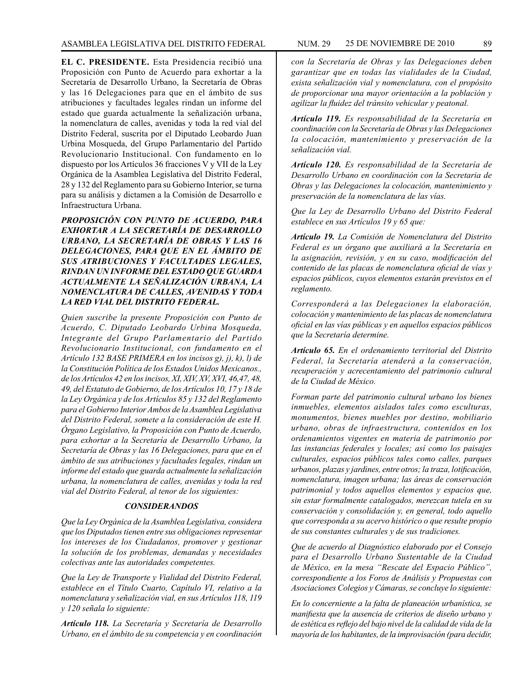**EL C. PRESIDENTE.** Esta Presidencia recibió una Proposición con Punto de Acuerdo para exhortar a la Secretaría de Desarrollo Urbano, la Secretaría de Obras y las 16 Delegaciones para que en el ámbito de sus atribuciones y facultades legales rindan un informe del estado que guarda actualmente la señalización urbana, la nomenclatura de calles, avenidas y toda la red vial del Distrito Federal, suscrita por el Diputado Leobardo Juan Urbina Mosqueda, del Grupo Parlamentario del Partido Revolucionario Institucional. Con fundamento en lo dispuesto por los Artículos 36 fracciones V y VII de la Ley Orgánica de la Asamblea Legislativa del Distrito Federal, 28 y 132 del Reglamento para su Gobierno Interior, se turna para su análisis y dictamen a la Comisión de Desarrollo e Infraestructura Urbana.

*PROPOSICIÓN CON PUNTO DE ACUERDO, PARA EXHORTAR A LA SECRETARÍA DE DESARROLLO URBANO, LA SECRETARÍA DE OBRAS Y LAS 16 DELEGACIONES, PARA QUE EN EL ÁMBITO DE SUS ATRIBUCIONES Y FACULTADES LEGALES, RINDAN UN INFORME DEL ESTADO QUE GUARDA ACTUALMENTE LA SEÑALIZACIÓN URBANA, LA NOMENCLATURA DE CALLES, AVENIDAS Y TODA LA RED VIAL DEL DISTRITO FEDERAL.*

*Quien suscribe la presente Proposición con Punto de Acuerdo, C. Diputado Leobardo Urbina Mosqueda, Integrante del Grupo Parlamentario del Partido Revolucionario Institucional, con fundamento en el Artículo 132 BASE PRIMERA en los incisos g), j), k), l) de la Constitución Política de los Estados Unidos Mexicanos., de los Artículos 42 en los incisos, XI, XIV, XV, XVI, 46,47, 48, 49, del Estatuto de Gobierno, de los Artículos 10, 17 y 18 de la Ley Orgánica y de los Artículos 85 y 132 del Reglamento para el Gobierno Interior Ambos de la Asamblea Legislativa del Distrito Federal, somete a la consideración de este H. Órgano Legislativo, la Proposición con Punto de Acuerdo, para exhortar a la Secretaría de Desarrollo Urbano, la Secretaría de Obras y las 16 Delegaciones, para que en el ámbito de sus atribuciones y facultades legales, rindan un informe del estado que guarda actualmente la señalización urbana, la nomenclatura de calles, avenidas y toda la red vial del Distrito Federal, al tenor de los siguientes:*

#### *CONSIDERANDOS*

*Que la Ley Orgánica de la Asamblea Legislativa, considera que los Diputados tienen entre sus obligaciones representar los intereses de los Ciudadanos, promover y gestionar la solución de los problemas, demandas y necesidades colectivas ante las autoridades competentes.*

*Que la Ley de Transporte y Vialidad del Distrito Federal, establece en el Título Cuarto, Capítulo VI, relativo a la nomenclatura y señalización vial, en sus Artículos 118, 119 y 120 señala lo siguiente:*

*Artículo 118. La Secretaría y Secretaría de Desarrollo Urbano, en el ámbito de su competencia y en coordinación*  *con la Secretaría de Obras y las Delegaciones deben garantizar que en todas las vialidades de la Ciudad, exista señalización vial y nomenclatura, con el propósito de proporcionar una mayor orientación a la población y agilizar la fluidez del tránsito vehicular y peatonal.*

*Artículo 119. Es responsabilidad de la Secretaría en coordinación con la Secretaría de Obras y las Delegaciones la colocación, mantenimiento y preservación de la señalización vial.*

*Artículo 120. Es responsabilidad de la Secretaría de Desarrollo Urbano en coordinación con la Secretaria de Obras y las Delegaciones la colocación, mantenimiento y preservación de la nomenclatura de las vías.*

*Que la Ley de Desarrollo Urbano del Distrito Federal establece en sus Artículos 19 y 65 que:*

*Artículo 19. La Comisión de Nomenclatura del Distrito Federal es un órgano que auxiliará a la Secretaría en la asignación, revisión, y en su caso, modificación del contenido de las placas de nomenclatura oficial de vías y espacios públicos, cuyos elementos estarán previstos en el reglamento.*

*Corresponderá a las Delegaciones la elaboración, colocación y mantenimiento de las placas de nomenclatura oficial en las vías públicas y en aquellos espacios públicos que la Secretaría determine.*

*Artículo 65. En el ordenamiento territorial del Distrito Federal, la Secretaría atenderá a la conservación, recuperación y acrecentamiento del patrimonio cultural de la Ciudad de México.*

*Forman parte del patrimonio cultural urbano los bienes inmuebles, elementos aislados tales como esculturas, monumentos, bienes muebles por destino, mobiliario urbano, obras de infraestructura, contenidos en los ordenamientos vigentes en materia de patrimonio por las instancias federales y locales; así como los paisajes culturales, espacios públicos tales como calles, parques urbanos, plazas y jardines, entre otros; la traza, lotificación, nomenclatura, imagen urbana; las áreas de conservación patrimonial y todos aquellos elementos y espacios que, sin estar formalmente catalogados, merezcan tutela en su conservación y consolidación y, en general, todo aquello que corresponda a su acervo histórico o que resulte propio de sus constantes culturales y de sus tradiciones.*

*Que de acuerdo al Diagnóstico elaborado por el Consejo para el Desarrollo Urbano Sustentable de la Ciudad de México, en la mesa "Rescate del Espacio Público", correspondiente a los Foros de Análisis y Propuestas con Asociaciones Colegios y Cámaras, se concluye lo siguiente:*

*En lo concerniente a la falta de planeación urbanística, se manifiesta que la ausencia de criterios de diseño urbano y de estética es reflejo del bajo nivel de la calidad de vida de la mayoría de los habitantes, de la improvisación (para decidir,*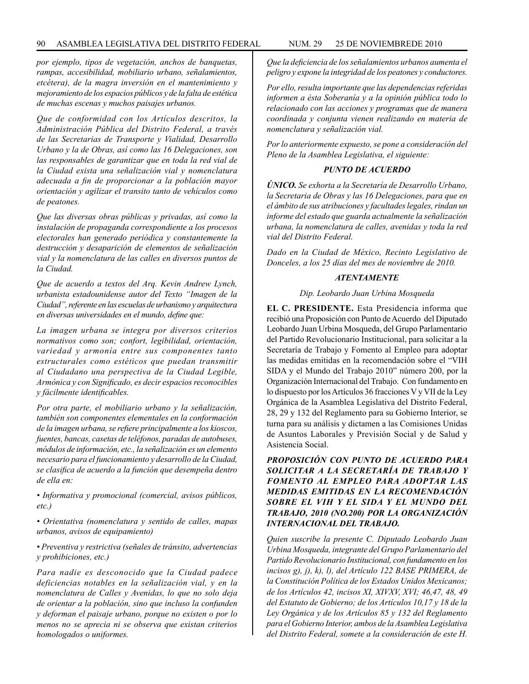*por ejemplo, tipos de vegetación, anchos de banquetas, rampas, accesibilidad, mobiliario urbano, señalamientos, etcétera), de la magra inversión en el mantenimiento y mejoramiento de los espacios públicos y de la falta de estética de muchas escenas y muchos paisajes urbanos.*

*Que de conformidad con los Artículos descritos, la Administración Pública del Distrito Federal, a través de las Secretarias de Transporte y Vialidad, Desarrollo Urbano y la de Obras, así como las 16 Delegaciones, son las responsables de garantizar que en toda la red vial de la Ciudad exista una señalización vial y nomenclatura adecuada a fin de proporcionar a la población mayor orientación y agilizar el transito tanto de vehículos como de peatones.*

*Que las diversas obras públicas y privadas, así como la instalación de propaganda correspondiente a los procesos electorales han generado periódica y constantemente la destrucción y desaparición de elementos de señalización vial y la nomenclatura de las calles en diversos puntos de la Ciudad.*

*Que de acuerdo a textos del Arq. Kevin Andrew Lynch, urbanista estadounidense autor del Texto "Imagen de la Ciudad", referente en las escuelas de urbanismo y arquitectura en diversas universidades en el mundo, define que:*

*La imagen urbana se integra por diversos criterios normativos como son; confort, legibilidad, orientación, variedad y armonía entre sus componentes tanto estructurales como estéticos que puedan transmitir al Ciudadano una perspectiva de la Ciudad Legible, Armónica y con Significado, es decir espacios reconocibles y fácilmente identificables.*

*Por otra parte, el mobiliario urbano y la señalización, también son componentes elementales en la conformación de la imagen urbana, se refiere principalmente a los kioscos, fuentes, bancas, casetas de teléfonos, paradas de autobuses, módulos de información, etc., la señalización es un elemento necesario para el funcionamiento y desarrollo de la Ciudad, se clasifica de acuerdo a la función que desempeña dentro de ella en:*

*• Informativa y promocional (comercial, avisos públicos, etc.)*

*• Orientativa (nomenclatura y sentido de calles, mapas urbanos, avisos de equipamiento)*

*• Preventiva y restrictiva (señales de tránsito, advertencias y prohibiciones, etc.)*

*Para nadie es desconocido que la Ciudad padece deficiencias notables en la señalización vial, y en la nomenclatura de Calles y Avenidas, lo que no solo deja de orientar a la población, sino que incluso la confunden y deforman el paisaje urbano, porque no existen o por lo menos no se aprecia ni se observa que existan criterios homologados o uniformes.*

*Que la deficiencia de los señalamientos urbanos aumenta el peligro y expone la integridad de los peatones y conductores.*

*Por ello, resulta importante que las dependencias referidas informen a ésta Soberanía y a la opinión pública todo lo relacionado con las acciones y programas que de manera coordinada y conjunta vienen realizando en materia de nomenclatura y señalización vial.*

*Por lo anteriormente expuesto, se pone a consideración del Pleno de la Asamblea Legislativa, el siguiente:*

## *PUNTO DE ACUERDO*

*ÚNICO. Se exhorta a la Secretaría de Desarrollo Urbano, la Secretaria de Obras y las 16 Delegaciones, para que en el ámbito de sus atribuciones y facultades legales, rindan un informe del estado que guarda actualmente la señalización urbana, la nomenclatura de calles, avenidas y toda la red vial del Distrito Federal.*

*Dado en la Ciudad de México, Recinto Legislativo de Donceles, a los 25 días del mes de noviembre de 2010.*

### *ATENTAMENTE*

### *Dip. Leobardo Juan Urbina Mosqueda*

**EL C. PRESIDENTE.** Esta Presidencia informa que recibió una Proposición con Punto de Acuerdo del Diputado Leobardo Juan Urbina Mosqueda, del Grupo Parlamentario del Partido Revolucionario Institucional, para solicitar a la Secretaría de Trabajo y Fomento al Empleo para adoptar las medidas emitidas en la recomendación sobre el "VIH SIDA y el Mundo del Trabajo 2010" número 200, por la Organización Internacional del Trabajo. Con fundamento en lo dispuesto por los Artículos 36 fracciones V y VII de la Ley Orgánica de la Asamblea Legislativa del Distrito Federal, 28, 29 y 132 del Reglamento para su Gobierno Interior, se turna para su análisis y dictamen a las Comisiones Unidas de Asuntos Laborales y Previsión Social y de Salud y Asistencia Social.

*PROPOSICIÓN CON PUNTO DE ACUERDO PARA SOLICITAR A LA SECRETARÍA DE TRABAJO Y FOMENTO AL EMPLEO PARA ADOPTAR LAS MEDIDAS EMITIDAS EN LA RECOMENDACIÓN SOBRE EL VIH Y EL SIDA Y EL MUNDO DEL TRABAJO, 2010 (NO.200) POR LA ORGANIZACIÓN INTERNACIONAL DEL TRABAJO.*

*Quien suscribe la presente C. Diputado Leobardo Juan Urbina Mosqueda, integrante del Grupo Parlamentario del Partido Revolucionario Institucional, con fundamento en los incisos g), j), k), l), del Artículo 122 BASE PRIMERA, de la Constitución Política de los Estados Unidos Mexicanos; de los Artículos 42, incisos XI, XIVXV, XVI; 46,47, 48, 49 del Estatuto de Gobierno; de los Artículos 10,17 y 18 de la Ley Orgánica y de los Artículos 85 y 132 del Reglamento para el Gobierno Interior, ambos de la Asamblea Legislativa del Distrito Federal, somete a la consideración de este H.*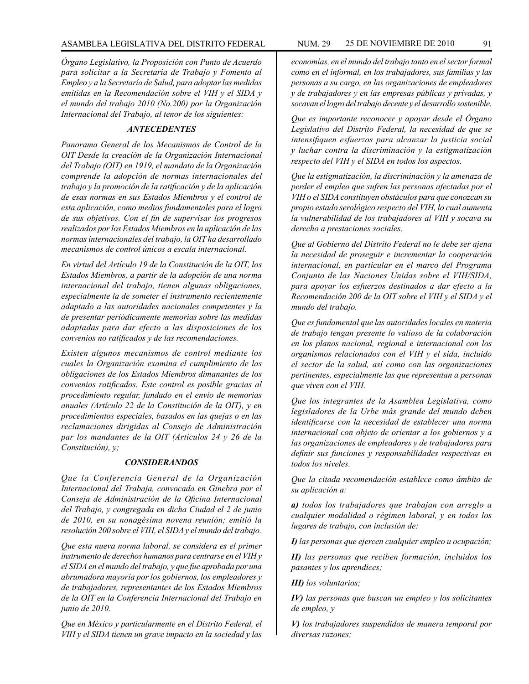*Órgano Legislativo, la Proposición con Punto de Acuerdo para solicitar a la Secretaría de Trabajo y Fomento al Empleo y a la Secretaría de Salud, para adoptar las medidas emitidas en la Recomendación sobre el VIH y el SIDA y el mundo del trabajo 2010 (No.200) por la Organización Internacional del Trabajo, al tenor de los siguientes:*

## *ANTECEDENTES*

*Panorama General de los Mecanismos de Control de la OIT Desde la creación de la Organización Internacional del Trabajo (OIT) en 1919, el mandato de la Organización comprende la adopción de normas internacionales del trabajo y la promoción de la ratificación y de la aplicación de esas normas en sus Estados Miembros y el control de esta aplicación, como medios fundamentales para el logro de sus objetivos. Con el fin de supervisar los progresos realizados por los Estados Miembros en la aplicación de las normas internacionales del trabajo, la OIT ha desarrollado mecanismos de control únicos a escala internacional.* 

*En virtud del Artículo 19 de la Constitución de la OIT, los Estados Miembros, a partir de la adopción de una norma internacional del trabajo, tienen algunas obligaciones, especialmente la de someter el instrumento recientemente adaptado a las autoridades nacionales competentes y la de presentar periódicamente memorias sobre las medidas adaptadas para dar efecto a las disposiciones de los convenios no ratificados y de las recomendaciones.*

*Existen algunos mecanismos de control mediante los cuales la Organización examina el cumplimiento de las obligaciones de los Estados Miembros dimanantes de los convenios ratificados. Este control es posible gracias al procedimiento regular, fundado en el envío de memorias anuales (Artículo 22 de la Constitución de la OIT), y en procedimientos especiales, basados en las quejas o en las reclamaciones dirigidas al Consejo de Administración par los mandantes de la OIT (Artículos 24 y 26 de la Constitución), y;*

#### *CONSIDERANDOS*

*Que la Conferencia General de la Organización Internacional del Trabaja, convocada en Ginebra por el Conseja de Administración de la Oficina Internacional del Trabajo, y congregada en dicha Ciudad el 2 de junio de 2010, en su nonagésima novena reunión; emitió la resolución 200 sobre el VIH, el SIDA y el mundo del trabajo.*

*Que esta nueva norma laboral, se considera es el primer instrumento de derechos humanos para centrarse en el VIH y el SIDA en el mundo del trabajo, y que fue aprobada por una abrumadora mayoría por los gobiernos, los empleadores y de trabajadores, representantes de los Estados Miembros de la OIT en la Conferencia Internacional del Trabajo en junio de 2010.*

*Que en México y particularmente en el Distrito Federal, el VIH y el SIDA tienen un grave impacto en la sociedad y las* 

*economías, en el mundo del trabajo tanto en el sector formal como en el informal, en los trabajadores, sus familias y las personas a su cargo, en las organizaciones de empleadores y de trabajadores y en las empresas públicas y privadas, y socavan el logro del trabajo decente y el desarrollo sostenible.*

*Que es importante reconocer y apoyar desde el Órgano Legislativo del Distrito Federal, la necesidad de que se intensifiquen esfuerzos para alcanzar la justicia social y luchar contra la discriminación y la estigmatización respecto del VIH y el SIDA en todos los aspectos.*

*Que la estigmatización, la discriminación y la amenaza de perder el empleo que sufren las personas afectadas por el VIH o el SIDA constituyen obstáculos para que conozcan su propio estado serológico respecto del VIH, lo cual aumenta la vulnerabilidad de los trabajadores al VIH y socava su derecho a prestaciones sociales.*

*Que al Gobierno del Distrito Federal no le debe ser ajena la necesidad de proseguir e incrementar la cooperación internacional, en particular en el marco del Programa Conjunto de las Naciones Unidas sobre el VIH/SIDA, para apoyar los esfuerzos destinados a dar efecto a la Recomendación 200 de la OIT sobre el VIH y el SIDA y el mundo del trabajo.*

*Que es fundamental que las autoridades locales en materia de trabajo tengan presente lo valioso de la colaboración en los planos nacional, regional e internacional con los organismos relacionados con el VIH y el sida, incluido el sector de la salud, así como con las organizaciones pertinentes, especialmente las que representan a personas que viven con el VIH.*

*Que los integrantes de la Asamblea Legislativa, como legisladores de la Urbe más grande del mundo deben identificarse con la necesidad de establecer una norma internacional con objeto de orientar a los gobiernos y a las organizaciones de empleadores y de trabajadores para definir sus funciones y responsabilidades respectivas en todos los niveles.*

*Que la citada recomendación establece como ámbito de su aplicación a:*

*a) todos los trabajadores que trabajan con arreglo a cualquier modalidad o régimen laboral, y en todos los lugares de trabajo, con inclusión de:*

*I) las personas que ejercen cualquier empleo u ocupación;*

*II) las personas que reciben formación, incluidos los pasantes y los aprendices;*

*III) los voluntarios;*

*IV) las personas que buscan un empleo y los solicitantes de empleo, y*

*V) los trabajadores suspendidos de manera temporal por diversas razones;*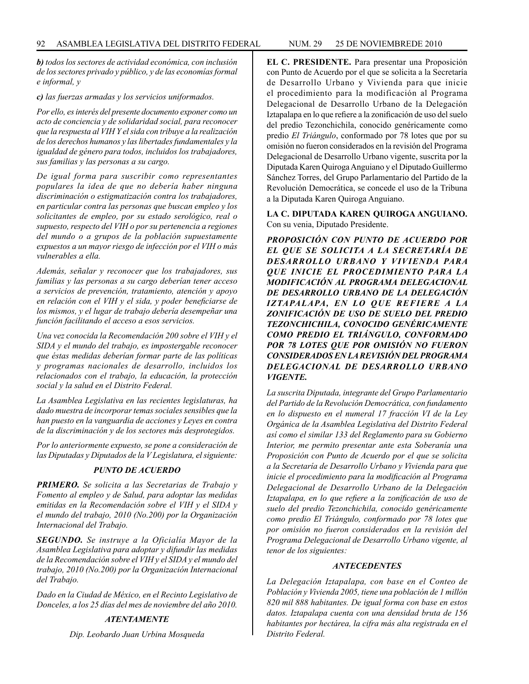*b) todos los sectores de actividad económica, con inclusión de los sectores privado y público, y de las economías formal e informal, y*

#### *c) las fuerzas armadas y los servicios uniformados.*

*Por ello, es interés del presente documento exponer como un acto de conciencia y de solidaridad social, para reconocer que la respuesta al VIH Y el sida con tribuye a la realización de los derechos humanos y las libertades fundamentales y la igualdad de género para todos, incluidos los trabajadores, sus familias y las personas a su cargo.*

*De igual forma para suscribir como representantes populares la idea de que no debería haber ninguna discriminación o estigmatización contra los trabajadores, en particular contra las personas que buscan empleo y los solicitantes de empleo, por su estado serológico, real o supuesto, respecto del VIH o por su pertenencia a regiones del mundo o a grupos de la población supuestamente expuestos a un mayor riesgo de infección por el VIH o más vulnerables a ella.*

*Además, señalar y reconocer que los trabajadores, sus familias y las personas a su cargo deberían tener acceso a servicios de prevención, tratamiento, atención y apoyo en relación con el VIH y el sida, y poder beneficiarse de los mismos, y el lugar de trabajo debería desempeñar una función facilitando el acceso a esos servicios.*

*Una vez conocida la Recomendación 200 sobre el VIH y el SIDA y el mundo del trabajo, es impostergable reconocer que éstas medidas deberían formar parte de las políticas y programas nacionales de desarrollo, incluidos los relacionados con el trabajo, la educación, la protección social y la salud en el Distrito Federal.*

*La Asamblea Legislativa en las recientes legislaturas, ha dado muestra de incorporar temas sociales sensibles que la han puesto en la vanguardia de acciones y Leyes en contra de la discriminación y de los sectores más desprotegidos.*

*Por lo anteriormente expuesto, se pone a consideración de las Diputadas y Diputados de la V Legislatura, el siguiente:*

## *PUNTO DE ACUERDO*

*PRIMERO. Se solicita a las Secretarias de Trabajo y Fomento al empleo y de Salud, para adoptar las medidas emitidas en la Recomendación sobre el VIH y el SIDA y el mundo del trabajo, 2010 (No.200) por la Organización Internacional del Trabajo.*

*SEGUNDO. Se instruye a la Oficialía Mayor de la Asamblea Legislativa para adoptar y difundir las medidas de la Recomendación sobre el VIH y el SIDA y el mundo del trabajo, 2010 (No.200) por la Organización Internacional del Trabajo.*

*Dado en la Ciudad de México, en el Recinto Legislativo de Donceles, a los 25 días del mes de noviembre del año 2010.*

## *ATENTAMENTE*

*Dip. Leobardo Juan Urbina Mosqueda*

**EL C. PRESIDENTE.** Para presentar una Proposición con Punto de Acuerdo por el que se solicita a la Secretaría de Desarrollo Urbano y Vivienda para que inicie el procedimiento para la modificación al Programa Delegacional de Desarrollo Urbano de la Delegación Iztapalapa en lo que refiere a la zonificación de uso del suelo del predio Tezonchichila, conocido genéricamente como predio *El Triángulo*, conformado por 78 lotes que por su omisión no fueron considerados en la revisión del Programa Delegacional de Desarrollo Urbano vigente, suscrita por la Diputada Karen Quiroga Anguiano y el Diputado Guillermo Sánchez Torres, del Grupo Parlamentario del Partido de la Revolución Democrática, se concede el uso de la Tribuna a la Diputada Karen Quiroga Anguiano.

## **LA C. DIPUTADA KAREN QUIROGA ANGUIANO.** Con su venia, Diputado Presidente.

*PROPOSICIÓN CON PUNTO DE ACUERDO POR EL QUE SE SOLICITA A LA SECRETARÍA DE DESARROLLO URBANO Y VIVIENDA PARA QUE INICIE EL PROCEDIMIENTO PARA LA MODIFICACIÓN AL PROGRAMA DELEGACIONAL DE DESARROLLO URBANO DE LA DELEGACIÓN IZTAPALAPA, EN LO QUE REFIERE A LA ZONIFICACIÓN DE USO DE SUELO DEL PREDIO TEZONCHICHILA, CONOCIDO GENÉRICAMENTE COMO PREDIO EL TRIÁNGULO, CONFORMADO POR 78 LOTES QUE POR OMISIÓN NO FUERON CONSIDERADOS EN LA REVISIÓN DEL PROGRAMA DELEGACIONAL DE DESARROLLO URBANO VIGENTE.*

*La suscrita Diputada, integrante del Grupo Parlamentario del Partido de la Revolución Democrática, con fundamento en lo dispuesto en el numeral 17 fracción VI de la Ley Orgánica de la Asamblea Legislativa del Distrito Federal así como el similar 133 del Reglamento para su Gobierno Interior, me permito presentar ante esta Soberanía una Proposición con Punto de Acuerdo por el que se solicita a la Secretaría de Desarrollo Urbano y Vivienda para que inicie el procedimiento para la modificación al Programa Delegacional de Desarrollo Urbano de la Delegación Iztapalapa, en lo que refiere a la zonificación de uso de suelo del predio Tezonchichila, conocido genéricamente como predio El Triángulo, conformado por 78 lotes que por omisión no fueron considerados en la revisión del Programa Delegacional de Desarrollo Urbano vigente, al tenor de los siguientes:*

## *ANTECEDENTES*

*La Delegación Iztapalapa, con base en el Conteo de Población y Vivienda 2005, tiene una población de 1 millón 820 mil 888 habitantes. De igual forma con base en estos datos. Iztapalapa cuenta con una densidad bruta de 156 habitantes por hectárea, la cifra más alta registrada en el Distrito Federal.*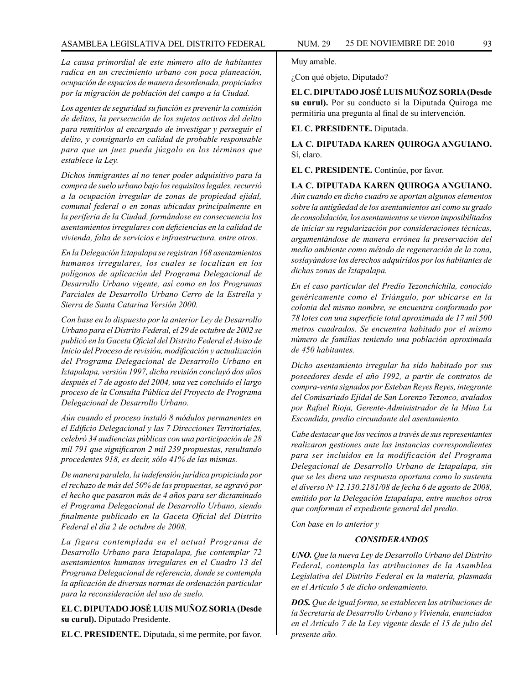*La causa primordial de este número alto de habitantes radica en un crecimiento urbano con poca planeación, ocupación de espacios de manera desordenada, propiciados por la migración de población del campo a la Ciudad.*

*Los agentes de seguridad su función es prevenir la comisión de delitos, la persecución de los sujetos activos del delito para remitirlos al encargado de investigar y perseguir el delito, y consignarlo en calidad de probable responsable para que un juez pueda júzgalo en los términos que establece la Ley.*

*Dichos inmigrantes al no tener poder adquisitivo para la compra de suelo urbano bajo los requisitos legales, recurrió a la ocupación irregular de zonas de propiedad ejidal, comunal federal o en zonas ubicadas principalmente en la periferia de la Ciudad, formándose en consecuencia los asentamientos irregulares con deficiencias en la calidad de vivienda, falta de servicios e infraestructura, entre otros.*

*En la Delegación Iztapalapa se registran 168 asentamientos humanos irregulares, los cuales se localizan en los polígonos de aplicación del Programa Delegacional de Desarrollo Urbano vigente, así como en los Programas Parciales de Desarrollo Urbano Cerro de la Estrella y Sierra de Santa Catarina Versión 2000.*

*Con base en lo dispuesto por la anterior Ley de Desarrollo Urbano para el Distrito Federal, el 29 de octubre de 2002 se publicó en la Gaceta Oficial del Distrito Federal el Aviso de Inicio del Proceso de revisión, modificación y actualización del Programa Delegacional de Desarrollo Urbano en Iztapalapa, versión 1997, dicha revisión concluyó dos años después el 7 de agosto del 2004, una vez concluido el largo proceso de la Consulta Pública del Proyecto de Programa Delegacional de Desarrollo Urbano.*

*Aún cuando el proceso instaló 8 módulos permanentes en el Edificio Delegacional y las 7 Direcciones Territoriales, celebró 34 audiencias públicas con una participación de 28 mil 791 que significaron 2 mil 239 propuestas, resultando procedentes 918, es decir, sólo 41% de las mismas.*

*De manera paralela, la indefensión jurídica propiciada por el rechazo de más del 50% de las propuestas, se agravó por el hecho que pasaron más de 4 años para ser dictaminado el Programa Delegacional de Desarrollo Urbano, siendo finalmente publicado en la Gaceta Oficial del Distrito Federal el día 2 de octubre de 2008.*

*La figura contemplada en el actual Programa de Desarrollo Urbano para Iztapalapa, fue contemplar 72 asentamientos humanos irregulares en el Cuadro 13 del Programa Delegacional de referencia, donde se contempla la aplicación de diversas normas de ordenación particular para la reconsideración del uso de suelo.*

**EL C. DIPUTADO JOSÉ LUIS MUÑOZ SORIA (Desde su curul).** Diputado Presidente.

**EL C. PRESIDENTE.** Diputada, si me permite, por favor.

Muy amable.

¿Con qué objeto, Diputado?

**EL C. DIPUTADO JOSÉ LUIS MUÑOZ SORIA (Desde su curul).** Por su conducto si la Diputada Quiroga me permitiría una pregunta al final de su intervención.

### **EL C. PRESIDENTE.** Diputada.

**LA C. DIPUTADA KAREN QUIROGA ANGUIANO.** Sí, claro.

**EL C. PRESIDENTE.** Continúe, por favor.

**LA C. DIPUTADA KAREN QUIROGA ANGUIANO.** *Aún cuando en dicho cuadro se aportan algunos elementos sobre la antigüedad de los asentamientos así como su grado de consolidación, los asentamientos se vieron imposibilitados de iniciar su regularización por consideraciones técnicas, argumentándose de manera errónea la preservación del medio ambiente como método de regeneración de la zona, soslayándose los derechos adquiridos por los habitantes de dichas zonas de Iztapalapa.*

*En el caso particular del Predio Tezonchichila, conocido genéricamente como el Triángulo, por ubicarse en la colonia del mismo nombre, se encuentra conformado por 78 lotes con una superficie total aproximada de 17 mil 500 metros cuadrados. Se encuentra habitado por el mismo número de familias teniendo una población aproximada de 450 habitantes.*

*Dicho asentamiento irregular ha sido habitado por sus poseedores desde el año 1992, a partir de contratos de compra-venta signados por Esteban Reyes Reyes, integrante del Comisariado Ejidal de San Lorenzo Tezonco, avalados por Rafael Rioja, Gerente-Administrador de la Mina La Escondida, predio circundante del asentamiento.*

*Cabe destacar que los vecinos a través de sus representantes realizaron gestiones ante las instancias correspondientes para ser incluidos en la modificación del Programa Delegacional de Desarrollo Urbano de Iztapalapa, sin que se les diera una respuesta oportuna como lo sustenta el diverso No 12.130.2181/08 de fecha 6 de agosto de 2008, emitido por la Delegación Iztapalapa, entre muchos otros que conforman el expediente general del predio.*

*Con base en lo anterior y*

### *CONSIDERANDOS*

*UNO. Que la nueva Ley de Desarrollo Urbano del Distrito Federal, contempla las atribuciones de la Asamblea Legislativa del Distrito Federal en la materia, plasmada en el Artículo 5 de dicho ordenamiento.*

*DOS. Que de igual forma, se establecen las atribuciones de la Secretaría de Desarrollo Urbano y Vivienda, enunciados en el Artículo 7 de la Ley vigente desde el 15 de julio del presente año.*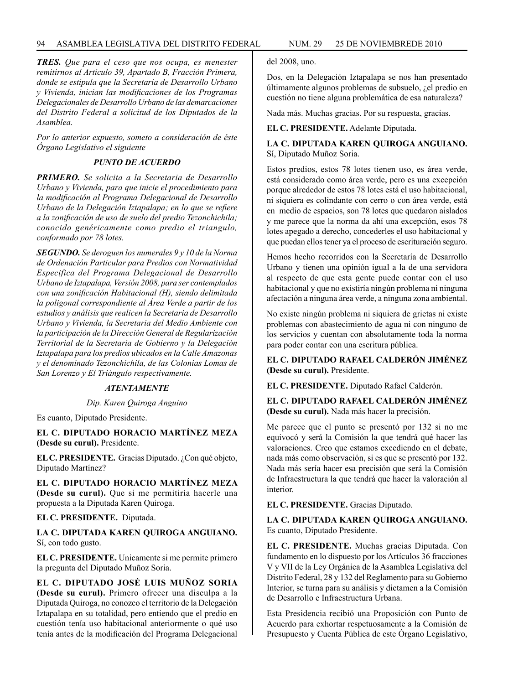*TRES. Que para el ceso que nos ocupa, es menester remitirnos al Artículo 39, Apartado B, Fracción Primera, donde se estipula que la Secretaria de Desarrollo Urbano y Vivienda, inician las modificaciones de los Programas Delegacionales de Desarrollo Urbano de las demarcaciones del Distrito Federal a solicitud de los Diputados de la Asamblea.*

*Por lo anterior expuesto, someto a consideración de éste Órgano Legislativo el siguiente*

# *PUNTO DE ACUERDO*

*PRIMERO. Se solicita a la Secretaria de Desarrollo Urbano y Vivienda, para que inicie el procedimiento para la modificación al Programa Delegacional de Desarrollo Urbano de la Delegación Iztapalapa; en lo que se refiere a la zonificación de uso de suelo del predio Tezonchichila; conocido genéricamente como predio el triangulo, conformado por 78 lotes.*

*SEGUNDO. Se deroguen los numerales 9 y 10 de la Norma de Ordenación Particular para Predios con Normatividad Especifica del Programa Delegacional de Desarrollo Urbano de Iztapalapa, Versión 2008, para ser contemplados con una zonificación Habitacional (H), siendo delimitada la poligonal correspondiente al Área Verde a partir de los estudios y análisis que realicen la Secretaria de Desarrollo Urbano y Vivienda, la Secretaria del Medio Ambiente con la participación de la Dirección General de Regularización Territorial de la Secretaria de Gobierno y la Delegación Iztapalapa para los predios ubicados en la Calle Amazonas y el denominado Tezonchichila, de las Colonias Lomas de San Lorenzo y El Triángulo respectivamente.*

### *ATENTAMENTE*

*Dip. Karen Quiroga Anguino*

Es cuanto, Diputado Presidente.

**EL C. DIPUTADO HORACIO MARTÍNEZ MEZA (Desde su curul).** Presidente.

**EL C. PRESIDENTE.** Gracias Diputado. ¿Con qué objeto, Diputado Martínez?

**EL C. DIPUTADO HORACIO MARTÍNEZ MEZA (Desde su curul).** Que si me permitiría hacerle una propuesta a la Diputada Karen Quiroga.

# **EL C. PRESIDENTE.** Diputada.

**LA C. DIPUTADA KAREN QUIROGA ANGUIANO.**  Sí, con todo gusto.

**EL C. PRESIDENTE.** Unicamente si me permite primero la pregunta del Diputado Muñoz Soria.

**EL C. DIPUTADO JOSÉ LUIS MUÑOZ SORIA (Desde su curul).** Primero ofrecer una disculpa a la Diputada Quiroga, no conozco el territorio de la Delegación Iztapalapa en su totalidad, pero entiendo que el predio en cuestión tenía uso habitacional anteriormente o qué uso tenía antes de la modificación del Programa Delegacional del 2008, uno.

Dos, en la Delegación Iztapalapa se nos han presentado últimamente algunos problemas de subsuelo, ¿el predio en cuestión no tiene alguna problemática de esa naturaleza?

Nada más. Muchas gracias. Por su respuesta, gracias.

**EL C. PRESIDENTE.** Adelante Diputada.

## **LA C. DIPUTADA KAREN QUIROGA ANGUIANO.**  Sí, Diputado Muñoz Soria.

Estos predios, estos 78 lotes tienen uso, es área verde, está considerado como área verde, pero es una excepción porque alrededor de estos 78 lotes está el uso habitacional, ni siquiera es colindante con cerro o con área verde, está en medio de espacios, son 78 lotes que quedaron aislados y me parece que la norma da ahí una excepción, esos 78 lotes apegado a derecho, concederles el uso habitacional y que puedan ellos tener ya el proceso de escrituración seguro.

Hemos hecho recorridos con la Secretaría de Desarrollo Urbano y tienen una opinión igual a la de una servidora al respecto de que esta gente puede contar con el uso habitacional y que no existiría ningún problema ni ninguna afectación a ninguna área verde, a ninguna zona ambiental.

No existe ningún problema ni siquiera de grietas ni existe problemas con abastecimiento de agua ni con ninguno de los servicios y cuentan con absolutamente toda la norma para poder contar con una escritura pública.

# **EL C. DIPUTADO RAFAEL CALDERÓN JIMÉNEZ (Desde su curul).** Presidente.

**EL C. PRESIDENTE.** Diputado Rafael Calderón.

**EL C. DIPUTADO RAFAEL CALDERÓN JIMÉNEZ (Desde su curul).** Nada más hacer la precisión.

Me parece que el punto se presentó por 132 si no me equivocó y será la Comisión la que tendrá qué hacer las valoraciones. Creo que estamos excediendo en el debate, nada más como observación, si es que se presentó por 132. Nada más sería hacer esa precisión que será la Comisión de Infraestructura la que tendrá que hacer la valoración al interior.

**EL C. PRESIDENTE.** Gracias Diputado.

**LA C. DIPUTADA KAREN QUIROGA ANGUIANO.**  Es cuanto, Diputado Presidente.

**EL C. PRESIDENTE.** Muchas gracias Diputada. Con fundamento en lo dispuesto por los Artículos 36 fracciones V y VII de la Ley Orgánica de la Asamblea Legislativa del Distrito Federal, 28 y 132 del Reglamento para su Gobierno Interior, se turna para su análisis y dictamen a la Comisión de Desarrollo e Infraestructura Urbana.

Esta Presidencia recibió una Proposición con Punto de Acuerdo para exhortar respetuosamente a la Comisión de Presupuesto y Cuenta Pública de este Órgano Legislativo,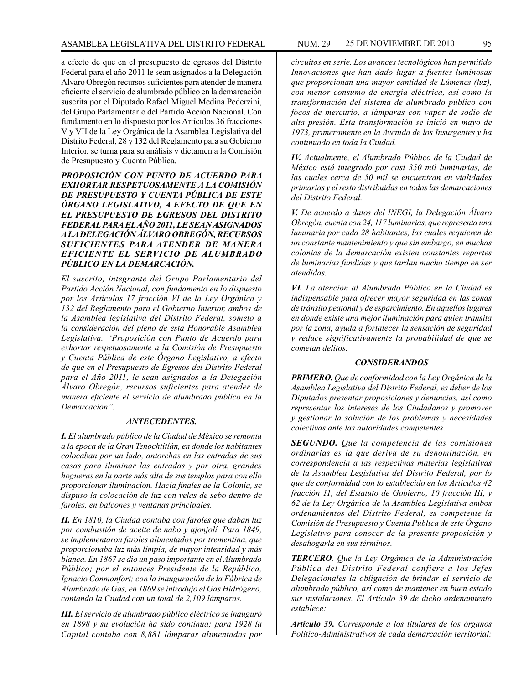a efecto de que en el presupuesto de egresos del Distrito Federal para el año 2011 le sean asignados a la Delegación Alvaro Obregón recursos suficientes para atender de manera eficiente el servicio de alumbrado público en la demarcación suscrita por el Diputado Rafael Miguel Medina Pederzini, del Grupo Parlamentario del Partido Acción Nacional. Con fundamento en lo dispuesto por los Artículos 36 fracciones V y VII de la Ley Orgánica de la Asamblea Legislativa del Distrito Federal, 28 y 132 del Reglamento para su Gobierno Interior, se turna para su análisis y dictamen a la Comisión de Presupuesto y Cuenta Pública.

*PROPOSICIÓN CON PUNTO DE ACUERDO PARA EXHORTAR RESPETUOSAMENTE A LA COMISIÓN DE PRESUPUESTO Y CUENTA PÚBLICA DE ESTE ÓRGANO LEGISLATIVO, A EFECTO DE QUE EN EL PRESUPUESTO DE EGRESOS DEL DISTRITO FEDERAL PARA EL AÑO 2011, LE SEAN ASIGNADOS A LA DELEGACIÓN ÁLVARO OBREGÓN, RECURSOS SUFICIENTES PARA ATENDER DE MANERA EFICIENTE EL SERVICIO DE ALUMBRADO PÚBLICO EN LA DEMARCACIÓN.*

*El suscrito, integrante del Grupo Parlamentario del Partido Acción Nacional, con fundamento en lo dispuesto por los Artículos 17 fracción VI de la Ley Orgánica y 132 del Reglamento para el Gobierno Interior, ambos de la Asamblea legislativa del Distrito Federal, someto a la consideración del pleno de esta Honorable Asamblea Legislativa. "Proposición con Punto de Acuerdo para exhortar respetuosamente a la Comisión de Presupuesto y Cuenta Pública de este Órgano Legislativo, a efecto de que en el Presupuesto de Egresos del Distrito Federal para el Año 2011, le sean asignados a la Delegación Álvaro Obregón, recursos suficientes para atender de manera eficiente el servicio de alumbrado público en la Demarcación".*

### *ANTECEDENTES.*

*I. El alumbrado público de la Ciudad de México se remonta a la época de la Gran Tenochtitlán, en donde los habitantes colocaban por un lado, antorchas en las entradas de sus casas para iluminar las entradas y por otra, grandes hogueras en la parte más alta de sus templos para con ello proporcionar iluminación. Hacia finales de la Colonia, se dispuso la colocación de luz con velas de sebo dentro de faroles, en balcones y ventanas principales.*

*II. En 1810, la Ciudad contaba con faroles que daban luz por combustión de aceite de nabo y ajonjolí. Para 1849, se implementaron faroles alimentados por trementina, que proporcionaba luz más limpia, de mayor intensidad y más blanca. En 1867 se dio un paso importante en el Alumbrado Público; por el entonces Presidente de la República, Ignacio Conmonfort; con la inauguración de la Fábrica de Alumbrado de Gas, en 1869 se introdujo el Gas Hidrógeno, contando la Ciudad con un total de 2,109 lámparas.*

*III. El servicio de alumbrado público eléctrico se inauguró en 1898 y su evolución ha sido continua; para 1928 la Capital contaba con 8,881 lámparas alimentadas por* 

*circuitos en serie. Los avances tecnológicos han permitido Innovaciones que han dado lugar a fuentes luminosas que proporcionan una mayor cantidad de Lúmenes (luz), con menor consumo de energía eléctrica, así como la transformación del sistema de alumbrado público con focos de mercurio, a lámparas con vapor de sodio de alta presión. Esta transformación se inició en mayo de 1973, primeramente en la Avenida de los Insurgentes y ha continuado en toda la Ciudad.*

*IV. Actualmente, el Alumbrado Público de la Ciudad de México está integrado por casi 350 mil luminarias, de las cuales cerca de 50 mil se encuentran en vialidades primarias y el resto distribuidas en todas las demarcaciones del Distrito Federal.*

*V. De acuerdo a datos del INEGI, la Delegación Álvaro Obregón, cuenta con 24, 117 luminarias, que representa una luminaria por cada 28 habitantes, las cuales requieren de un constante mantenimiento y que sin embargo, en muchas colonias de la demarcación existen constantes reportes de luminarias fundidas y que tardan mucho tiempo en ser atendidas.*

*VI. La atención al Alumbrado Público en la Ciudad es indispensable para ofrecer mayor seguridad en las zonas de tránsito peatonal y de esparcimiento. En aquellos lugares en donde existe una mejor iluminación para quien transita por la zona, ayuda a fortalecer la sensación de seguridad y reduce significativamente la probabilidad de que se cometan delitos.*

#### *CONSIDERANDOS*

*PRIMERO. Que de conformidad con la Ley Orgánica de la Asamblea Legislativa del Distrito Federal, es deber de los Diputados presentar proposiciones y denuncias, así como representar los intereses de los Ciudadanos y promover y gestionar la solución de los problemas y necesidades colectivas ante las autoridades competentes.*

*SEGUNDO. Que la competencia de las comisiones ordinarias es la que deriva de su denominación, en correspondencia a las respectivas materias legislativas de la Asamblea Legislativa del Distrito Federal, por lo que de conformidad con lo establecido en los Artículos 42 fracción 11, del Estatuto de Gobierno, 10 fracción III, y 62 de la Ley Orgánica de la Asamblea Legislativa ambos ordenamientos del Distrito Federal, es competente la Comisión de Presupuesto y Cuenta Pública de este Órgano Legislativo para conocer de la presente proposición y desahogarla en sus términos.*

*TERCERO. Que la Ley Orgánica de la Administración Pública del Distrito Federal confiere a los Jefes Delegacionales la obligación de brindar el servicio de alumbrado público, así como de mantener en buen estado sus instalaciones. El Artículo 39 de dicho ordenamiento establece:*

*Artículo 39. Corresponde a los titulares de los órganos Político-Administrativos de cada demarcación territorial:*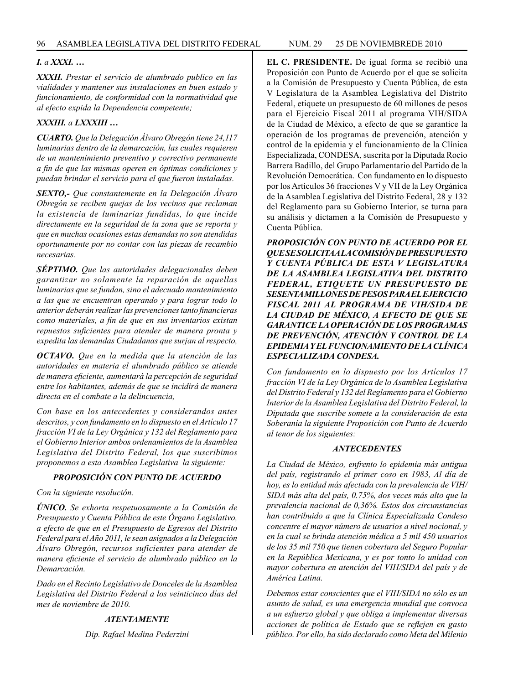# *I. a XXXI. …*

*XXXII. Prestar el servicio de alumbrado publico en las vialidades y mantener sus instalaciones en buen estado y funcionamiento, de conformidad con la normatividad que al efecto expida la Dependencia competente;*

# *XXXIII. a LXXXIII …*

*CUARTO. Que la Delegación Álvaro Obregón tiene 24,117 luminarias dentro de la demarcación, las cuales requieren de un mantenimiento preventivo y correctivo permanente a fin de que las mismas operen en óptimas condiciones y puedan brindar el servicio para el que fueron instaladas.*

*SEXTO,- Que constantemente en la Delegación Álvaro Obregón se reciben quejas de los vecinos que reclaman la existencia de luminarias fundidas, lo que incide directamente en la seguridad de la zona que se reporta y que en muchas ocasiones estas demandas no son atendidas oportunamente por no contar con las piezas de recambio necesarias.*

*SÉPTIMO. Que las autoridades delegacionales deben garantizar no solamente la reparación de aquellas luminarias que se fundan, sino el adecuado mantenimiento a las que se encuentran operando y para lograr todo lo anterior deberán realizar las prevenciones tanto financieras como materiales, a fin de que en sus inventarios existan repuestos suficientes para atender de manera pronta y expedita las demandas Ciudadanas que surjan al respecto,*

*OCTAVO. Que en la medida que la atención de las autoridades en materia el alumbrado público se atiende de manera eficiente, aumentará la percepción de seguridad entre los habitantes, además de que se incidirá de manera directa en el combate a la delincuencia,*

*Con base en los antecedentes y considerandos antes descritos, y con fundamento en lo dispuesto en el Artículo 17 fracción VI de la Ley Orgánica y 132 del Reglamento para el Gobierno Interior ambos ordenamientos de la Asamblea Legislativa del Distrito Federal, los que suscribimos proponemos a esta Asamblea Legislativa la siguiente:*

# *PROPOSICIÓN CON PUNTO DE ACUERDO*

*Con la siguiente resolución.*

*ÚNICO. Se exhorta respetuosamente a la Comisión de Presupuesto y Cuenta Pública de este Órgano Legislativo, a efecto de que en el Presupuesto de Egresos del Distrito Federal para el Año 2011, le sean asignados a la Delegación Álvaro Obregón, recursos suficientes para atender de manera eficiente el servicio de alumbrado público en la Demarcación.*

*Dado en el Recinto Legislativo de Donceles de la Asamblea Legislativa del Distrito Federal a los veinticinco días del mes de noviembre de 2010.*

# *ATENTAMENTE*

*Dip. Rafael Medina Pederzini*

**EL C. PRESIDENTE.** De igual forma se recibió una Proposición con Punto de Acuerdo por el que se solicita a la Comisión de Presupuesto y Cuenta Pública, de esta V Legislatura de la Asamblea Legislativa del Distrito Federal, etiquete un presupuesto de 60 millones de pesos para el Ejercicio Fiscal 2011 al programa VIH/SIDA de la Ciudad de México, a efecto de que se garantice la operación de los programas de prevención, atención y control de la epidemia y el funcionamiento de la Clínica Especializada, CONDESA, suscrita por la Diputada Rocío Barrera Badillo, del Grupo Parlamentario del Partido de la Revolución Democrática. Con fundamento en lo dispuesto por los Artículos 36 fracciones V y VII de la Ley Orgánica de la Asamblea Legislativa del Distrito Federal, 28 y 132 del Reglamento para su Gobierno Interior, se turna para su análisis y dictamen a la Comisión de Presupuesto y Cuenta Pública.

*PROPOSICIÓN CON PUNTO DE ACUERDO POR EL QUE SE SOLICITA A LA COMISIÓN DE PRESUPUESTO Y CUENTA PÚBLICA DE ESTA V LEGISLATURA DE LA ASAMBLEA LEGISLATIVA DEL DISTRITO FEDERAL, ETIQUETE UN PRESUPUESTO DE SESENTA MILLONES DE PESOS PARA EL EJERCICIO FISCAL 2011 AL PROGRAMA DE VIH/SIDA DE LA CIUDAD DE MÉXICO, A EFECTO DE QUE SE GARANTICE LA OPERACIÓN DE LOS PROGRAMAS DE PREVENCIÓN, ATENCIÓN Y CONTROL DE LA EPIDEMIA Y EL FUNCIONAMIENTO DE LA CLÍNICA ESPECIALIZADA CONDESA.*

*Con fundamento en lo dispuesto por los Artículos 17 fracción VI de la Ley Orgánica de lo Asamblea Legislativa del Distrito Federal y 132 del Reglamento para el Gobierno Interior de la Asamblea Legislativa del Distrito Federal, la Diputada que suscribe somete a la consideración de esta Soberanía la siguiente Proposición con Punto de Acuerdo al tenor de los siguientes:*

# *ANTECEDENTES*

*La Ciudad de México, enfrento lo epidemia más antigua del país, registrando el primer coso en 1983, Al día de hoy, es lo entidad más afectada con la prevalencia de VIH/ SIDA más alta del país, 0.75%, dos veces más alto que la prevalencia nacional de 0,36%. Estos dos circunstancias han contribuido a que la Clínica Especializada Condeso concentre el mayor número de usuarios a nivel nocional, y en la cual se brinda atención médica a 5 mil 450 usuarios de los 35 mil 750 que tienen cobertura del Seguro Popular en la República Mexicana, y es por tonto lo unidad con mayor cobertura en atención del VIH/SIDA del país y de América Latina.*

*Debemos estar conscientes que el VIH/SIDA no sólo es un asunto de salud, es una emergencia mundial que convoca a un esfuerzo global y que obliga a implementar diversas acciones de política de Estado que se reflejen en gasto público. Por ello, ha sido declarado como Meta del Milenio*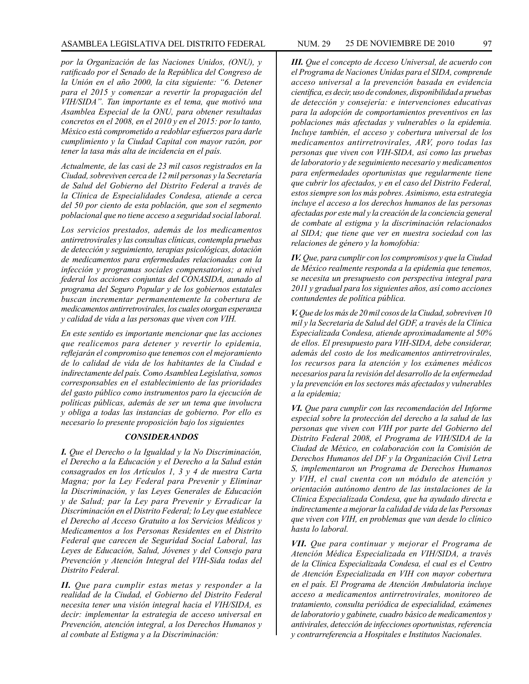*por la Organización de las Naciones Unidos, (ONU), y ratificado por el Senado de la República del Congreso de la Unión en el año 2000, la cita siguiente: "6. Detener para el 2015 y comenzar a revertir la propagación del VIH/SIDA". Tan importante es el tema, que motivó una Asamblea Especial de la ONU, para obtener resultadas concretos en el 2008, en el 2010 y en el 2015: por lo tanto, México está comprometido a redoblar esfuerzos para darle cumplimiento y la Ciudad Capital con mayor razón, por tener la tasa más alta de incidencia en el país.*

*Actualmente, de las casi de 23 mil casos registrados en la Ciudad, sobreviven cerca de 12 mil personas y la Secretaría de Salud del Gobierno del Distrito Federal a través de la Clínica de Especialidades Condesa, atiende a cerca del 50 por ciento de esta población, que son el segmento poblacional que no tiene acceso a seguridad social laboral.*

*Los servicios prestados, además de los medicamentos antirretrovirales y las consultas clínicas, contempla pruebas de detección y seguimiento, terapias psicológicas, dotación de medicamentos para enfermedades relacionadas con la infección y programas sociales compensatorios; a nivel federal los acciones conjuntas del CONASIDA, aunado al programa del Seguro Popular y de los gobiernos estatales buscan incrementar permanentemente la cobertura de medicamentos antirretrovirales, los cuales otorgan esperanza y calidad de vida a las personas que viven con VIH.*

*En este sentido es importante mencionar que las acciones que realicemos para detener y revertir lo epidemia, reflejarán el compromiso que tenemos con el mejoramiento de lo calidad de vida de los habitantes de la Ciudad e indirectamente del país. Como Asamblea Legislativa, somos corresponsables en el establecimiento de las prioridades del gasto público como instrumentos paro la ejecución de políticas públicas, además de ser un tema que involucra y obliga a todas las instancias de gobierno. Por ello es necesario lo presente proposición bajo los siguientes*

### *CONSIDERANDOS*

*I. Que el Derecho o la Igualdad y la No Discriminación, el Derecho a la Educación y el Derecho a la Salud están consagrados en los Artículos 1, 3 y 4 de nuestra Carta Magna; por la Ley Federal para Prevenir y Eliminar la Discriminación, y las Leyes Generales de Educación y de Salud; par la Ley para Prevenir y Erradicar la Discriminación en el Distrito Federal; lo Ley que establece el Derecho al Acceso Gratuito a los Servicios Médicos y Medicamentos a los Personas Residentes en el Distrito Federal que carecen de Seguridad Social Laboral, las Leyes de Educación, Salud, Jóvenes y del Consejo para Prevención y Atención Integral del VIH-Sida todas del Distrito Federal.*

*II. Que para cumplir estas metas y responder a la realidad de la Ciudad, el Gobierno del Distrito Federal necesita tener una visión integral hacia el VIH/SIDA, es decir: implementar la estrategia de acceso universal en Prevención, atención integral, a los Derechos Humanos y al combate al Estigma y a la Discriminación:*

*III. Que el concepto de Acceso Universal, de acuerdo con el Programa de Naciones Unidas para el SIDA, comprende acceso universal a la prevención basada en evidencia científica, es decir, uso de condones, disponibilidad a pruebas de detección y consejería: e intervenciones educativas para la adopción de comportamientos preventivos en las poblaciones más afectadas y vulnerables o la epidemia. Incluye también, el acceso y cobertura universal de los medicamentos antirretrovirales, ARV, poro todas las personas que viven con VIH-SIDA, así como las pruebas de laboratorio y de seguimiento necesario y medicamentos para enfermedades oportunistas que regularmente tiene que cubrir los afectados, y en el caso del Distrito Federal, estos siempre son los más pobres. Asimismo, esta estrategia incluye el acceso a los derechos humanos de las personas afectadas por este mal y la creación de la conciencia general de combate al estigma y la discriminación relacionados al SIDA; que tiene que ver en nuestra sociedad con las relaciones de género y la homofobia:*

*IV. Que, para cumplir con los compromisos y que la Ciudad de México realmente responda a la epidemia que tenemos, se necesita un presupuesto con perspectiva integral para 2011 y gradual para los siguientes años, así como acciones contundentes de política pública.*

*V. Que de los más de 20 mil cosos de la Ciudad, sobreviven 10 mil y la Secretaria de Salud del GDF, a través de la Clínica Especializada Condesa, atiende aproximadamente al 50% de ellos. El presupuesto para VIH-SIDA, debe considerar, además del costo de los medicamentos antirretrovirales, los recursos para la atención y los exámenes médicos necesarios para la revisión del desarrollo de la enfermedad y la prevención en los sectores más afectados y vulnerables a la epidemia;*

*VI. Que para cumplir con las recomendación del Informe especial sobre la protección del derecho a la salud de las personas que viven con VIH por parte del Gobierno del Distrito Federal 2008, el Programa de VIH/SIDA de la Ciudad de México, en colaboración con la Comisión de Derechos Humanos del DF y la Organización Civil Letra S, implementaron un Programa de Derechos Humanos y VIH, el cual cuenta con un módulo de atención y orientación autónomo dentro de las instalaciones de la Clínica Especializada Condesa, que ha ayudado directa e indirectamente a mejorar la calidad de vida de las Personas que viven con VIH, en problemas que van desde lo clínico hasta lo laboral.*

*VII. Que para continuar y mejorar el Programa de Atención Médica Especializada en VIH/SIDA, a través de la Clínica Especializada Condesa, el cual es el Centro de Atención Especializada en VIH con mayor cobertura en el país. El Programa de Atención Ambulatoria incluye acceso a medicamentos antirretrovirales, monitoreo de tratamiento, consulta periódica de especialidad, exámenes de laboratorio y gabinete, cuadro básico de medicamentos y antivirales, detección de infecciones oportunistas, referencia y contrarreferencia a Hospitales e Institutos Nacionales.*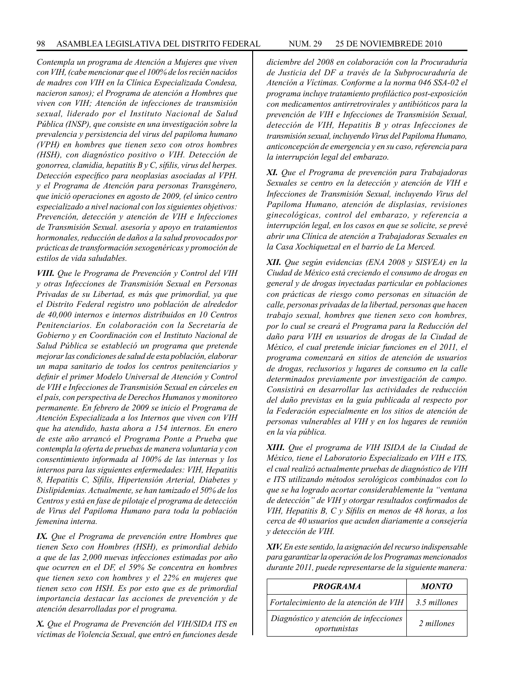*Contempla un programa de Atención a Mujeres que viven con VIH, (cabe mencionar que el 100% de los recién nacidos de madres con VIH en la Clínica Especializada Condesa, nacieron sanos); el Programa de atención a Hombres que viven con VIH; Atención de infecciones de transmisión sexual, liderado por el Instituto Nacional de Salud Pública (INSP), que consiste en una investigación sobre la prevalencia y persistencia del virus del papiloma humano (VPH) en hombres que tienen sexo con otros hombres (HSH), con diagnóstico positivo o VIH. Detección de gonorrea, clamidia, hepatitis B y C, sífilis, virus del herpes. Detección específico para neoplasias asociadas al VPH. y el Programa de Atención para personas Transgénero, que inició operaciones en agosto de 2009, (el único centro especializado a nivel nacional con los siguientes objetivos: Prevención, detección y atención de VIH e Infecciones de Transmisión Sexual. asesoría y apoyo en tratamientos hormonales, reducción de daños a la salud provocados por prácticas de transformación sexogenéricas y promoción de estilos de vida saludables.*

*VIII. Que le Programa de Prevención y Control del VIH y otras Infecciones de Transmisión Sexual en Personas Privadas de su Libertad, es más que primordial, ya que el Distrito Federal registro uno población de alrededor de 40,000 internos e internos distribuidos en 10 Centros Penitenciarios. En colaboración con la Secretaría de Gobierno y en Coordinación con el Instituto Nacional de Salud Pública se estableció un programa que pretende mejorar las condiciones de salud de esta población, elaborar un mapa sanitario de todos los centros penitenciarios y definir el primer Modelo Universal de Atención y Control de VIH e Infecciones de Transmisión Sexual en cárceles en el país, con perspectiva de Derechos Humanos y monitoreo permanente. En febrero de 2009 se inicio el Programa de Atención Especializada a los Internos que viven con VIH que ha atendido, hasta ahora a 154 internos. En enero de este año arrancó el Programa Ponte a Prueba que contempla la oferta de pruebas de manera voluntaria y con consentimiento informada al 100% de las internas y los internos para las siguientes enfermedades: VIH, Hepatitis 8, Hepatitis C, Sífilis, Hipertensión Arterial, Diabetes y Dislipidemias. Actualmente, se han tamizado el 50% de los Centros y está en fase de pilotaje el programa de detección de Virus del Papiloma Humano para toda la población femenina interna.*

*IX. Que el Programa de prevención entre Hombres que tienen Sexo con Hombres (HSH), es primordial debido a que de las 2,000 nuevas infecciones estimadas por año que ocurren en el DF, el 59% Se concentra en hombres que tienen sexo con hombres y el 22% en mujeres que tienen sexo con HSH. Es por esto que es de primordial importancia destacar las acciones de prevención y de atención desarrolladas por el programa.*

*X. Que el Programa de Prevención del VIH/SIDA ITS en víctimas de Violencia Sexual, que entró en funciones desde* 

*diciembre del 2008 en colaboración con la Procuraduría de Justicia del DF a través de la Subprocuraduría de Atención a Víctimas. Conforme a la norma 046 SSA-02 el programa incluye tratamiento profiláctico post-exposición con medicamentos antirretrovirales y antibióticos para la prevención de VIH e Infecciones de Transmisión Sexual, detección de VIH, Hepatitis B y otras Infecciones de transmisión sexual, incluyendo Virus del Papiloma Humano, anticoncepción de emergencia y en su caso, referencia para la interrupción legal del embarazo.*

*XI. Que el Programa de prevención para Trabajadoras Sexuales se centro en la detección y atención de VIH e Infecciones de Transmisión Sexual, incluyendo Virus del Papiloma Humano, atención de displasias, revisiones ginecológicas, control del embarazo, y referencia a interrupción legal, en los casos en que se solicite, se prevé abrir una Clínica de atención a Trabajadoras Sexuales en la Casa Xochiquetzal en el barrio de La Merced.*

*XII. Que según evidencias (ENA 2008 y SISVEA) en la Ciudad de México está creciendo el consumo de drogas en general y de drogas inyectadas particular en poblaciones con prácticas de riesgo como personas en situación de calle, personas privadas de la libertad, personas que hacen trabajo sexual, hombres que tienen sexo con hombres, por lo cual se creará el Programa para la Reducción del daño para VIH en usuarios de drogas de la Ciudad de México, el cual pretende iniciar funciones en el 2011, el programa comenzará en sitios de atención de usuarios de drogas, reclusorios y lugares de consumo en la calle determinados previamente por investigación de campo. Consistirá en desarrollar las actividades de reducción del daño previstas en la guía publicada al respecto por la Federación especialmente en los sitios de atención de personas vulnerables al VIH y en los lugares de reunión en la vía pública.*

*XIII. Que el programa de VIH ISIDA de la Ciudad de México, tiene el Laboratorio Especializado en VIH e ITS, el cual realizó actualmente pruebas de diagnóstico de VIH e ITS utilizando métodos serológicos combinados con lo que se ha logrado acortar considerablemente la "ventana de detección" de VIH y otorgar resultados confirmados de VIH, Hepatitis B, C y Sífilis en menos de 48 horas, a los cerca de 40 usuarios que acuden diariamente a consejería y detección de VIH.*

*XIV. En este sentido, la asignación del recurso indispensable para garantizar la operación de los Programas mencionados durante 2011, puede representarse de la siguiente manera:*

| <b>PROGRAMA</b>                                       | <b>MONTO</b> |
|-------------------------------------------------------|--------------|
| Fortalecimiento de la atención de VIH                 | 3.5 millones |
| Diagnóstico y atención de infecciones<br>oportunistas | 2 millones   |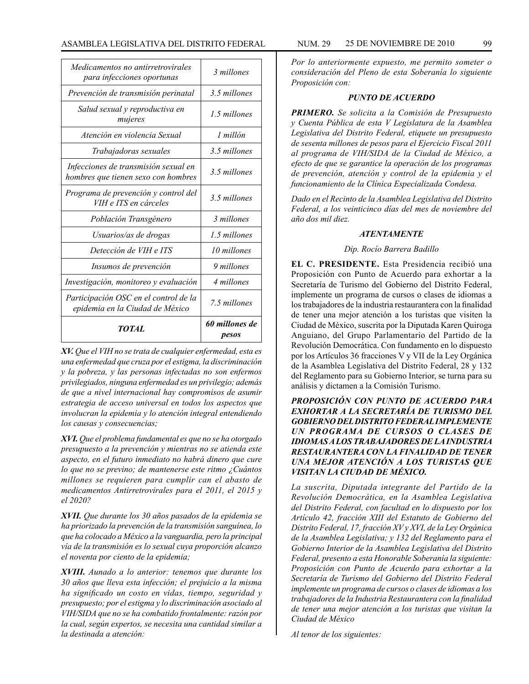| TOTAL                                                                       | 60 millones de<br>pesos |
|-----------------------------------------------------------------------------|-------------------------|
| Participación OSC en el control de la<br>epidemia en la Ciudad de México    | 7.5 millones            |
| Investigación, monitoreo y evaluación                                       | 4 millones              |
| Insumos de prevención                                                       | 9 millones              |
| Detección de VIH e ITS                                                      | 10 millones             |
| Usuarios/as de drogas                                                       | 1.5 millones            |
| Población Transgénero                                                       | 3 millones              |
| Programa de prevención y control del<br>VIH e ITS en cárceles               | 3.5 millones            |
| Infecciones de transmisión sexual en<br>hombres que tienen sexo con hombres | 3.5 millones            |
| Trabajadoras sexuales                                                       | 3.5 millones            |
| Atención en violencia Sexual                                                | $1$ millón              |
| Salud sexual y reproductiva en<br>mujeres                                   | 1.5 millones            |
| Prevención de transmisión perinatal                                         | 3.5 millones            |
| <i>Medicamentos no antirretrovirales</i><br>para infecciones oportunas      | 3 millones              |

*XV. Que el VIH no se trata de cualquier enfermedad, esta es una enfermedad que cruza por el estigma, la discriminación y la pobreza, y las personas infectadas no son enfermos privilegiados, ninguna enfermedad es un privilegio; además de que a nivel internacional hay compromisos de asumir estrategia de acceso universal en todos los aspectos que involucran la epidemia y lo atención integral entendiendo los causas y consecuencias;*

*XVI. Que el problema fundamental es que no se ha otorgado presupuesto a la prevención y mientras no se atienda este aspecto, en el futuro inmediato no habrá dinero que cure lo que no se previno; de mantenerse este ritmo ¿Cuántos millones se requieren para cumplir can el abasto de medicamentos Antirretrovirales para el 2011, el 2015 y el 2020?*

*XVII. Que durante los 30 años pasados de la epidemia se ha priorizado la prevención de la transmisión sanguínea, lo que ha colocado a México a la vanguardia, pero la principal vía de la transmisión es lo sexual cuya proporción alcanzo el noventa por ciento de la epidemia;*

*XVIII. Aunado a lo anterior: tenemos que durante los 30 años que lleva esta infección; el prejuicio a la misma ha significado un costo en vidas, tiempo, seguridad y presupuesto; por el estigma y lo discriminación asociado al VIH/SIDA que no se ha combatido frontalmente: razón por la cual, según expertos, se necesita una cantidad similar a la destinada a atención:* 

*Por lo anteriormente expuesto, me permito someter o consideración del Pleno de esta Soberanía lo siguiente Proposición con:*

## *PUNTO DE ACUERDO*

*PRIMERO. Se solicita a la Comisión de Presupuesto y Cuenta Pública de esta V Legislatura de la Asamblea Legislativa del Distrito Federal, etiquete un presupuesto de sesenta millones de pesos para el Ejercicio Fiscal 2011 al programa de VIH/SIDA de la Ciudad de México, a efecto de que se garantice la operación de los programas de prevención, atención y control de la epidemia y el funcionamiento de la Clínica Especializada Condesa.*

*Dado en el Recinto de la Asamblea Legislativa del Distrito Federal, a los veinticinco días del mes de noviembre del año dos mil diez.*

## *ATENTAMENTE*

## *Dip. Rocío Barrera Badillo*

**EL C. PRESIDENTE.** Esta Presidencia recibió una Proposición con Punto de Acuerdo para exhortar a la Secretaría de Turismo del Gobierno del Distrito Federal, implemente un programa de cursos o clases de idiomas a los trabajadores de la industria restaurantera con la finalidad de tener una mejor atención a los turistas que visiten la Ciudad de México, suscrita por la Diputada Karen Quiroga Anguiano, del Grupo Parlamentario del Partido de la Revolución Democrática. Con fundamento en lo dispuesto por los Artículos 36 fracciones V y VII de la Ley Orgánica de la Asamblea Legislativa del Distrito Federal, 28 y 132 del Reglamento para su Gobierno Interior, se turna para su análisis y dictamen a la Comisión Turismo.

*PROPOSICIÓN CON PUNTO DE ACUERDO PARA EXHORTAR A LA SECRETARÍA DE TURISMO DEL GOBIERNO DEL DISTRITO FEDERAL IMPLEMENTE UN PROGRAMA DE CURSOS O CLASES DE IDIOMAS A LOS TRABAJADORES DE LA INDUSTRIA RESTAURANTERA CON LA FINALIDAD DE TENER UNA MEJOR ATENCIÓN A LOS TURISTAS QUE VISITAN LA CIUDAD DE MÉXICO.* 

*La suscrita, Diputada integrante del Partido de la Revolución Democrática, en la Asamblea Legislativa del Distrito Federal, con facultad en lo dispuesto por los Artículo 42, fracción XIII del Estatuto de Gobierno del Distrito Federal, 17, fracción XV y XVI, de la Ley Orgánica de la Asamblea Legislativa; y 132 del Reglamento para el Gobierno Interior de la Asamblea Legislativa del Distrito Federal, presento a esta Honorable Soberanía la siguiente: Proposición con Punto de Acuerdo para exhortar a la Secretaría de Turismo del Gobierno del Distrito Federal implemente un programa de cursos o clases de idiomas a los trabajadores de la Industria Restaurantera con la finalidad de tener una mejor atención a los turistas que visitan la Ciudad de México*

*Al tenor de los siguientes:*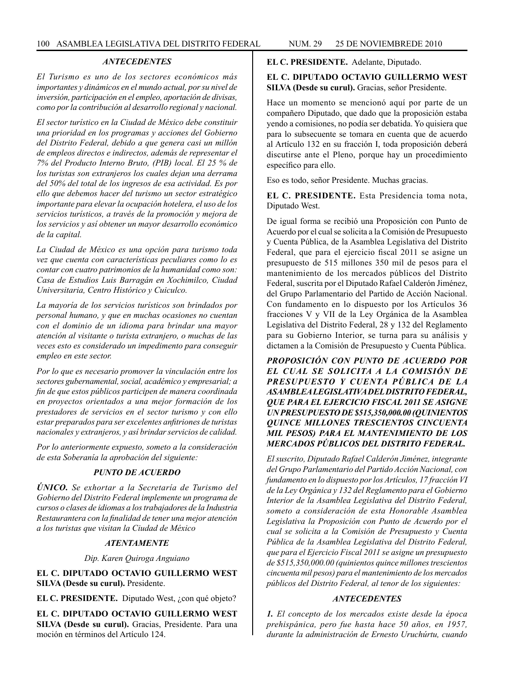## *ANTECEDENTES*

*El Turismo es uno de los sectores económicos más importantes y dinámicos en el mundo actual, por su nivel de inversión, participación en el empleo, aportación de divisas, como por la contribución al desarrollo regional y nacional.*

*El sector turístico en la Ciudad de México debe constituir una prioridad en los programas y acciones del Gobierno del Distrito Federal, debido a que genera casi un millón de empleos directos e indirectos, además de representar el 7% del Producto Interno Bruto, (PIB) local. El 25 % de los turistas son extranjeros los cuales dejan una derrama del 50% del total de los ingresos de esa actividad. Es por ello que debemos hacer del turismo un sector estratégico importante para elevar la ocupación hotelera, el uso de los servicios turísticos, a través de la promoción y mejora de los servicios y así obtener un mayor desarrollo económico de la capital.*

*La Ciudad de México es una opción para turismo toda vez que cuenta con características peculiares como lo es contar con cuatro patrimonios de la humanidad como son: Casa de Estudios Luis Barragán en Xochimilco, Ciudad Universitaria, Centro Histórico y Cuiculco.*

*La mayoría de los servicios turísticos son brindados por personal humano, y que en muchas ocasiones no cuentan con el dominio de un idioma para brindar una mayor atención al visitante o turista extranjero, o muchas de las veces esto es considerado un impedimento para conseguir empleo en este sector.*

*Por lo que es necesario promover la vinculación entre los sectores gubernamental, social, académico y empresarial; a fin de que estos públicos participen de manera coordinada en proyectos orientados a una mejor formación de los prestadores de servicios en el sector turismo y con ello estar preparados para ser excelentes anfitriones de turistas nacionales y extranjeros, y así brindar servicios de calidad.*

*Por lo anteriormente expuesto, someto a la consideración de esta Soberanía la aprobación del siguiente:*

# *PUNTO DE ACUERDO*

*ÚNICO. Se exhortar a la Secretaría de Turismo del Gobierno del Distrito Federal implemente un programa de cursos o clases de idiomas a los trabajadores de la Industria Restaurantera con la finalidad de tener una mejor atención a los turistas que visitan la Ciudad de México*

### *ATENTAMENTE*

*Dip. Karen Quiroga Anguiano*

**EL C. DIPUTADO OCTAVIO GUILLERMO WEST SILVA (Desde su curul).** Presidente.

**EL C. PRESIDENTE.** Diputado West, ¿con qué objeto?

**EL C. DIPUTADO OCTAVIO GUILLERMO WEST SILVA (Desde su curul).** Gracias, Presidente. Para una moción en términos del Artículo 124.

**EL C. PRESIDENTE.** Adelante, Diputado.

## **EL C. DIPUTADO OCTAVIO GUILLERMO WEST SILVA (Desde su curul).** Gracias, señor Presidente.

Hace un momento se mencionó aquí por parte de un compañero Diputado, que dado que la proposición estaba yendo a comisiones, no podía ser debatida. Yo quisiera que para lo subsecuente se tomara en cuenta que de acuerdo al Artículo 132 en su fracción I, toda proposición deberá discutirse ante el Pleno, porque hay un procedimiento específico para ello.

Eso es todo, señor Presidente. Muchas gracias.

**EL C. PRESIDENTE.** Esta Presidencia toma nota, Diputado West.

De igual forma se recibió una Proposición con Punto de Acuerdo por el cual se solicita a la Comisión de Presupuesto y Cuenta Pública, de la Asamblea Legislativa del Distrito Federal, que para el ejercicio fiscal 2011 se asigne un presupuesto de 515 millones 350 mil de pesos para el mantenimiento de los mercados públicos del Distrito Federal, suscrita por el Diputado Rafael Calderón Jiménez, del Grupo Parlamentario del Partido de Acción Nacional. Con fundamento en lo dispuesto por los Artículos 36 fracciones V y VII de la Ley Orgánica de la Asamblea Legislativa del Distrito Federal, 28 y 132 del Reglamento para su Gobierno Interior, se turna para su análisis y dictamen a la Comisión de Presupuesto y Cuenta Pública.

*PROPOSICIÓN CON PUNTO DE ACUERDO POR EL CUAL SE SOLICITA A LA COMISIÓN DE PRESUPUESTO Y CUENTA PÚBLICA DE LA ASAMBLEA LEGISLATIVA DEL DISTRITO FEDERAL, QUE PARA EL EJERCICIO FISCAL 2011 SE ASIGNE UN PRESUPUESTO DE \$515,350,000.00 (QUINIENTOS QUINCE MILLONES TRESCIENTOS CINCUENTA MIL PESOS) PARA EL MANTENIMIENTO DE LOS MERCADOS PÚBLICOS DEL DISTRITO FEDERAL.*

*El suscrito, Diputado Rafael Calderón Jiménez, integrante del Grupo Parlamentario del Partido Acción Nacional, con fundamento en lo dispuesto por los Artículos, 17 fracción VI de la Ley Orgánica y 132 del Reglamento para el Gobierno Interior de la Asamblea Legislativa del Distrito Federal, someto a consideración de esta Honorable Asamblea Legislativa la Proposición con Punto de Acuerdo por el cual se solicita a la Comisión de Presupuesto y Cuenta Pública de la Asamblea Legislativa del Distrito Federal, que para el Ejercicio Fiscal 2011 se asigne un presupuesto de \$515,350,000.00 (quinientos quince millones trescientos cincuenta mil pesos) para el mantenimiento de los mercados públicos del Distrito Federal, al tenor de los siguientes:*

### *ANTECEDENTES*

*1. El concepto de los mercados existe desde la época prehispánica, pero fue hasta hace 50 años, en 1957, durante la administración de Ernesto Uruchúrtu, cuando*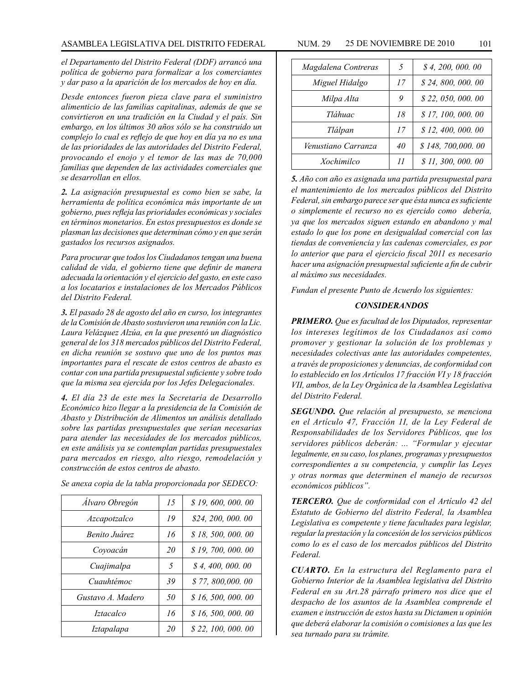*el Departamento del Distrito Federal (DDF) arrancó una política de gobierno para formalizar a los comerciantes y dar paso a la aparición de los mercados de hoy en día.*

*Desde entonces fueron pieza clave para el suministro alimenticio de las familias capitalinas, además de que se convirtieron en una tradición en la Ciudad y el país. Sin embargo, en los últimos 30 años sólo se ha construido un complejo lo cual es reflejo de que hoy en día ya no es una de las prioridades de las autoridades del Distrito Federal, provocando el enojo y el temor de las mas de 70,000 familias que dependen de las actividades comerciales que se desarrollan en ellos.*

*2. La asignación presupuestal es como bien se sabe, la herramienta de política económica más importante de un gobierno, pues refleja las prioridades económicas y sociales en términos monetarios. En estos presupuestos es donde se plasman las decisiones que determinan cómo y en que serán gastados los recursos asignados.*

*Para procurar que todos los Ciudadanos tengan una buena calidad de vida, el gobierno tiene que definir de manera adecuada la orientación y el ejercicio del gasto, en este caso a los locatarios e instalaciones de los Mercados Públicos del Distrito Federal.*

*3. El pasado 28 de agosto del año en curso, los integrantes de la Comisión de Abasto sostuvieron una reunión con la Lic. Laura Velázquez Alzúa, en la que presentó un diagnóstico general de los 318 mercados públicos del Distrito Federal, en dicha reunión se sostuvo que uno de los puntos mas importantes para el rescate de estos centros de abasto es contar con una partida presupuestal suficiente y sobre todo que la misma sea ejercida por los Jefes Delegacionales.*

*4. El día 23 de este mes la Secretaría de Desarrollo Económico hizo llegar a la presidencia de la Comisión de Abasto y Distribución de Alimentos un análisis detallado sobre las partidas presupuestales que serían necesarias para atender las necesidades de los mercados públicos, en este análisis ya se contemplan partidas presupuestales para mercados en riesgo, alto riesgo, remodelación y construcción de estos centros de abasto.*

|  |  |  | Se anexa copia de la tabla proporcionada por SEDECO: |  |  |
|--|--|--|------------------------------------------------------|--|--|
|  |  |  |                                                      |  |  |

| Álvaro Obregón       | 15 | \$19,600,000.00    |
|----------------------|----|--------------------|
| Azcapotzalco         | 19 | \$24, 200, 000, 00 |
| <i>Benito Juárez</i> | 16 | \$18,500,000.00    |
| Coyoacán             | 20 | \$19,700,000.00    |
| Cuajimalpa           | 5  | \$4,400,000.00     |
| Cuauhtémoc           | 39 | \$77,800,000,00    |
| Gustavo A. Madero    | 50 | \$16,500,000.00    |
| <i>Iztacalco</i>     | 16 | \$16, 500, 000, 00 |
| Iztapalapa           | 20 | \$22,100,000.00    |

| JUM. 29 | 25 DE NOVIEMBRE DE 2010 |  |
|---------|-------------------------|--|
|         |                         |  |

| Magdalena Contreras | .5              | \$4,200,000.00     |
|---------------------|-----------------|--------------------|
| Miguel Hidalgo      | 17              | \$24,800,000.00    |
| Milpa Alta          | 9               | \$22, 050, 000. 00 |
| Tláhuac             | 18              | \$17,100,000.00    |
| Tlálpan             | 17              | \$12,400,000.00    |
| Venustiano Carranza | 40              | \$148,700,000.00   |
| Xochimilco          | $\overline{11}$ | \$11,300,000.00    |

*5. Año con año es asignada una partida presupuestal para el mantenimiento de los mercados públicos del Distrito Federal, sin embargo parece ser que ésta nunca es suficiente o simplemente el recurso no es ejercido como debería, ya que los mercados siguen estando en abandono y mal estado lo que los pone en desigualdad comercial con las tiendas de conveniencia y las cadenas comerciales, es por lo anterior que para el ejercicio fiscal 2011 es necesario hacer una asignación presupuestal suficiente a fin de cubrir al máximo sus necesidades.*

*Fundan el presente Punto de Acuerdo los siguientes:*

## *CONSIDERANDOS*

*PRIMERO. Que es facultad de los Diputados, representar los intereses legítimos de los Ciudadanos así como promover y gestionar la solución de los problemas y necesidades colectivas ante las autoridades competentes, a través de proposiciones y denuncias, de conformidad con lo establecido en los Artículos 17 fracción VI y 18 fracción VII, ambos, de la Ley Orgánica de la Asamblea Legislativa del Distrito Federal.*

*SEGUNDO. Que relación al presupuesto, se menciona en el Artículo 47, Fracción 1I, de la Ley Federal de Responsabilidades de los Servidores Públicos, que los servidores públicos deberán: ... "Formular y ejecutar legalmente, en su caso, los planes, programas y presupuestos correspondientes a su competencia, y cumplir las Leyes y otras normas que determinen el manejo de recursos económicos públicos".*

*TERCERO. Que de conformidad con el Artículo 42 del Estatuto de Gobierno del distrito Federal, la Asamblea Legislativa es competente y tiene facultades para legislar, regular la prestación y la concesión de los servicios públicos como lo es el caso de los mercados públicos del Distrito Federal.*

*CUARTO. En la estructura del Reglamento para el Gobierno Interior de la Asamblea legislativa del Distrito Federal en su Art.28 párrafo primero nos dice que el despacho de los asuntos de la Asamblea comprende el examen e instrucción de estos hasta su Dictamen u opinión que deberá elaborar la comisión o comisiones a las que les sea turnado para su trámite.*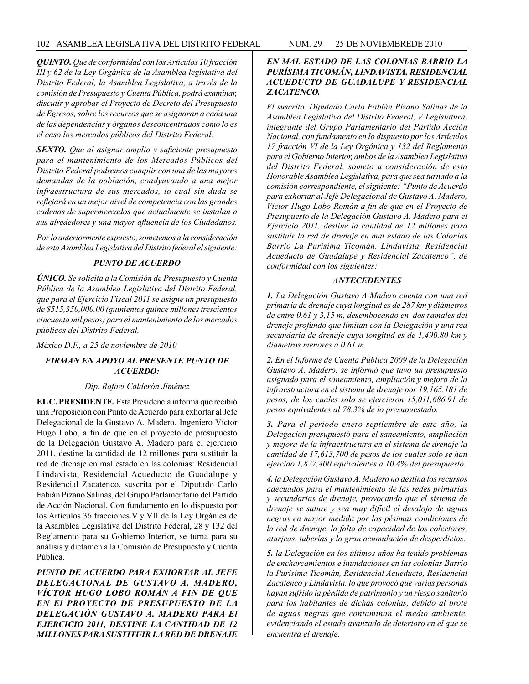*QUINTO. Que de conformidad con los Artículos 10 fracción III y 62 de la Ley Orgánica de la Asamblea legislativa del Distrito Federal, la Asamblea Legislativa, a través de la comisión de Presupuesto y Cuenta Pública, podrá examinar, discutir y aprobar el Proyecto de Decreto del Presupuesto de Egresos, sobre los recursos que se asignaran a cada una de las dependencias y órganos desconcentrados como lo es el caso los mercados públicos del Distrito Federal.*

*SEXTO. Que al asignar amplio y suficiente presupuesto para el mantenimiento de los Mercados Públicos del Distrito Federal podremos cumplir con una de las mayores demandas de la población, coadyuvando a una mejor infraestructura de sus mercados, lo cual sin duda se reflejará en un mejor nivel de competencia con las grandes cadenas de supermercados que actualmente se instalan a sus alrededores y una mayor afluencia de los Ciudadanos.*

*Por lo anteriormente expuesto, sometemos a la consideración de esta Asamblea Legislativa del Distrito federal el siguiente:*

### *PUNTO DE ACUERDO*

*ÚNICO. Se solicita a la Comisión de Presupuesto y Cuenta Pública de la Asamblea Legislativa del Distrito Federal, que para el Ejercicio Fiscal 2011 se asigne un presupuesto de \$515,350,000.00 (quinientos quince millones trescientos cincuenta mil pesos) para el mantenimiento de los mercados públicos del Distrito Federal.*

*México D.F., a 25 de noviembre de 2010*

# *FIRMAN EN APOYO AL PRESENTE PUNTO DE ACUERDO:*

### *Dip. Rafael Calderón Jiménez*

**EL C. PRESIDENTE.** Esta Presidencia informa que recibió una Proposición con Punto de Acuerdo para exhortar al Jefe Delegacional de la Gustavo A. Madero, Ingeniero Víctor Hugo Lobo, a fin de que en el proyecto de presupuesto de la Delegación Gustavo A. Madero para el ejercicio 2011, destine la cantidad de 12 millones para sustituir la red de drenaje en mal estado en las colonias: Residencial Lindavista, Residencial Acueducto de Guadalupe y Residencial Zacatenco, suscrita por el Diputado Carlo Fabián Pizano Salinas, del Grupo Parlamentario del Partido de Acción Nacional. Con fundamento en lo dispuesto por los Artículos 36 fracciones V y VII de la Ley Orgánica de la Asamblea Legislativa del Distrito Federal, 28 y 132 del Reglamento para su Gobierno Interior, se turna para su análisis y dictamen a la Comisión de Presupuesto y Cuenta Pública.

*PUNTO DE ACUERDO PARA EXHORTAR AL JEFE DELEGACIONAL DE GUSTAVO A. MADERO, VÍCTOR HUGO LOBO ROMÁN A FIN DE QUE EN El PROYECTO DE PRESUPUESTO DE LA DELEGACIÓN GUSTAVO A. MADERO PARA El EJERCICIO 2011, DESTINE LA CANTIDAD DE 12 MILLONES PARA SUSTITUIR LA RED DE DRENAJE* 

# *EN MAL ESTADO DE LAS COLONIAS BARRIO LA PURÍSIMA TICOMÁN, LINDAVISTA, RESIDENCIAL ACUEDUCTO DE GUADALUPE Y RESIDENCIAL ZACATENCO.*

*El suscrito. Diputado Carlo Fabián Pizano Salinas de la Asamblea Legislativa del Distrito Federal, V Legislatura, integrante del Grupo Parlamentario del Partido Acción Nacional, con fundamento en lo dispuesto por los Artículos 17 fracción VI de la Ley Orgánica y 132 del Reglamento para el Gobierno Interior, ambos de la Asamblea Legislativa del Distrito Federal, someto a consideración de esta Honorable Asamblea Legislativa, para que sea turnado a la comisión correspondiente, el siguiente: "Punto de Acuerdo para exhortar al Jefe Delegacional de Gustavo A. Madero, Víctor Hugo Lobo Román a fin de que en el Proyecto de Presupuesto de la Delegación Gustavo A. Madero para el Ejercicio 2011, destine la cantidad de 12 millones para sustituir la red de drenaje en mal estado de las Colonias Barrio La Purísima Ticomán, Lindavista, Residencial Acueducto de Guadalupe y Residencial Zacatenco", de conformidad con los siguientes:*

## *ANTECEDENTES*

*1. La Delegación Gustavo A Madero cuenta con una red primaria de drenaje cuya longitud es de 287 km y diámetros de entre 0.61 y 3,15 m, desembocando en dos ramales del drenaje profundo que limitan con la Delegación y una red secundaria de drenaje cuya longitud es de 1,490.80 km y diámetros menores a 0.61 m.*

*2. En el Informe de Cuenta Pública 2009 de la Delegación Gustavo A. Madero, se informó que tuvo un presupuesto asignado para el saneamiento, ampliación y mejora de la infraestructura en el sistema de drenaje por 19,165,181 de pesos, de los cuales solo se ejercieron 15,011,686.91 de pesos equivalentes al 78.3% de lo presupuestado.*

*3. Para el período enero-septiembre de este año, la Delegación presupuestó para el saneamiento, ampliación y mejora de la infraestructura en el sistema de drenaje la cantidad de 17,613,700 de pesos de los cuales solo se han ejercido 1,827,400 equivalentes a 10.4% del presupuesto.*

*4. la Delegación Gustavo A. Madero no destina los recursos adecuados para el mantenimiento de las redes primarias y secundarias de drenaje, provocando que el sistema de drenaje se sature y sea muy difícil el desalojo de aguas negras en mayor medida por las pésimas condiciones de la red de drenaje, la falta de capacidad de los colectores, atarjeas, tuberías y la gran acumulación de desperdicios.*

*5. la Delegación en los últimos años ha tenido problemas de encharcamientos e inundaciones en las colonias Barrio la Purísima Ticomán, Residencial Acueducto, Residencial Zacatenco y Lindavista, lo que provocó que varías personas hayan sufrido la pérdida de patrimonio y un riesgo sanitario para los habitantes de dichas colonias, debido al brote de aguas negras que contaminan el medio ambiente, evidenciando el estado avanzado de deterioro en el que se encuentra el drenaje.*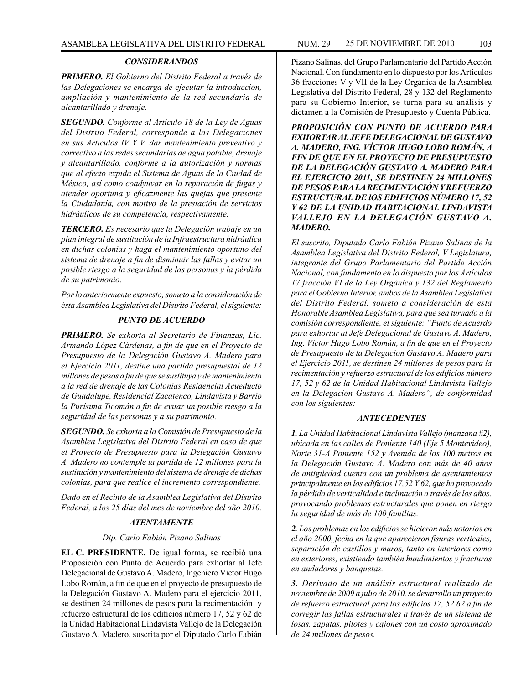## *CONSIDERANDOS*

*PRIMERO. El Gobierno del Distrito Federal a través de las Delegaciones se encarga de ejecutar la introducción, ampliación y mantenimiento de la red secundaria de alcantarillado y drenaje.*

*SEGUNDO. Conforme al Artículo 18 de la Ley de Aguas del Distrito Federal, corresponde a las Delegaciones en sus Artículos IV Y V. dar mantenimiento preventivo y correctivo a las redes secundarias de agua potable, drenaje y alcantarillado, conforme a la autorización y normas que al efecto expida el Sistema de Aguas de la Ciudad de México, así como coadyuvar en la reparación de fugas y atender oportuna y eficazmente las quejas que presente la Ciudadanía, con motivo de la prestación de servicios hidráulicos de su competencia, respectivamente.*

*TERCERO. Es necesario que la Delegación trabaje en un plan integral de sustitución de la Infraestructura hidráulica en dichas colonias y haga el mantenimiento oportuno del sistema de drenaje a fin de disminuir las fallas y evitar un posible riesgo a la seguridad de las personas y la pérdida de su patrimonio.*

*Por lo anteriormente expuesto, someto a la consideración de ésta Asamblea Legislativa del Distrito Federal, el siguiente:*

## *PUNTO DE ACUERDO*

*PRIMERO. Se exhorta al Secretario de Finanzas, Lic. Armando López Cárdenas, a fin de que en el Proyecto de Presupuesto de la Delegación Gustavo A. Madero para el Ejercicio 2011, destine una partida presupuestal de 12 millones de pesos a fin de que se sustituya y de mantenimiento a la red de drenaje de las Colonias Residencial Acueducto de Guadalupe, Residencial Zacatenco, Lindavista y Barrio la Purísima Ticomán a fin de evitar un posible riesgo a la seguridad de las personas y a su patrimonio.*

*SEGUNDO. Se exhorta a la Comisión de Presupuesto de la Asamblea Legislativa del Distrito Federal en caso de que el Proyecto de Presupuesto para la Delegación Gustavo A. Madero no contemple la partida de 12 millones para la sustitución y mantenimiento del sistema de drenaje de dichas colonias, para que realice el incremento correspondiente.*

*Dado en el Recinto de la Asamblea Legislativa del Distrito Federal, a los 25 días del mes de noviembre del año 2010.*

# *ATENTAMENTE*

#### *Dip. Carlo Fabián Pizano Salinas*

**EL C. PRESIDENTE.** De igual forma, se recibió una Proposición con Punto de Acuerdo para exhortar al Jefe Delegacional de Gustavo A. Madero, Ingeniero Víctor Hugo Lobo Román, a fin de que en el proyecto de presupuesto de la Delegación Gustavo A. Madero para el ejercicio 2011, se destinen 24 millones de pesos para la recimentación y refuerzo estructural de los edificios número 17, 52 y 62 de la Unidad Habitacional Lindavista Vallejo de la Delegación Gustavo A. Madero, suscrita por el Diputado Carlo Fabián

Pizano Salinas, del Grupo Parlamentario del Partido Acción Nacional. Con fundamento en lo dispuesto por los Artículos 36 fracciones V y VII de la Ley Orgánica de la Asamblea Legislativa del Distrito Federal, 28 y 132 del Reglamento para su Gobierno Interior, se turna para su análisis y dictamen a la Comisión de Presupuesto y Cuenta Pública.

*PROPOSICIÓN CON PUNTO DE ACUERDO PARA EXHORTAR AL JEFE DELEGACIONAL DE GUSTAVO A. MADERO, ING. VÍCTOR HUGO LOBO ROMÁN, A FIN DE QUE EN EL PROYECTO DE PRESUPUESTO DE LA DELEGACIÓN GUSTAVO A. MADERO PARA EL EJERCICIO 2011, SE DESTINEN 24 MILLONES DE PESOS PARA LA RECIMENTACIÓN Y REFUERZO ESTRUCTURAL DE lOS EDIFICIOS NÚMERO 17, 52 Y 62 DE LA UNIDAD HABITACIONAL LINDAVISTA VALLEJO EN LA DELEGACIÓN GUSTAVO A. MADERO.*

*El suscrito, Diputado Carlo Fabián Pizano Salinas de la Asamblea Legislativa del Distrito Federal, V Legislatura, integrante del Grupo Parlamentario del Partido Acción Nacional, con fundamento en lo dispuesto por los Artículos 17 fracción VI de la Ley Orgánica y 132 del Reglamento para el Gobierno Interior, ambos de la Asamblea Legislativa del Distrito Federal, someto a consideración de esta Honorable Asamblea Legislativa, para que sea turnado a la comisión correspondiente, el siguiente: "Punto de Acuerdo para exhortar al Jefe Delegacional de Gustavo A. Madero, Ing. Víctor Hugo Lobo Román, a fin de que en el Proyecto de Presupuesto de la Delegacion Gustavo A. Madero para el Ejercicio 2011, se destinen 24 millones de pesos para la recimentación y refuerzo estructural de los edificios número 17, 52 y 62 de la Unidad Habitacional Lindavista Vallejo en la Delegación Gustavo A. Madero", de conformidad con los siguientes:*

### *ANTECEDENTES*

*1. La Unidad Habitacional Lindavista Vallejo (manzana #2), ubicada en las calles de Poniente 140 (Eje 5 Montevideo), Norte 31-A Poniente 152 y Avenida de los 100 metros en la Delegación Gustavo A. Madero con más de 40 años de antigüedad cuenta con un problema de asentamientos principalmente en los edificios 17,52 Y 62, que ha provocado la pérdida de verticalidad e inclinación a través de los años. provocando problemas estructurales que ponen en riesgo la seguridad de más de 100 familias.*

*2. Los problemas en los edificios se hicieron más notorios en el año 2000, fecha en la que aparecieron fisuras verticales, separación de castillos y muros, tanto en interiores como en exteriores, existiendo también hundimientos y fracturas en andadores y banquetas.*

*3. Derivado de un análisis estructural realizado de noviembre de 2009 a julio de 2010, se desarrollo un proyecto de refuerzo estructural para los edificios 17, 52 62 a fin de corregir las fallas estructurales a través de un sistema de losas, zapatas, pilotes y cajones con un costo aproximado de 24 millones de pesos.*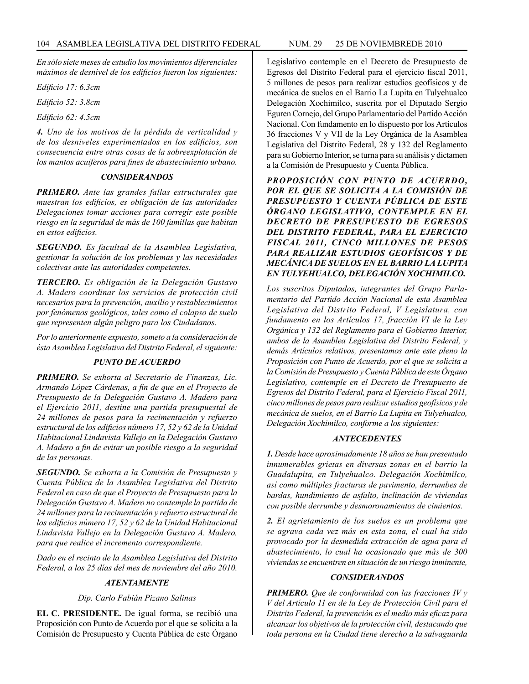*En sólo siete meses de estudio los movimientos diferenciales máximos de desnivel de los edificios fueron los siguientes:*

*Edificio 17: 6.3cm*

*Edificio 52: 3.8cm*

*Edificio 62: 4.5cm*

*4. Uno de los motivos de la pérdida de verticalidad y de los desniveles experimentados en los edificios, son consecuencia entre otras cosas de la sobreexplotación de los mantos acuíferos para fines de abastecimiento urbano.*

## *CONSlDERANDOS*

*PRIMERO. Ante las grandes fallas estructurales que muestran los edificios, es obligación de las autoridades Delegaciones tomar acciones para corregir este posible riesgo en la seguridad de más de 100 famillas que habitan en estos edificios.*

*SEGUNDO. Es facultad de la Asamblea Legislativa, gestionar la solución de los problemas y las necesidades colectivas ante las autoridades competentes.*

*TERCERO. Es obligación de la Delegación Gustavo A. Madero coordinar los servicios de protección civil necesarios para la prevención, auxilio y restablecimientos por fenómenos geológicos, tales como el colapso de suelo que representen algún peligro para los Ciudadanos.*

*Por lo anteriormente expuesto, someto a la consideración de ésta Asamblea Legislativa del Distrito Federal, el siguiente:*

# *PUNTO DE ACUERDO*

*PRIMERO. Se exhorta al Secretario de Finanzas, Lic. Armando López Cárdenas, a fin de que en el Proyecto de Presupuesto de la Delegación Gustavo A. Madero para el Ejercicio 2011, destine una partida presupuestal de 24 millones de pesos para la recimentación y refuerzo estructural de los edificios número 17, 52 y 62 de la Unidad Habitacional Lindavista Vallejo en la Delegación Gustavo A. Madero a fin de evitar un posible riesgo a la seguridad de las personas.*

*SEGUNDO. Se exhorta a la Comisión de Presupuesto y Cuenta Pública de la Asamblea Legislativa del Distrito Federal en caso de que el Proyecto de Presupuesto para la Delegación Gustavo A. Madero no contemple la partida de 24 millones para la recimentación y refuerzo estructural de los edificios número 17, 52 y 62 de la Unidad Habitacional Lindavista Vallejo en la Delegación Gustavo A. Madero, para que realice el incremento correspondiente.*

*Dado en el recinto de la Asamblea Legislativa del Distrito Federal, a los 25 días del mes de noviembre del año 2010.*

# *ATENTAMENTE*

### *Dip. Carlo Fabián Pizano Salinas*

**EL C. PRESIDENTE.** De igual forma, se recibió una Proposición con Punto de Acuerdo por el que se solicita a la Comisión de Presupuesto y Cuenta Pública de este Órgano

Legislativo contemple en el Decreto de Presupuesto de Egresos del Distrito Federal para el ejercicio fiscal 2011, 5 millones de pesos para realizar estudios geofísicos y de mecánica de suelos en el Barrio La Lupita en Tulyehualco Delegación Xochimilco, suscrita por el Diputado Sergio Eguren Cornejo, del Grupo Parlamentario del Partido Acción Nacional. Con fundamento en lo dispuesto por los Artículos 36 fracciones V y VII de la Ley Orgánica de la Asamblea Legislativa del Distrito Federal, 28 y 132 del Reglamento para su Gobierno Interior, se turna para su análisis y dictamen a la Comisión de Presupuesto y Cuenta Pública.

*PROPOSICIÓN CON PUNTO DE ACUERDO, POR EL QUE SE SOLICITA A LA COMISIÓN DE PRESUPUESTO Y CUENTA PÚBLICA DE ESTE ÓRGANO LEGISLATIVO, CONTEMPLE EN EL DECRETO DE PRESUPUESTO DE EGRESOS DEL DISTRITO FEDERAL, PARA EL EJERCICIO FISCAL 2011, CINCO MILLONES DE PESOS PARA REALIZAR ESTUDIOS GEOFÍSICOS Y DE MECÁNICA DE SUELOS EN EL BARRIO LA LUPITA EN TULYEHUALCO, DELEGACIÓN XOCHIMILCO.*

*Los suscritos Diputados, integrantes del Grupo Parlamentario del Partido Acción Nacional de esta Asamblea Legislativa del Distrito Federal, V Legislatura, con fundamento en los Artículos 17, fracción VI de la Ley Orgánica y 132 del Reglamento para el Gobierno Interior, ambos de la Asamblea Legislativa del Distrito Federal, y demás Artículos relativos, presentamos ante este pleno la Proposición con Punto de Acuerdo, por el que se solicita a la Comisión de Presupuesto y Cuenta Pública de este Órgano Legislativo, contemple en el Decreto de Presupuesto de Egresos del Distrito Federal, para el Ejercicio Fiscal 2011, cinco millones de pesos para realizar estudios geofísicos y de mecánica de suelos, en el Barrio La Lupita en Tulyehualco, Delegación Xochimilco, conforme a los siguientes:*

### *ANTECEDENTES*

*1. Desde hace aproximadamente 18 años se han presentado innumerables grietas en diversas zonas en el barrio la Guadalupita, en Tulyehualco. Delegación Xochimilco, así como múltiples fracturas de pavimento, derrumbes de bardas, hundimiento de asfalto, inclinación de viviendas con posible derrumbe y desmoronamientos de cimientos.*

*2. El agrietamiento de los suelos es un problema que se agrava cada vez más en esta zona, el cual ha sido provocado por la desmedida extracción de agua para el abastecimiento, lo cual ha ocasionado que más de 300 viviendas se encuentren en situación de un riesgo inminente,*

### *CONSIDERANDOS*

*PRIMERO. Que de conformidad con las fracciones IV y V del Artículo 11 en de la Ley de Protección Civil para el Distrito Federal, la prevención es el medio más eficaz para alcanzar los objetivos de la protección civil, destacando que toda persona en la Ciudad tiene derecho a la salvaguarda*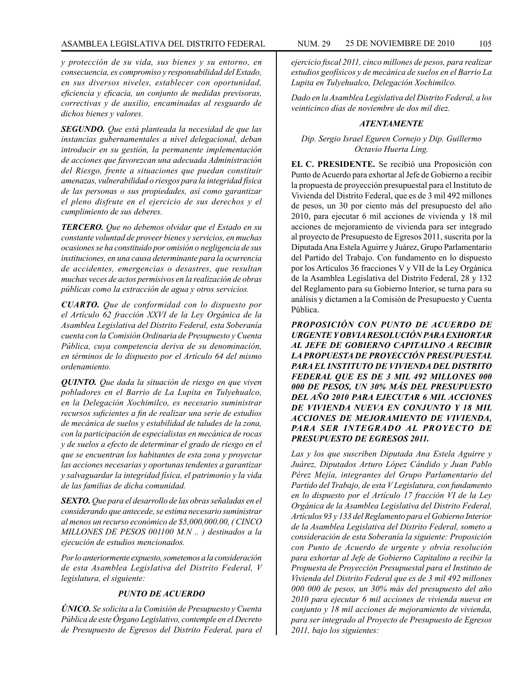*y protección de su vida, sus bienes y su entorno, en consecuencia, es compromiso y responsabilidad del Estado, en sus diversos niveles, establecer con oportunidad, eficiencia y eficacia, un conjunto de medidas previsoras, correctivas y de auxilio, encaminadas al resguardo de dichos bienes y valores.*

*SEGUNDO. Que está planteada la necesidad de que las instancias gubernamentales a nivel delegacional, deban introducir en su gestión, la permanente implementación de acciones que favorezcan una adecuada Administración del Riesgo, frente a situaciones que puedan constituir amenazas, vulnerabilidad o riesgos para la integridad física de las personas o sus propiedades, así como garantizar el pleno disfrute en el ejercicio de sus derechos y el cumplimiento de sus deberes.*

*TERCERO. Que no debemos olvidar que el Estado en su constante voluntad de proveer bienes y servicios, en muchas ocasiones se ha constituido por omisión o negligencia de sus instituciones, en una causa determinante para la ocurrencia de accidentes, emergencias o desastres, que resultan muchas veces de actos permisivos en la realización de obras públicas como la extracción de agua y otros servicios.*

*CUARTO. Que de conformidad con lo dispuesto por el Artículo 62 fracción XXVI de la Ley Orgánica de la Asamblea Legislativa del Distrito Federal, esta Soberanía cuenta con la Comisión Ordinaria de Presupuesto y Cuenta Pública, cuya competencia deriva de su denominación, en términos de lo dispuesto por el Artículo 64 del mismo ordenamiento.*

*QUINTO. Que dada la situación de riesgo en que viven pobladores en el Barrio de La Lupita en Tulyehualco, en la Delegación Xochimilco, es necesario suministrar recursos suficientes a fin de realizar una serie de estudios de mecánica de suelos y estabilidad de taludes de la zona, con la participación de especialistas en mecánica de rocas y de suelos a efecto de determinar el grado de riesgo en el que se encuentran los habitantes de esta zona y proyectar las acciones necesarias y oportunas tendentes a garantizar y salvaguardar la integridad física, el patrimonio y la vida de las familias de dicha comunidad.*

*SEXTO. Que para el desarrollo de las obras señaladas en el considerando que antecede, se estima necesario suministrar al menos un recurso económico de \$5,000,000.00, ( CINCO MILLONES DE PESOS 001100 M.N .. ) destinados a la ejecución de estudios mencionados.*

*Por lo anteriormente expuesto, sometemos a la consideración de esta Asamblea Legislativa del Distrito Federal, V legislatura, el siguiente:*

# *PUNTO DE ACUERDO*

*ÚNICO. Se solicita a la Comisión de Presupuesto y Cuenta Pública de este Órgano Legislativo, contemple en el Decreto de Presupuesto de Egresos del Distrito Federal, para el*  *ejercicio fiscal 2011, cinco millones de pesos, para realizar estudios geofísicos y de mecánica de suelos en el Barrio La Lupita en Tulyehualco, Delegación Xochimilco.*

*Dado en la Asamblea Legislativa del Distrito Federal, a los veinticinco días de noviembre de dos mil diez.*

## *ATENTAMENTE*

### *Dip. Sergio Israel Eguren Cornejo y Dip. Guillermo Octavio Huerta Ling.*

**EL C. PRESIDENTE.** Se recibió una Proposición con Punto de Acuerdo para exhortar al Jefe de Gobierno a recibir la propuesta de proyección presupuestal para el Instituto de Vivienda del Distrito Federal, que es de 3 mil 492 millones de pesos, un 30 por ciento más del presupuesto del año 2010, para ejecutar 6 mil acciones de vivienda y 18 mil acciones de mejoramiento de vivienda para ser integrado al proyecto de Presupuesto de Egresos 2011, suscrita por la Diputada Ana Estela Aguirre y Juárez, Grupo Parlamentario del Partido del Trabajo. Con fundamento en lo dispuesto por los Artículos 36 fracciones V y VII de la Ley Orgánica de la Asamblea Legislativa del Distrito Federal, 28 y 132 del Reglamento para su Gobierno Interior, se turna para su análisis y dictamen a la Comisión de Presupuesto y Cuenta Pública.

*PROPOSICIÓN CON PUNTO DE ACUERDO DE URGENTE Y OBVIA RESOLUCIÓN PARA EXHORTAR AL JEFE DE GOBIERNO CAPITALINO A RECIBIR LA PROPUESTA DE PROYECCIÓN PRESUPUESTAL PARA EL INSTITUTO DE VIVIENDA DEL DISTRITO FEDERAL QUE ES DE 3 MIL 492 MILLONES 000 000 DE PESOS, UN 30% MÁS DEL PRESUPUESTO DEL AÑO 2010 PARA EJECUTAR 6 MIL ACCIONES DE VIVIENDA NUEVA EN CONJUNTO Y 18 MIL ACCIONES DE MEJORAMIENTO DE VIVIENDA, PARA SER INTEGRADO AL PROYECTO DE PRESUPUESTO DE EGRESOS 2011.*

*Las y los que suscriben Diputada Ana Estela Aguirre y Juárez, Diputados Arturo López Cándido y Juan Pablo Pérez Mejía, integrantes del Grupo Parlamentario del Partido del Trabajo, de esta V Legislatura, con fundamento en lo dispuesto por el Artículo 17 fracción VI de la Ley Orgánica de la Asamblea Legislativa del Distrito Federal, Artículos 93 y 133 del Reglamento para el Gobierno Interior de la Asamblea Legislativa del Distrito Federal, someto a consideración de esta Soberanía la siguiente: Proposición con Punto de Acuerdo de urgente y obvia resolución para exhortar al Jefe de Gobierno Capitalino a recibir la Propuesta de Proyección Presupuestal para el Instituto de Vivienda del Distrito Federal que es de 3 mil 492 millones 000 000 de pesos, un 30% más del presupuesto del año 2010 para ejecutar 6 mil acciones de vivienda nueva en conjunto y 18 mil acciones de mejoramiento de vivienda, para ser integrado al Proyecto de Presupuesto de Egresos 2011, bajo los siguientes:*